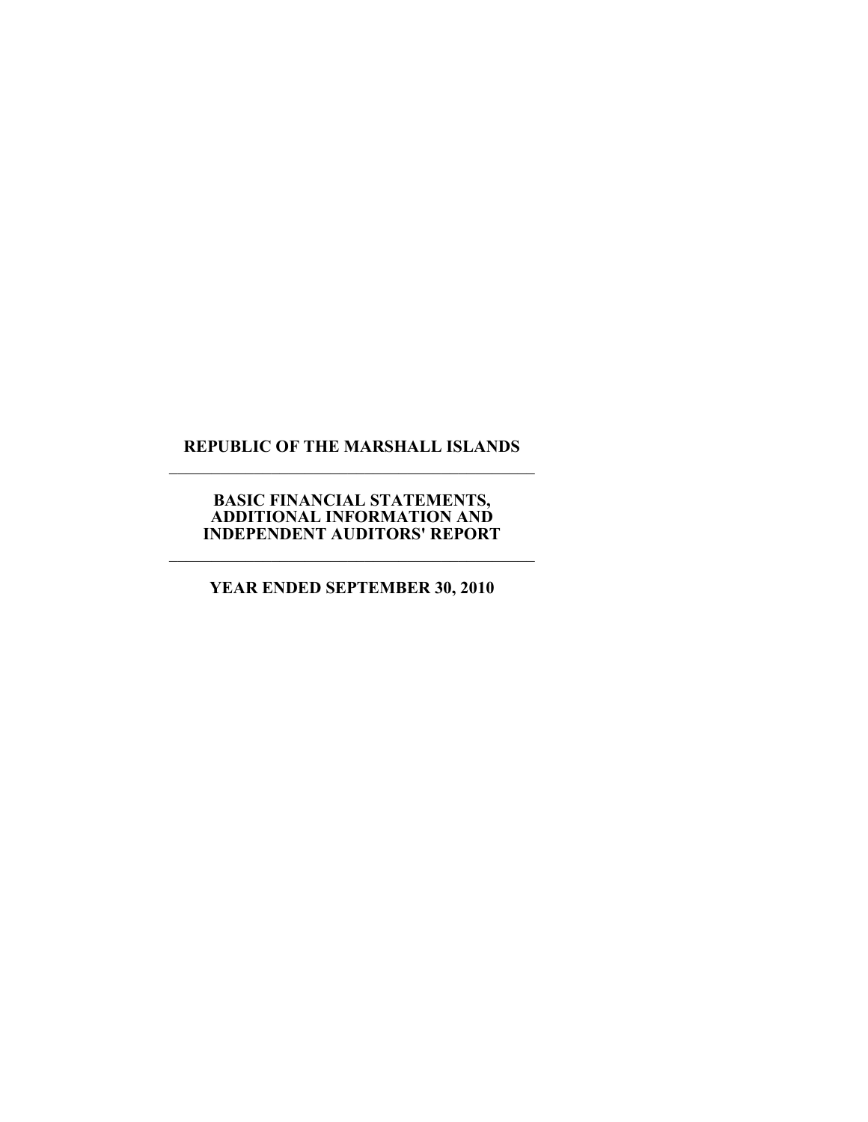# **REPUBLIC OF THE MARSHALL ISLANDS**   $\overline{\phantom{a}}$  , and the set of the set of the set of the set of the set of the set of the set of the set of the set of the set of the set of the set of the set of the set of the set of the set of the set of the set of the s

### **BASIC FINANCIAL STATEMENTS, ADDITIONAL INFORMATION AND INDEPENDENT AUDITORS' REPORT**

 $\overline{\phantom{a}}$  , and the set of the set of the set of the set of the set of the set of the set of the set of the set of the set of the set of the set of the set of the set of the set of the set of the set of the set of the s

**YEAR ENDED SEPTEMBER 30, 2010**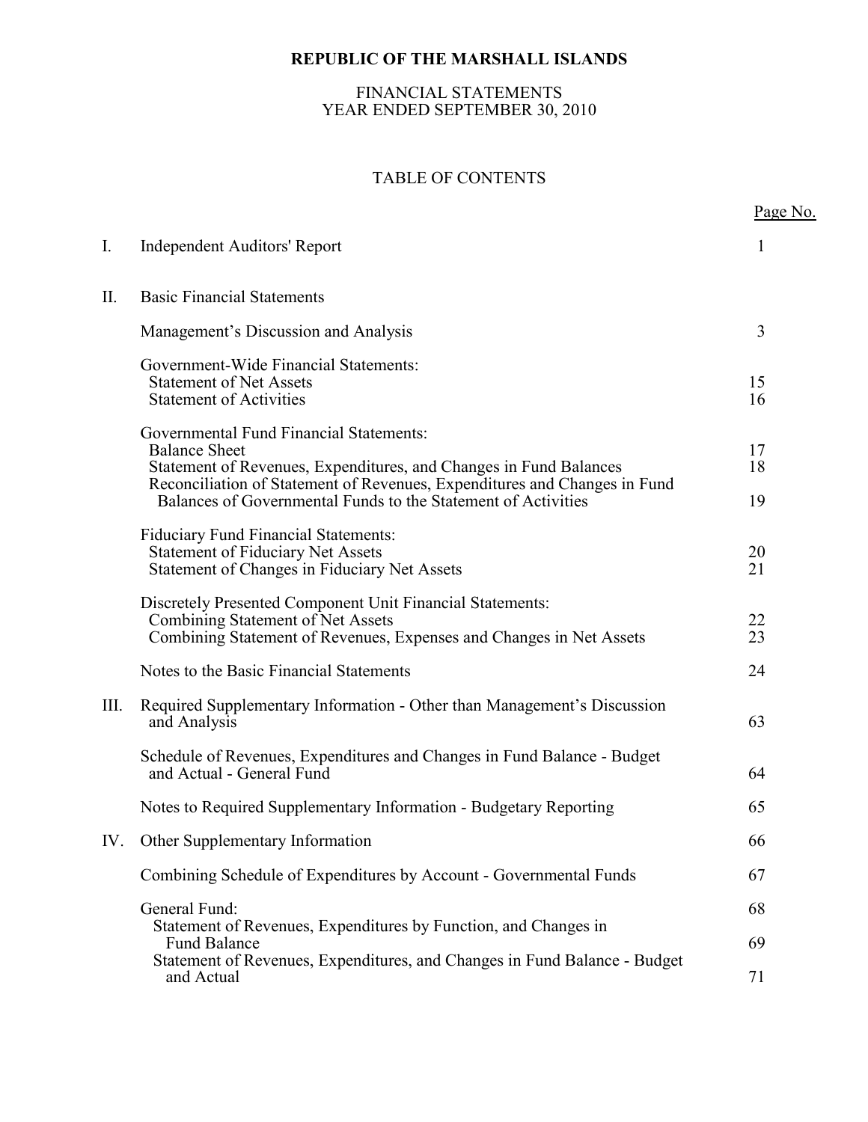# FINANCIAL STATEMENTS YEAR ENDED SEPTEMBER 30, 2010

# TABLE OF CONTENTS

|      |                                                                                                                                                                                                                                                                                    | Page No.       |
|------|------------------------------------------------------------------------------------------------------------------------------------------------------------------------------------------------------------------------------------------------------------------------------------|----------------|
| I.   | <b>Independent Auditors' Report</b>                                                                                                                                                                                                                                                | $\mathbf{1}$   |
| II.  | <b>Basic Financial Statements</b>                                                                                                                                                                                                                                                  |                |
|      | Management's Discussion and Analysis                                                                                                                                                                                                                                               | 3              |
|      | Government-Wide Financial Statements:<br><b>Statement of Net Assets</b><br><b>Statement of Activities</b>                                                                                                                                                                          | 15<br>16       |
|      | Governmental Fund Financial Statements:<br><b>Balance Sheet</b><br>Statement of Revenues, Expenditures, and Changes in Fund Balances<br>Reconciliation of Statement of Revenues, Expenditures and Changes in Fund<br>Balances of Governmental Funds to the Statement of Activities | 17<br>18<br>19 |
|      | <b>Fiduciary Fund Financial Statements:</b><br><b>Statement of Fiduciary Net Assets</b><br>Statement of Changes in Fiduciary Net Assets                                                                                                                                            | 20<br>21       |
|      | Discretely Presented Component Unit Financial Statements:<br>Combining Statement of Net Assets<br>Combining Statement of Revenues, Expenses and Changes in Net Assets                                                                                                              | 22<br>23       |
|      | Notes to the Basic Financial Statements                                                                                                                                                                                                                                            | 24             |
| III. | Required Supplementary Information - Other than Management's Discussion<br>and Analysis                                                                                                                                                                                            | 63             |
|      | Schedule of Revenues, Expenditures and Changes in Fund Balance - Budget<br>and Actual - General Fund                                                                                                                                                                               | 64             |
|      | Notes to Required Supplementary Information - Budgetary Reporting                                                                                                                                                                                                                  | 65             |
|      | IV. Other Supplementary Information                                                                                                                                                                                                                                                | 66             |
|      | Combining Schedule of Expenditures by Account - Governmental Funds                                                                                                                                                                                                                 | 67             |
|      | General Fund:                                                                                                                                                                                                                                                                      | 68             |
|      | Statement of Revenues, Expenditures by Function, and Changes in<br><b>Fund Balance</b>                                                                                                                                                                                             | 69             |
|      | Statement of Revenues, Expenditures, and Changes in Fund Balance - Budget<br>and Actual                                                                                                                                                                                            | 71             |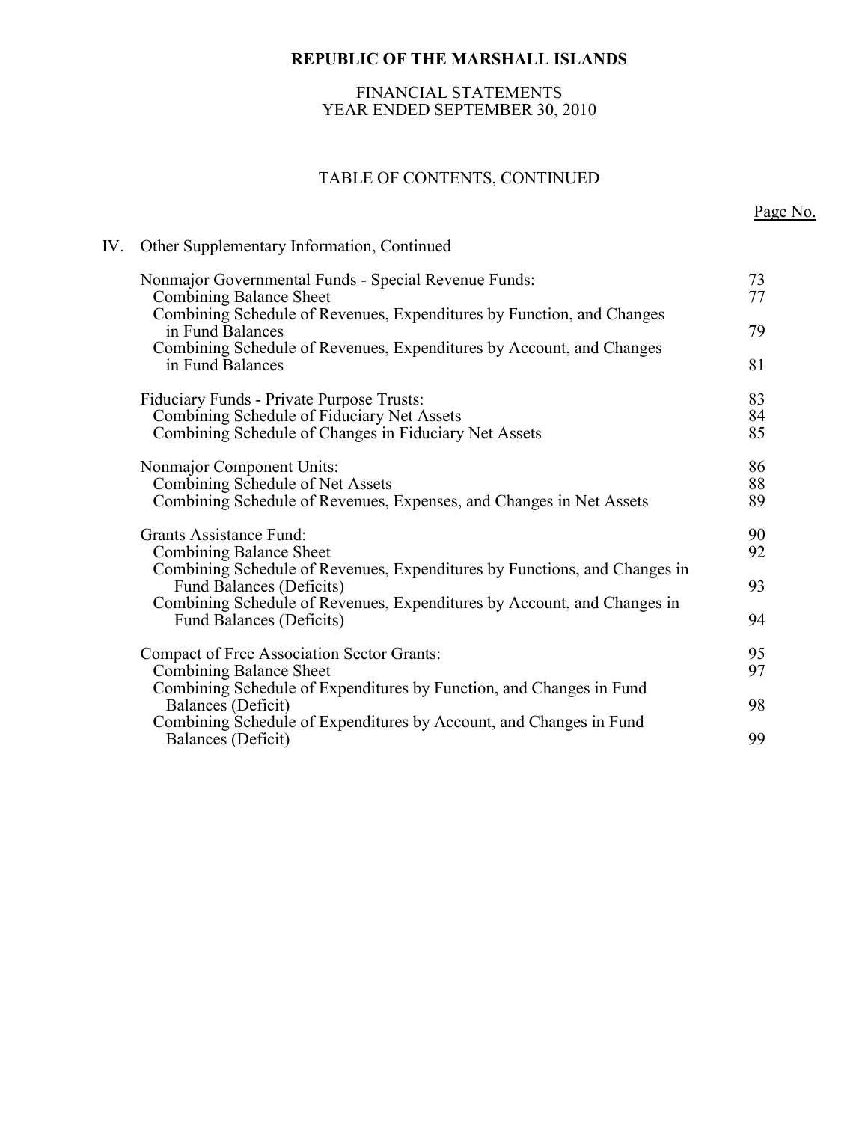### FINANCIAL STATEMENTS YEAR ENDED SEPTEMBER 30, 2010

# TABLE OF CONTENTS, CONTINUED

# IV. Other Supplementary Information, Continued

| Nonmajor Governmental Funds - Special Revenue Funds:<br><b>Combining Balance Sheet</b>                                                                  | 73<br>77       |
|---------------------------------------------------------------------------------------------------------------------------------------------------------|----------------|
| Combining Schedule of Revenues, Expenditures by Function, and Changes<br>in Fund Balances                                                               | 79             |
| Combining Schedule of Revenues, Expenditures by Account, and Changes<br>in Fund Balances                                                                | 81             |
| <b>Fiduciary Funds - Private Purpose Trusts:</b><br>Combining Schedule of Fiduciary Net Assets<br>Combining Schedule of Changes in Fiduciary Net Assets | 83<br>84<br>85 |
| Nonmajor Component Units:<br>Combining Schedule of Net Assets<br>Combining Schedule of Revenues, Expenses, and Changes in Net Assets                    | 86<br>88<br>89 |
| <b>Grants Assistance Fund:</b><br><b>Combining Balance Sheet</b><br>Combining Schedule of Revenues, Expenditures by Functions, and Changes in           | 90<br>92       |
| <b>Fund Balances (Deficits)</b><br>Combining Schedule of Revenues, Expenditures by Account, and Changes in                                              | 93             |
| <b>Fund Balances (Deficits)</b>                                                                                                                         | 94             |
| <b>Compact of Free Association Sector Grants:</b><br>Combining Balance Sheet                                                                            | 95<br>97       |
| Combining Schedule of Expenditures by Function, and Changes in Fund<br>Balances (Deficit)                                                               | 98             |
| Combining Schedule of Expenditures by Account, and Changes in Fund<br>Balances (Deficit)                                                                | 99             |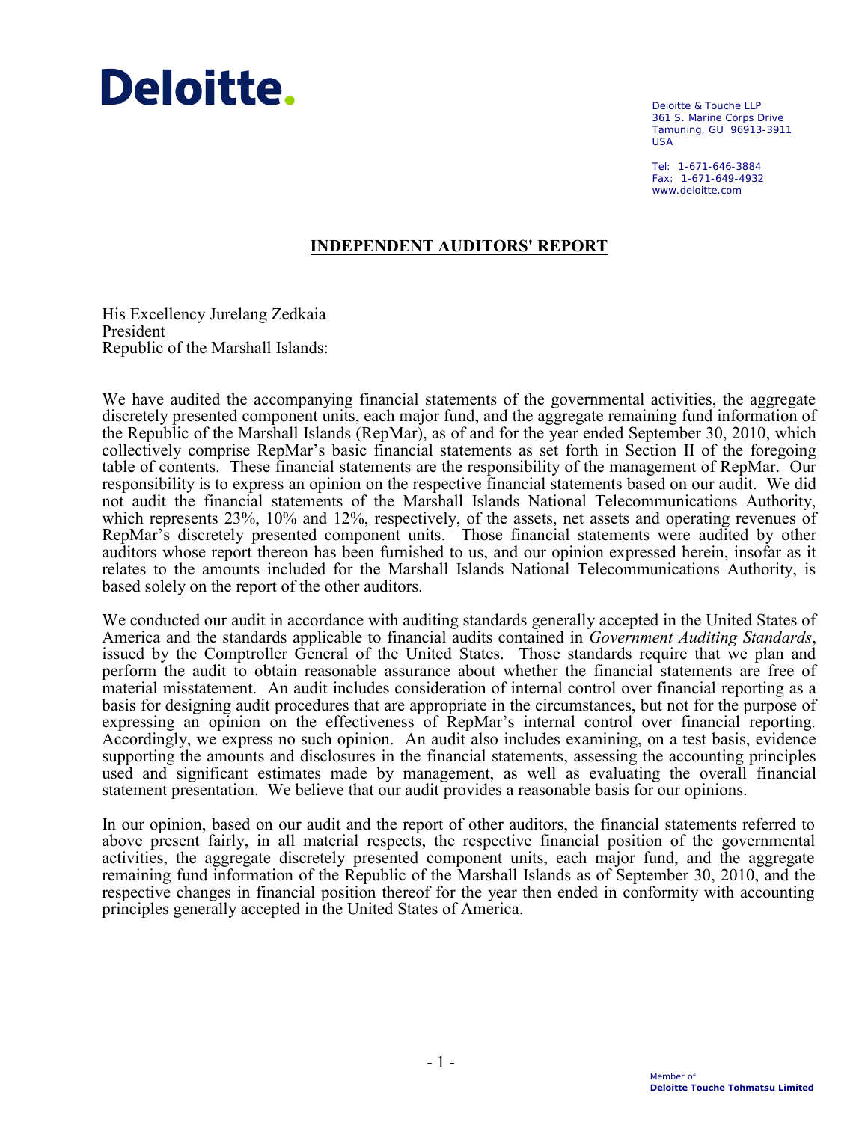# Deloitte.

Deloitte & Touche LLP 361 S. Marine Corps Drive Tamuning, GU 96913-3911 USA

Tel: 1-671-646-3884 Fax: 1-671-649-4932 www.deloitte.com

# **INDEPENDENT AUDITORS' REPORT**

His Excellency Jurelang Zedkaia President Republic of the Marshall Islands:

We have audited the accompanying financial statements of the governmental activities, the aggregate discretely presented component units, each major fund, and the aggregate remaining fund information of the Republic of the Marshall Islands (RepMar), as of and for the year ended September 30, 2010, which collectively comprise RepMar's basic financial statements as set forth in Section II of the foregoing table of contents. These financial statements are the responsibility of the management of RepMar. Our responsibility is to express an opinion on the respective financial statements based on our audit. We did not audit the financial statements of the Marshall Islands National Telecommunications Authority, which represents 23%, 10% and 12%, respectively, of the assets, net assets and operating revenues of RepMar's discretely presented component units. Those financial statements were audited by other auditors whose report thereon has been furnished to us, and our opinion expressed herein, insofar as it relates to the amounts included for the Marshall Islands National Telecommunications Authority, is based solely on the report of the other auditors.

We conducted our audit in accordance with auditing standards generally accepted in the United States of America and the standards applicable to financial audits contained in *Government Auditing Standards*, issued by the Comptroller General of the United States. Those standards require that we plan and perform the audit to obtain reasonable assurance about whether the financial statements are free of material misstatement. An audit includes consideration of internal control over financial reporting as a basis for designing audit procedures that are appropriate in the circumstances, but not for the purpose of expressing an opinion on the effectiveness of RepMar's internal control over financial reporting. Accordingly, we express no such opinion. An audit also includes examining, on a test basis, evidence supporting the amounts and disclosures in the financial statements, assessing the accounting principles used and significant estimates made by management, as well as evaluating the overall financial statement presentation. We believe that our audit provides a reasonable basis for our opinions.

In our opinion, based on our audit and the report of other auditors, the financial statements referred to above present fairly, in all material respects, the respective financial position of the governmental activities, the aggregate discretely presented component units, each major fund, and the aggregate remaining fund information of the Republic of the Marshall Islands as of September 30, 2010, and the respective changes in financial position thereof for the year then ended in conformity with accounting principles generally accepted in the United States of America.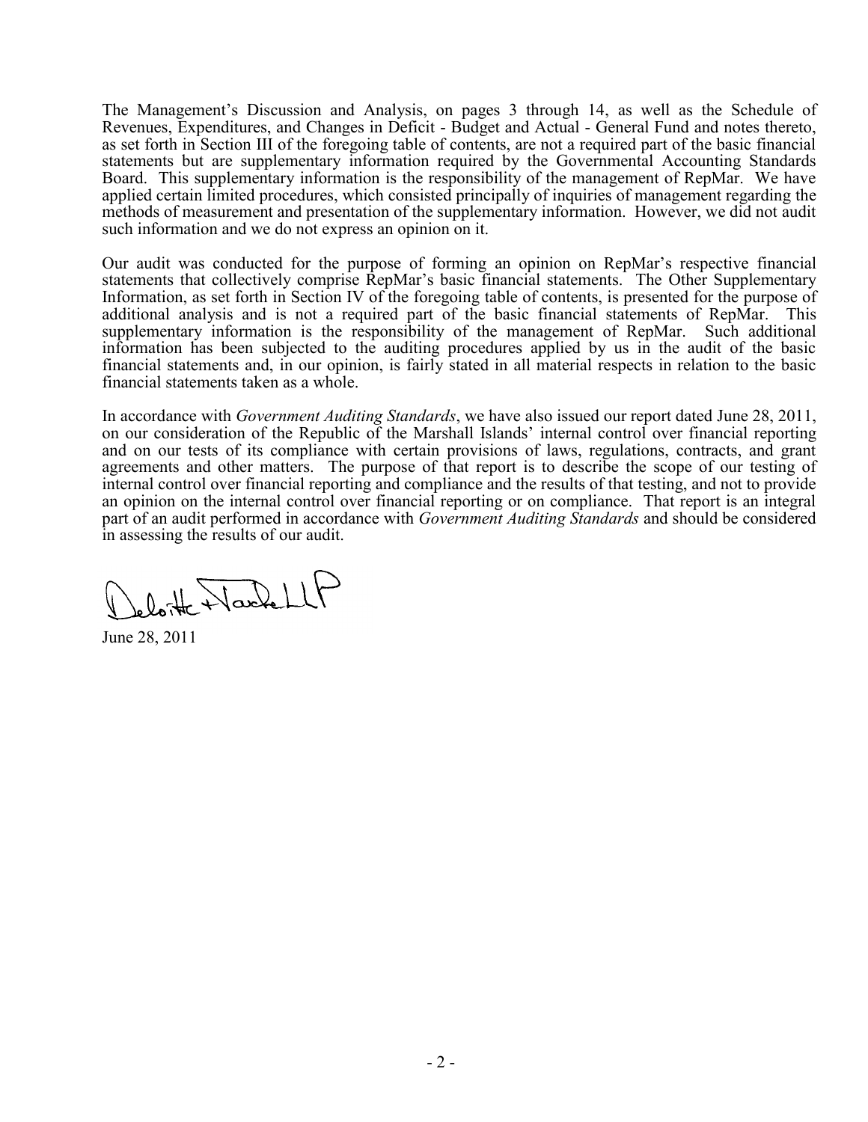The Management's Discussion and Analysis, on pages 3 through 14, as well as the Schedule of Revenues, Expenditures, and Changes in Deficit - Budget and Actual - General Fund and notes thereto, as set forth in Section III of the foregoing table of contents, are not a required part of the basic financial statements but are supplementary information required by the Governmental Accounting Standards Board. This supplementary information is the responsibility of the management of RepMar. We have applied certain limited procedures, which consisted principally of inquiries of management regarding the methods of measurement and presentation of the supplementary information. However, we did not audit such information and we do not express an opinion on it.

Our audit was conducted for the purpose of forming an opinion on RepMar's respective financial statements that collectively comprise RepMar's basic financial statements. The Other Supplementary Information, as set forth in Section IV of the foregoing table of contents, is presented for the purpose of additional analysis and is not a required part of the basic financial statements of RepMar. This supplementary information is the responsibility of the management of RepMar. Such additional information has been subjected to the auditing procedures applied by us in the audit of the basic financial statements and, in our opinion, is fairly stated in all material respects in relation to the basic financial statements taken as a whole.

In accordance with *Government Auditing Standards*, we have also issued our report dated June 28, 2011, on our consideration of the Republic of the Marshall Islands' internal control over financial reporting and on our tests of its compliance with certain provisions of laws, regulations, contracts, and grant agreements and other matters. The purpose of that report is to describe the scope of our testing of internal control over financial reporting and compliance and the results of that testing, and not to provide an opinion on the internal control over financial reporting or on compliance. That report is an integral part of an audit performed in accordance with *Government Auditing Standards* and should be considered in assessing the results of our audit.

 $0.1$  Nackell

June 28, 2011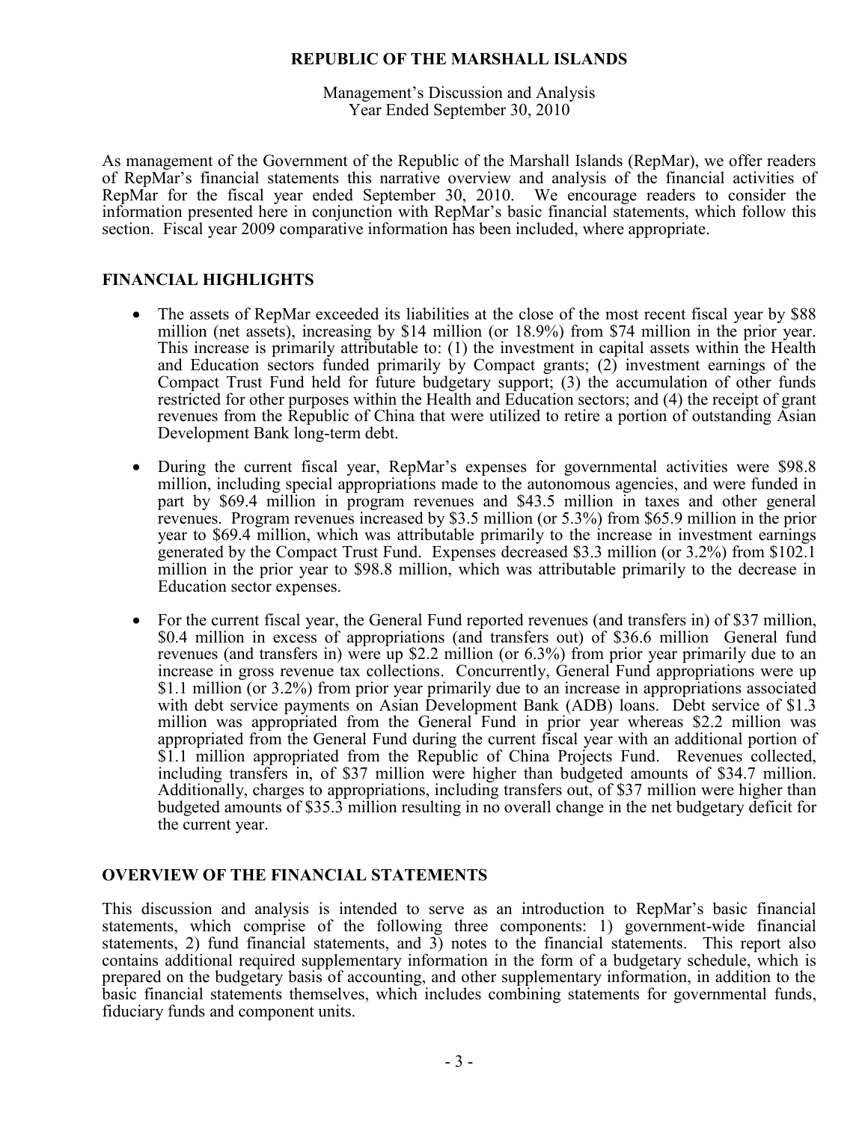Management's Discussion and Analysis Year Ended September 30, 2010

As management of the Government of the Republic of the Marshall Islands (RepMar), we offer readers of RepMar's financial statements this narrative overview and analysis of the financial activities of RepMar for the fiscal year ended September 30, 2010. We encourage readers to consider the information presented here in conjunction with RepMar's basic financial statements, which follow this section. Fiscal year 2009 comparative information has been included, where appropriate.

# **FINANCIAL HIGHLIGHTS**

- The assets of RepMar exceeded its liabilities at the close of the most recent fiscal year by \$88 million (net assets), increasing by \$14 million (or 18.9%) from \$74 million in the prior year. This increase is primarily attributable to: (1) the investment in capital assets within the Health and Education sectors funded primarily by Compact grants; (2) investment earnings of the Compact Trust Fund held for future budgetary support; (3) the accumulation of other funds restricted for other purposes within the Health and Education sectors; and (4) the receipt of grant revenues from the Republic of China that were utilized to retire a portion of outstanding Asian Development Bank long-term debt.
- During the current fiscal year, RepMar's expenses for governmental activities were \$98.8 million, including special appropriations made to the autonomous agencies, and were funded in part by \$69.4 million in program revenues and \$43.5 million in taxes and other general revenues. Program revenues increased by \$3.5 million (or 5.3%) from \$65.9 million in the prior year to \$69.4 million, which was attributable primarily to the increase in investment earnings generated by the Compact Trust Fund. Expenses decreased \$3.3 million (or 3.2%) from \$102.1 million in the prior year to \$98.8 million, which was attributable primarily to the decrease in Education sector expenses.
- For the current fiscal year, the General Fund reported revenues (and transfers in) of \$37 million, \$0.4 million in excess of appropriations (and transfers out) of \$36.6 million General fund revenues (and transfers in) were up \$2.2 million (or 6.3%) from prior year primarily due to an increase in gross revenue tax collections. Concurrently, General Fund appropriations were up \$1.1 million (or 3.2%) from prior year primarily due to an increase in appropriations associated with debt service payments on Asian Development Bank (ADB) loans. Debt service of \$1.3 million was appropriated from the General Fund in prior year whereas \$2.2 million was appropriated from the General Fund during the current fiscal year with an additional portion of \$1.1 million appropriated from the Republic of China Projects Fund. Revenues collected, including transfers in, of \$37 million were higher than budgeted amounts of \$34.7 million. Additionally, charges to appropriations, including transfers out, of \$37 million were higher than budgeted amounts of \$35.3 million resulting in no overall change in the net budgetary deficit for the current year.

# **OVERVIEW OF THE FINANCIAL STATEMENTS**

This discussion and analysis is intended to serve as an introduction to RepMar's basic financial statements, which comprise of the following three components: 1) government-wide financial statements, 2) fund financial statements, and 3) notes to the financial statements. This report also contains additional required supplementary information in the form of a budgetary schedule, which is prepared on the budgetary basis of accounting, and other supplementary information, in addition to the basic financial statements themselves, which includes combining statements for governmental funds, fiduciary funds and component units.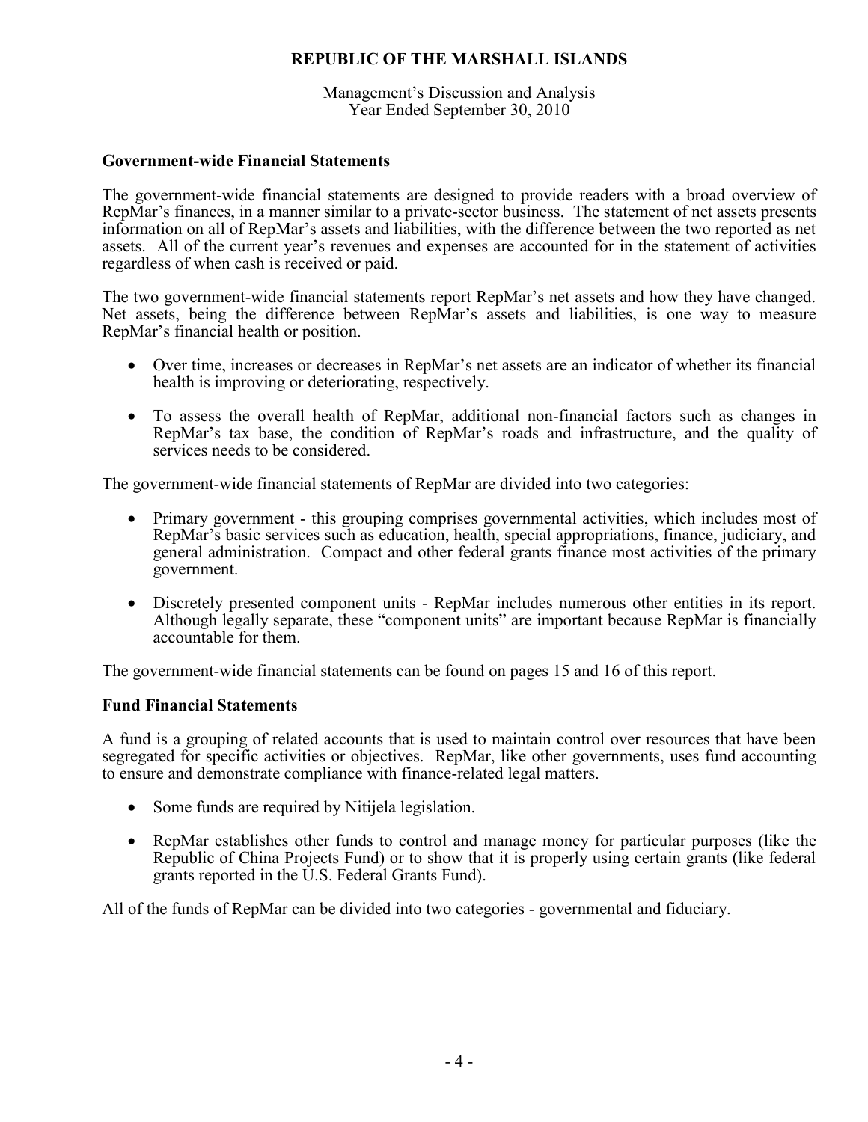Management's Discussion and Analysis Year Ended September 30, 2010

### **Government-wide Financial Statements**

The government-wide financial statements are designed to provide readers with a broad overview of RepMar's finances, in a manner similar to a private-sector business. The statement of net assets presents information on all of RepMar's assets and liabilities, with the difference between the two reported as net assets. All of the current year's revenues and expenses are accounted for in the statement of activities regardless of when cash is received or paid.

The two government-wide financial statements report RepMar's net assets and how they have changed. Net assets, being the difference between RepMar's assets and liabilities, is one way to measure RepMar's financial health or position.

- Over time, increases or decreases in RepMar's net assets are an indicator of whether its financial health is improving or deteriorating, respectively.
- To assess the overall health of RepMar, additional non-financial factors such as changes in RepMar's tax base, the condition of RepMar's roads and infrastructure, and the quality of services needs to be considered.

The government-wide financial statements of RepMar are divided into two categories:

- Primary government this grouping comprises governmental activities, which includes most of RepMar's basic services such as education, health, special appropriations, finance, judiciary, and general administration. Compact and other federal grants finance most activities of the primary government.
- Discretely presented component units RepMar includes numerous other entities in its report. Although legally separate, these "component units" are important because RepMar is financially accountable for them.

The government-wide financial statements can be found on pages 15 and 16 of this report.

# **Fund Financial Statements**

A fund is a grouping of related accounts that is used to maintain control over resources that have been segregated for specific activities or objectives. RepMar, like other governments, uses fund accounting to ensure and demonstrate compliance with finance-related legal matters.

- Some funds are required by Nitijela legislation.
- RepMar establishes other funds to control and manage money for particular purposes (like the Republic of China Projects Fund) or to show that it is properly using certain grants (like federal grants reported in the U.S. Federal Grants Fund).

All of the funds of RepMar can be divided into two categories - governmental and fiduciary.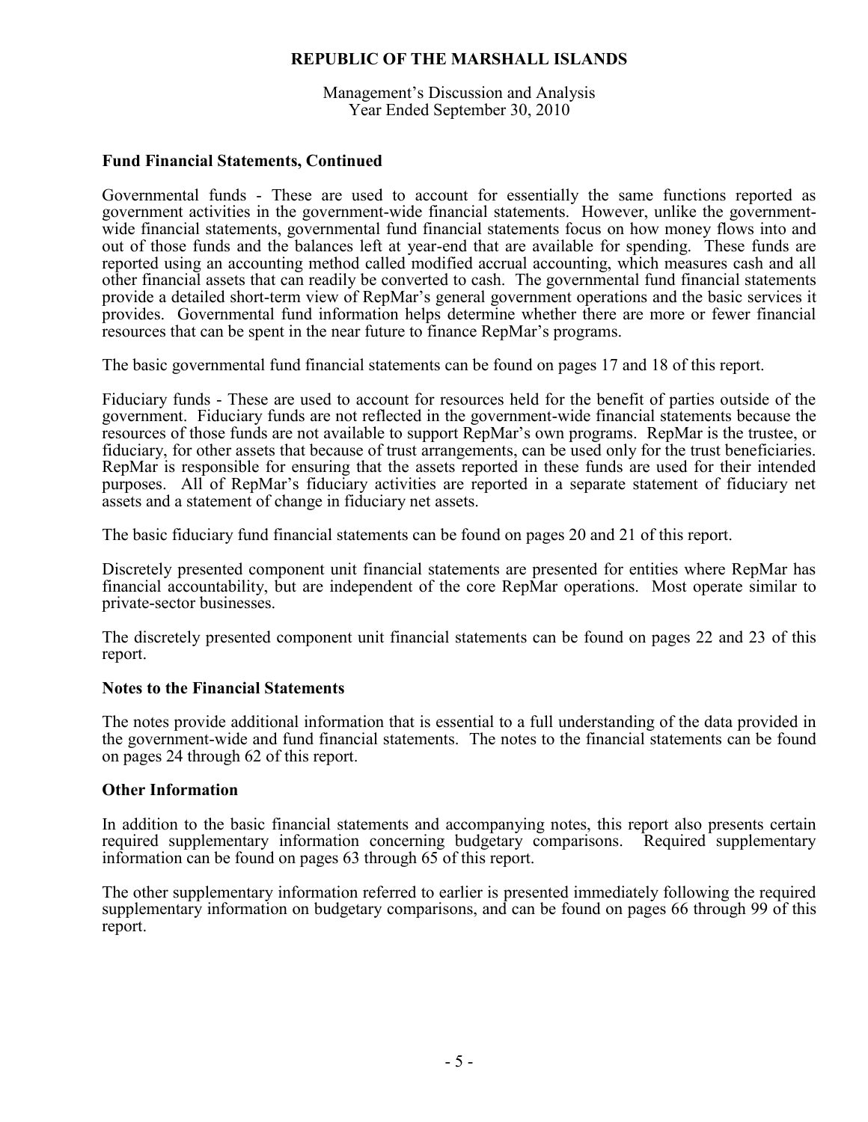Management's Discussion and Analysis Year Ended September 30, 2010

# **Fund Financial Statements, Continued**

Governmental funds - These are used to account for essentially the same functions reported as government activities in the government-wide financial statements. However, unlike the governmentwide financial statements, governmental fund financial statements focus on how money flows into and out of those funds and the balances left at year-end that are available for spending. These funds are reported using an accounting method called modified accrual accounting, which measures cash and all other financial assets that can readily be converted to cash. The governmental fund financial statements provide a detailed short-term view of RepMar's general government operations and the basic services it provides. Governmental fund information helps determine whether there are more or fewer financial resources that can be spent in the near future to finance RepMar's programs.

The basic governmental fund financial statements can be found on pages 17 and 18 of this report.

Fiduciary funds - These are used to account for resources held for the benefit of parties outside of the government. Fiduciary funds are not reflected in the government-wide financial statements because the resources of those funds are not available to support RepMar's own programs. RepMar is the trustee, or fiduciary, for other assets that because of trust arrangements, can be used only for the trust beneficiaries. RepMar is responsible for ensuring that the assets reported in these funds are used for their intended purposes. All of RepMar's fiduciary activities are reported in a separate statement of fiduciary net assets and a statement of change in fiduciary net assets.

The basic fiduciary fund financial statements can be found on pages 20 and 21 of this report.

Discretely presented component unit financial statements are presented for entities where RepMar has financial accountability, but are independent of the core RepMar operations. Most operate similar to private-sector businesses.

The discretely presented component unit financial statements can be found on pages 22 and 23 of this report.

### **Notes to the Financial Statements**

The notes provide additional information that is essential to a full understanding of the data provided in the government-wide and fund financial statements. The notes to the financial statements can be found on pages 24 through 62 of this report.

### **Other Information**

In addition to the basic financial statements and accompanying notes, this report also presents certain required supplementary information concerning budgetary comparisons. Required supplementary information can be found on pages 63 through 65 of this report.

The other supplementary information referred to earlier is presented immediately following the required supplementary information on budgetary comparisons, and can be found on pages 66 through 99 of this report.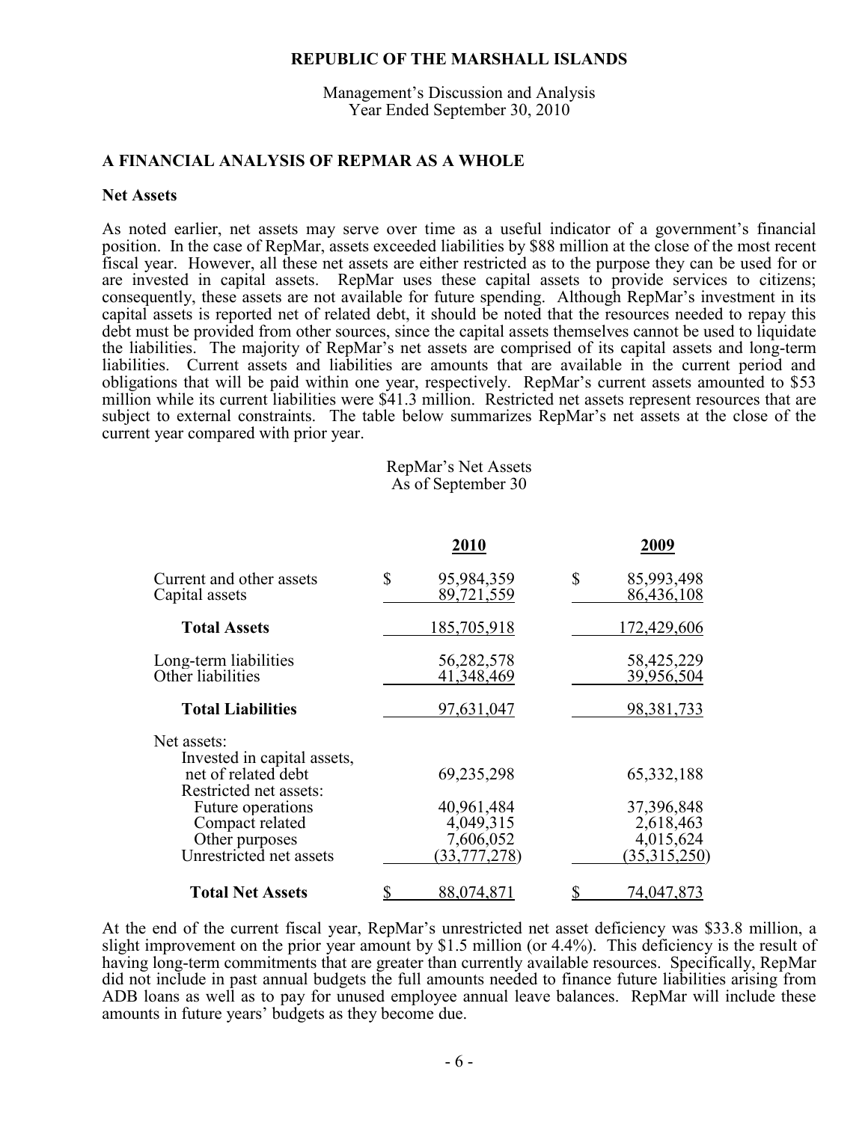Management's Discussion and Analysis Year Ended September 30, 2010

### **A FINANCIAL ANALYSIS OF REPMAR AS A WHOLE**

#### **Net Assets**

As noted earlier, net assets may serve over time as a useful indicator of a government's financial position. In the case of RepMar, assets exceeded liabilities by \$88 million at the close of the most recent fiscal year. However, all these net assets are either restricted as to the purpose they can be used for or are invested in capital assets. RepMar uses these capital assets to provide services to citizens; consequently, these assets are not available for future spending. Although RepMar's investment in its capital assets is reported net of related debt, it should be noted that the resources needed to repay this debt must be provided from other sources, since the capital assets themselves cannot be used to liquidate the liabilities. The majority of RepMar's net assets are comprised of its capital assets and long-term liabilities. Current assets and liabilities are amounts that are available in the current period and obligations that will be paid within one year, respectively. RepMar's current assets amounted to \$53 million while its current liabilities were \$41.3 million. Restricted net assets represent resources that are subject to external constraints. The table below summarizes RepMar's net assets at the close of the current year compared with prior year.

# RepMar's Net Assets As of September 30

|                                                                       | 2010                           | 2009                           |
|-----------------------------------------------------------------------|--------------------------------|--------------------------------|
| Current and other assets<br>Capital assets                            | \$<br>95,984,359<br>89,721,559 | \$<br>85,993,498<br>86,436,108 |
| <b>Total Assets</b>                                                   | 185,705,918                    | 172,429,606                    |
| Long-term liabilities<br>Other liabilities                            | 56,282,578<br>41,348,469       | 58,425,229<br>39,956,504       |
| <b>Total Liabilities</b>                                              | 97,631,047                     | 98, 381, 733                   |
| Net assets:<br>Invested in capital assets,<br>net of related debt     | 69,235,298                     | 65, 332, 188                   |
| Restricted net assets:<br><b>Future operations</b><br>Compact related | 40,961,484<br>4,049,315        | 37,396,848<br>2,618,463        |
| Other purposes<br>Unrestricted net assets                             | 7,606,052<br>(33, 777, 278)    | 4,015,624<br>(35,315,250)      |
| <b>Total Net Assets</b>                                               | 88,074,871                     | 74.047.873                     |

At the end of the current fiscal year, RepMar's unrestricted net asset deficiency was \$33.8 million, a slight improvement on the prior year amount by \$1.5 million (or 4.4%). This deficiency is the result of having long-term commitments that are greater than currently available resources. Specifically, RepMar did not include in past annual budgets the full amounts needed to finance future liabilities arising from ADB loans as well as to pay for unused employee annual leave balances. RepMar will include these amounts in future years' budgets as they become due.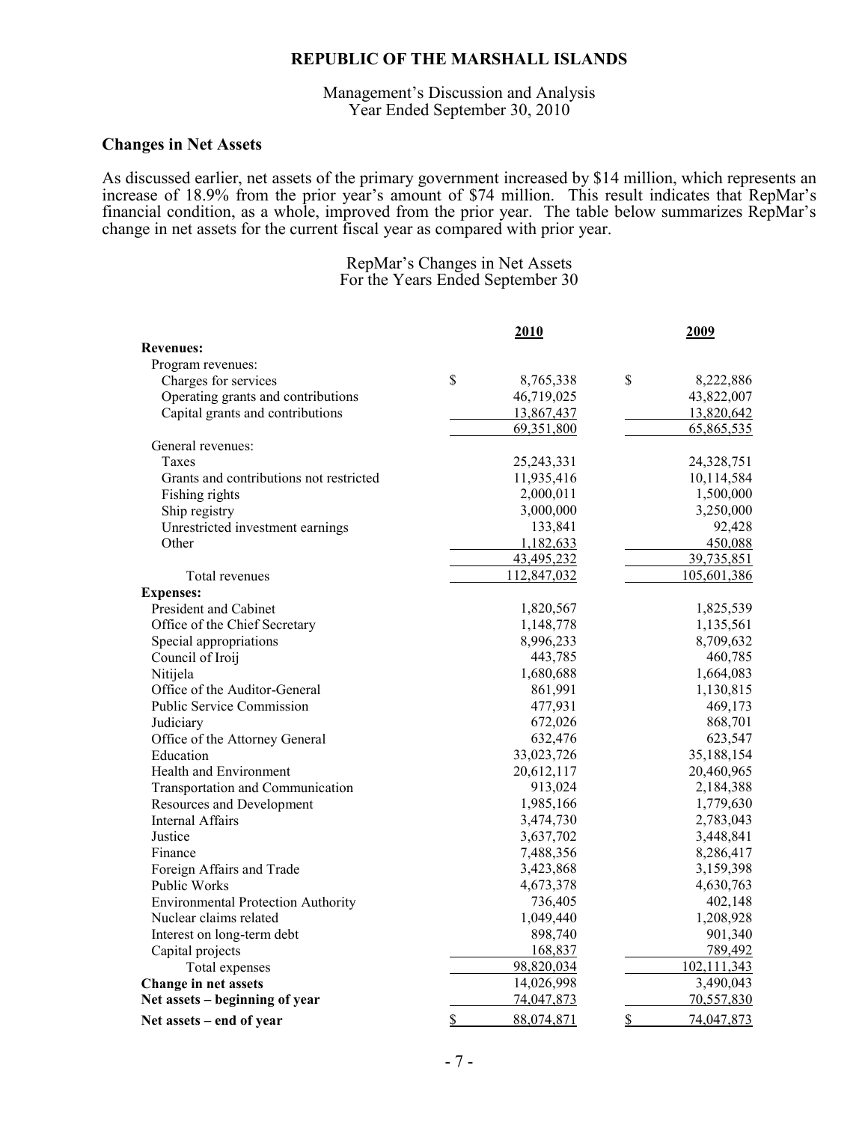### Management's Discussion and Analysis Year Ended September 30, 2010

# **Changes in Net Assets**

As discussed earlier, net assets of the primary government increased by \$14 million, which represents an increase of 18.9% from the prior year's amount of \$74 million. This result indicates that RepMar's financial condition, as a whole, improved from the prior year. The table below summarizes RepMar's change in net assets for the current fiscal year as compared with prior year.

### RepMar's Changes in Net Assets For the Years Ended September 30

|                                           | 2010             | 2009             |
|-------------------------------------------|------------------|------------------|
| <b>Revenues:</b>                          |                  |                  |
| Program revenues:                         |                  |                  |
| Charges for services                      | \$<br>8,765,338  | \$<br>8,222,886  |
| Operating grants and contributions        | 46,719,025       | 43,822,007       |
| Capital grants and contributions          | 13,867,437       | 13,820,642       |
|                                           | 69,351,800       | 65,865,535       |
| General revenues:                         |                  |                  |
| Taxes                                     | 25,243,331       | 24,328,751       |
| Grants and contributions not restricted   | 11,935,416       | 10,114,584       |
| Fishing rights                            | 2,000,011        | 1,500,000        |
| Ship registry                             | 3,000,000        | 3,250,000        |
| Unrestricted investment earnings          | 133,841          | 92,428           |
| Other                                     | 1,182,633        | 450,088          |
|                                           | 43,495,232       | 39,735,851       |
| Total revenues                            | 112,847,032      | 105,601,386      |
| <b>Expenses:</b>                          |                  |                  |
| President and Cabinet                     | 1,820,567        | 1,825,539        |
| Office of the Chief Secretary             | 1,148,778        | 1,135,561        |
| Special appropriations                    | 8,996,233        | 8,709,632        |
| Council of Iroij                          | 443,785          | 460,785          |
| Nitijela                                  | 1,680,688        | 1,664,083        |
| Office of the Auditor-General             | 861,991          | 1,130,815        |
| <b>Public Service Commission</b>          | 477,931          | 469,173          |
| Judiciary                                 | 672,026          | 868,701          |
| Office of the Attorney General            | 632,476          | 623,547          |
| Education                                 | 33,023,726       | 35,188,154       |
| Health and Environment                    | 20,612,117       | 20,460,965       |
| Transportation and Communication          | 913,024          | 2,184,388        |
| <b>Resources and Development</b>          | 1,985,166        | 1,779,630        |
| <b>Internal Affairs</b>                   | 3,474,730        | 2,783,043        |
| Justice                                   | 3,637,702        | 3,448,841        |
| Finance                                   | 7,488,356        | 8,286,417        |
| Foreign Affairs and Trade                 | 3,423,868        | 3,159,398        |
| Public Works                              | 4,673,378        | 4,630,763        |
| <b>Environmental Protection Authority</b> | 736,405          | 402,148          |
| Nuclear claims related                    | 1,049,440        | 1,208,928        |
| Interest on long-term debt                | 898,740          | 901,340          |
| Capital projects                          | 168,837          | 789,492          |
| Total expenses                            | 98,820,034       | 102,111,343      |
| Change in net assets                      | 14,026,998       | 3,490,043        |
| Net assets - beginning of year            | 74,047,873       | 70,557,830       |
| Net assets – end of year                  | \$<br>88,074,871 | \$<br>74,047,873 |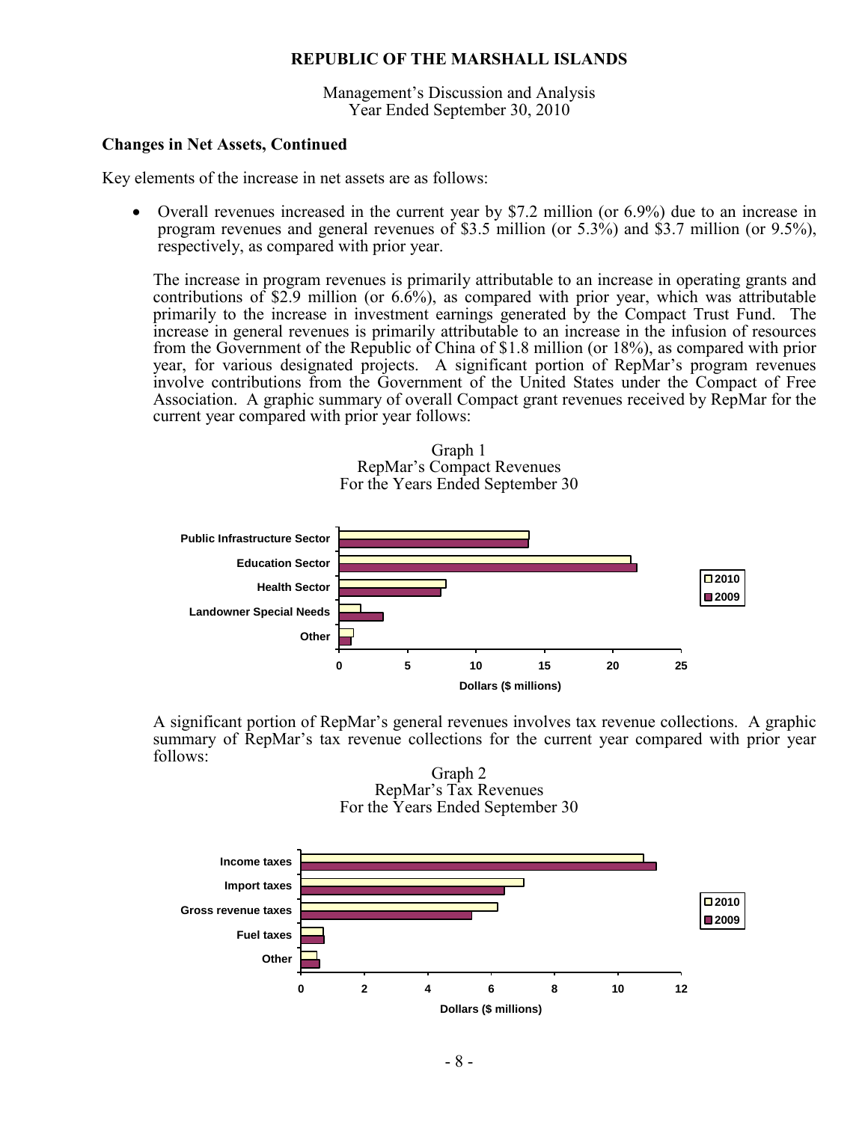Management's Discussion and Analysis Year Ended September 30, 2010

### **Changes in Net Assets, Continued**

Key elements of the increase in net assets are as follows:

 Overall revenues increased in the current year by \$7.2 million (or 6.9%) due to an increase in program revenues and general revenues of \$3.5 million (or 5.3%) and \$3.7 million (or 9.5%), respectively, as compared with prior year.

The increase in program revenues is primarily attributable to an increase in operating grants and contributions of \$2.9 million (or  $6.6\%$ ), as compared with prior year, which was attributable primarily to the increase in investment earnings generated by the Compact Trust Fund. The increase in general revenues is primarily attributable to an increase in the infusion of resources from the Government of the Republic of China of \$1.8 million (or 18%), as compared with prior year, for various designated projects. A significant portion of RepMar's program revenues involve contributions from the Government of the United States under the Compact of Free Association. A graphic summary of overall Compact grant revenues received by RepMar for the current year compared with prior year follows:





A significant portion of RepMar's general revenues involves tax revenue collections. A graphic summary of RepMar's tax revenue collections for the current year compared with prior year follows:

Graph 2 RepMar's Tax Revenues For the Years Ended September 30

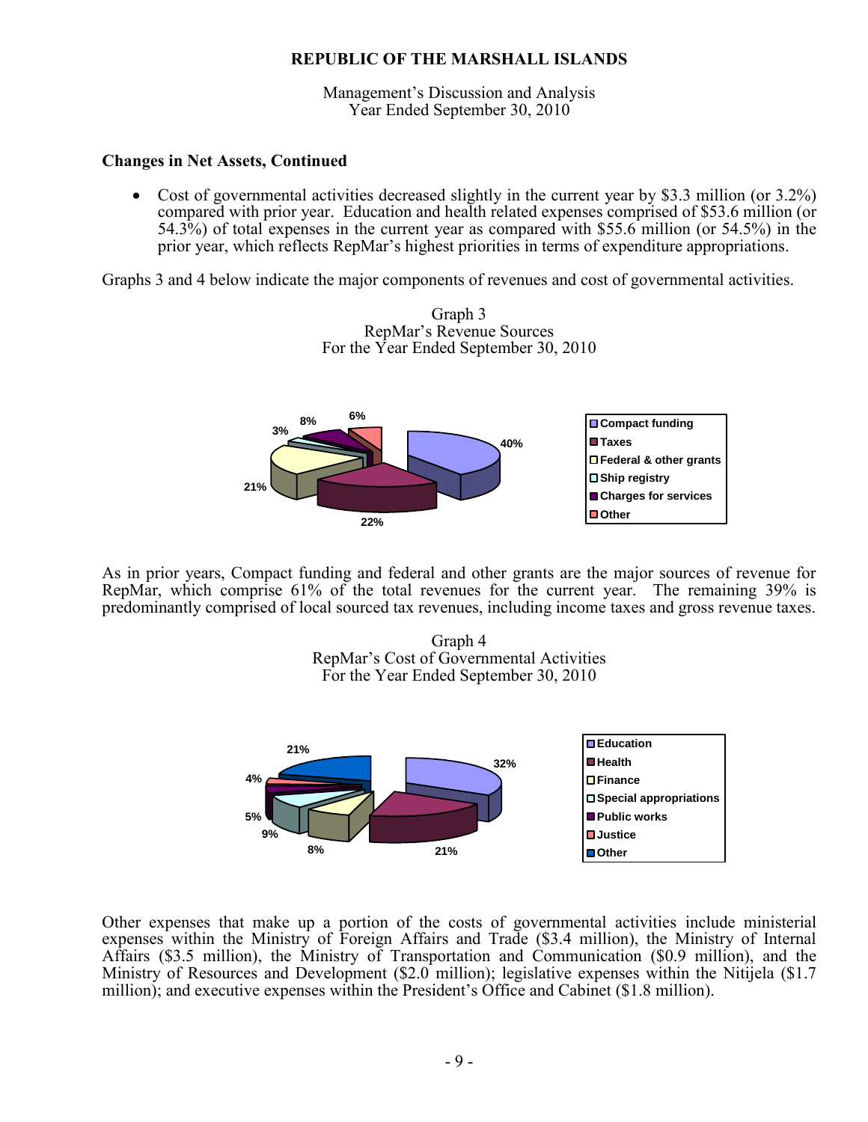Management's Discussion and Analysis Year Ended September 30, 2010

### **Changes in Net Assets, Continued**

• Cost of governmental activities decreased slightly in the current year by \$3.3 million (or 3.2%) compared with prior year. Education and health related expenses comprised of \$53.6 million (or 54.3%) of total expenses in the current year as compared with \$55.6 million (or 54.5%) in the prior year, which reflects RepMar's highest priorities in terms of expenditure appropriations.

Graphs 3 and 4 below indicate the major components of revenues and cost of governmental activities.



As in prior years, Compact funding and federal and other grants are the major sources of revenue for RepMar, which comprise 61% of the total revenues for the current year. The remaining 39% is predominantly comprised of local sourced tax revenues, including income taxes and gross revenue taxes.

> Graph 4 RepMar's Cost of Governmental Activities For the Year Ended September 30, 2010



Other expenses that make up a portion of the costs of governmental activities include ministerial expenses within the Ministry of Foreign Affairs and Trade (\$3.4 million), the Ministry of Internal Affairs (\$3.5 million), the Ministry of Transportation and Communication (\$0.9 million), and the Ministry of Resources and Development (\$2.0 million); legislative expenses within the Nitijela (\$1.7 million); and executive expenses within the President's Office and Cabinet (\$1.8 million).

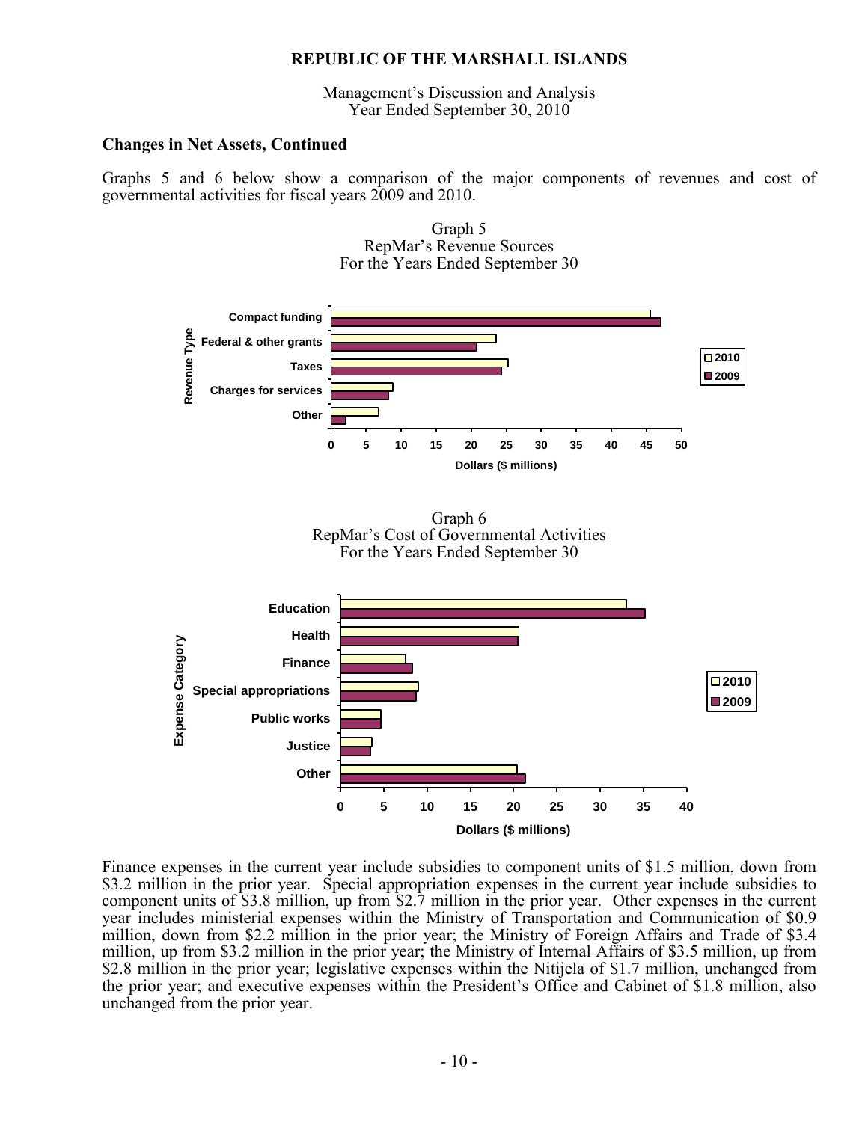Management's Discussion and Analysis Year Ended September 30, 2010

#### **Changes in Net Assets, Continued**

Graphs 5 and 6 below show a comparison of the major components of revenues and cost of governmental activities for fiscal years 2009 and 2010.



Finance expenses in the current year include subsidies to component units of \$1.5 million, down from \$3.2 million in the prior year. Special appropriation expenses in the current year include subsidies to component units of \$3.8 million, up from \$2.7 million in the prior year. Other expenses in the current year includes ministerial expenses within the Ministry of Transportation and Communication of \$0.9 million, down from \$2.2 million in the prior year; the Ministry of Foreign Affairs and Trade of \$3.4 million, up from \$3.2 million in the prior year; the Ministry of Internal Affairs of \$3.5 million, up from \$2.8 million in the prior year; legislative expenses within the Nitijela of \$1.7 million, unchanged from the prior year; and executive expenses within the President's Office and Cabinet of \$1.8 million, also unchanged from the prior year.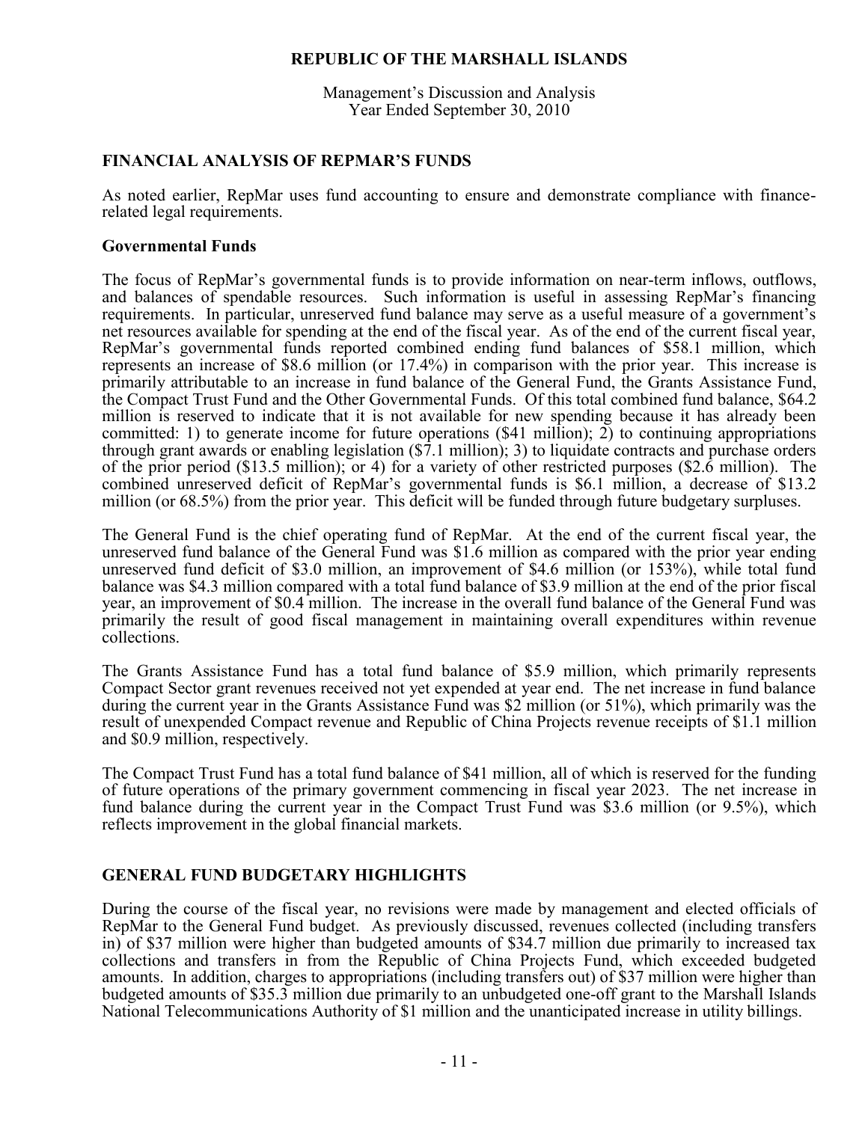Management's Discussion and Analysis Year Ended September 30, 2010

# **FINANCIAL ANALYSIS OF REPMAR'S FUNDS**

As noted earlier, RepMar uses fund accounting to ensure and demonstrate compliance with financerelated legal requirements.

### **Governmental Funds**

The focus of RepMar's governmental funds is to provide information on near-term inflows, outflows, and balances of spendable resources. Such information is useful in assessing RepMar's financing requirements. In particular, unreserved fund balance may serve as a useful measure of a government's net resources available for spending at the end of the fiscal year. As of the end of the current fiscal year, RepMar's governmental funds reported combined ending fund balances of \$58.1 million, which represents an increase of \$8.6 million (or 17.4%) in comparison with the prior year. This increase is primarily attributable to an increase in fund balance of the General Fund, the Grants Assistance Fund, the Compact Trust Fund and the Other Governmental Funds. Of this total combined fund balance, \$64.2 million is reserved to indicate that it is not available for new spending because it has already been committed: 1) to generate income for future operations  $(\$41 \text{ million})$ ; 2) to continuing appropriations through grant awards or enabling legislation (\$7.1 million); 3) to liquidate contracts and purchase orders of the prior period (\$13.5 million); or 4) for a variety of other restricted purposes (\$2.6 million). The combined unreserved deficit of RepMar's governmental funds is \$6.1 million, a decrease of \$13.2 million (or 68.5%) from the prior year. This deficit will be funded through future budgetary surpluses.

The General Fund is the chief operating fund of RepMar. At the end of the current fiscal year, the unreserved fund balance of the General Fund was \$1.6 million as compared with the prior year ending unreserved fund deficit of \$3.0 million, an improvement of \$4.6 million (or 153%), while total fund balance was \$4.3 million compared with a total fund balance of \$3.9 million at the end of the prior fiscal year, an improvement of \$0.4 million. The increase in the overall fund balance of the General Fund was primarily the result of good fiscal management in maintaining overall expenditures within revenue collections.

The Grants Assistance Fund has a total fund balance of \$5.9 million, which primarily represents Compact Sector grant revenues received not yet expended at year end. The net increase in fund balance during the current year in the Grants Assistance Fund was \$2 million (or 51%), which primarily was the result of unexpended Compact revenue and Republic of China Projects revenue receipts of \$1.1 million and \$0.9 million, respectively.

The Compact Trust Fund has a total fund balance of \$41 million, all of which is reserved for the funding of future operations of the primary government commencing in fiscal year 2023. The net increase in fund balance during the current year in the Compact Trust Fund was \$3.6 million (or 9.5%), which reflects improvement in the global financial markets.

### **GENERAL FUND BUDGETARY HIGHLIGHTS**

During the course of the fiscal year, no revisions were made by management and elected officials of RepMar to the General Fund budget. As previously discussed, revenues collected (including transfers in) of \$37 million were higher than budgeted amounts of \$34.7 million due primarily to increased tax collections and transfers in from the Republic of China Projects Fund, which exceeded budgeted amounts. In addition, charges to appropriations (including transfers out) of \$37 million were higher than budgeted amounts of \$35.3 million due primarily to an unbudgeted one-off grant to the Marshall Islands National Telecommunications Authority of \$1 million and the unanticipated increase in utility billings.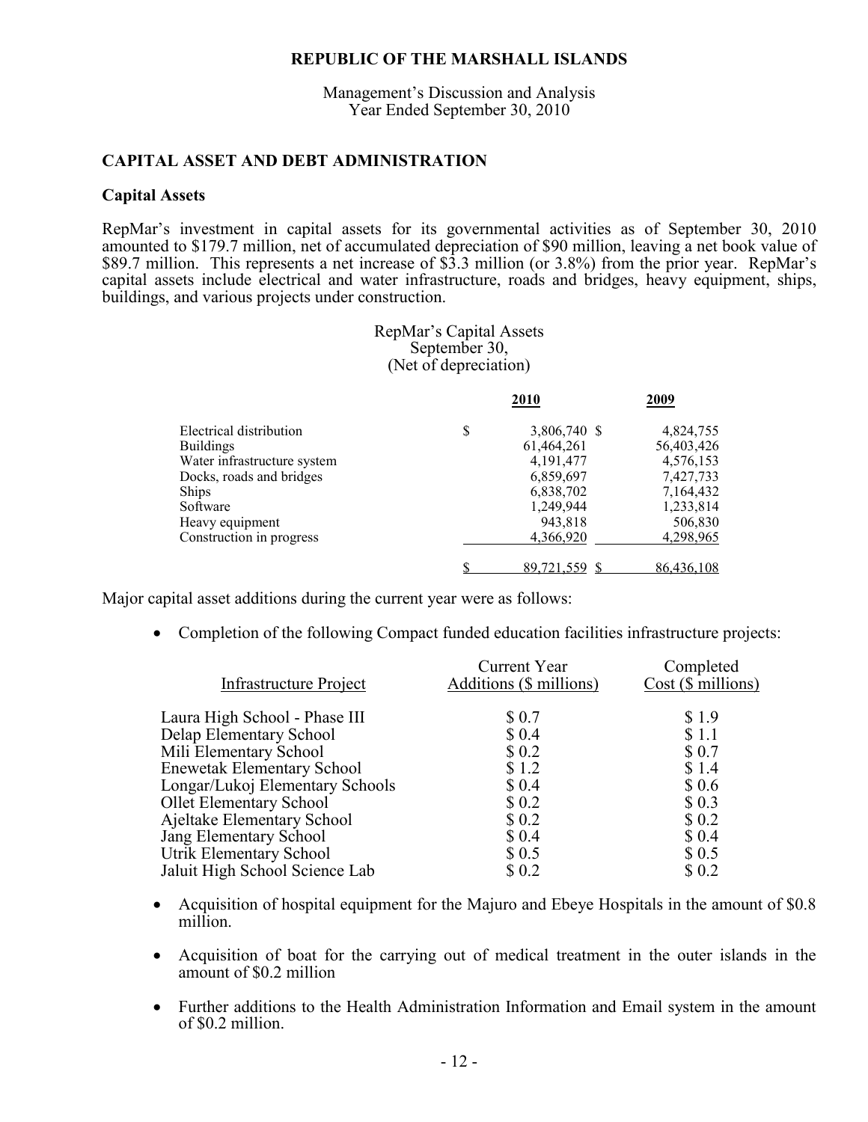Management's Discussion and Analysis Year Ended September 30, 2010

### **CAPITAL ASSET AND DEBT ADMINISTRATION**

### **Capital Assets**

RepMar's investment in capital assets for its governmental activities as of September 30, 2010 amounted to \$179.7 million, net of accumulated depreciation of \$90 million, leaving a net book value of \$89.7 million. This represents a net increase of \$3.3 million (or 3.8%) from the prior year. RepMar's capital assets include electrical and water infrastructure, roads and bridges, heavy equipment, ships, buildings, and various projects under construction.

> RepMar's Capital Assets September 30, (Net of depreciation)

|                             | 2010               | 2009       |
|-----------------------------|--------------------|------------|
| Electrical distribution     | \$<br>3,806,740 \$ | 4,824,755  |
| <b>Buildings</b>            | 61,464,261         | 56,403,426 |
| Water infrastructure system | 4, 191, 477        | 4,576,153  |
| Docks, roads and bridges    | 6,859,697          | 7,427,733  |
| Ships                       | 6,838,702          | 7,164,432  |
| Software                    | 1,249,944          | 1,233,814  |
| Heavy equipment             | 943,818            | 506,830    |
| Construction in progress    | 4,366,920          | 4,298,965  |
|                             | 89,721,559         | 86,436,108 |

Major capital asset additions during the current year were as follows:

• Completion of the following Compact funded education facilities infrastructure projects:

| Current Year                                      | Completed               |
|---------------------------------------------------|-------------------------|
| Infrastructure Project<br>Additions (\$ millions) | $Cost$ ( $\$$ millions) |
| Laura High School - Phase III<br>\$ 0.7           | \$1.9                   |
| Delap Elementary School<br>\$ 0.4                 | \$1.1                   |
| Mili Elementary School<br>\$0.2                   | \$0.7                   |
| <b>Enewetak Elementary School</b><br>\$1.2        | \$1.4                   |
| Longar/Lukoj Elementary Schools<br>\$0.4          | \$0.6                   |
| <b>Ollet Elementary School</b><br>\$ 0.2          | \$0.3                   |
| Ajeltake Elementary School<br>\$0.2               | \$0.2                   |
| <b>Jang Elementary School</b><br>\$ 0.4           | \$ 0.4                  |
| Utrik Elementary School<br>\$0.5                  | \$0.5                   |
| Jaluit High School Science Lab<br>\$0.2           | \$0.2                   |

- Acquisition of hospital equipment for the Majuro and Ebeye Hospitals in the amount of \$0.8 million.
- Acquisition of boat for the carrying out of medical treatment in the outer islands in the amount of \$0.2 million
- Further additions to the Health Administration Information and Email system in the amount of \$0.2 million.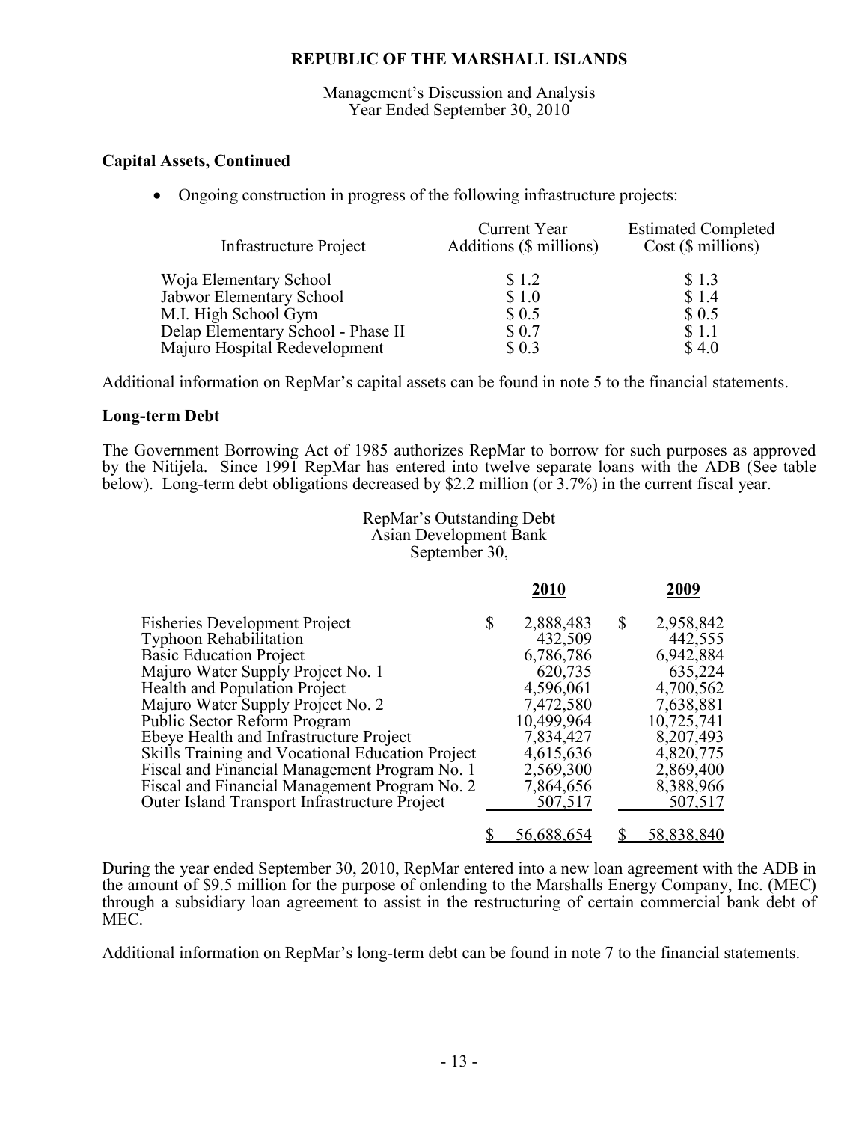Management's Discussion and Analysis Year Ended September 30, 2010

# **Capital Assets, Continued**

• Ongoing construction in progress of the following infrastructure projects:

| Infrastructure Project                           | Current Year<br>Additions (\$ millions) | <b>Estimated Completed</b><br>$Cost$ ( $\$$ millions) |
|--------------------------------------------------|-----------------------------------------|-------------------------------------------------------|
|                                                  |                                         |                                                       |
| Woja Elementary School                           | \$1.2<br>\$1.0                          | \$1.3<br>\$1.4                                        |
| Jabwor Elementary School<br>M.I. High School Gym | \$0.5                                   | \$0.5                                                 |
| Delap Elementary School - Phase II               | \$0.7                                   | \$1.1                                                 |
| Majuro Hospital Redevelopment                    | \$0.3                                   | \$4.0                                                 |

Additional information on RepMar's capital assets can be found in note 5 to the financial statements.

### **Long-term Debt**

The Government Borrowing Act of 1985 authorizes RepMar to borrow for such purposes as approved by the Nitijela. Since 1991 RepMar has entered into twelve separate loans with the ADB (See table below). Long-term debt obligations decreased by \$2.2 million (or 3.7%) in the current fiscal year.

### RepMar's Outstanding Debt Asian Development Bank September 30,

| <b>Fisheries Development Project</b>                 | \$<br>2,888,483 | \$<br>2,958,842 |
|------------------------------------------------------|-----------------|-----------------|
| <b>Typhoon Rehabilitation</b>                        | 432,509         | 442,555         |
| <b>Basic Education Project</b>                       | 6,786,786       | 6,942,884       |
| Majuro Water Supply Project No. 1                    | 620,735         | 635,224         |
| <b>Health and Population Project</b>                 | 4,596,061       | 4,700,562       |
| Majuro Water Supply Project No. 2                    | 7,472,580       | 7,638,881       |
| <b>Public Sector Reform Program</b>                  | 10,499,964      | 10,725,741      |
| Ebeye Health and Infrastructure Project              | 7,834,427       | 8,207,493       |
| Skills Training and Vocational Education Project     | 4,615,636       | 4,820,775       |
| Fiscal and Financial Management Program No. 1        | 2,569,300       | 2,869,400       |
| Fiscal and Financial Management Program No. 2        | 7,864,656       | 8,388,966       |
| <b>Outer Island Transport Infrastructure Project</b> | 507,517         | 507,517         |
|                                                      | 56.688.654      | 58,838,840      |

During the year ended September 30, 2010, RepMar entered into a new loan agreement with the ADB in the amount of \$9.5 million for the purpose of onlending to the Marshalls Energy Company, Inc. (MEC) through a subsidiary loan agreement to assist in the restructuring of certain commercial bank debt of MEC.

Additional information on RepMar's long-term debt can be found in note 7 to the financial statements.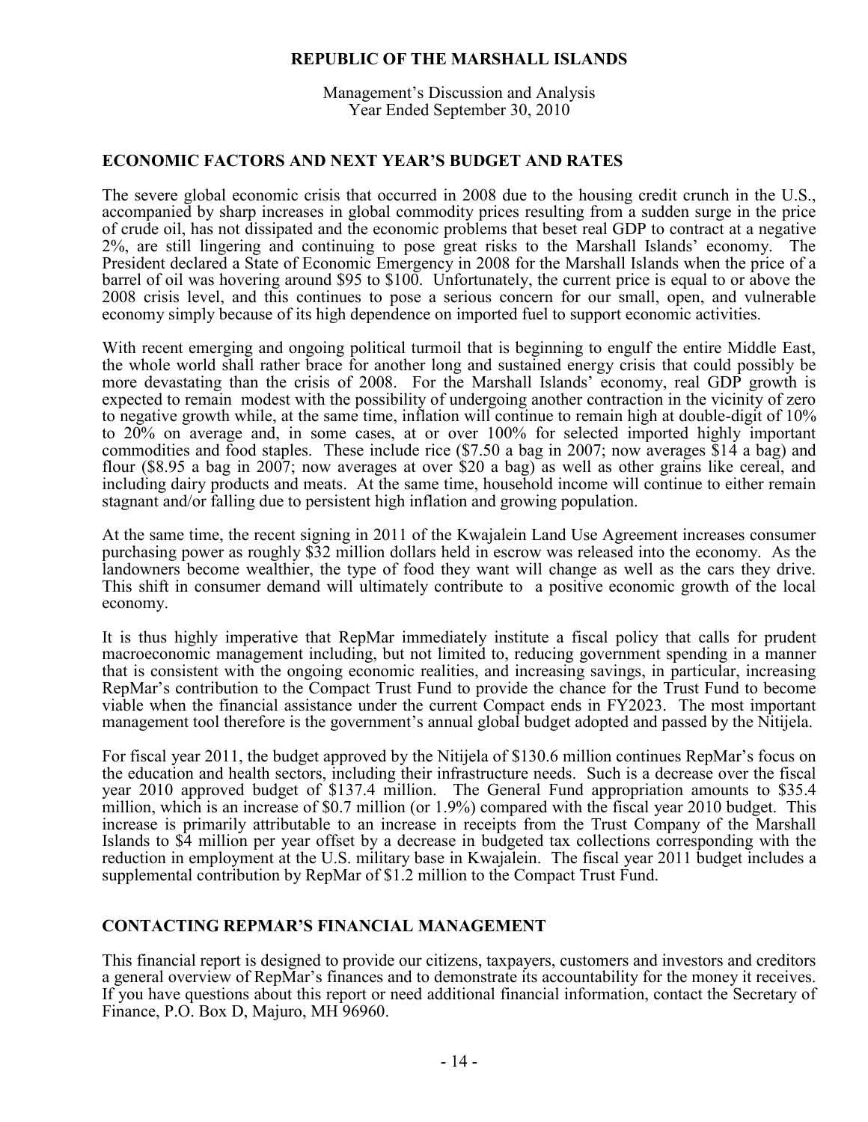Management's Discussion and Analysis Year Ended September 30, 2010

# **ECONOMIC FACTORS AND NEXT YEAR'S BUDGET AND RATES**

The severe global economic crisis that occurred in 2008 due to the housing credit crunch in the U.S., accompanied by sharp increases in global commodity prices resulting from a sudden surge in the price of crude oil, has not dissipated and the economic problems that beset real GDP to contract at a negative 2%, are still lingering and continuing to pose great risks to the Marshall Islands' economy. The President declared a State of Economic Emergency in 2008 for the Marshall Islands when the price of a barrel of oil was hovering around \$95 to \$100. Unfortunately, the current price is equal to or above the 2008 crisis level, and this continues to pose a serious concern for our small, open, and vulnerable economy simply because of its high dependence on imported fuel to support economic activities.

With recent emerging and ongoing political turmoil that is beginning to engulf the entire Middle East, the whole world shall rather brace for another long and sustained energy crisis that could possibly be more devastating than the crisis of 2008. For the Marshall Islands' economy, real GDP growth is expected to remain modest with the possibility of undergoing another contraction in the vicinity of zero to negative growth while, at the same time, inflation will continue to remain high at double-digit of 10% to 20% on average and, in some cases, at or over 100% for selected imported highly important commodities and food staples. These include rice (\$7.50 a bag in 2007; now averages \$14 a bag) and flour (\$8.95 a bag in 2007; now averages at over \$20 a bag) as well as other grains like cereal, and including dairy products and meats. At the same time, household income will continue to either remain stagnant and/or falling due to persistent high inflation and growing population.

At the same time, the recent signing in 2011 of the Kwajalein Land Use Agreement increases consumer purchasing power as roughly \$32 million dollars held in escrow was released into the economy. As the landowners become wealthier, the type of food they want will change as well as the cars they drive. This shift in consumer demand will ultimately contribute to a positive economic growth of the local economy.

It is thus highly imperative that RepMar immediately institute a fiscal policy that calls for prudent macroeconomic management including, but not limited to, reducing government spending in a manner that is consistent with the ongoing economic realities, and increasing savings, in particular, increasing RepMar's contribution to the Compact Trust Fund to provide the chance for the Trust Fund to become viable when the financial assistance under the current Compact ends in FY2023. The most important management tool therefore is the government's annual global budget adopted and passed by the Nitijela.

For fiscal year 2011, the budget approved by the Nitijela of \$130.6 million continues RepMar's focus on the education and health sectors, including their infrastructure needs. Such is a decrease over the fiscal year 2010 approved budget of \$137.4 million. The General Fund appropriation amounts to \$35.4 million, which is an increase of \$0.7 million (or 1.9%) compared with the fiscal year 2010 budget. This increase is primarily attributable to an increase in receipts from the Trust Company of the Marshall Islands to \$4 million per year offset by a decrease in budgeted tax collections corresponding with the reduction in employment at the U.S. military base in Kwajalein. The fiscal year 2011 budget includes a supplemental contribution by RepMar of \$1.2 million to the Compact Trust Fund.

# **CONTACTING REPMAR'S FINANCIAL MANAGEMENT**

This financial report is designed to provide our citizens, taxpayers, customers and investors and creditors a general overview of RepMar's finances and to demonstrate its accountability for the money it receives. If you have questions about this report or need additional financial information, contact the Secretary of Finance, P.O. Box D, Majuro, MH 96960.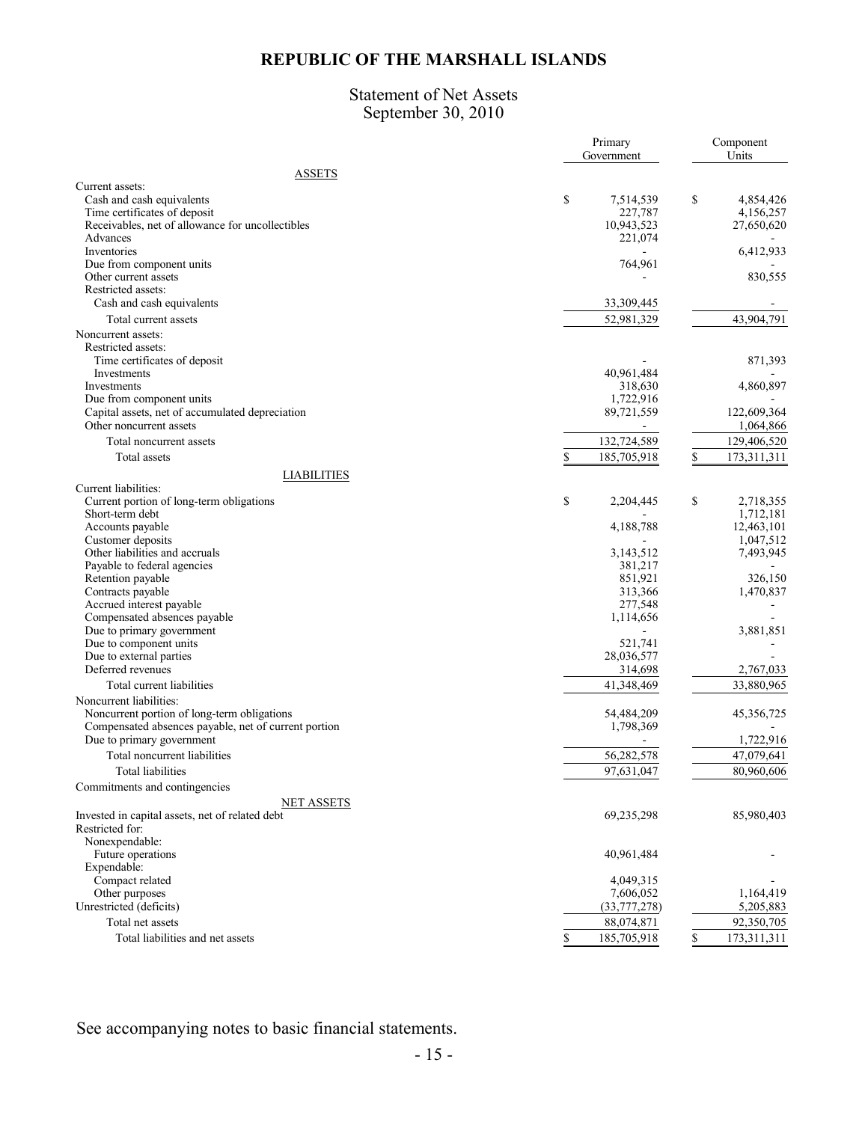# Statement of Net Assets September 30, 2010

|                                                              | Primary<br>Government | Component<br>Units |  |  |
|--------------------------------------------------------------|-----------------------|--------------------|--|--|
| <b>ASSETS</b>                                                |                       |                    |  |  |
| Current assets:                                              |                       |                    |  |  |
| Cash and cash equivalents                                    | \$<br>7,514,539       | \$<br>4,854,426    |  |  |
| Time certificates of deposit                                 | 227,787               | 4,156,257          |  |  |
| Receivables, net of allowance for uncollectibles<br>Advances | 10,943,523<br>221,074 | 27,650,620         |  |  |
| Inventories                                                  |                       | 6,412,933          |  |  |
| Due from component units                                     | 764,961               |                    |  |  |
| Other current assets                                         |                       | 830,555            |  |  |
| Restricted assets:                                           |                       |                    |  |  |
| Cash and cash equivalents                                    | 33,309,445            |                    |  |  |
| Total current assets                                         | 52,981,329            | 43,904,791         |  |  |
| Noncurrent assets:                                           |                       |                    |  |  |
| Restricted assets:                                           |                       |                    |  |  |
| Time certificates of deposit                                 |                       | 871,393            |  |  |
| Investments                                                  | 40,961,484            |                    |  |  |
| Investments                                                  | 318,630               | 4,860,897          |  |  |
| Due from component units                                     | 1,722,916             |                    |  |  |
| Capital assets, net of accumulated depreciation              | 89,721,559            | 122,609,364        |  |  |
| Other noncurrent assets                                      |                       | 1,064,866          |  |  |
| Total noncurrent assets                                      | 132,724,589           | 129,406,520        |  |  |
| Total assets                                                 | \$<br>185,705,918     | \$<br>173,311,311  |  |  |
| <b>LIABILITIES</b>                                           |                       |                    |  |  |
| Current liabilities:                                         |                       |                    |  |  |
| Current portion of long-term obligations                     | \$<br>2,204,445       | \$<br>2,718,355    |  |  |
| Short-term debt                                              |                       | 1,712,181          |  |  |
| Accounts payable                                             | 4,188,788             | 12,463,101         |  |  |
| Customer deposits                                            |                       | 1,047,512          |  |  |
| Other liabilities and accruals                               | 3,143,512             | 7,493,945          |  |  |
| Payable to federal agencies                                  | 381,217               |                    |  |  |
| Retention payable                                            | 851,921               | 326,150            |  |  |
| Contracts payable<br>Accrued interest payable                | 313,366<br>277,548    | 1,470,837          |  |  |
| Compensated absences payable                                 | 1,114,656             |                    |  |  |
| Due to primary government                                    |                       | 3,881,851          |  |  |
| Due to component units                                       | 521,741               |                    |  |  |
| Due to external parties                                      | 28,036,577            |                    |  |  |
| Deferred revenues                                            | 314,698               | 2,767,033          |  |  |
| Total current liabilities                                    | 41,348,469            | 33,880,965         |  |  |
| Noncurrent liabilities:                                      |                       |                    |  |  |
| Noncurrent portion of long-term obligations                  | 54,484,209            | 45,356,725         |  |  |
| Compensated absences payable, net of current portion         | 1,798,369             |                    |  |  |
| Due to primary government                                    |                       | 1,722,916          |  |  |
| Total noncurrent liabilities                                 | 56,282,578            | 47,079,641         |  |  |
| Total liabilities                                            | 97,631,047            | 80,960,606         |  |  |
| Commitments and contingencies                                |                       |                    |  |  |
| <b>NET ASSETS</b>                                            |                       |                    |  |  |
| Invested in capital assets, net of related debt              | 69,235,298            | 85,980,403         |  |  |
| Restricted for:                                              |                       |                    |  |  |
| Nonexpendable:                                               |                       |                    |  |  |
| Future operations                                            | 40,961,484            |                    |  |  |
| Expendable:                                                  |                       |                    |  |  |
| Compact related                                              | 4,049,315             |                    |  |  |
| Other purposes                                               | 7,606,052             | 1,164,419          |  |  |
| Unrestricted (deficits)                                      | (33,777,278)          | 5,205,883          |  |  |
| Total net assets                                             | 88,074,871            | 92,350,705         |  |  |
| Total liabilities and net assets                             | \$<br>185,705,918     | \$<br>173,311,311  |  |  |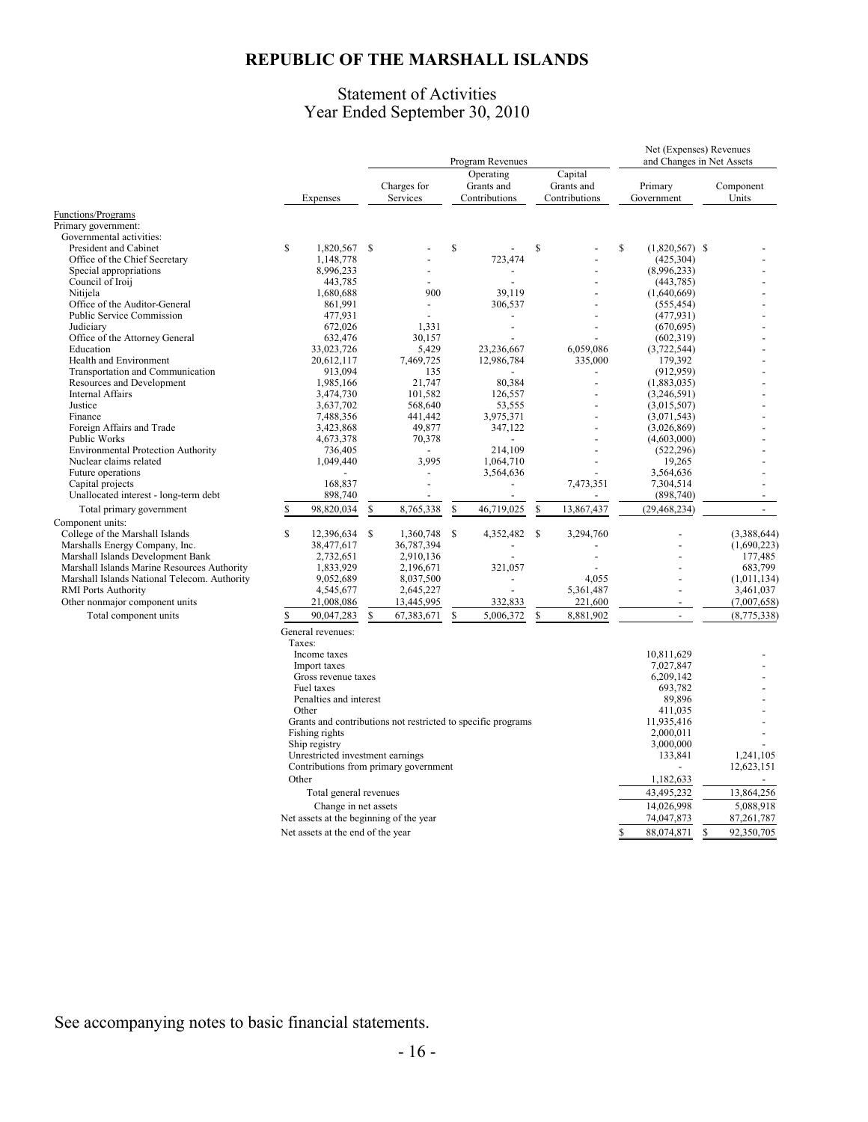# Statement of Activities Year Ended September 30, 2010

|                                                                     |                                                                           |    |                         |             | Program Revenues                                             |             |                                        |                       | Net (Expenses) Revenues   | and Changes in Net Assets |
|---------------------------------------------------------------------|---------------------------------------------------------------------------|----|-------------------------|-------------|--------------------------------------------------------------|-------------|----------------------------------------|-----------------------|---------------------------|---------------------------|
|                                                                     | Expenses                                                                  |    | Charges for<br>Services |             | Operating<br>Grants and<br>Contributions                     |             | Capital<br>Grants and<br>Contributions | Primary<br>Government |                           | Component<br>Units        |
| Functions/Programs                                                  |                                                                           |    |                         |             |                                                              |             |                                        |                       |                           |                           |
| Primary government:                                                 |                                                                           |    |                         |             |                                                              |             |                                        |                       |                           |                           |
| Governmental activities:<br>President and Cabinet                   | \$<br>1,820,567 \$                                                        |    |                         | \$          |                                                              | \$          |                                        | \$                    | $(1,820,567)$ \$          |                           |
| Office of the Chief Secretary                                       | 1,148,778                                                                 |    |                         |             | 723,474                                                      |             |                                        |                       | (425, 304)                |                           |
| Special appropriations                                              | 8,996,233                                                                 |    |                         |             |                                                              |             |                                        |                       | (8,996,233)               |                           |
| Council of Iroij                                                    | 443,785                                                                   |    |                         |             |                                                              |             |                                        |                       | (443, 785)                |                           |
| Nitijela                                                            | 1,680,688                                                                 |    | 900                     |             | 39,119                                                       |             |                                        |                       | (1,640,669)               |                           |
| Office of the Auditor-General                                       | 861,991                                                                   |    |                         |             | 306,537                                                      |             |                                        |                       | (555, 454)                |                           |
| Public Service Commission                                           | 477,931                                                                   |    |                         |             |                                                              |             |                                        |                       | (477, 931)                |                           |
| Judiciary                                                           | 672,026                                                                   |    | 1,331                   |             |                                                              |             |                                        |                       | (670, 695)                |                           |
| Office of the Attorney General<br>Education                         | 632,476<br>33,023,726                                                     |    | 30,157<br>5,429         |             | 23,236,667                                                   |             | 6.059.086                              |                       | (602, 319)<br>(3,722,544) |                           |
| Health and Environment                                              | 20,612,117                                                                |    | 7,469,725               |             | 12,986,784                                                   |             | 335,000                                |                       | 179,392                   |                           |
| Transportation and Communication                                    | 913,094                                                                   |    | 135                     |             |                                                              |             |                                        |                       | (912, 959)                |                           |
| Resources and Development                                           | 1,985,166                                                                 |    | 21,747                  |             | 80,384                                                       |             |                                        |                       | (1,883,035)               |                           |
| <b>Internal Affairs</b>                                             | 3,474,730                                                                 |    | 101,582                 |             | 126,557                                                      |             |                                        |                       | (3,246,591)               |                           |
| Justice                                                             | 3,637,702                                                                 |    | 568,640                 |             | 53,555                                                       |             |                                        |                       | (3,015,507)               |                           |
| Finance                                                             | 7,488,356                                                                 |    | 441,442                 |             | 3,975,371                                                    |             |                                        |                       | (3,071,543)               |                           |
| Foreign Affairs and Trade                                           | 3,423,868                                                                 |    | 49,877                  |             | 347,122                                                      |             |                                        |                       | (3,026,869)               |                           |
| Public Works                                                        | 4,673,378                                                                 |    | 70,378                  |             |                                                              |             |                                        |                       | (4,603,000)               |                           |
| <b>Environmental Protection Authority</b><br>Nuclear claims related | 736,405                                                                   |    | 3,995                   |             | 214.109<br>1,064,710                                         |             |                                        |                       | (522, 296)<br>19,265      |                           |
| Future operations                                                   | 1,049,440                                                                 |    |                         |             | 3,564,636                                                    |             |                                        |                       | 3,564,636                 |                           |
| Capital projects                                                    | 168,837                                                                   |    |                         |             |                                                              |             | 7,473,351                              |                       | 7,304,514                 |                           |
| Unallocated interest - long-term debt                               | 898,740                                                                   |    |                         |             |                                                              |             |                                        |                       | (898,740)                 |                           |
| Total primary government                                            | $\mathbf{\hat{S}}$<br>98,820,034                                          | \$ | 8,765,338               | $\mathbf S$ | 46,719,025                                                   | $\mathbf S$ | 13,867,437                             |                       | (29, 468, 234)            |                           |
| Component units:                                                    |                                                                           |    |                         |             |                                                              |             |                                        |                       |                           |                           |
| College of the Marshall Islands                                     | \$<br>12,396,634                                                          | -S | 1,360,748               | \$          | 4,352,482 \$                                                 |             | 3,294,760                              |                       |                           | (3,388,644)               |
| Marshalls Energy Company, Inc.                                      | 38,477,617                                                                |    | 36,787,394              |             |                                                              |             |                                        |                       |                           | (1,690,223)               |
| Marshall Islands Development Bank                                   | 2,732,651                                                                 |    | 2,910,136               |             |                                                              |             |                                        |                       |                           | 177,485                   |
| Marshall Islands Marine Resources Authority                         | 1,833,929                                                                 |    | 2,196,671               |             | 321,057                                                      |             |                                        |                       |                           | 683,799                   |
| Marshall Islands National Telecom. Authority                        | 9,052,689                                                                 |    | 8,037,500               |             |                                                              |             | 4,055                                  |                       |                           | (1,011,134)               |
| <b>RMI</b> Ports Authority                                          | 4,545,677                                                                 |    | 2,645,227               |             | 332,833                                                      |             | 5,361,487<br>221,600                   |                       |                           | 3,461,037                 |
| Other nonmajor component units                                      | 21,008,086                                                                |    | 13,445,995              |             |                                                              |             |                                        |                       |                           | (7,007,658)               |
| Total component units                                               | \$<br>90,047,283                                                          |    | 67,383,671              | \$          | 5,006,372                                                    | \$          | 8,881,902                              |                       | $\overline{\phantom{a}}$  | (8,775,338)               |
|                                                                     | General revenues:<br>Taxes:                                               |    |                         |             |                                                              |             |                                        |                       |                           |                           |
|                                                                     | Income taxes                                                              |    |                         |             |                                                              |             |                                        |                       | 10,811,629                |                           |
|                                                                     | Import taxes                                                              |    |                         |             |                                                              |             |                                        |                       | 7,027,847                 |                           |
|                                                                     | Gross revenue taxes                                                       |    |                         |             |                                                              |             |                                        |                       | 6,209,142                 |                           |
|                                                                     | Fuel taxes                                                                |    |                         |             |                                                              |             |                                        |                       | 693,782                   |                           |
|                                                                     | Penalties and interest                                                    |    |                         |             |                                                              |             |                                        |                       | 89,896                    |                           |
|                                                                     | Other                                                                     |    |                         |             |                                                              |             |                                        |                       | 411,035                   |                           |
|                                                                     |                                                                           |    |                         |             | Grants and contributions not restricted to specific programs |             |                                        |                       | 11,935,416                |                           |
|                                                                     | Fishing rights                                                            |    |                         |             |                                                              |             |                                        |                       | 2,000,011                 |                           |
|                                                                     | Ship registry                                                             |    |                         |             |                                                              |             |                                        |                       | 3,000,000                 |                           |
|                                                                     | Unrestricted investment earnings<br>Contributions from primary government |    |                         |             |                                                              |             |                                        |                       | 133,841                   | 1,241,105<br>12,623,151   |
|                                                                     | Other                                                                     |    |                         |             |                                                              |             |                                        |                       | 1,182,633                 |                           |
|                                                                     |                                                                           |    |                         |             |                                                              |             |                                        |                       |                           |                           |
|                                                                     | Total general revenues                                                    |    |                         |             |                                                              |             |                                        |                       | 43,495,232                | 13,864,256<br>5,088,918   |
|                                                                     | Change in net assets                                                      |    |                         |             |                                                              |             |                                        |                       | 14,026,998                |                           |
|                                                                     | Net assets at the beginning of the year                                   |    |                         |             |                                                              |             |                                        |                       | 74,047,873                | 87,261,787                |
|                                                                     | Net assets at the end of the year                                         |    |                         |             |                                                              |             |                                        | \$                    | 88,074,871                | \$<br>92,350,705          |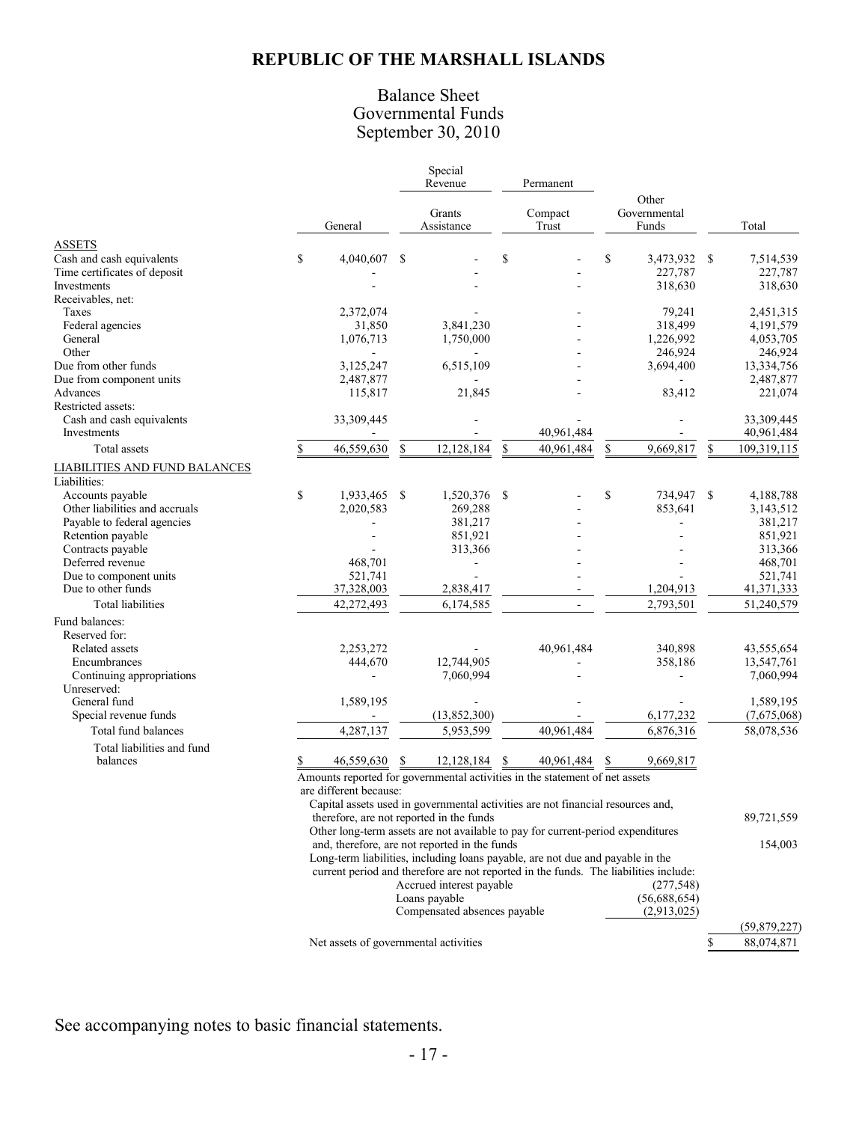# Balance Sheet Governmental Funds September 30, 2010

|                                                      |    |                                       | Special<br>Revenue |                                                                                      |    | Permanent        |                                |                        |
|------------------------------------------------------|----|---------------------------------------|--------------------|--------------------------------------------------------------------------------------|----|------------------|--------------------------------|------------------------|
|                                                      |    | General                               |                    | Grants<br>Assistance                                                                 |    | Compact<br>Trust | Other<br>Governmental<br>Funds | Total                  |
| <b>ASSETS</b>                                        |    |                                       |                    |                                                                                      |    |                  |                                |                        |
| Cash and cash equivalents                            | \$ | 4,040,607                             | \$                 |                                                                                      | \$ |                  | \$<br>3,473,932 \$             | 7,514,539              |
| Time certificates of deposit                         |    |                                       |                    |                                                                                      |    |                  | 227,787                        | 227,787                |
| Investments                                          |    |                                       |                    |                                                                                      |    |                  | 318,630                        | 318,630                |
| Receivables, net:                                    |    |                                       |                    |                                                                                      |    |                  |                                |                        |
| Taxes                                                |    | 2,372,074<br>31,850                   |                    | 3,841,230                                                                            |    |                  | 79,241<br>318,499              | 2,451,315<br>4,191,579 |
| Federal agencies<br>General                          |    | 1,076,713                             |                    | 1,750,000                                                                            |    |                  | 1,226,992                      | 4,053,705              |
| Other                                                |    |                                       |                    |                                                                                      |    |                  | 246,924                        | 246,924                |
| Due from other funds                                 |    | 3,125,247                             |                    | 6,515,109                                                                            |    |                  | 3,694,400                      | 13,334,756             |
| Due from component units                             |    | 2,487,877                             |                    |                                                                                      |    |                  |                                | 2,487,877              |
| Advances                                             |    | 115,817                               |                    | 21,845                                                                               |    |                  | 83,412                         | 221,074                |
| Restricted assets:                                   |    |                                       |                    |                                                                                      |    |                  |                                |                        |
| Cash and cash equivalents                            |    | 33,309,445                            |                    |                                                                                      |    |                  |                                | 33,309,445             |
| Investments                                          |    |                                       |                    |                                                                                      |    | 40,961,484       |                                | 40,961,484             |
| Total assets                                         | S  | 46,559,630                            | \$                 | 12, 128, 184                                                                         | \$ | 40,961,484       | \$<br>9,669,817                | \$<br>109,319,115      |
| <b>LIABILITIES AND FUND BALANCES</b><br>Liabilities: |    |                                       |                    |                                                                                      |    |                  |                                |                        |
| Accounts payable                                     | \$ | 1,933,465                             | <sup>\$</sup>      | 1,520,376                                                                            | -S |                  | \$<br>734,947 \$               | 4,188,788              |
| Other liabilities and accruals                       |    | 2,020,583                             |                    | 269,288                                                                              |    |                  | 853,641                        | 3,143,512              |
| Payable to federal agencies                          |    |                                       |                    | 381,217                                                                              |    |                  |                                | 381,217                |
| Retention payable                                    |    |                                       |                    | 851,921                                                                              |    |                  |                                | 851,921                |
| Contracts payable                                    |    |                                       |                    | 313,366                                                                              |    |                  |                                | 313,366                |
| Deferred revenue                                     |    | 468,701                               |                    |                                                                                      |    |                  |                                | 468,701                |
| Due to component units                               |    | 521,741                               |                    |                                                                                      |    |                  |                                | 521,741                |
| Due to other funds                                   |    | 37,328,003                            |                    | 2,838,417                                                                            |    |                  | 1,204,913                      | 41,371,333             |
| <b>Total liabilities</b>                             |    | 42,272,493                            |                    | 6,174,585                                                                            |    | $\overline{a}$   | 2,793,501                      | 51,240,579             |
| Fund balances:                                       |    |                                       |                    |                                                                                      |    |                  |                                |                        |
| Reserved for:                                        |    |                                       |                    |                                                                                      |    |                  |                                |                        |
| Related assets                                       |    | 2,253,272                             |                    |                                                                                      |    | 40,961,484       | 340,898                        | 43,555,654             |
| Encumbrances                                         |    | 444,670                               |                    | 12,744,905                                                                           |    |                  | 358,186                        | 13,547,761             |
| Continuing appropriations                            |    |                                       |                    | 7,060,994                                                                            |    |                  | L.                             | 7,060,994              |
| Unreserved:                                          |    |                                       |                    |                                                                                      |    |                  |                                |                        |
| General fund                                         |    | 1,589,195                             |                    |                                                                                      |    |                  |                                | 1,589,195              |
| Special revenue funds                                |    |                                       |                    | (13, 852, 300)                                                                       |    |                  | 6,177,232                      | (7,675,068)            |
| Total fund balances                                  |    | 4,287,137                             |                    | 5,953,599                                                                            |    | 40,961,484       | 6,876,316                      | 58,078,536             |
| Total liabilities and fund                           |    |                                       |                    |                                                                                      |    |                  |                                |                        |
| balances                                             | S. | 46,559,630                            | \$                 | 12, 128, 184                                                                         | \$ | 40,961,484       | \$<br>9,669,817                |                        |
|                                                      |    |                                       |                    | Amounts reported for governmental activities in the statement of net assets          |    |                  |                                |                        |
|                                                      |    | are different because:                |                    |                                                                                      |    |                  |                                |                        |
|                                                      |    |                                       |                    | Capital assets used in governmental activities are not financial resources and,      |    |                  |                                |                        |
|                                                      |    |                                       |                    | therefore, are not reported in the funds                                             |    |                  |                                | 89,721,559             |
|                                                      |    |                                       |                    | Other long-term assets are not available to pay for current-period expenditures      |    |                  |                                |                        |
|                                                      |    |                                       |                    | and, therefore, are not reported in the funds                                        |    |                  |                                | 154,003                |
|                                                      |    |                                       |                    | Long-term liabilities, including loans payable, are not due and payable in the       |    |                  |                                |                        |
|                                                      |    |                                       |                    | current period and therefore are not reported in the funds. The liabilities include: |    |                  |                                |                        |
|                                                      |    |                                       |                    | Accrued interest payable                                                             |    |                  | (277, 548)                     |                        |
|                                                      |    |                                       |                    | Loans payable<br>Compensated absences payable                                        |    |                  | (56,688,654)<br>(2,913,025)    |                        |
|                                                      |    |                                       |                    |                                                                                      |    |                  |                                |                        |
|                                                      |    |                                       |                    |                                                                                      |    |                  |                                | (59, 879, 227)         |
|                                                      |    | Net assets of governmental activities |                    |                                                                                      |    |                  |                                | \$<br>88,074,871       |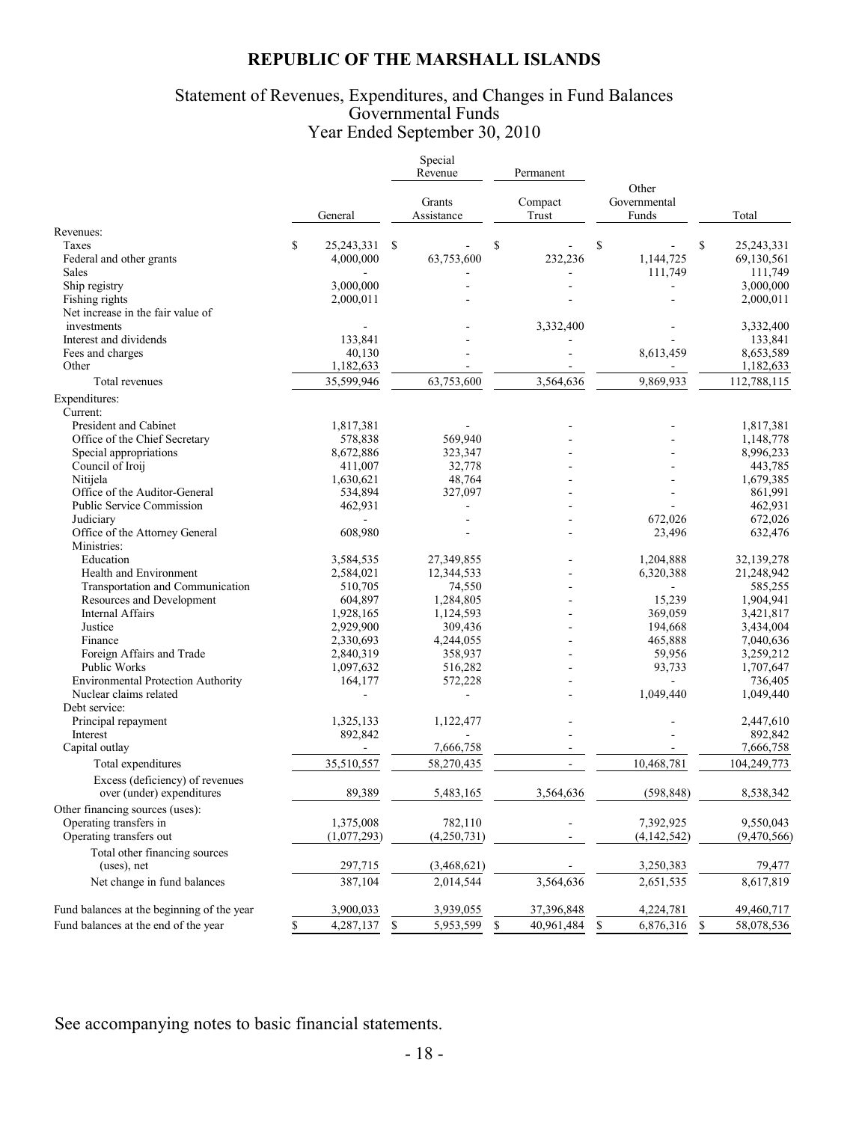## Statement of Revenues, Expenditures, and Changes in Fund Balances Governmental Funds Year Ended September 30, 2010

|                                                              |    |                 | Special<br>Revenue |                      |    | Permanent        |                                |                    |
|--------------------------------------------------------------|----|-----------------|--------------------|----------------------|----|------------------|--------------------------------|--------------------|
|                                                              |    | General         |                    | Grants<br>Assistance |    | Compact<br>Trust | Other<br>Governmental<br>Funds | Total              |
| Revenues:                                                    |    |                 |                    |                      |    |                  |                                |                    |
| Taxes                                                        | \$ | 25, 243, 331 \$ |                    |                      | \$ |                  | \$<br>$\blacksquare$           | \$<br>25, 243, 331 |
| Federal and other grants                                     |    | 4,000,000       |                    | 63,753,600           |    | 232,236          | 1,144,725                      | 69,130,561         |
| Sales                                                        |    |                 |                    |                      |    |                  | 111,749                        | 111,749            |
| Ship registry                                                |    | 3,000,000       |                    |                      |    |                  |                                | 3,000,000          |
| Fishing rights                                               |    | 2,000,011       |                    |                      |    |                  |                                | 2,000,011          |
| Net increase in the fair value of                            |    |                 |                    |                      |    |                  |                                |                    |
| investments                                                  |    |                 |                    |                      |    | 3,332,400        |                                | 3,332,400          |
| Interest and dividends                                       |    | 133,841         |                    |                      |    |                  |                                | 133,841            |
| Fees and charges                                             |    | 40,130          |                    |                      |    |                  | 8,613,459                      | 8,653,589          |
| Other                                                        |    | 1,182,633       |                    |                      |    |                  |                                | 1,182,633          |
| Total revenues                                               |    | 35,599,946      |                    | 63,753,600           |    | 3,564,636        | 9,869,933                      | 112,788,115        |
| Expenditures:                                                |    |                 |                    |                      |    |                  |                                |                    |
| Current:                                                     |    |                 |                    |                      |    |                  |                                |                    |
| President and Cabinet                                        |    |                 |                    |                      |    |                  |                                | 1,817,381          |
|                                                              |    | 1,817,381       |                    | 569.940              |    |                  |                                |                    |
| Office of the Chief Secretary                                |    | 578,838         |                    |                      |    |                  |                                | 1,148,778          |
| Special appropriations                                       |    | 8,672,886       |                    | 323,347              |    |                  |                                | 8,996,233          |
| Council of Iroij                                             |    | 411,007         |                    | 32,778               |    |                  |                                | 443,785            |
| Nitijela                                                     |    | 1,630,621       |                    | 48,764               |    |                  |                                | 1,679,385          |
| Office of the Auditor-General                                |    | 534,894         |                    | 327,097              |    |                  |                                | 861,991            |
| <b>Public Service Commission</b>                             |    | 462,931         |                    |                      |    |                  |                                | 462,931            |
| Judiciary                                                    |    |                 |                    |                      |    |                  | 672,026                        | 672,026            |
| Office of the Attorney General                               |    | 608,980         |                    |                      |    |                  | 23,496                         | 632,476            |
| Ministries:                                                  |    |                 |                    |                      |    |                  |                                |                    |
| Education                                                    |    | 3,584,535       |                    | 27,349,855           |    |                  | 1,204,888                      | 32,139,278         |
| Health and Environment                                       |    | 2,584,021       |                    | 12,344,533           |    |                  | 6,320,388                      | 21,248,942         |
| Transportation and Communication                             |    | 510,705         |                    | 74,550               |    |                  |                                | 585,255            |
| Resources and Development                                    |    | 604,897         |                    | 1,284,805            |    |                  | 15,239                         | 1,904,941          |
| <b>Internal Affairs</b>                                      |    | 1,928,165       |                    | 1,124,593            |    |                  | 369,059                        | 3,421,817          |
| Justice                                                      |    | 2,929,900       |                    | 309,436              |    |                  | 194,668                        | 3,434,004          |
| Finance                                                      |    | 2,330,693       |                    | 4,244,055            |    |                  | 465,888                        | 7,040,636          |
| Foreign Affairs and Trade                                    |    | 2,840,319       |                    | 358,937              |    |                  | 59,956                         | 3,259,212          |
| Public Works                                                 |    | 1,097,632       |                    | 516,282              |    |                  | 93,733                         | 1,707,647          |
| <b>Environmental Protection Authority</b>                    |    | 164,177         |                    | 572,228              |    |                  | $\mathbf{r}$                   | 736,405            |
| Nuclear claims related                                       |    |                 |                    |                      |    |                  | 1,049,440                      | 1,049,440          |
| Debt service:                                                |    |                 |                    |                      |    |                  |                                |                    |
| Principal repayment                                          |    | 1,325,133       |                    | 1,122,477            |    |                  |                                | 2,447,610          |
| Interest                                                     |    | 892,842         |                    |                      |    |                  |                                | 892,842            |
| Capital outlay                                               |    | $\overline{a}$  |                    | 7,666,758            |    |                  |                                | 7,666,758          |
| Total expenditures                                           |    | 35,510,557      |                    | 58,270,435           |    |                  | 10,468,781                     | 104.249.773        |
|                                                              |    |                 |                    |                      |    |                  |                                |                    |
| Excess (deficiency) of revenues<br>over (under) expenditures |    | 89,389          |                    | 5,483,165            |    | 3,564,636        | (598, 848)                     | 8,538,342          |
| Other financing sources (uses):                              |    |                 |                    |                      |    |                  |                                |                    |
| Operating transfers in                                       |    | 1,375,008       |                    | 782,110              |    |                  | 7,392,925                      | 9,550,043          |
| Operating transfers out                                      |    | (1,077,293)     |                    | (4,250,731)          |    |                  | (4, 142, 542)                  | (9,470,566)        |
| Total other financing sources                                |    |                 |                    |                      |    |                  |                                |                    |
| (uses), net                                                  |    | 297,715         |                    | (3,468,621)          |    |                  | 3,250,383                      | 79,477             |
|                                                              |    |                 |                    |                      |    |                  |                                |                    |
| Net change in fund balances                                  |    | 387,104         |                    | 2,014,544            |    | 3,564,636        | 2,651,535                      | 8,617,819          |
| Fund balances at the beginning of the year                   |    | 3,900,033       |                    | 3,939,055            |    | 37,396,848       | 4,224,781                      | 49,460,717         |
| Fund balances at the end of the year                         | \$ | 4,287,137 \$    |                    | 5,953,599 \$         |    | 40,961,484 \$    | 6,876,316 \$                   | 58,078,536         |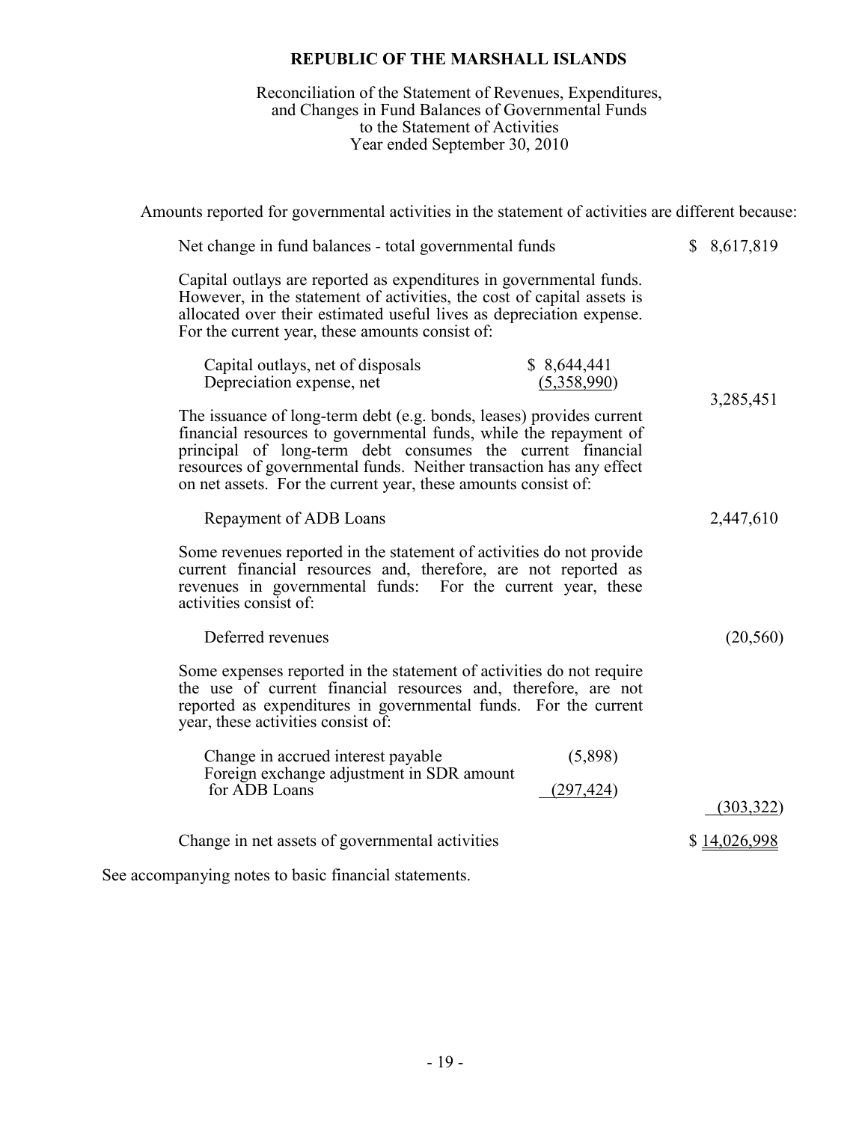#### Reconciliation of the Statement of Revenues, Expenditures, and Changes in Fund Balances of Governmental Funds to the Statement of Activities Year ended September 30, 2010

Amounts reported for governmental activities in the statement of activities are different because:

| Net change in fund balances - total governmental funds                                                                                                                                                                                                                                                                                           | $\mathbb{S}^-$ | 8,617,819    |  |  |
|--------------------------------------------------------------------------------------------------------------------------------------------------------------------------------------------------------------------------------------------------------------------------------------------------------------------------------------------------|----------------|--------------|--|--|
| Capital outlays are reported as expenditures in governmental funds.<br>However, in the statement of activities, the cost of capital assets is<br>allocated over their estimated useful lives as depreciation expense.<br>For the current year, these amounts consist of:                                                                         |                |              |  |  |
| \$8,644,441<br>Capital outlays, net of disposals<br>(5,358,990)<br>Depreciation expense, net                                                                                                                                                                                                                                                     |                |              |  |  |
| The issuance of long-term debt (e.g. bonds, leases) provides current<br>financial resources to governmental funds, while the repayment of<br>principal of long-term debt consumes the current financial<br>resources of governmental funds. Neither transaction has any effect<br>on net assets. For the current year, these amounts consist of: |                | 3,285,451    |  |  |
| Repayment of ADB Loans                                                                                                                                                                                                                                                                                                                           |                | 2,447,610    |  |  |
| Some revenues reported in the statement of activities do not provide<br>current financial resources and, therefore, are not reported as<br>revenues in governmental funds: For the current year, these<br>activities consist of:                                                                                                                 |                |              |  |  |
| Deferred revenues                                                                                                                                                                                                                                                                                                                                |                | (20, 560)    |  |  |
| Some expenses reported in the statement of activities do not require<br>the use of current financial resources and, therefore, are not<br>reported as expenditures in governmental funds. For the current<br>year, these activities consist of:                                                                                                  |                |              |  |  |
| Change in accrued interest payable<br>(5,898)<br>Foreign exchange adjustment in SDR amount                                                                                                                                                                                                                                                       |                |              |  |  |
| for ADB Loans<br>(297, 424)                                                                                                                                                                                                                                                                                                                      |                | (303, 322)   |  |  |
| Change in net assets of governmental activities                                                                                                                                                                                                                                                                                                  |                | \$14,026,998 |  |  |
|                                                                                                                                                                                                                                                                                                                                                  |                |              |  |  |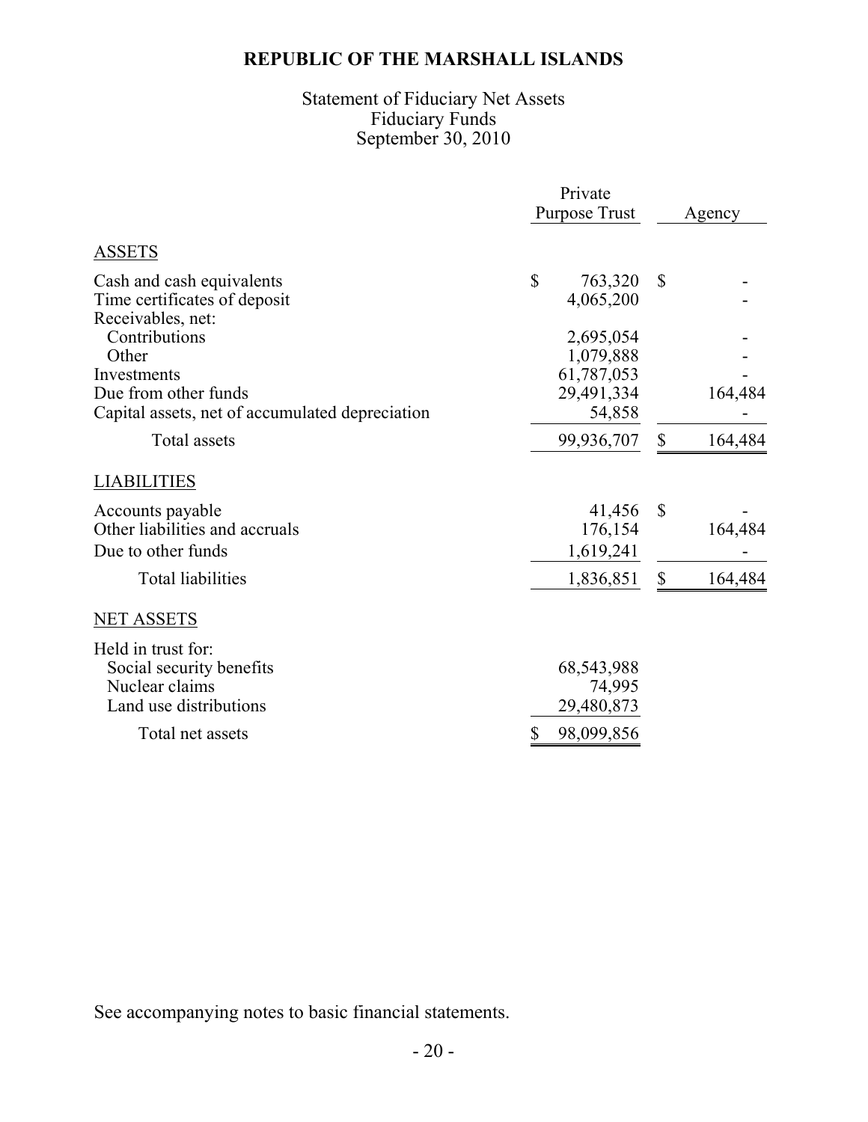# Statement of Fiduciary Net Assets September 30, 2010 Fiduciary Funds

|                                                                                            | Private<br><b>Purpose Trust</b>    | Agency       |         |
|--------------------------------------------------------------------------------------------|------------------------------------|--------------|---------|
| <b>ASSETS</b>                                                                              |                                    |              |         |
| Cash and cash equivalents<br>Time certificates of deposit<br>Receivables, net:             | \$<br>763,320<br>4,065,200         | $\mathbb{S}$ |         |
| Contributions<br>Other                                                                     | 2,695,054<br>1,079,888             |              |         |
| Investments<br>Due from other funds<br>Capital assets, net of accumulated depreciation     | 61,787,053<br>29,491,334<br>54,858 |              | 164,484 |
| Total assets                                                                               | 99,936,707                         | \$           | 164,484 |
| <b>LIABILITIES</b>                                                                         |                                    |              |         |
| Accounts payable<br>Other liabilities and accruals<br>Due to other funds                   | 41,456<br>176,154<br>1,619,241     | $\mathbb{S}$ | 164,484 |
| <b>Total liabilities</b>                                                                   | 1,836,851                          | \$           | 164,484 |
| <b>NET ASSETS</b>                                                                          |                                    |              |         |
| Held in trust for:<br>Social security benefits<br>Nuclear claims<br>Land use distributions | 68,543,988<br>74,995<br>29,480,873 |              |         |
| Total net assets                                                                           | \$<br>98,099,856                   |              |         |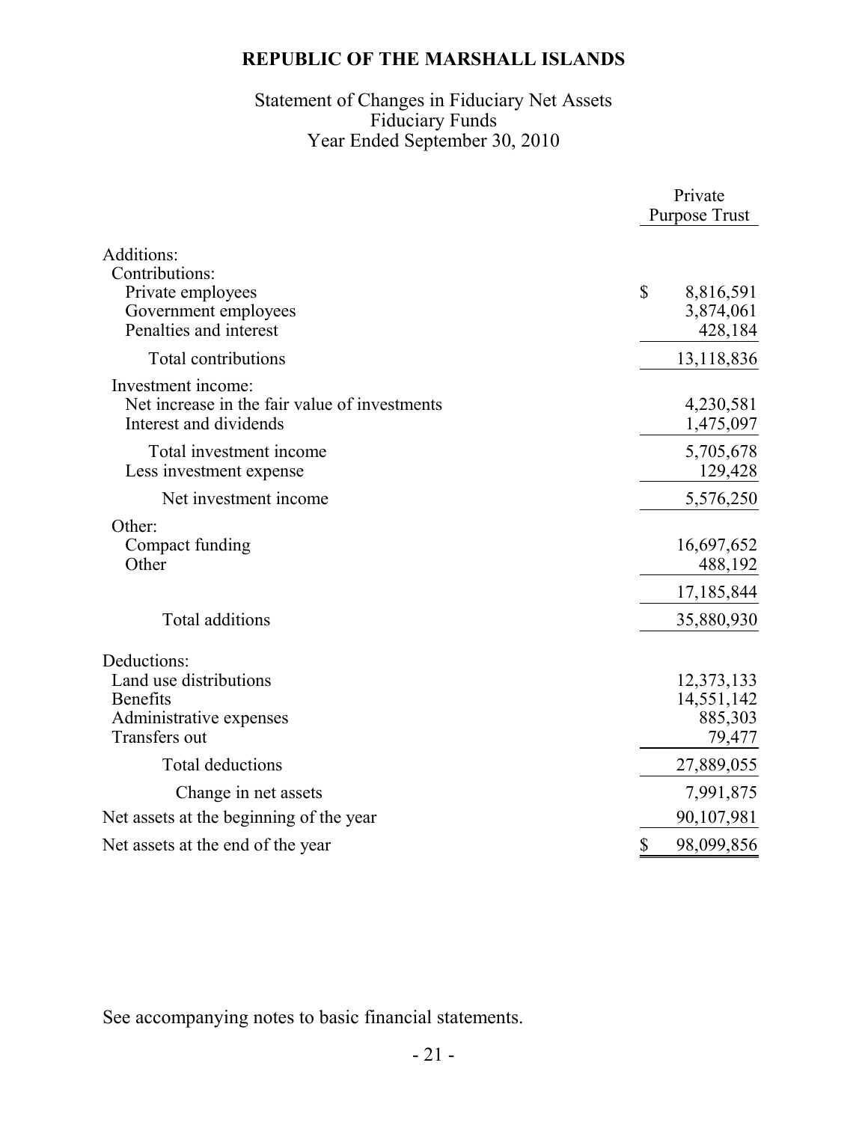# Statement of Changes in Fiduciary Net Assets Fiduciary Funds Year Ended September 30, 2010

|                                                                                                      | Private                                       |
|------------------------------------------------------------------------------------------------------|-----------------------------------------------|
|                                                                                                      | <b>Purpose Trust</b>                          |
| Additions:<br>Contributions:<br>Private employees<br>Government employees<br>Penalties and interest  | \$<br>8,816,591<br>3,874,061<br>428,184       |
| <b>Total contributions</b>                                                                           | 13,118,836                                    |
| Investment income:<br>Net increase in the fair value of investments<br>Interest and dividends        | 4,230,581<br>1,475,097                        |
| Total investment income<br>Less investment expense                                                   | 5,705,678<br>129,428                          |
| Net investment income                                                                                | 5,576,250                                     |
| Other:<br>Compact funding<br>Other                                                                   | 16,697,652<br>488,192                         |
| Total additions                                                                                      | 17,185,844<br>35,880,930                      |
| Deductions:<br>Land use distributions<br><b>Benefits</b><br>Administrative expenses<br>Transfers out | 12,373,133<br>14,551,142<br>885,303<br>79,477 |
| <b>Total deductions</b>                                                                              | 27,889,055                                    |
| Change in net assets                                                                                 | 7,991,875                                     |
| Net assets at the beginning of the year                                                              | 90,107,981                                    |
| Net assets at the end of the year                                                                    | \$<br>98,099,856                              |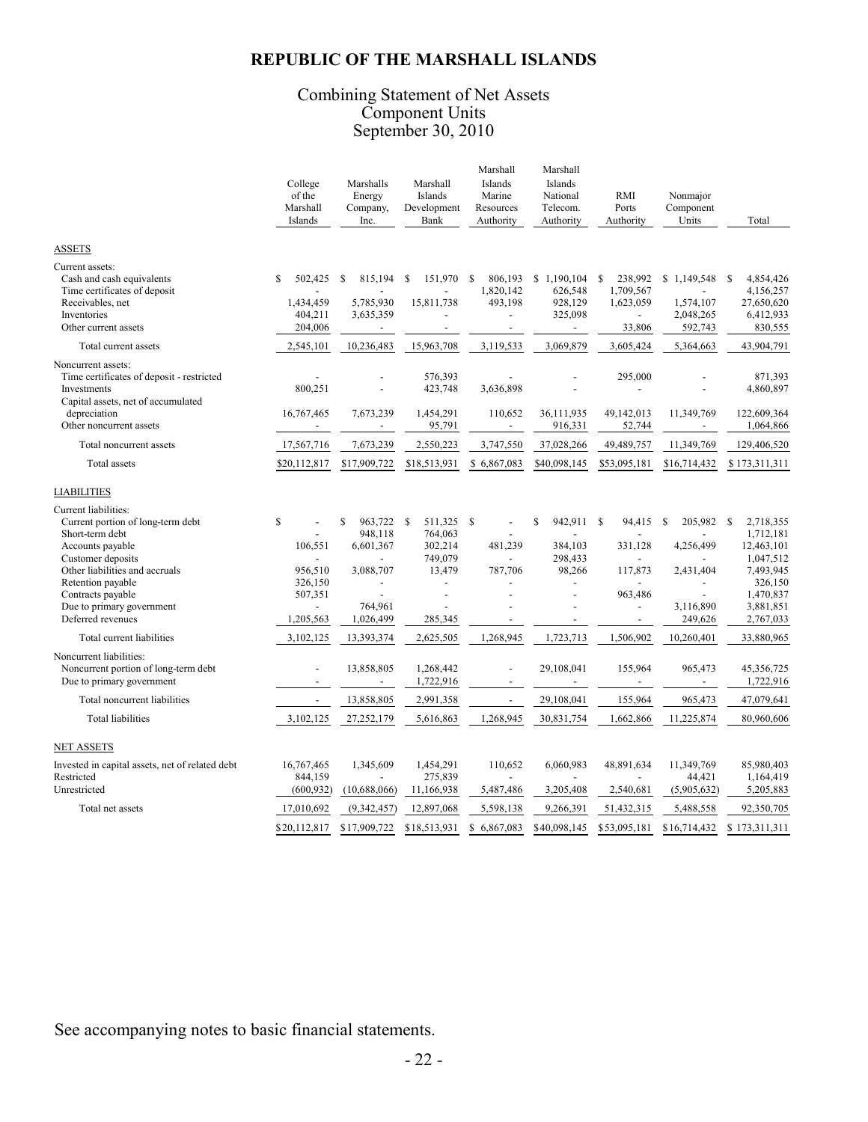### Combining Statement of Net Assets Component Units September 30, 2010

|                                                                                                                                                                                                                                                     | College<br>of the<br>Marshall<br>Islands                                                        | Marshalls<br>Energy<br>Company,<br>Inc.                                                        | Marshall<br>Islands<br>Development<br>Bank                                         | Marshall<br>Islands<br>Marine<br>Resources<br>Authority           | Marshall<br>Islands<br>National<br>Telecom.<br>Authority | RMI<br>Ports<br>Authority                                                             | Nonmajor<br>Component<br>Units                                                | Total                                                                                                            |
|-----------------------------------------------------------------------------------------------------------------------------------------------------------------------------------------------------------------------------------------------------|-------------------------------------------------------------------------------------------------|------------------------------------------------------------------------------------------------|------------------------------------------------------------------------------------|-------------------------------------------------------------------|----------------------------------------------------------|---------------------------------------------------------------------------------------|-------------------------------------------------------------------------------|------------------------------------------------------------------------------------------------------------------|
| <b>ASSETS</b>                                                                                                                                                                                                                                       |                                                                                                 |                                                                                                |                                                                                    |                                                                   |                                                          |                                                                                       |                                                                               |                                                                                                                  |
| Current assets:<br>Cash and cash equivalents<br>Time certificates of deposit<br>Receivables, net<br>Inventories<br>Other current assets                                                                                                             | \$.<br>502.425<br>1,434,459<br>404,211<br>204,006                                               | 815.194<br>S<br>5,785,930<br>3,635,359<br>$\overline{\phantom{a}}$                             | 151.970<br>\$<br>15,811,738                                                        | 806.193<br>\$<br>1,820,142<br>493,198<br>$\overline{\phantom{a}}$ | \$1.190.104<br>626,548<br>928,129<br>325,098<br>$\sim$   | S<br>238.992<br>1,709,567<br>1,623,059<br>33,806                                      | \$1,149,548<br>1,574,107<br>2,048,265<br>592,743                              | <sup>\$</sup><br>4.854.426<br>4,156,257<br>27,650,620<br>6,412,933<br>830,555                                    |
| Total current assets                                                                                                                                                                                                                                | 2,545,101                                                                                       | 10,236,483                                                                                     | 15,963,708                                                                         | 3,119,533                                                         | 3,069,879                                                | 3,605,424                                                                             | 5,364,663                                                                     | 43,904,791                                                                                                       |
| Noncurrent assets:<br>Time certificates of deposit - restricted<br>Investments<br>Capital assets, net of accumulated<br>depreciation<br>Other noncurrent assets                                                                                     | 800,251<br>16,767,465                                                                           | 7,673,239<br>$\blacksquare$                                                                    | 576,393<br>423,748<br>1,454,291<br>95,791                                          | 3,636,898<br>110,652<br>$\blacksquare$                            | 36,111,935<br>916,331                                    | 295,000<br>49,142,013<br>52,744                                                       | 11,349,769<br>$\overline{\phantom{a}}$                                        | 871,393<br>4,860,897<br>122,609,364<br>1,064,866                                                                 |
| Total noncurrent assets                                                                                                                                                                                                                             | 17,567,716                                                                                      | 7,673,239                                                                                      | 2,550,223                                                                          | 3,747,550                                                         | 37,028,266                                               | 49,489,757                                                                            | 11,349,769                                                                    | 129,406,520                                                                                                      |
| Total assets                                                                                                                                                                                                                                        | \$20,112,817                                                                                    | \$17,909,722                                                                                   | \$18,513,931                                                                       | \$6,867,083                                                       | \$40,098,145                                             | \$53,095,181                                                                          | \$16,714,432                                                                  | \$173,311,311                                                                                                    |
| <b>LIABILITIES</b>                                                                                                                                                                                                                                  |                                                                                                 |                                                                                                |                                                                                    |                                                                   |                                                          |                                                                                       |                                                                               |                                                                                                                  |
| Current liabilities:<br>Current portion of long-term debt<br>Short-term debt<br>Accounts payable<br>Customer deposits<br>Other liabilities and accruals<br>Retention payable<br>Contracts payable<br>Due to primary government<br>Deferred revenues | \$<br>$\overline{a}$<br>106,551<br>$\overline{a}$<br>956,510<br>326,150<br>507,351<br>1,205,563 | S<br>963.722 \$<br>948,118<br>6,601,367<br>$\overline{a}$<br>3,088,707<br>764,961<br>1,026,499 | 511,325 \$<br>764,063<br>302,214<br>749,079<br>13,479<br>$\overline{a}$<br>285,345 | $\overline{a}$<br>481,239<br>$\overline{a}$<br>787,706            | S<br>942,911 \$<br>384,103<br>298,433<br>98,266          | 94,415<br>331,128<br>117,873<br>963,486<br>$\overline{\phantom{a}}$<br>$\blacksquare$ | 205,982 \$<br><sup>\$</sup><br>4,256,499<br>2,431,404<br>3,116,890<br>249,626 | 2,718,355<br>1,712,181<br>12,463,101<br>1,047,512<br>7,493,945<br>326,150<br>1,470,837<br>3,881,851<br>2,767,033 |
| Total current liabilities                                                                                                                                                                                                                           | 3,102,125                                                                                       | 13,393,374                                                                                     | 2,625,505                                                                          | 1,268,945                                                         | 1,723,713                                                | 1,506,902                                                                             | 10,260,401                                                                    | 33,880,965                                                                                                       |
| Noncurrent liabilities:<br>Noncurrent portion of long-term debt<br>Due to primary government                                                                                                                                                        | $\blacksquare$                                                                                  | 13,858,805<br>$\overline{\phantom{a}}$                                                         | 1,268,442<br>1,722,916                                                             |                                                                   | 29,108,041                                               | 155,964<br>$\overline{\phantom{a}}$                                                   | 965,473<br>$\overline{\phantom{a}}$                                           | 45,356,725<br>1,722,916                                                                                          |
| Total noncurrent liabilities                                                                                                                                                                                                                        | $\overline{\phantom{a}}$                                                                        | 13,858,805                                                                                     | 2,991,358                                                                          | $\overline{\phantom{a}}$                                          | 29,108,041                                               | 155,964                                                                               | 965,473                                                                       | 47,079,641                                                                                                       |
| <b>Total liabilities</b>                                                                                                                                                                                                                            | 3,102,125                                                                                       | 27,252,179                                                                                     | 5,616,863                                                                          | 1,268,945                                                         | 30,831,754                                               | 1,662,866                                                                             | 11,225,874                                                                    | 80,960,606                                                                                                       |
| NET ASSETS                                                                                                                                                                                                                                          |                                                                                                 |                                                                                                |                                                                                    |                                                                   |                                                          |                                                                                       |                                                                               |                                                                                                                  |
| Invested in capital assets, net of related debt<br>Restricted<br>Unrestricted                                                                                                                                                                       | 16,767,465<br>844,159<br>(600, 932)                                                             | 1,345,609<br>(10,688,066)                                                                      | 1,454,291<br>275,839<br>11,166,938                                                 | 110,652<br>5,487,486                                              | 6,060,983<br>3,205,408                                   | 48,891,634<br>2,540,681                                                               | 11,349,769<br>44,421<br>(5,905,632)                                           | 85,980,403<br>1,164,419<br>5,205,883                                                                             |
| Total net assets                                                                                                                                                                                                                                    | 17,010,692                                                                                      | (9,342,457)                                                                                    | 12,897,068                                                                         | 5,598,138                                                         | 9,266,391                                                | 51,432,315                                                                            | 5,488,558                                                                     | 92,350,705                                                                                                       |
|                                                                                                                                                                                                                                                     | \$20,112,817                                                                                    | \$17,909.722                                                                                   | \$18,513,931                                                                       | \$6,867,083                                                       | \$40,098,145                                             | \$53,095,181                                                                          | \$16,714.432                                                                  | \$173,311,311                                                                                                    |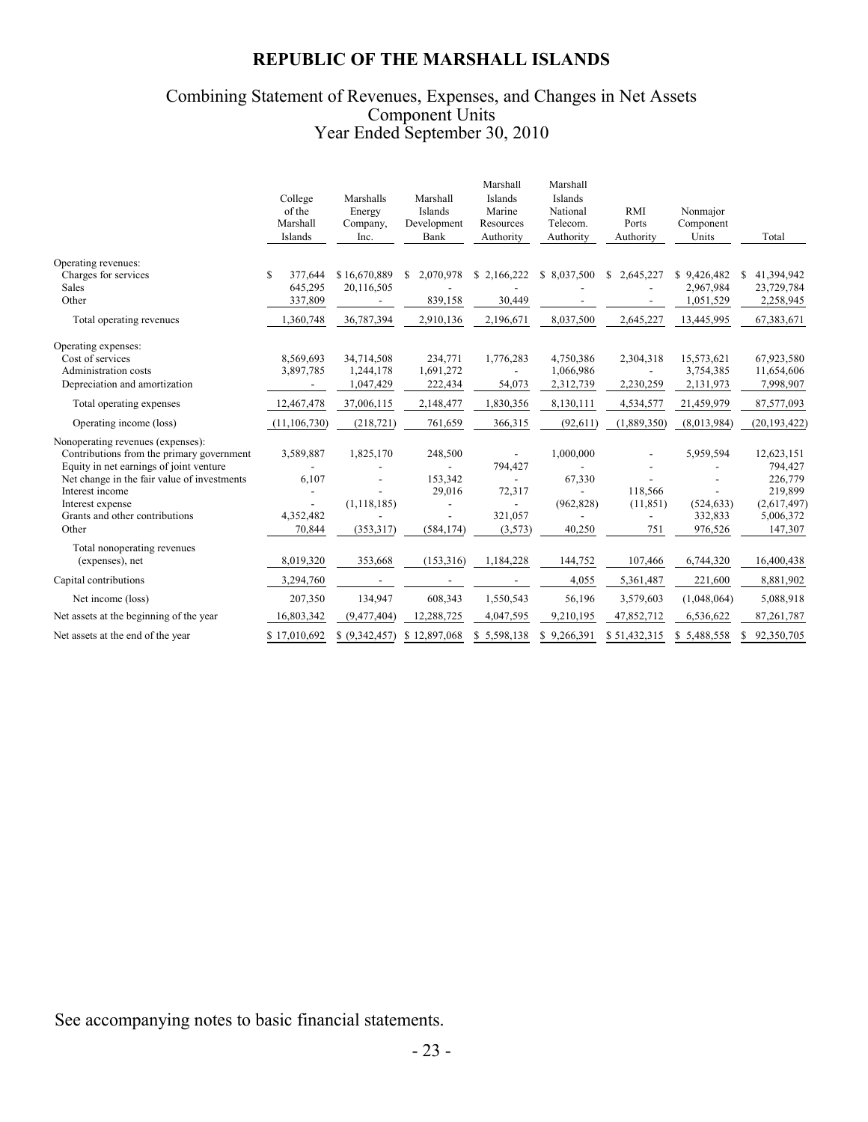# Combining Statement of Revenues, Expenses, and Changes in Net Assets Component Units Year Ended September 30, 2010

|                                                                                                                                                                                                                                                            | College<br>of the<br>Marshall<br>Islands  | Marshalls<br>Energy<br>Company,<br>Inc.                | Marshall<br>Islands<br>Development<br>Bank | Marshall<br>Islands<br>Marine<br>Resources<br>Authority                                         | Marshall<br>Islands<br>National<br>Telecom.<br>Authority | <b>RMI</b><br>Ports<br>Authority | Nonmajor<br>Component<br>Units                | Total                                                                              |
|------------------------------------------------------------------------------------------------------------------------------------------------------------------------------------------------------------------------------------------------------------|-------------------------------------------|--------------------------------------------------------|--------------------------------------------|-------------------------------------------------------------------------------------------------|----------------------------------------------------------|----------------------------------|-----------------------------------------------|------------------------------------------------------------------------------------|
| Operating revenues:<br>Charges for services<br><b>Sales</b><br>Other                                                                                                                                                                                       | S<br>377,644<br>645,295<br>337,809        | \$16,670,889<br>20,116,505<br>$\overline{\phantom{a}}$ | \$<br>2,070,978<br>839,158                 | \$2,166,222<br>30,449                                                                           | \$ 8,037,500                                             | \$<br>2,645,227                  | \$9,426,482<br>2,967,984<br>1,051,529         | 41,394,942<br>S<br>23,729,784<br>2,258,945                                         |
| Total operating revenues                                                                                                                                                                                                                                   | 1,360,748                                 | 36,787,394                                             | 2,910,136                                  | 2,196,671                                                                                       | 8,037,500                                                | 2,645,227                        | 13,445,995                                    | 67,383,671                                                                         |
| Operating expenses:<br>Cost of services<br>Administration costs<br>Depreciation and amortization                                                                                                                                                           | 8,569,693<br>3,897,785                    | 34,714,508<br>1,244,178<br>1,047,429                   | 234,771<br>1,691,272<br>222,434            | 1,776,283<br>$\overline{\phantom{0}}$<br>54,073                                                 | 4,750,386<br>1,066,986<br>2,312,739                      | 2,304,318<br>2,230,259           | 15,573,621<br>3,754,385<br>2,131,973          | 67,923,580<br>11,654,606<br>7,998,907                                              |
| Total operating expenses                                                                                                                                                                                                                                   | 12,467,478                                | 37,006,115                                             | 2,148,477                                  | 1,830,356                                                                                       | 8,130,111                                                | 4,534,577                        | 21,459,979                                    | 87,577,093                                                                         |
| Operating income (loss)                                                                                                                                                                                                                                    | (11, 106, 730)                            | (218, 721)                                             | 761,659                                    | 366,315                                                                                         | (92, 611)                                                | (1,889,350)                      | (8,013,984)                                   | (20, 193, 422)                                                                     |
| Nonoperating revenues (expenses):<br>Contributions from the primary government<br>Equity in net earnings of joint venture<br>Net change in the fair value of investments<br>Interest income<br>Interest expense<br>Grants and other contributions<br>Other | 3,589,887<br>6,107<br>4,352,482<br>70,844 | 1,825,170<br>(1, 118, 185)<br>(353,317)                | 248,500<br>153,342<br>29,016<br>(584, 174) | $\overline{\phantom{0}}$<br>794,427<br>72,317<br>$\overline{\phantom{a}}$<br>321,057<br>(3,573) | 1,000,000<br>67,330<br>(962, 828)<br>40,250              | 118,566<br>(11, 851)<br>751      | 5,959,594<br>(524, 633)<br>332,833<br>976,526 | 12,623,151<br>794,427<br>226,779<br>219,899<br>(2,617,497)<br>5,006,372<br>147,307 |
| Total nonoperating revenues<br>(expenses), net                                                                                                                                                                                                             | 8,019,320                                 | 353,668                                                | (153, 316)                                 | 1,184,228                                                                                       | 144,752                                                  | 107,466                          | 6,744,320                                     | 16,400,438                                                                         |
| Capital contributions                                                                                                                                                                                                                                      | 3,294,760                                 |                                                        |                                            |                                                                                                 | 4,055                                                    | 5,361,487                        | 221,600                                       | 8,881,902                                                                          |
| Net income (loss)                                                                                                                                                                                                                                          | 207,350                                   | 134,947                                                | 608,343                                    | 1,550,543                                                                                       | 56,196                                                   | 3,579,603                        | (1,048,064)                                   | 5,088,918                                                                          |
| Net assets at the beginning of the year                                                                                                                                                                                                                    | 16,803,342                                | (9,477,404)                                            | 12,288,725                                 | 4,047,595                                                                                       | 9,210,195                                                | 47,852,712                       | 6,536,622                                     | 87,261,787                                                                         |
| Net assets at the end of the year                                                                                                                                                                                                                          | \$17,010,692                              | \$ (9,342,457)                                         | \$12,897,068                               | \$5,598,138                                                                                     | \$9,266,391                                              | \$51,432,315                     | \$5,488,558                                   | \$92,350,705                                                                       |
|                                                                                                                                                                                                                                                            |                                           |                                                        |                                            |                                                                                                 |                                                          |                                  |                                               |                                                                                    |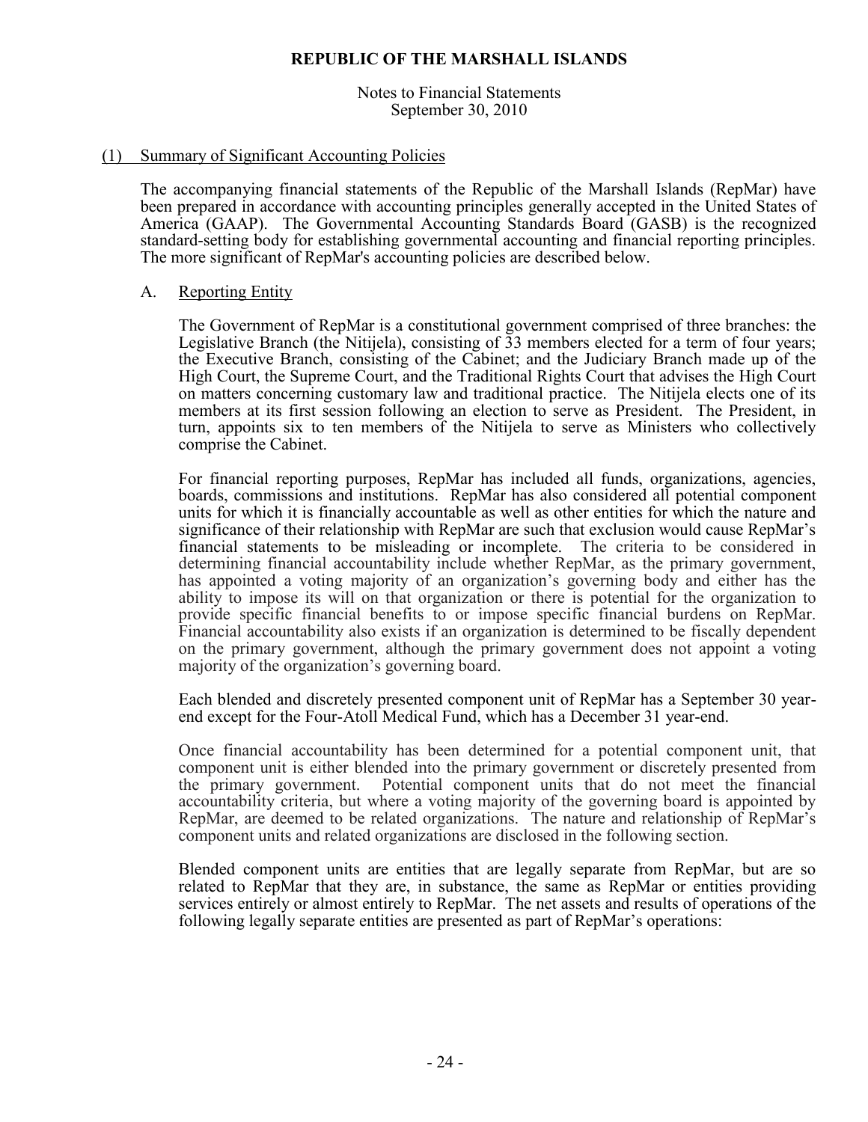Notes to Financial Statements September 30, 2010

### (1) Summary of Significant Accounting Policies

The accompanying financial statements of the Republic of the Marshall Islands (RepMar) have been prepared in accordance with accounting principles generally accepted in the United States of America (GAAP). The Governmental Accounting Standards Board (GASB) is the recognized standard-setting body for establishing governmental accounting and financial reporting principles. The more significant of RepMar's accounting policies are described below.

### A. Reporting Entity

The Government of RepMar is a constitutional government comprised of three branches: the Legislative Branch (the Nitijela), consisting of  $\overline{3}3$  members elected for a term of four years; the Executive Branch, consisting of the Cabinet; and the Judiciary Branch made up of the High Court, the Supreme Court, and the Traditional Rights Court that advises the High Court on matters concerning customary law and traditional practice. The Nitijela elects one of its members at its first session following an election to serve as President. The President, in turn, appoints six to ten members of the Nitijela to serve as Ministers who collectively comprise the Cabinet.

For financial reporting purposes, RepMar has included all funds, organizations, agencies, boards, commissions and institutions. RepMar has also considered all potential component units for which it is financially accountable as well as other entities for which the nature and significance of their relationship with RepMar are such that exclusion would cause RepMar's financial statements to be misleading or incomplete. The criteria to be considered in determining financial accountability include whether RepMar, as the primary government, has appointed a voting majority of an organization's governing body and either has the ability to impose its will on that organization or there is potential for the organization to provide specific financial benefits to or impose specific financial burdens on RepMar. Financial accountability also exists if an organization is determined to be fiscally dependent on the primary government, although the primary government does not appoint a voting majority of the organization's governing board.

Each blended and discretely presented component unit of RepMar has a September 30 yearend except for the Four-Atoll Medical Fund, which has a December 31 year-end.

Once financial accountability has been determined for a potential component unit, that component unit is either blended into the primary government or discretely presented from Potential component units that do not meet the financial accountability criteria, but where a voting majority of the governing board is appointed by RepMar, are deemed to be related organizations. The nature and relationship of RepMar's component units and related organizations are disclosed in the following section.

Blended component units are entities that are legally separate from RepMar, but are so related to RepMar that they are, in substance, the same as RepMar or entities providing services entirely or almost entirely to RepMar. The net assets and results of operations of the following legally separate entities are presented as part of RepMar's operations: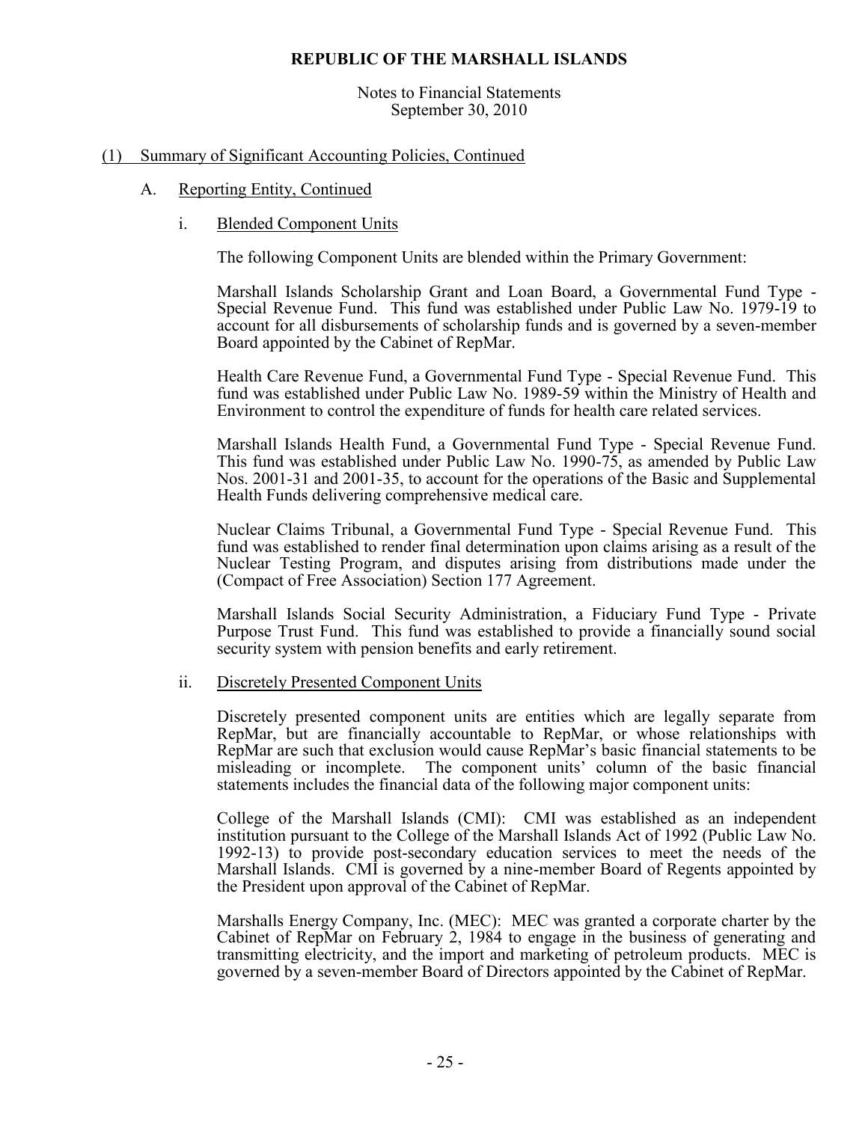Notes to Financial Statements September 30, 2010

### (1) Summary of Significant Accounting Policies, Continued

### A. Reporting Entity, Continued

i. Blended Component Units

The following Component Units are blended within the Primary Government:

Marshall Islands Scholarship Grant and Loan Board, a Governmental Fund Type - Special Revenue Fund. This fund was established under Public Law No. 1979-19 to account for all disbursements of scholarship funds and is governed by a seven-member Board appointed by the Cabinet of RepMar.

Health Care Revenue Fund, a Governmental Fund Type - Special Revenue Fund. This fund was established under Public Law No. 1989-59 within the Ministry of Health and Environment to control the expenditure of funds for health care related services.

Marshall Islands Health Fund, a Governmental Fund Type - Special Revenue Fund. This fund was established under Public Law No. 1990-75, as amended by Public Law Nos. 2001-31 and 2001-35, to account for the operations of the Basic and Supplemental Health Funds delivering comprehensive medical care.

Nuclear Claims Tribunal, a Governmental Fund Type - Special Revenue Fund. This fund was established to render final determination upon claims arising as a result of the Nuclear Testing Program, and disputes arising from distributions made under the (Compact of Free Association) Section 177 Agreement.

Marshall Islands Social Security Administration, a Fiduciary Fund Type - Private Purpose Trust Fund. This fund was established to provide a financially sound social security system with pension benefits and early retirement.

ii. Discretely Presented Component Units

Discretely presented component units are entities which are legally separate from RepMar, but are financially accountable to RepMar, or whose relationships with RepMar are such that exclusion would cause RepMar's basic financial statements to be misleading or incomplete. The component units' column of the basic financial statements includes the financial data of the following major component units:

College of the Marshall Islands (CMI): CMI was established as an independent institution pursuant to the College of the Marshall Islands Act of 1992 (Public Law No. 1992-13) to provide post-secondary education services to meet the needs of the Marshall Islands. CMI is governed by a nine-member Board of Regents appointed by the President upon approval of the Cabinet of RepMar.

Marshalls Energy Company, Inc. (MEC): MEC was granted a corporate charter by the Cabinet of RepMar on February 2, 1984 to engage in the business of generating and transmitting electricity, and the import and marketing of petroleum products. MEC is governed by a seven-member Board of Directors appointed by the Cabinet of RepMar.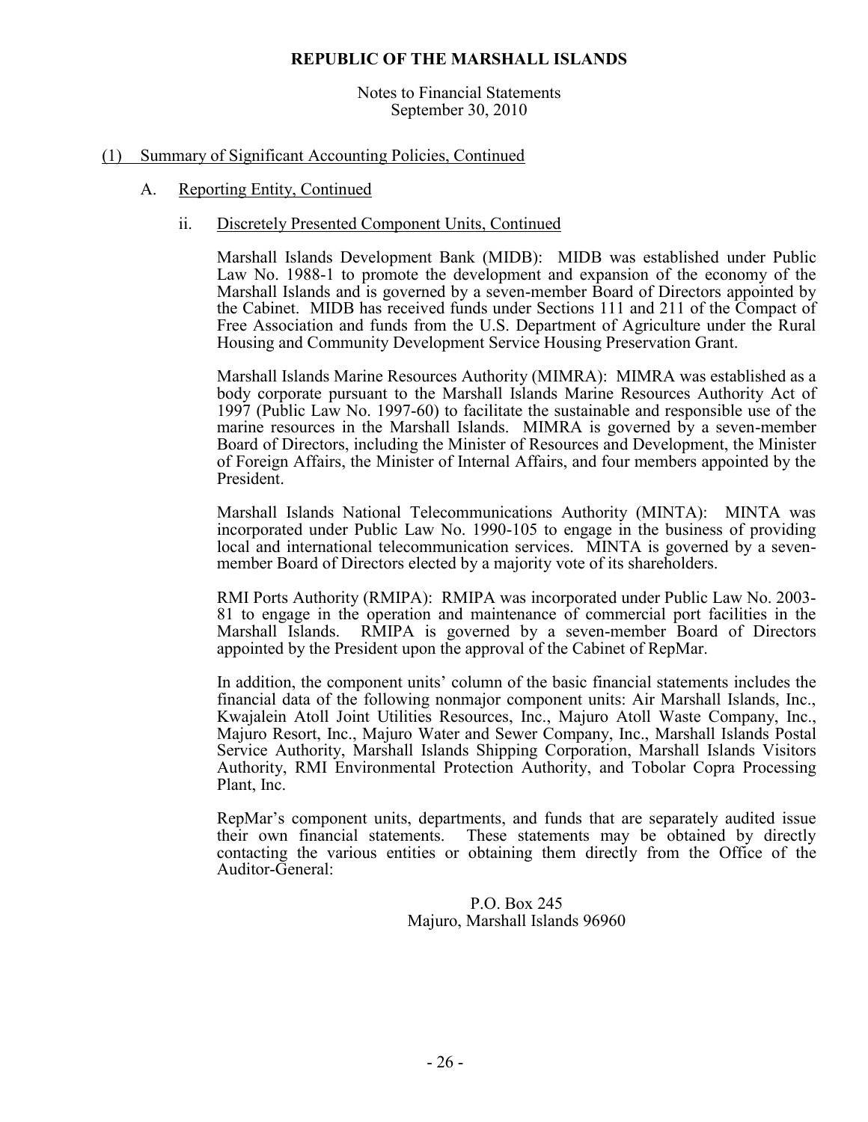Notes to Financial Statements September 30, 2010

### (1) Summary of Significant Accounting Policies, Continued

- A. Reporting Entity, Continued
	- ii. Discretely Presented Component Units, Continued

Marshall Islands Development Bank (MIDB): MIDB was established under Public Law No. 1988-1 to promote the development and expansion of the economy of the Marshall Islands and is governed by a seven-member Board of Directors appointed by the Cabinet. MIDB has received funds under Sections 111 and 211 of the Compact of Free Association and funds from the U.S. Department of Agriculture under the Rural Housing and Community Development Service Housing Preservation Grant.

Marshall Islands Marine Resources Authority (MIMRA): MIMRA was established as a body corporate pursuant to the Marshall Islands Marine Resources Authority Act of 1997 (Public Law No. 1997-60) to facilitate the sustainable and responsible use of the marine resources in the Marshall Islands. MIMRA is governed by a seven-member Board of Directors, including the Minister of Resources and Development, the Minister of Foreign Affairs, the Minister of Internal Affairs, and four members appointed by the President.

Marshall Islands National Telecommunications Authority (MINTA): MINTA was incorporated under Public Law No. 1990-105 to engage in the business of providing local and international telecommunication services. MINTA is governed by a sevenmember Board of Directors elected by a majority vote of its shareholders.

RMI Ports Authority (RMIPA): RMIPA was incorporated under Public Law No. 2003- 81 to engage in the operation and maintenance of commercial port facilities in the Marshall Islands. RMIPA is governed by a seven-member Board of Directors appointed by the President upon the approval of the Cabinet of RepMar.

In addition, the component units' column of the basic financial statements includes the financial data of the following nonmajor component units: Air Marshall Islands, Inc., Kwajalein Atoll Joint Utilities Resources, Inc., Majuro Atoll Waste Company, Inc., Majuro Resort, Inc., Majuro Water and Sewer Company, Inc., Marshall Islands Postal Service Authority, Marshall Islands Shipping Corporation, Marshall Islands Visitors Authority, RMI Environmental Protection Authority, and Tobolar Copra Processing Plant, Inc.

RepMar's component units, departments, and funds that are separately audited issue their own financial statements. These statements may be obtained by directly contacting the various entities or obtaining them directly from the Office of the Auditor-General:

> P.O. Box 245 Majuro, Marshall Islands 96960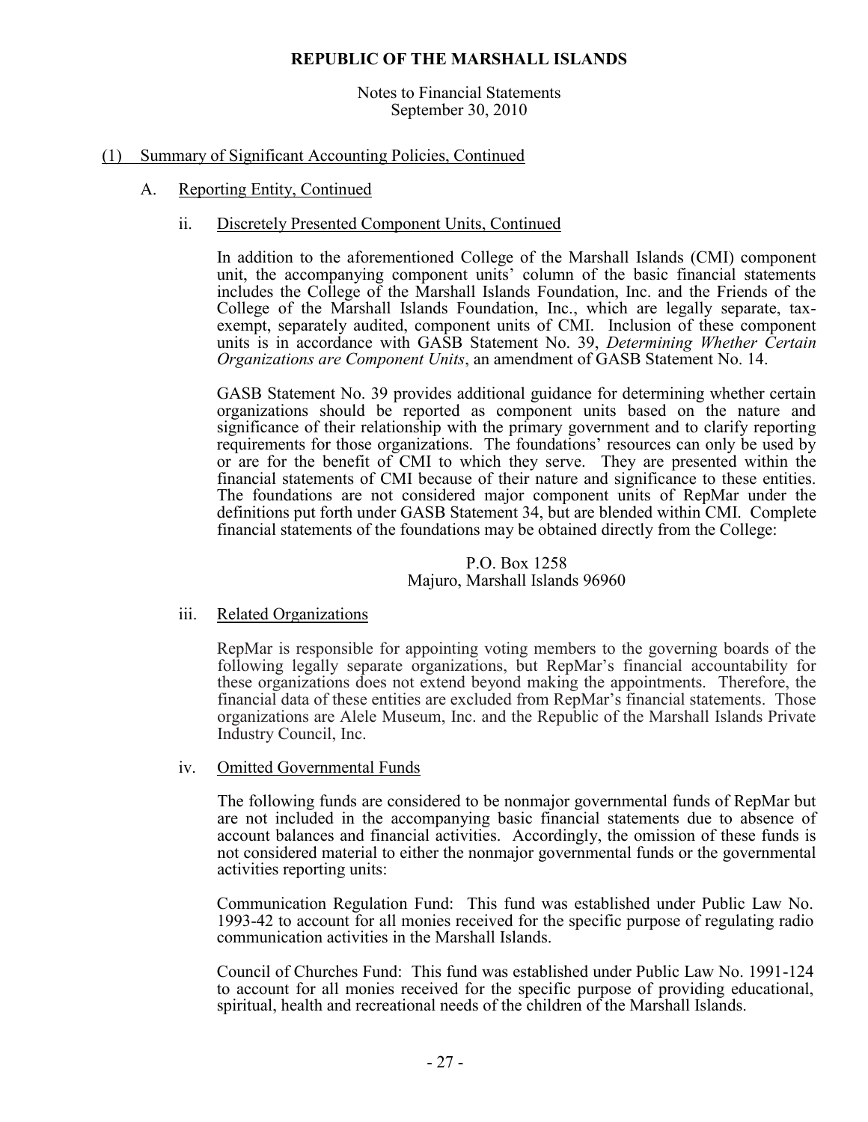Notes to Financial Statements September 30, 2010

### (1) Summary of Significant Accounting Policies, Continued

- A. Reporting Entity, Continued
	- ii. Discretely Presented Component Units, Continued

In addition to the aforementioned College of the Marshall Islands (CMI) component unit, the accompanying component units' column of the basic financial statements includes the College of the Marshall Islands Foundation, Inc. and the Friends of the College of the Marshall Islands Foundation, Inc., which are legally separate, taxexempt, separately audited, component units of CMI. Inclusion of these component units is in accordance with GASB Statement No. 39, *Determining Whether Certain Organizations are Component Units*, an amendment of GASB Statement No. 14.

GASB Statement No. 39 provides additional guidance for determining whether certain organizations should be reported as component units based on the nature and significance of their relationship with the primary government and to clarify reporting requirements for those organizations. The foundations' resources can only be used by or are for the benefit of CMI to which they serve. They are presented within the financial statements of CMI because of their nature and significance to these entities. The foundations are not considered major component units of RepMar under the definitions put forth under GASB Statement 34, but are blended within CMI. Complete financial statements of the foundations may be obtained directly from the College:

> P.O. Box 1258 Majuro, Marshall Islands 96960

### iii. Related Organizations

RepMar is responsible for appointing voting members to the governing boards of the following legally separate organizations, but RepMar's financial accountability for these organizations does not extend beyond making the appointments. Therefore, the financial data of these entities are excluded from RepMar's financial statements. Those organizations are Alele Museum, Inc. and the Republic of the Marshall Islands Private Industry Council, Inc.

### iv. Omitted Governmental Funds

The following funds are considered to be nonmajor governmental funds of RepMar but are not included in the accompanying basic financial statements due to absence of account balances and financial activities. Accordingly, the omission of these funds is not considered material to either the nonmajor governmental funds or the governmental activities reporting units:

Communication Regulation Fund: This fund was established under Public Law No. 1993-42 to account for all monies received for the specific purpose of regulating radio communication activities in the Marshall Islands.

Council of Churches Fund: This fund was established under Public Law No. 1991-124 to account for all monies received for the specific purpose of providing educational, spiritual, health and recreational needs of the children of the Marshall Islands.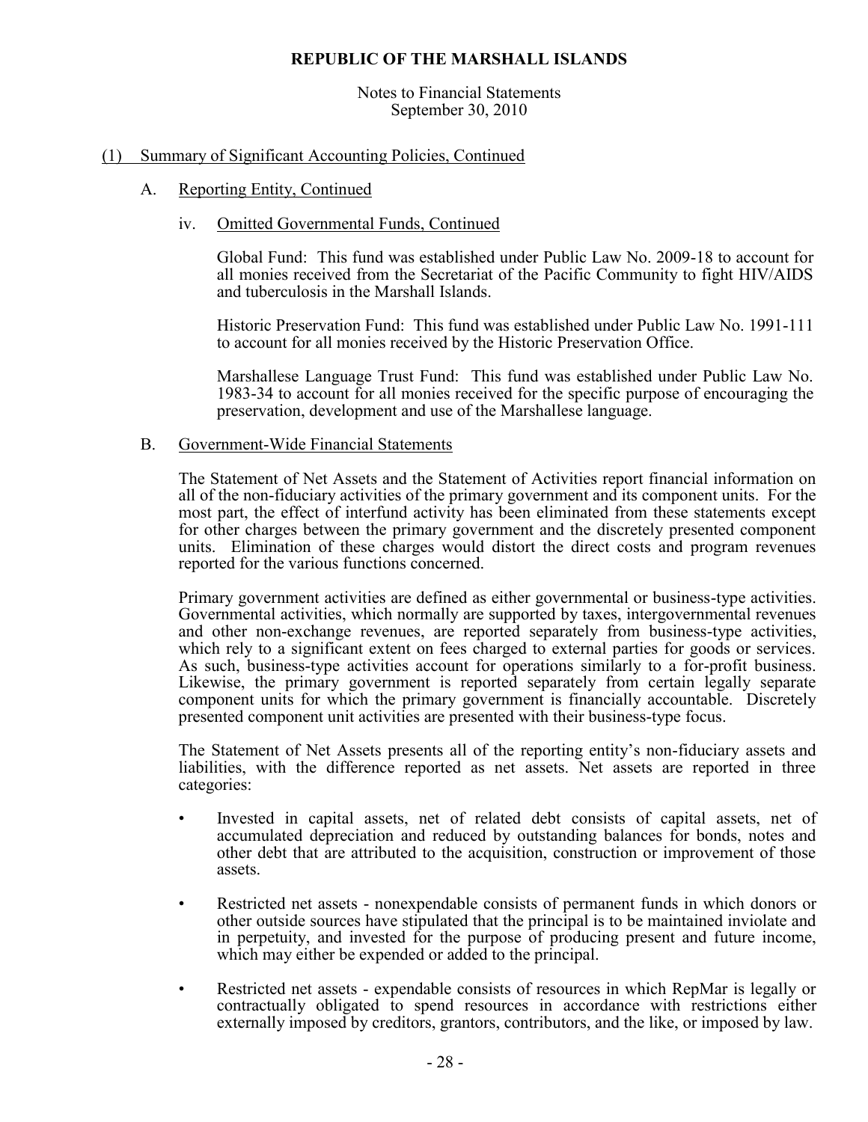### Notes to Financial Statements September 30, 2010

# (1) Summary of Significant Accounting Policies, Continued

# A. Reporting Entity, Continued

# iv. Omitted Governmental Funds, Continued

Global Fund: This fund was established under Public Law No. 2009-18 to account for all monies received from the Secretariat of the Pacific Community to fight HIV/AIDS and tuberculosis in the Marshall Islands.

Historic Preservation Fund: This fund was established under Public Law No. 1991-111 to account for all monies received by the Historic Preservation Office.

Marshallese Language Trust Fund: This fund was established under Public Law No. 1983-34 to account for all monies received for the specific purpose of encouraging the preservation, development and use of the Marshallese language.

### B. Government-Wide Financial Statements

The Statement of Net Assets and the Statement of Activities report financial information on all of the non-fiduciary activities of the primary government and its component units. For the most part, the effect of interfund activity has been eliminated from these statements except for other charges between the primary government and the discretely presented component units. Elimination of these charges would distort the direct costs and program revenues reported for the various functions concerned.

Primary government activities are defined as either governmental or business-type activities. Governmental activities, which normally are supported by taxes, intergovernmental revenues and other non-exchange revenues, are reported separately from business-type activities, which rely to a significant extent on fees charged to external parties for goods or services. As such, business-type activities account for operations similarly to a for-profit business. Likewise, the primary government is reported separately from certain legally separate component units for which the primary government is financially accountable. Discretely presented component unit activities are presented with their business-type focus.

The Statement of Net Assets presents all of the reporting entity's non-fiduciary assets and liabilities, with the difference reported as net assets. Net assets are reported in three categories:

- Invested in capital assets, net of related debt consists of capital assets, net of accumulated depreciation and reduced by outstanding balances for bonds, notes and other debt that are attributed to the acquisition, construction or improvement of those assets.
- Restricted net assets nonexpendable consists of permanent funds in which donors or other outside sources have stipulated that the principal is to be maintained inviolate and in perpetuity, and invested for the purpose of producing present and future income, which may either be expended or added to the principal.
- Restricted net assets expendable consists of resources in which RepMar is legally or contractually obligated to spend resources in accordance with restrictions either externally imposed by creditors, grantors, contributors, and the like, or imposed by law.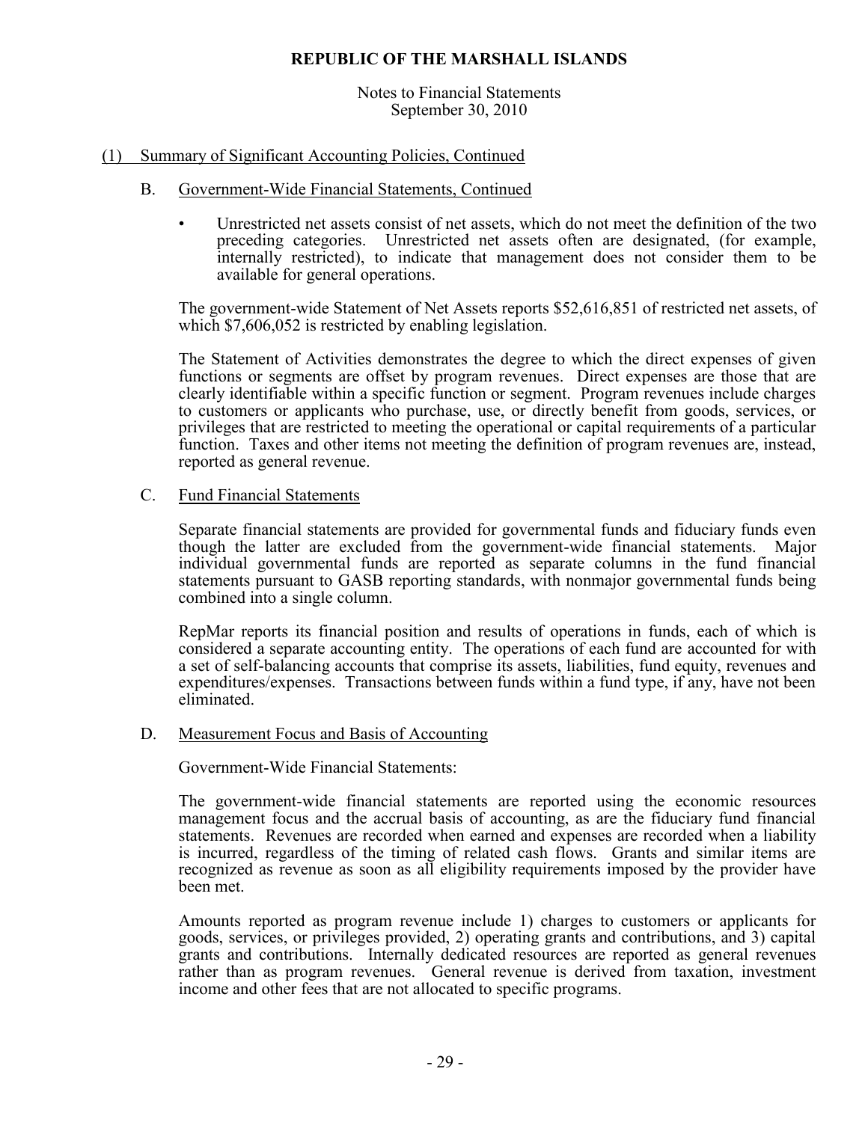Notes to Financial Statements September 30, 2010

### (1) Summary of Significant Accounting Policies, Continued

- B. Government-Wide Financial Statements, Continued
	- Unrestricted net assets consist of net assets, which do not meet the definition of the two preceding categories. Unrestricted net assets often are designated, (for example, internally restricted), to indicate that management does not consider them to be available for general operations.

The government-wide Statement of Net Assets reports \$52,616,851 of restricted net assets, of which \$7,606,052 is restricted by enabling legislation.

The Statement of Activities demonstrates the degree to which the direct expenses of given functions or segments are offset by program revenues. Direct expenses are those that are clearly identifiable within a specific function or segment. Program revenues include charges to customers or applicants who purchase, use, or directly benefit from goods, services, or privileges that are restricted to meeting the operational or capital requirements of a particular function. Taxes and other items not meeting the definition of program revenues are, instead, reported as general revenue.

### C. Fund Financial Statements

Separate financial statements are provided for governmental funds and fiduciary funds even though the latter are excluded from the government-wide financial statements. Major individual governmental funds are reported as separate columns in the fund financial statements pursuant to GASB reporting standards, with nonmajor governmental funds being combined into a single column.

RepMar reports its financial position and results of operations in funds, each of which is considered a separate accounting entity. The operations of each fund are accounted for with a set of self-balancing accounts that comprise its assets, liabilities, fund equity, revenues and expenditures/expenses. Transactions between funds within a fund type, if any, have not been eliminated.

### D. Measurement Focus and Basis of Accounting

Government-Wide Financial Statements:

The government-wide financial statements are reported using the economic resources management focus and the accrual basis of accounting, as are the fiduciary fund financial statements. Revenues are recorded when earned and expenses are recorded when a liability is incurred, regardless of the timing of related cash flows. Grants and similar items are recognized as revenue as soon as all eligibility requirements imposed by the provider have been met.

Amounts reported as program revenue include 1) charges to customers or applicants for goods, services, or privileges provided, 2) operating grants and contributions, and 3) capital grants and contributions. Internally dedicated resources are reported as general revenues rather than as program revenues. General revenue is derived from taxation, investment income and other fees that are not allocated to specific programs.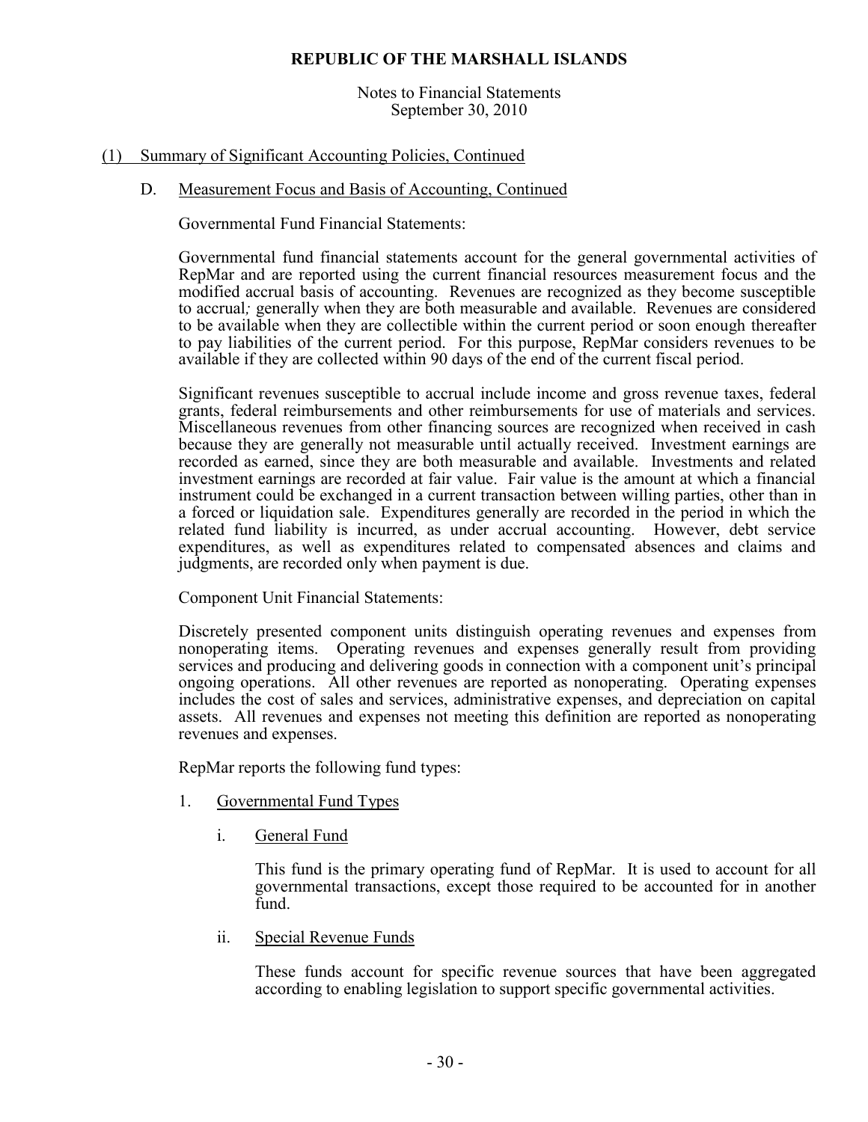Notes to Financial Statements September 30, 2010

# (1) Summary of Significant Accounting Policies, Continued

### D. Measurement Focus and Basis of Accounting, Continued

Governmental Fund Financial Statements:

Governmental fund financial statements account for the general governmental activities of RepMar and are reported using the current financial resources measurement focus and the modified accrual basis of accounting. Revenues are recognized as they become susceptible to accrual*;* generally when they are both measurable and available. Revenues are considered to be available when they are collectible within the current period or soon enough thereafter to pay liabilities of the current period. For this purpose, RepMar considers revenues to be available if they are collected within 90 days of the end of the current fiscal period.

Significant revenues susceptible to accrual include income and gross revenue taxes, federal grants, federal reimbursements and other reimbursements for use of materials and services. Miscellaneous revenues from other financing sources are recognized when received in cash because they are generally not measurable until actually received. Investment earnings are recorded as earned, since they are both measurable and available. Investments and related investment earnings are recorded at fair value. Fair value is the amount at which a financial instrument could be exchanged in a current transaction between willing parties, other than in a forced or liquidation sale. Expenditures generally are recorded in the period in which the related fund liability is incurred, as under accrual accounting. However, debt service expenditures, as well as expenditures related to compensated absences and claims and judgments, are recorded only when payment is due.

Component Unit Financial Statements:

Discretely presented component units distinguish operating revenues and expenses from nonoperating items. Operating revenues and expenses generally result from providing services and producing and delivering goods in connection with a component unit's principal ongoing operations. All other revenues are reported as nonoperating. Operating expenses includes the cost of sales and services, administrative expenses, and depreciation on capital assets. All revenues and expenses not meeting this definition are reported as nonoperating revenues and expenses.

RepMar reports the following fund types:

- 1. Governmental Fund Types
	- i. General Fund

This fund is the primary operating fund of RepMar. It is used to account for all governmental transactions, except those required to be accounted for in another fund.

ii. Special Revenue Funds

These funds account for specific revenue sources that have been aggregated according to enabling legislation to support specific governmental activities.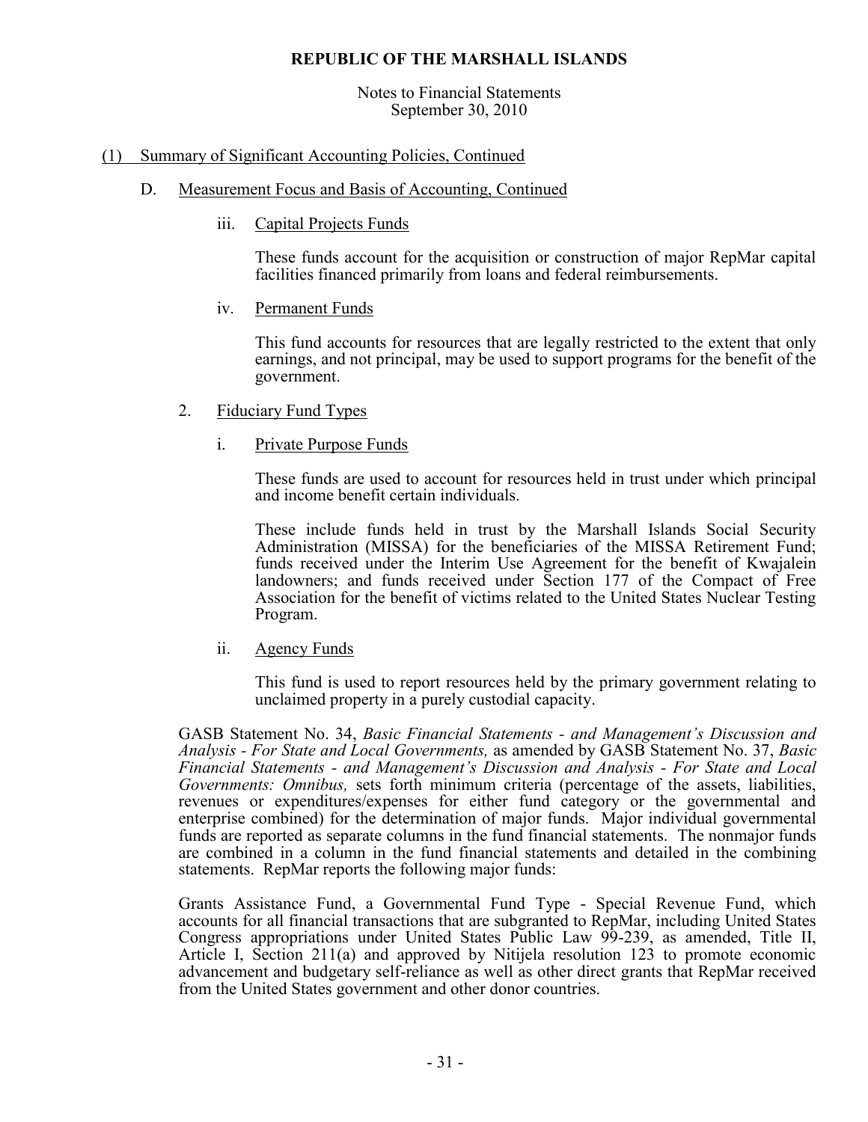Notes to Financial Statements September 30, 2010

# (1) Summary of Significant Accounting Policies, Continued

### D. Measurement Focus and Basis of Accounting, Continued

iii. Capital Projects Funds

These funds account for the acquisition or construction of major RepMar capital facilities financed primarily from loans and federal reimbursements.

iv. Permanent Funds

This fund accounts for resources that are legally restricted to the extent that only earnings, and not principal, may be used to support programs for the benefit of the government.

- 2. Fiduciary Fund Types
	- i. Private Purpose Funds

These funds are used to account for resources held in trust under which principal and income benefit certain individuals.

These include funds held in trust by the Marshall Islands Social Security Administration (MISSA) for the beneficiaries of the MISSA Retirement Fund; funds received under the Interim Use Agreement for the benefit of Kwajalein landowners; and funds received under Section 177 of the Compact of Free Association for the benefit of victims related to the United States Nuclear Testing Program.

ii. Agency Funds

This fund is used to report resources held by the primary government relating to unclaimed property in a purely custodial capacity.

GASB Statement No. 34, *Basic Financial Statements - and Management's Discussion and Analysis - For State and Local Governments,* as amended by GASB Statement No. 37, *Basic Financial Statements - and Management's Discussion and Analysis - For State and Local Governments: Omnibus,* sets forth minimum criteria (percentage of the assets, liabilities, revenues or expenditures/expenses for either fund category or the governmental and enterprise combined) for the determination of major funds. Major individual governmental funds are reported as separate columns in the fund financial statements. The nonmajor funds are combined in a column in the fund financial statements and detailed in the combining statements. RepMar reports the following major funds:

Grants Assistance Fund, a Governmental Fund Type - Special Revenue Fund, which accounts for all financial transactions that are subgranted to RepMar, including United States Congress appropriations under United States Public Law 99-239, as amended, Title II, Article I, Section 211(a) and approved by Nitijela resolution 123 to promote economic advancement and budgetary self-reliance as well as other direct grants that RepMar received from the United States government and other donor countries.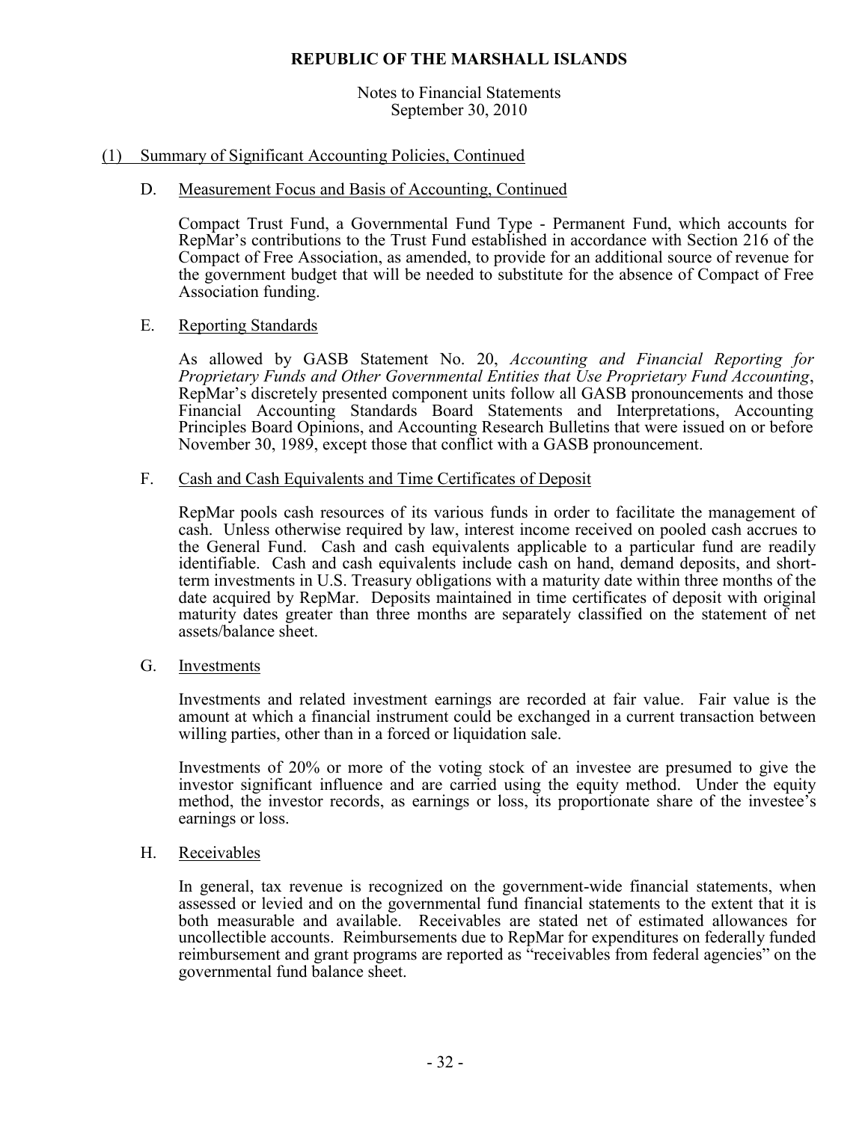Notes to Financial Statements September 30, 2010

### (1) Summary of Significant Accounting Policies, Continued

### D. Measurement Focus and Basis of Accounting, Continued

Compact Trust Fund, a Governmental Fund Type - Permanent Fund, which accounts for RepMar's contributions to the Trust Fund established in accordance with Section 216 of the Compact of Free Association, as amended, to provide for an additional source of revenue for the government budget that will be needed to substitute for the absence of Compact of Free Association funding.

### E. Reporting Standards

As allowed by GASB Statement No. 20, *Accounting and Financial Reporting for Proprietary Funds and Other Governmental Entities that Use Proprietary Fund Accounting*, RepMar's discretely presented component units follow all GASB pronouncements and those Financial Accounting Standards Board Statements and Interpretations, Accounting Principles Board Opinions, and Accounting Research Bulletins that were issued on or before November 30, 1989, except those that conflict with a GASB pronouncement.

### F. Cash and Cash Equivalents and Time Certificates of Deposit

RepMar pools cash resources of its various funds in order to facilitate the management of cash. Unless otherwise required by law, interest income received on pooled cash accrues to the General Fund. Cash and cash equivalents applicable to a particular fund are readily identifiable. Cash and cash equivalents include cash on hand, demand deposits, and shortterm investments in U.S. Treasury obligations with a maturity date within three months of the date acquired by RepMar. Deposits maintained in time certificates of deposit with original maturity dates greater than three months are separately classified on the statement of net assets/balance sheet.

G. Investments

Investments and related investment earnings are recorded at fair value. Fair value is the amount at which a financial instrument could be exchanged in a current transaction between willing parties, other than in a forced or liquidation sale.

Investments of 20% or more of the voting stock of an investee are presumed to give the investor significant influence and are carried using the equity method. Under the equity method, the investor records, as earnings or loss, its proportionate share of the investee's earnings or loss.

### H. Receivables

In general, tax revenue is recognized on the government-wide financial statements, when assessed or levied and on the governmental fund financial statements to the extent that it is both measurable and available. Receivables are stated net of estimated allowances for uncollectible accounts. Reimbursements due to RepMar for expenditures on federally funded reimbursement and grant programs are reported as "receivables from federal agencies" on the governmental fund balance sheet.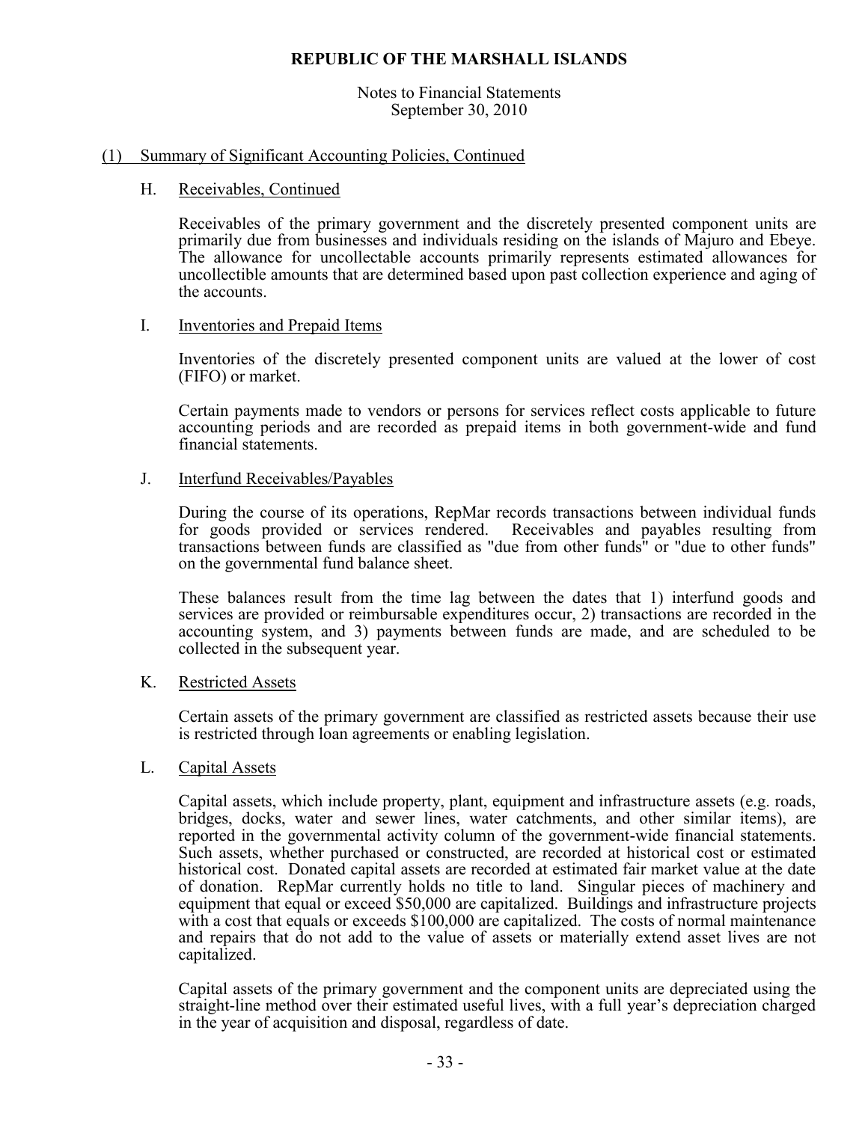Notes to Financial Statements September 30, 2010

### (1) Summary of Significant Accounting Policies, Continued

# H. Receivables, Continued

Receivables of the primary government and the discretely presented component units are primarily due from businesses and individuals residing on the islands of Majuro and Ebeye. The allowance for uncollectable accounts primarily represents estimated allowances for uncollectible amounts that are determined based upon past collection experience and aging of the accounts.

### I. Inventories and Prepaid Items

Inventories of the discretely presented component units are valued at the lower of cost (FIFO) or market.

Certain payments made to vendors or persons for services reflect costs applicable to future accounting periods and are recorded as prepaid items in both government-wide and fund financial statements.

### J. Interfund Receivables/Payables

During the course of its operations, RepMar records transactions between individual funds for goods provided or services rendered. Receivables and payables resulting from transactions between funds are classified as "due from other funds" or "due to other funds" on the governmental fund balance sheet.

These balances result from the time lag between the dates that 1) interfund goods and services are provided or reimbursable expenditures occur, 2) transactions are recorded in the accounting system, and 3) payments between funds are made, and are scheduled to be collected in the subsequent year.

### K. Restricted Assets

Certain assets of the primary government are classified as restricted assets because their use is restricted through loan agreements or enabling legislation.

### L. Capital Assets

Capital assets, which include property, plant, equipment and infrastructure assets (e.g. roads, bridges, docks, water and sewer lines, water catchments, and other similar items), are reported in the governmental activity column of the government-wide financial statements. Such assets, whether purchased or constructed, are recorded at historical cost or estimated historical cost. Donated capital assets are recorded at estimated fair market value at the date of donation. RepMar currently holds no title to land. Singular pieces of machinery and equipment that equal or exceed \$50,000 are capitalized. Buildings and infrastructure projects with a cost that equals or exceeds \$100,000 are capitalized. The costs of normal maintenance and repairs that do not add to the value of assets or materially extend asset lives are not capitalized.

Capital assets of the primary government and the component units are depreciated using the straight-line method over their estimated useful lives, with a full year's depreciation charged in the year of acquisition and disposal, regardless of date.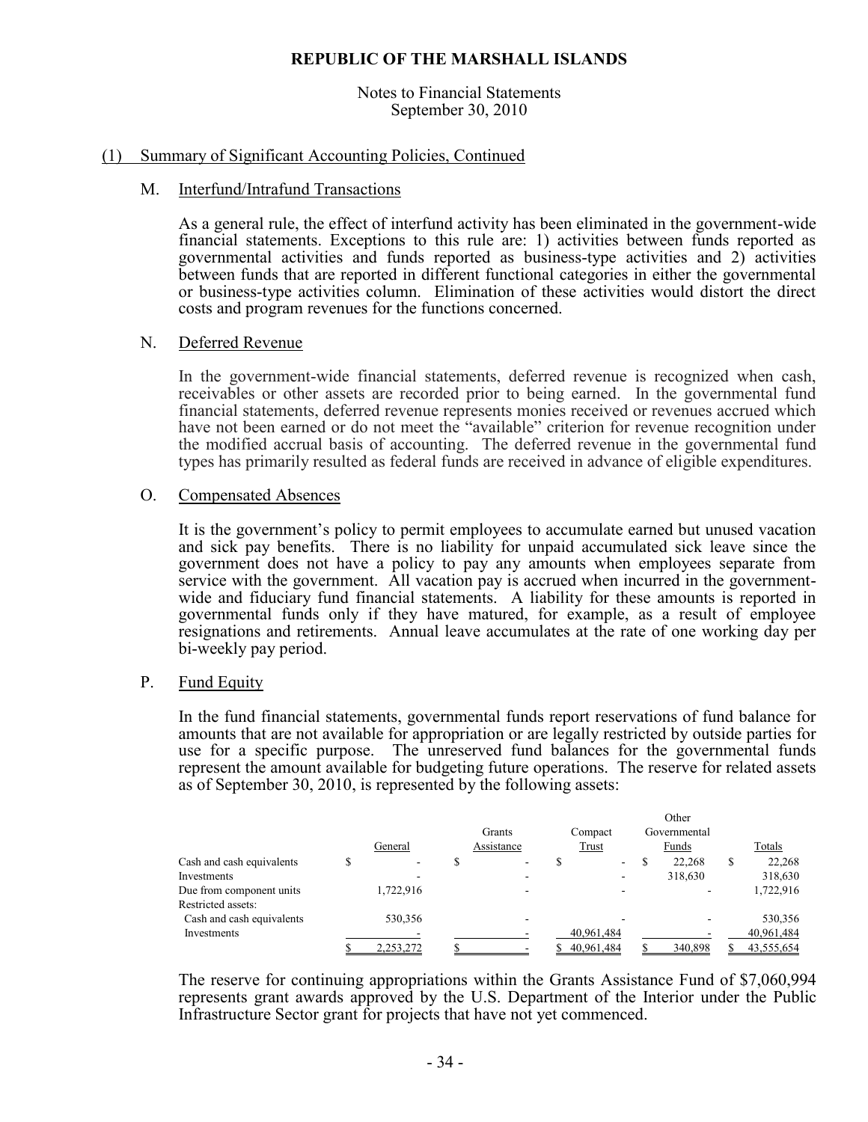Notes to Financial Statements September 30, 2010

### (1) Summary of Significant Accounting Policies, Continued

#### M. Interfund/Intrafund Transactions

As a general rule, the effect of interfund activity has been eliminated in the government-wide financial statements. Exceptions to this rule are: 1) activities between funds reported as governmental activities and funds reported as business-type activities and 2) activities between funds that are reported in different functional categories in either the governmental or business-type activities column. Elimination of these activities would distort the direct costs and program revenues for the functions concerned.

#### N. Deferred Revenue

In the government-wide financial statements, deferred revenue is recognized when cash, receivables or other assets are recorded prior to being earned. In the governmental fund financial statements, deferred revenue represents monies received or revenues accrued which have not been earned or do not meet the "available" criterion for revenue recognition under the modified accrual basis of accounting. The deferred revenue in the governmental fund types has primarily resulted as federal funds are received in advance of eligible expenditures.

#### O. Compensated Absences

It is the government's policy to permit employees to accumulate earned but unused vacation and sick pay benefits. There is no liability for unpaid accumulated sick leave since the government does not have a policy to pay any amounts when employees separate from service with the government. All vacation pay is accrued when incurred in the governmentwide and fiduciary fund financial statements. A liability for these amounts is reported in governmental funds only if they have matured, for example, as a result of employee resignations and retirements. Annual leave accumulates at the rate of one working day per bi-weekly pay period.

#### P. Fund Equity

 In the fund financial statements, governmental funds report reservations of fund balance for amounts that are not available for appropriation or are legally restricted by outside parties for use for a specific purpose. The unreserved fund balances for the governmental funds represent the amount available for budgeting future operations. The reserve for related assets as of September 30, 2010, is represented by the following assets:

 $\sim$ 

|                           |                          |            |            |        | Uther        |              |
|---------------------------|--------------------------|------------|------------|--------|--------------|--------------|
|                           |                          | Grants     | Compact    |        | Governmental |              |
|                           | General                  | Assistance | Trust      |        | Funds        | Totals       |
| Cash and cash equivalents | $\overline{\phantom{a}}$ |            |            | $\sim$ | 22.268       | \$<br>22.268 |
| Investments               |                          |            |            |        | 318,630      | 318,630      |
| Due from component units  | 1,722,916                |            |            |        |              | 1,722,916    |
| Restricted assets:        |                          |            |            |        |              |              |
| Cash and cash equivalents | 530,356                  |            |            |        |              | 530,356      |
| Investments               |                          |            | 40.961.484 |        |              | 40,961,484   |
|                           | 2,253,272                |            | 40,961,484 |        | 340,898      | 43,555,654   |

The reserve for continuing appropriations within the Grants Assistance Fund of \$7,060,994 represents grant awards approved by the U.S. Department of the Interior under the Public Infrastructure Sector grant for projects that have not yet commenced.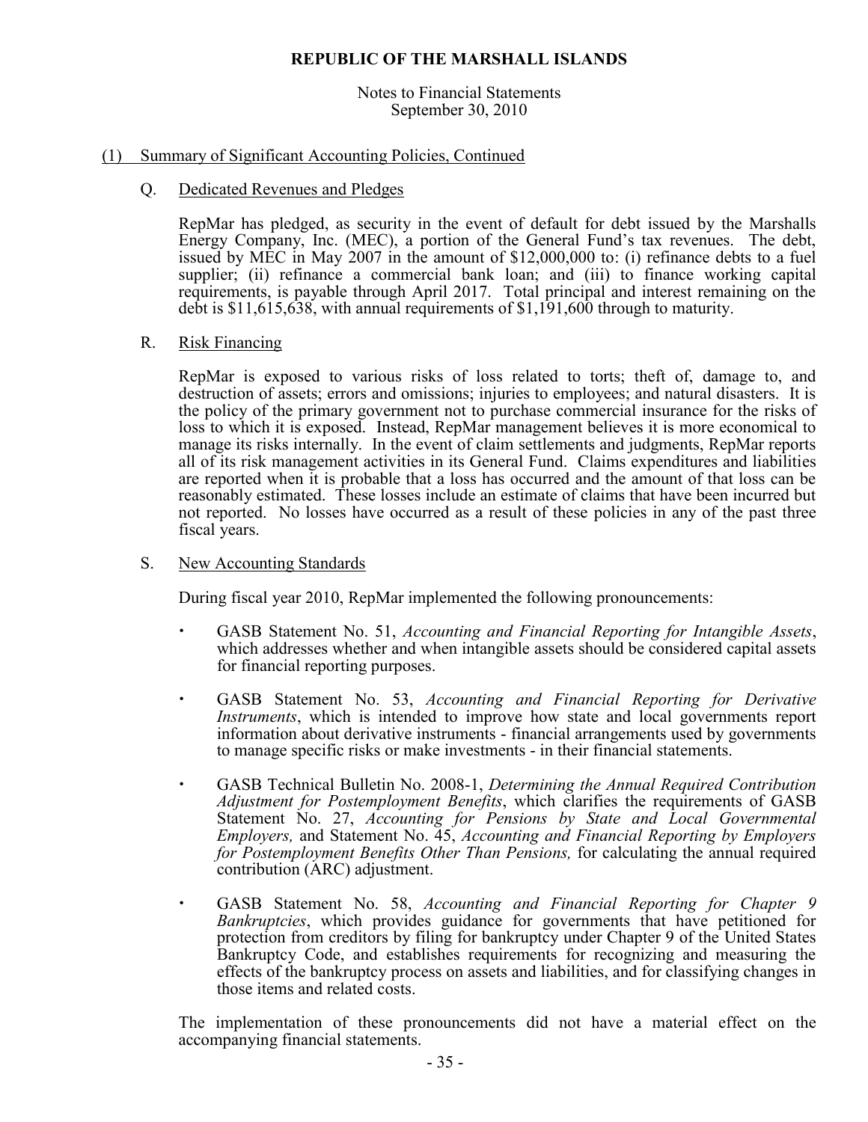Notes to Financial Statements September 30, 2010

### (1) Summary of Significant Accounting Policies, Continued

#### Q. Dedicated Revenues and Pledges

RepMar has pledged, as security in the event of default for debt issued by the Marshalls Energy Company, Inc. (MEC), a portion of the General Fund's tax revenues. The debt, issued by MEC in May 2007 in the amount of \$12,000,000 to: (i) refinance debts to a fuel supplier; (ii) refinance a commercial bank loan; and (iii) to finance working capital requirements, is payable through April 2017. Total principal and interest remaining on the debt is \$11,615,638, with annual requirements of \$1,191,600 through to maturity.

#### R. Risk Financing

RepMar is exposed to various risks of loss related to torts; theft of, damage to, and destruction of assets; errors and omissions; injuries to employees; and natural disasters. It is the policy of the primary government not to purchase commercial insurance for the risks of loss to which it is exposed. Instead, RepMar management believes it is more economical to manage its risks internally. In the event of claim settlements and judgments, RepMar reports all of its risk management activities in its General Fund. Claims expenditures and liabilities are reported when it is probable that a loss has occurred and the amount of that loss can be reasonably estimated. These losses include an estimate of claims that have been incurred but not reported. No losses have occurred as a result of these policies in any of the past three fiscal years.

#### S. New Accounting Standards

During fiscal year 2010, RepMar implemented the following pronouncements:

- GASB Statement No. 51, *Accounting and Financial Reporting for Intangible Assets*, which addresses whether and when intangible assets should be considered capital assets for financial reporting purposes.
- GASB Statement No. 53, *Accounting and Financial Reporting for Derivative Instruments*, which is intended to improve how state and local governments report information about derivative instruments - financial arrangements used by governments to manage specific risks or make investments - in their financial statements.
- GASB Technical Bulletin No. 2008-1, *Determining the Annual Required Contribution Adjustment for Postemployment Benefits*, which clarifies the requirements of GASB Statement No. 27, *Accounting for Pensions by State and Local Governmental Employers,* and Statement No. 45, *Accounting and Financial Reporting by Employers for Postemployment Benefits Other Than Pensions,* for calculating the annual required contribution (ARC) adjustment.
- GASB Statement No. 58, *Accounting and Financial Reporting for Chapter 9 Bankruptcies*, which provides guidance for governments that have petitioned for protection from creditors by filing for bankruptcy under Chapter 9 of the United States Bankruptcy Code, and establishes requirements for recognizing and measuring the effects of the bankruptcy process on assets and liabilities, and for classifying changes in those items and related costs.

The implementation of these pronouncements did not have a material effect on the accompanying financial statements.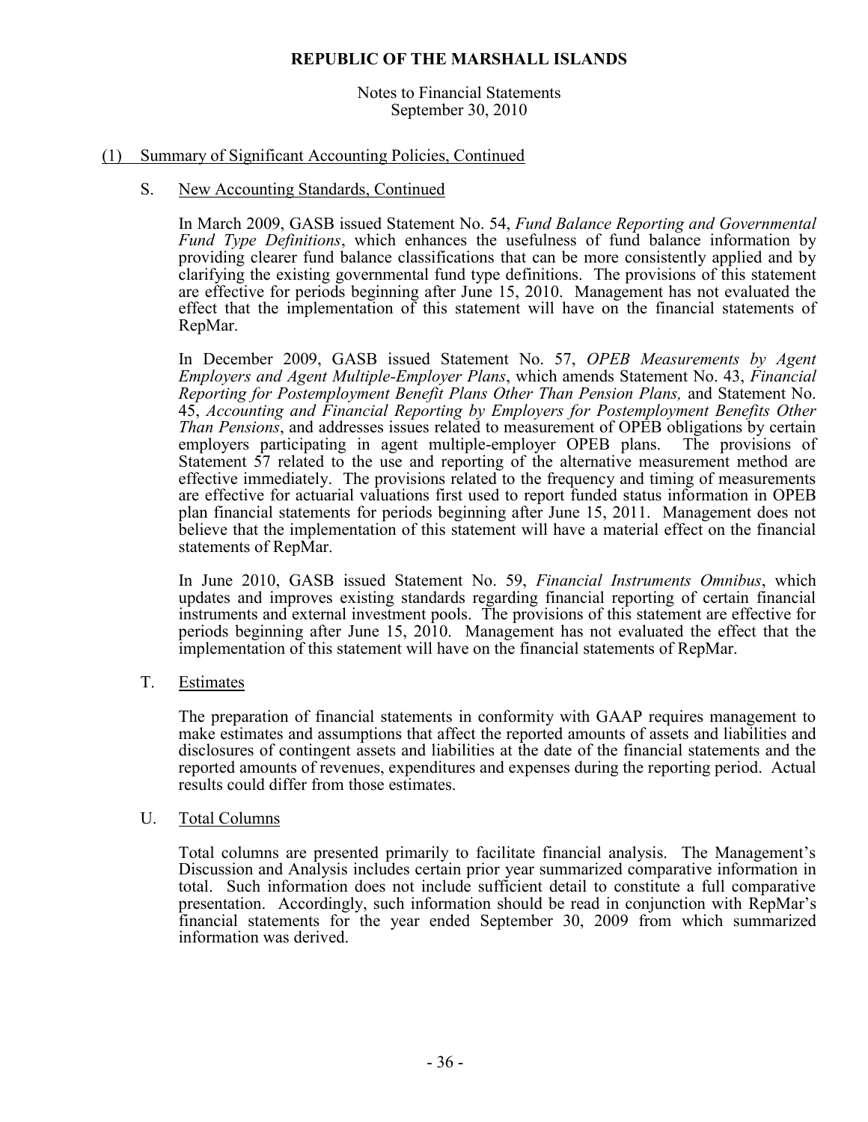Notes to Financial Statements September 30, 2010

### (1) Summary of Significant Accounting Policies, Continued

### S. New Accounting Standards, Continued

In March 2009, GASB issued Statement No. 54, *Fund Balance Reporting and Governmental Fund Type Definitions*, which enhances the usefulness of fund balance information by providing clearer fund balance classifications that can be more consistently applied and by clarifying the existing governmental fund type definitions. The provisions of this statement are effective for periods beginning after June 15, 2010. Management has not evaluated the effect that the implementation of this statement will have on the financial statements of RepMar.

In December 2009, GASB issued Statement No. 57, *OPEB Measurements by Agent Employers and Agent Multiple-Employer Plans*, which amends Statement No. 43, *Financial Reporting for Postemployment Benefit Plans Other Than Pension Plans,* and Statement No. 45, *Accounting and Financial Reporting by Employers for Postemployment Benefits Other Than Pensions*, and addresses issues related to measurement of OPEB obligations by certain employers participating in agent multiple-employer OPEB plans. The provisions of Statement 57 related to the use and reporting of the alternative measurement method are effective immediately. The provisions related to the frequency and timing of measurements are effective for actuarial valuations first used to report funded status information in OPEB plan financial statements for periods beginning after June 15, 2011. Management does not believe that the implementation of this statement will have a material effect on the financial statements of RepMar.

In June 2010, GASB issued Statement No. 59, *Financial Instruments Omnibus*, which updates and improves existing standards regarding financial reporting of certain financial instruments and external investment pools. The provisions of this statement are effective for periods beginning after June 15, 2010. Management has not evaluated the effect that the implementation of this statement will have on the financial statements of RepMar.

T. Estimates

 The preparation of financial statements in conformity with GAAP requires management to make estimates and assumptions that affect the reported amounts of assets and liabilities and disclosures of contingent assets and liabilities at the date of the financial statements and the reported amounts of revenues, expenditures and expenses during the reporting period. Actual results could differ from those estimates.

#### U. Total Columns

Total columns are presented primarily to facilitate financial analysis. The Management's Discussion and Analysis includes certain prior year summarized comparative information in total. Such information does not include sufficient detail to constitute a full comparative presentation. Accordingly, such information should be read in conjunction with RepMar's financial statements for the year ended September 30, 2009 from which summarized information was derived.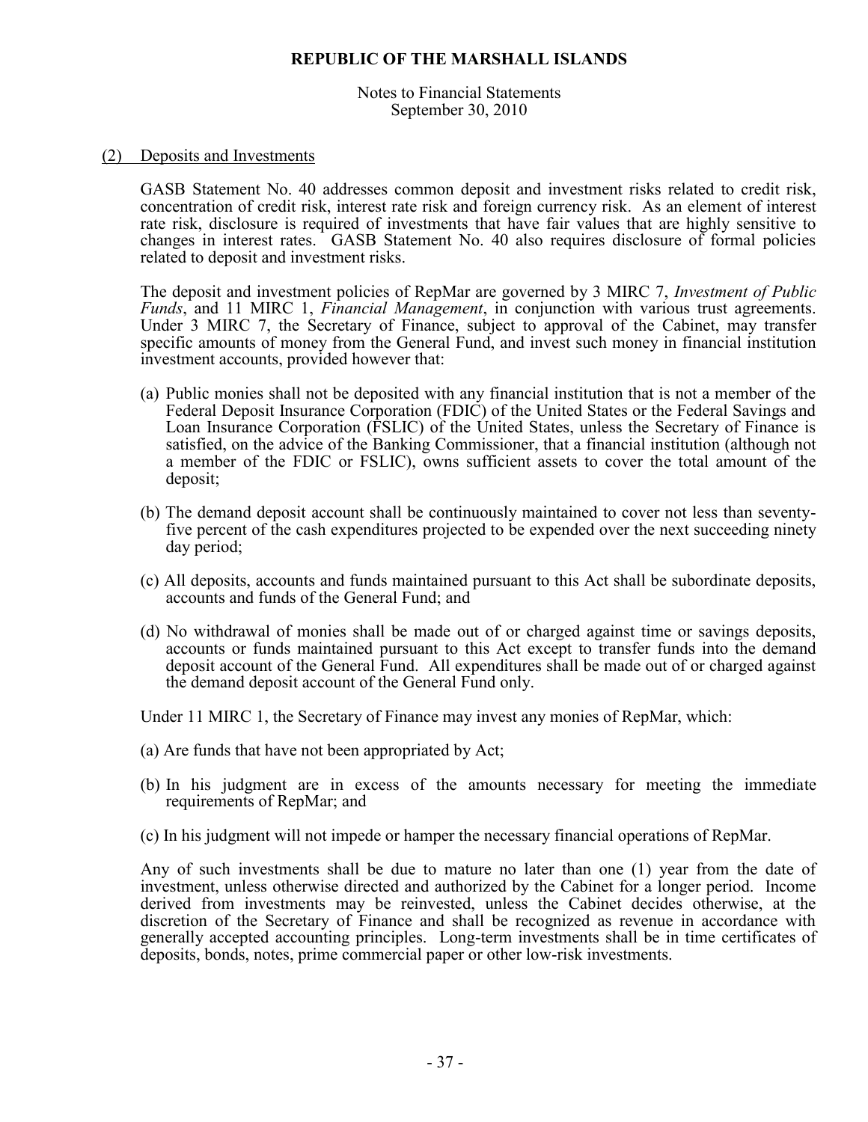Notes to Financial Statements September 30, 2010

#### (2) Deposits and Investments

GASB Statement No. 40 addresses common deposit and investment risks related to credit risk, concentration of credit risk, interest rate risk and foreign currency risk. As an element of interest rate risk, disclosure is required of investments that have fair values that are highly sensitive to changes in interest rates. GASB Statement No. 40 also requires disclosure of formal policies related to deposit and investment risks.

The deposit and investment policies of RepMar are governed by 3 MIRC 7, *Investment of Public Funds*, and 11 MIRC 1, *Financial Management*, in conjunction with various trust agreements. Under 3 MIRC 7, the Secretary of Finance, subject to approval of the Cabinet, may transfer specific amounts of money from the General Fund, and invest such money in financial institution investment accounts, provided however that:

- (a) Public monies shall not be deposited with any financial institution that is not a member of the Federal Deposit Insurance Corporation (FDIC) of the United States or the Federal Savings and Loan Insurance Corporation (FSLIC) of the United States, unless the Secretary of Finance is satisfied, on the advice of the Banking Commissioner, that a financial institution (although not a member of the FDIC or FSLIC), owns sufficient assets to cover the total amount of the deposit;
- (b) The demand deposit account shall be continuously maintained to cover not less than seventyfive percent of the cash expenditures projected to be expended over the next succeeding ninety day period;
- (c) All deposits, accounts and funds maintained pursuant to this Act shall be subordinate deposits, accounts and funds of the General Fund; and
- (d) No withdrawal of monies shall be made out of or charged against time or savings deposits, accounts or funds maintained pursuant to this Act except to transfer funds into the demand deposit account of the General Fund. All expenditures shall be made out of or charged against the demand deposit account of the General Fund only.

Under 11 MIRC 1, the Secretary of Finance may invest any monies of RepMar, which:

- (a) Are funds that have not been appropriated by Act;
- (b) In his judgment are in excess of the amounts necessary for meeting the immediate requirements of RepMar; and
- (c) In his judgment will not impede or hamper the necessary financial operations of RepMar.

Any of such investments shall be due to mature no later than one (1) year from the date of investment, unless otherwise directed and authorized by the Cabinet for a longer period. Income derived from investments may be reinvested, unless the Cabinet decides otherwise, at the discretion of the Secretary of Finance and shall be recognized as revenue in accordance with generally accepted accounting principles. Long-term investments shall be in time certificates of deposits, bonds, notes, prime commercial paper or other low-risk investments.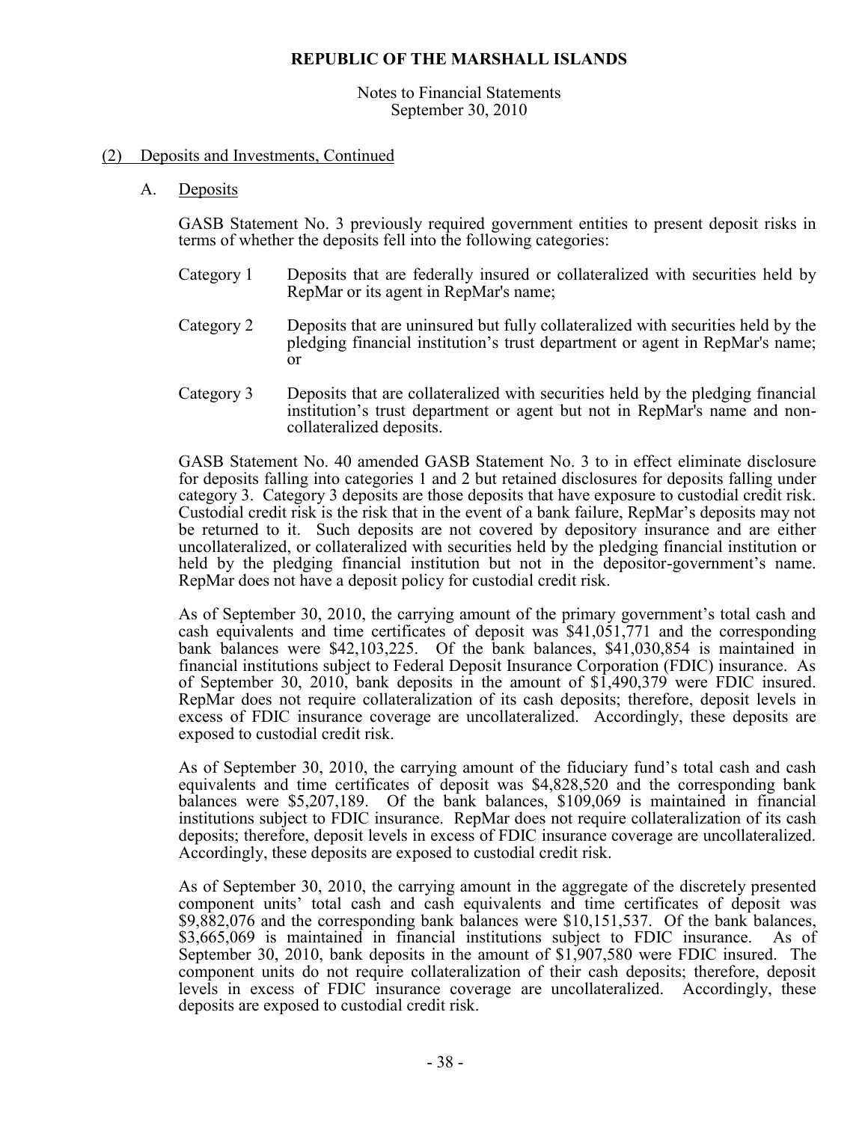#### Notes to Financial Statements September 30, 2010

### (2) Deposits and Investments, Continued

A. Deposits

GASB Statement No. 3 previously required government entities to present deposit risks in terms of whether the deposits fell into the following categories:

- Category 1 Deposits that are federally insured or collateralized with securities held by RepMar or its agent in RepMar's name;
- Category 2 Deposits that are uninsured but fully collateralized with securities held by the pledging financial institution's trust department or agent in RepMar's name; or
- Category 3 Deposits that are collateralized with securities held by the pledging financial institution's trust department or agent but not in RepMar's name and noncollateralized deposits.

GASB Statement No. 40 amended GASB Statement No. 3 to in effect eliminate disclosure for deposits falling into categories 1 and 2 but retained disclosures for deposits falling under category 3. Category 3 deposits are those deposits that have exposure to custodial credit risk. Custodial credit risk is the risk that in the event of a bank failure, RepMar's deposits may not be returned to it. Such deposits are not covered by depository insurance and are either uncollateralized, or collateralized with securities held by the pledging financial institution or held by the pledging financial institution but not in the depositor-government's name. RepMar does not have a deposit policy for custodial credit risk.

As of September 30, 2010, the carrying amount of the primary government's total cash and cash equivalents and time certificates of deposit was \$41,051,771 and the corresponding bank balances were \$42,103,225. Of the bank balances, \$41,030,854 is maintained in financial institutions subject to Federal Deposit Insurance Corporation (FDIC) insurance. As of September 30, 2010, bank deposits in the amount of \$1,490,379 were FDIC insured. RepMar does not require collateralization of its cash deposits; therefore, deposit levels in excess of FDIC insurance coverage are uncollateralized. Accordingly, these deposits are exposed to custodial credit risk.

As of September 30, 2010, the carrying amount of the fiduciary fund's total cash and cash equivalents and time certificates of deposit was \$4,828,520 and the corresponding bank balances were \$5,207,189. Of the bank balances, \$109,069 is maintained in financial institutions subject to FDIC insurance. RepMar does not require collateralization of its cash deposits; therefore, deposit levels in excess of FDIC insurance coverage are uncollateralized. Accordingly, these deposits are exposed to custodial credit risk.

As of September 30, 2010, the carrying amount in the aggregate of the discretely presented component units' total cash and cash equivalents and time certificates of deposit was \$9,882,076 and the corresponding bank balances were \$10,151,537. Of the bank balances, \$3,665,069 is maintained in financial institutions subject to FDIC insurance. As of September 30, 2010, bank deposits in the amount of \$1,907,580 were FDIC insured. The component units do not require collateralization of their cash deposits; therefore, deposit levels in excess of FDIC insurance coverage are uncollateralized. Accordingly, these deposits are exposed to custodial credit risk.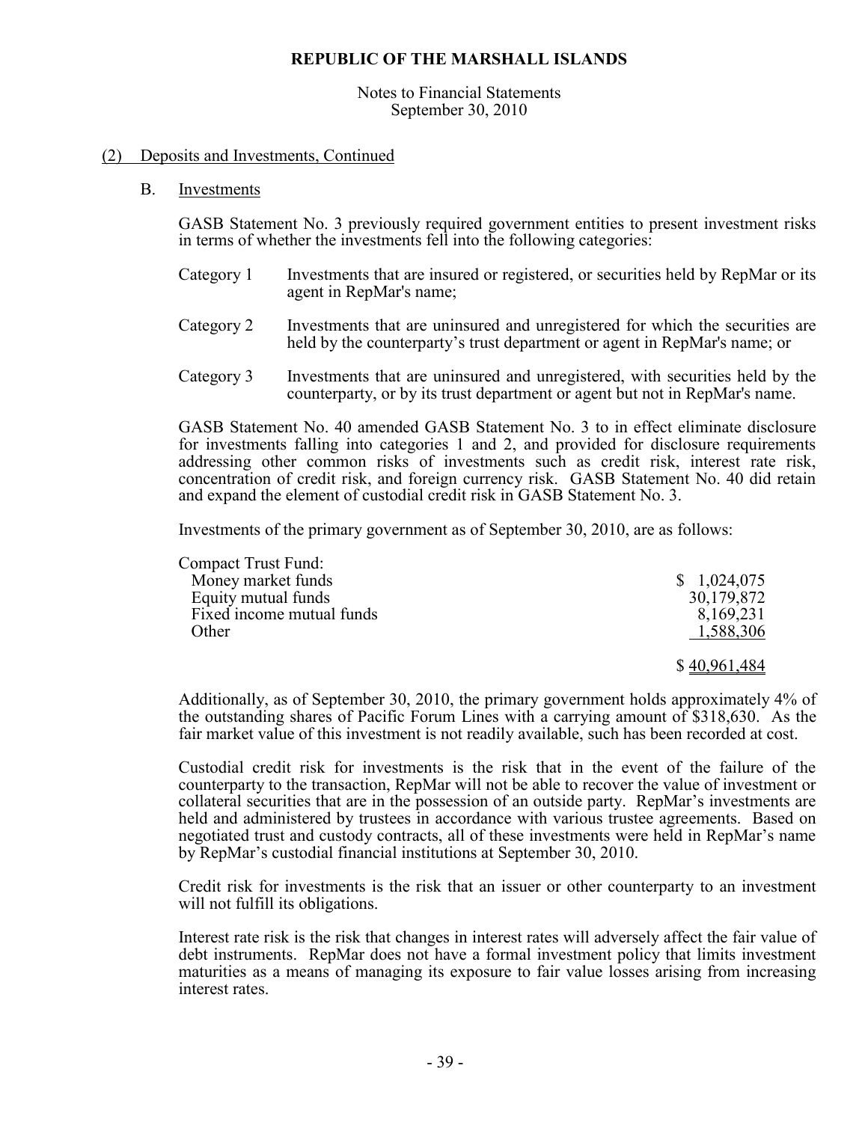#### Notes to Financial Statements September 30, 2010

### (2) Deposits and Investments, Continued

B. Investments

GASB Statement No. 3 previously required government entities to present investment risks in terms of whether the investments fell into the following categories:

- Category 1 Investments that are insured or registered, or securities held by RepMar or its agent in RepMar's name;
- Category 2 Investments that are uninsured and unregistered for which the securities are held by the counterparty's trust department or agent in RepMar's name; or
- Category 3 Investments that are uninsured and unregistered, with securities held by the counterparty, or by its trust department or agent but not in RepMar's name.

GASB Statement No. 40 amended GASB Statement No. 3 to in effect eliminate disclosure for investments falling into categories 1 and 2, and provided for disclosure requirements addressing other common risks of investments such as credit risk, interest rate risk, concentration of credit risk, and foreign currency risk. GASB Statement No. 40 did retain and expand the element of custodial credit risk in GASB Statement No. 3.

Investments of the primary government as of September 30, 2010, are as follows:

| <b>Compact Trust Fund:</b> |              |
|----------------------------|--------------|
| Money market funds         | \$1,024,075  |
| Equity mutual funds        | 30,179,872   |
| Fixed income mutual funds  | 8,169,231    |
| Other                      | 1,588,306    |
|                            | \$40,961,484 |

Additionally, as of September 30, 2010, the primary government holds approximately 4% of the outstanding shares of Pacific Forum Lines with a carrying amount of \$318,630. As the fair market value of this investment is not readily available, such has been recorded at cost.

Custodial credit risk for investments is the risk that in the event of the failure of the counterparty to the transaction, RepMar will not be able to recover the value of investment or collateral securities that are in the possession of an outside party. RepMar's investments are held and administered by trustees in accordance with various trustee agreements. Based on negotiated trust and custody contracts, all of these investments were held in RepMar's name by RepMar's custodial financial institutions at September 30, 2010.

 Credit risk for investments is the risk that an issuer or other counterparty to an investment will not fulfill its obligations.

Interest rate risk is the risk that changes in interest rates will adversely affect the fair value of debt instruments. RepMar does not have a formal investment policy that limits investment maturities as a means of managing its exposure to fair value losses arising from increasing interest rates.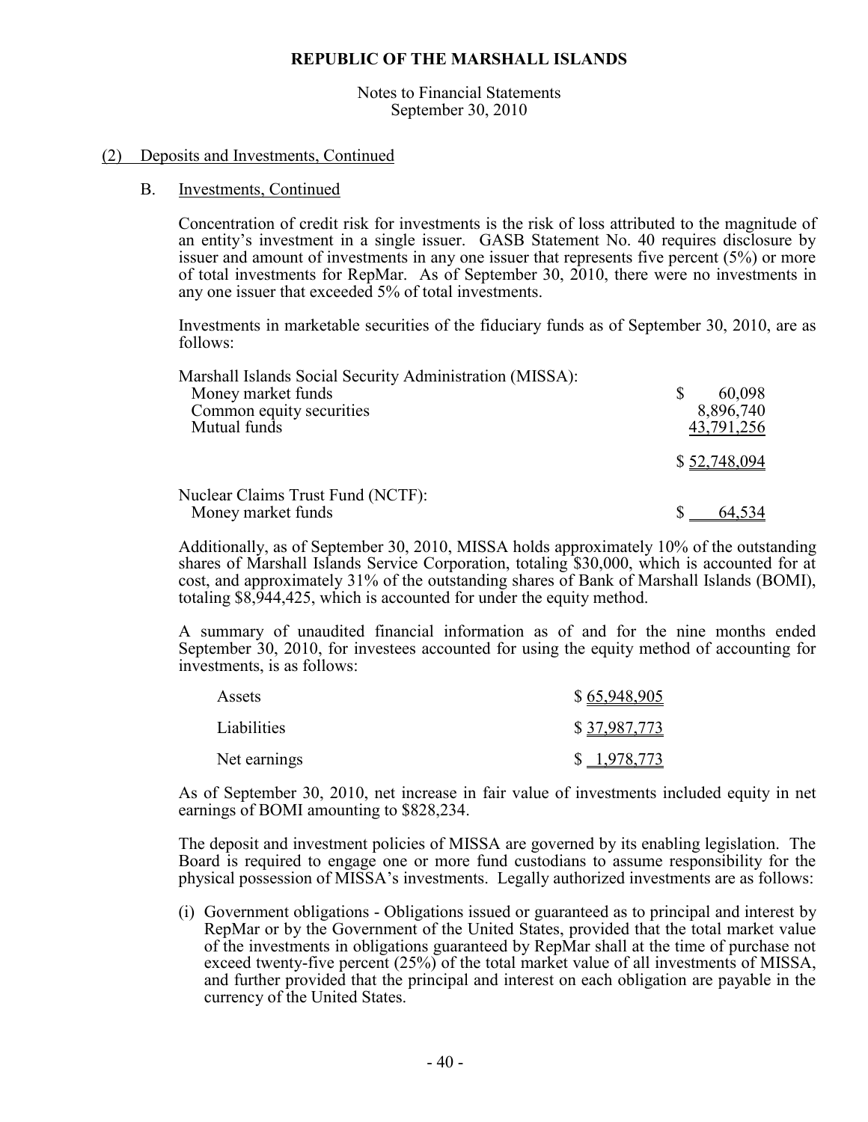Notes to Financial Statements September 30, 2010

#### (2) Deposits and Investments, Continued

#### B. Investments, Continued

Concentration of credit risk for investments is the risk of loss attributed to the magnitude of an entity's investment in a single issuer. GASB Statement No. 40 requires disclosure by issuer and amount of investments in any one issuer that represents five percent (5%) or more of total investments for RepMar. As of September 30, 2010, there were no investments in any one issuer that exceeded 5% of total investments.

Investments in marketable securities of the fiduciary funds as of September 30, 2010, are as follows:

| Marshall Islands Social Security Administration (MISSA): |              |
|----------------------------------------------------------|--------------|
| Money market funds                                       | 60,098       |
| Common equity securities                                 | 8,896,740    |
| Mutual funds                                             | 43,791,256   |
|                                                          | \$52,748,094 |
| Nuclear Claims Trust Fund (NCTF):                        |              |
| Money market funds                                       |              |

Additionally, as of September 30, 2010, MISSA holds approximately 10% of the outstanding shares of Marshall Islands Service Corporation, totaling \$30,000, which is accounted for at cost, and approximately 31% of the outstanding shares of Bank of Marshall Islands (BOMI), totaling \$8,944,425, which is accounted for under the equity method.

A summary of unaudited financial information as of and for the nine months ended September 30, 2010, for investees accounted for using the equity method of accounting for investments, is as follows:

| Assets       | \$65,948,905 |
|--------------|--------------|
| Liabilities  | \$37,987,773 |
| Net earnings | \$1,978,773  |

As of September 30, 2010, net increase in fair value of investments included equity in net earnings of BOMI amounting to \$828,234.

The deposit and investment policies of MISSA are governed by its enabling legislation. The Board is required to engage one or more fund custodians to assume responsibility for the physical possession of MISSA's investments. Legally authorized investments are as follows:

(i) Government obligations - Obligations issued or guaranteed as to principal and interest by RepMar or by the Government of the United States, provided that the total market value of the investments in obligations guaranteed by RepMar shall at the time of purchase not exceed twenty-five percent (25%) of the total market value of all investments of MISSA, and further provided that the principal and interest on each obligation are payable in the currency of the United States.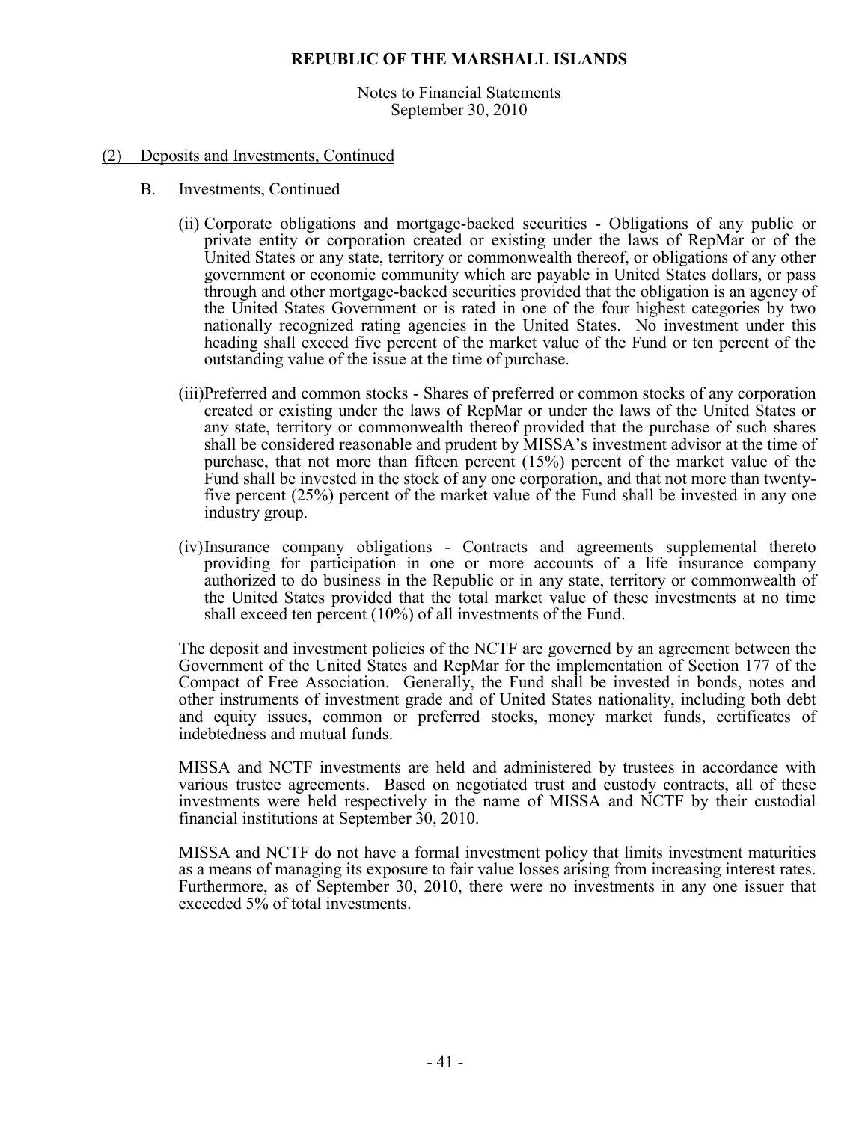Notes to Financial Statements September 30, 2010

#### (2) Deposits and Investments, Continued

- B. Investments, Continued
	- (ii) Corporate obligations and mortgage-backed securities Obligations of any public or private entity or corporation created or existing under the laws of RepMar or of the United States or any state, territory or commonwealth thereof, or obligations of any other government or economic community which are payable in United States dollars, or pass through and other mortgage-backed securities provided that the obligation is an agency of the United States Government or is rated in one of the four highest categories by two nationally recognized rating agencies in the United States. No investment under this heading shall exceed five percent of the market value of the Fund or ten percent of the outstanding value of the issue at the time of purchase.
	- (iii)Preferred and common stocks Shares of preferred or common stocks of any corporation created or existing under the laws of RepMar or under the laws of the United States or any state, territory or commonwealth thereof provided that the purchase of such shares shall be considered reasonable and prudent by MISSA's investment advisor at the time of purchase, that not more than fifteen percent (15%) percent of the market value of the Fund shall be invested in the stock of any one corporation, and that not more than twentyfive percent (25%) percent of the market value of the Fund shall be invested in any one industry group.
	- (iv) Insurance company obligations Contracts and agreements supplemental thereto providing for participation in one or more accounts of a life insurance company authorized to do business in the Republic or in any state, territory or commonwealth of the United States provided that the total market value of these investments at no time shall exceed ten percent (10%) of all investments of the Fund.

The deposit and investment policies of the NCTF are governed by an agreement between the Government of the United States and RepMar for the implementation of Section 177 of the Compact of Free Association. Generally, the Fund shall be invested in bonds, notes and other instruments of investment grade and of United States nationality, including both debt and equity issues, common or preferred stocks, money market funds, certificates of indebtedness and mutual funds.

MISSA and NCTF investments are held and administered by trustees in accordance with various trustee agreements. Based on negotiated trust and custody contracts, all of these investments were held respectively in the name of MISSA and NCTF by their custodial financial institutions at September 30, 2010.

MISSA and NCTF do not have a formal investment policy that limits investment maturities as a means of managing its exposure to fair value losses arising from increasing interest rates. Furthermore, as of September 30, 2010, there were no investments in any one issuer that exceeded 5% of total investments.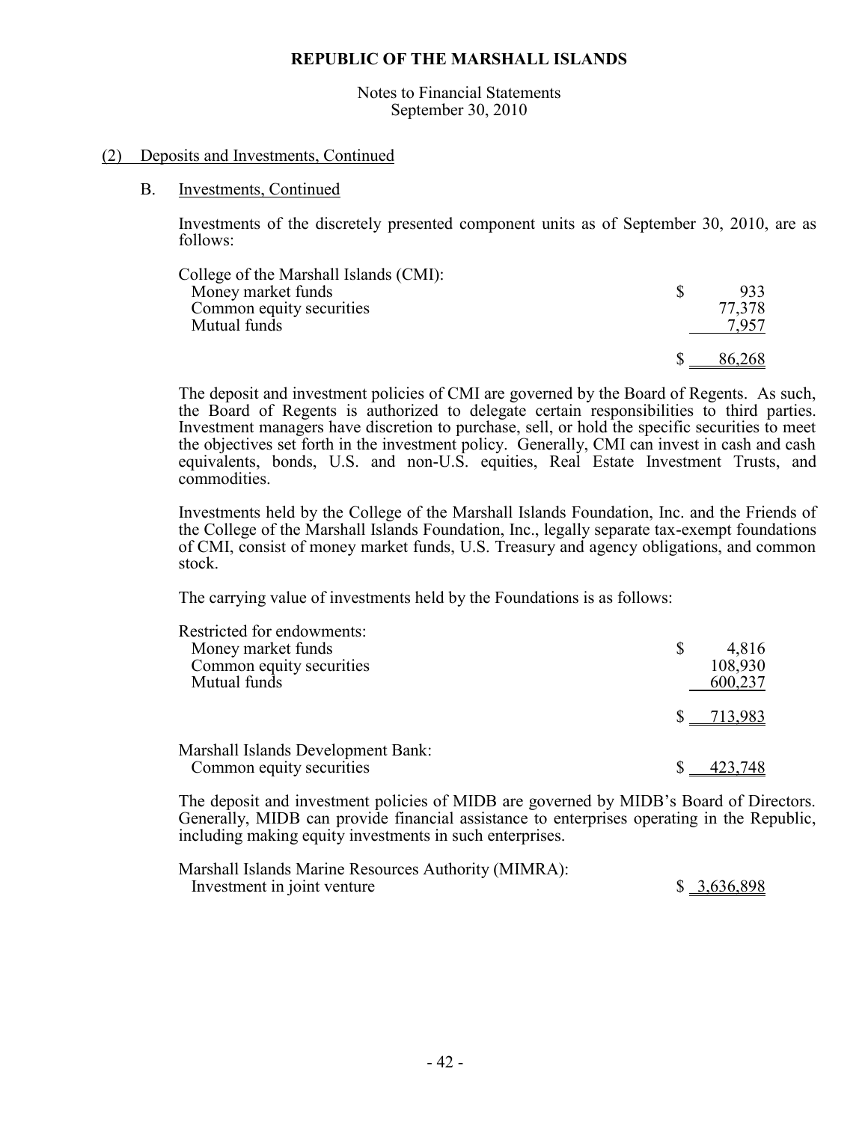Notes to Financial Statements September 30, 2010

#### (2) Deposits and Investments, Continued

#### B. Investments, Continued

Investments of the discretely presented component units as of September 30, 2010, are as follows:

| College of the Marshall Islands (CMI): |        |
|----------------------------------------|--------|
| Money market funds                     | 933    |
| Common equity securities               | 77,378 |
| Mutual funds                           | 7.957  |
|                                        | 86,268 |
|                                        |        |

The deposit and investment policies of CMI are governed by the Board of Regents. As such, the Board of Regents is authorized to delegate certain responsibilities to third parties. Investment managers have discretion to purchase, sell, or hold the specific securities to meet the objectives set forth in the investment policy. Generally, CMI can invest in cash and cash equivalents, bonds, U.S. and non-U.S. equities, Real Estate Investment Trusts, and commodities.

Investments held by the College of the Marshall Islands Foundation, Inc. and the Friends of the College of the Marshall Islands Foundation, Inc., legally separate tax-exempt foundations of CMI, consist of money market funds, U.S. Treasury and agency obligations, and common stock.

The carrying value of investments held by the Foundations is as follows:

| Restricted for endowments:<br>Money market funds<br>Common equity securities<br>Mutual funds | 4,816<br>108,930<br>600,237 |
|----------------------------------------------------------------------------------------------|-----------------------------|
|                                                                                              | 713,983                     |
| <b>Marshall Islands Development Bank:</b><br>Common equity securities                        | 423,748                     |

The deposit and investment policies of MIDB are governed by MIDB's Board of Directors. Generally, MIDB can provide financial assistance to enterprises operating in the Republic, including making equity investments in such enterprises.

| Marshall Islands Marine Resources Authority (MIMRA): |             |
|------------------------------------------------------|-------------|
| Investment in joint venture                          | \$3,636,898 |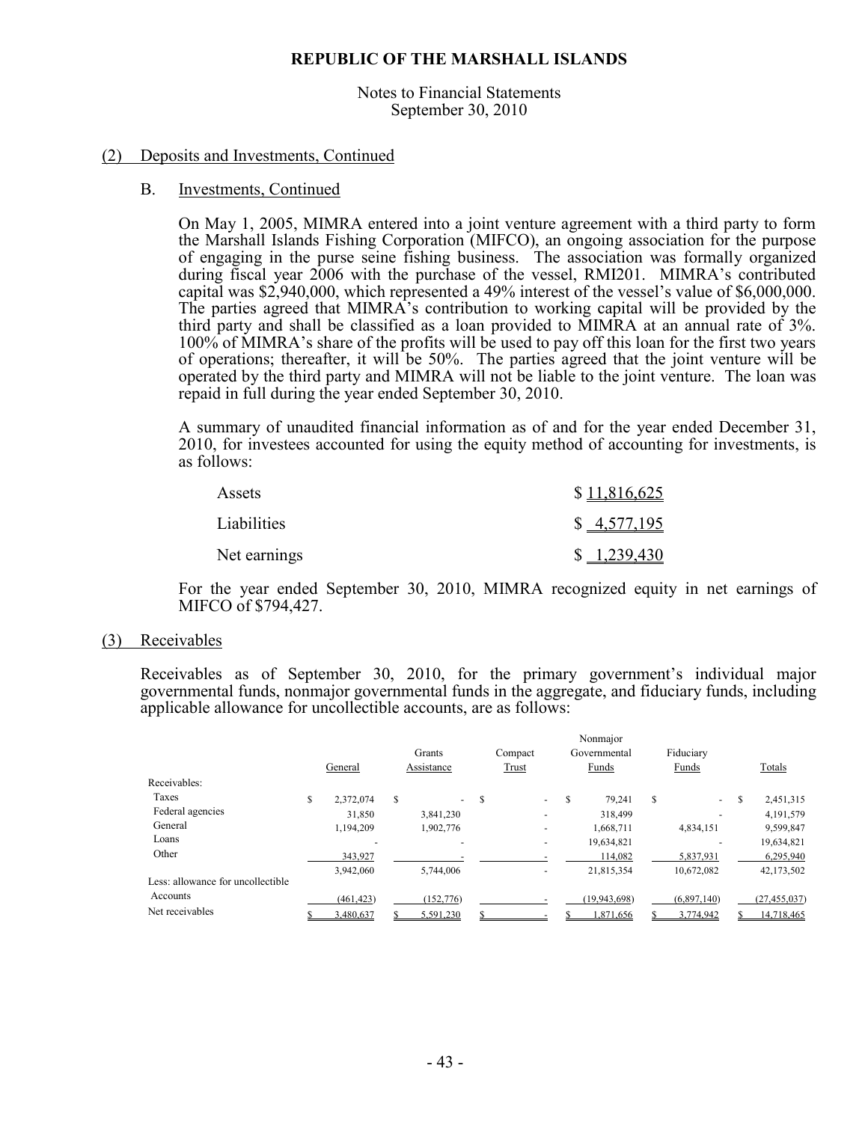Notes to Financial Statements September 30, 2010

#### (2) Deposits and Investments, Continued

#### B. Investments, Continued

On May 1, 2005, MIMRA entered into a joint venture agreement with a third party to form the Marshall Islands Fishing Corporation (MIFCO), an ongoing association for the purpose of engaging in the purse seine fishing business. The association was formally organized during fiscal year 2006 with the purchase of the vessel, RMI201. MIMRA's contributed capital was \$2,940,000, which represented a 49% interest of the vessel's value of \$6,000,000. The parties agreed that MIMRA's contribution to working capital will be provided by the third party and shall be classified as a loan provided to MIMRA at an annual rate of 3%. 100% of MIMRA's share of the profits will be used to pay off this loan for the first two years of operations; thereafter, it will be 50%. The parties agreed that the joint venture will be operated by the third party and MIMRA will not be liable to the joint venture. The loan was repaid in full during the year ended September 30, 2010.

A summary of unaudited financial information as of and for the year ended December 31, 2010, for investees accounted for using the equity method of accounting for investments, is as follows:

| Assets       | \$11,816,625 |
|--------------|--------------|
| Liabilities  | \$4,577,195  |
| Net earnings | \$1,239,430  |

For the year ended September 30, 2010, MIMRA recognized equity in net earnings of MIFCO of \$794,427.

(3) Receivables

Receivables as of September 30, 2010, for the primary government's individual major governmental funds, nonmajor governmental funds in the aggregate, and fiduciary funds, including applicable allowance for uncollectible accounts, are as follows:

|                                   |   |            |   |                |   |         |   | Nonmajor       |   |                            |     |                |
|-----------------------------------|---|------------|---|----------------|---|---------|---|----------------|---|----------------------------|-----|----------------|
|                                   |   |            |   | Grants         |   | Compact |   | Governmental   |   | Fiduciary                  |     |                |
|                                   |   | General    |   | Assistance     |   | Trust   |   | Funds          |   | Funds                      |     | Totals         |
| Receivables:                      |   |            |   |                |   |         |   |                |   |                            |     |                |
| Taxes                             | S | 2,372,074  | S | $\overline{a}$ | S | $\sim$  | S | 79.241         | S | $\mathcal{L}^{\text{max}}$ | \$. | 2,451,315      |
| Federal agencies                  |   | 31,850     |   | 3,841,230      |   |         |   | 318,499        |   |                            |     | 4,191,579      |
| General                           |   | 1.194.209  |   | 1.902.776      |   |         |   | 1,668,711      |   | 4,834,151                  |     | 9,599,847      |
| Loans                             |   |            |   |                |   |         |   | 19,634,821     |   |                            |     | 19,634,821     |
| Other                             |   | 343,927    |   |                |   |         |   | 114,082        |   | 5,837,931                  |     | 6,295,940      |
|                                   |   | 3,942,060  |   | 5,744,006      |   |         |   | 21,815,354     |   | 10,672,082                 |     | 42,173,502     |
| Less: allowance for uncollectible |   |            |   |                |   |         |   |                |   |                            |     |                |
| Accounts                          |   | (461, 423) |   | (152, 776)     |   |         |   | (19, 943, 698) |   | (6,897,140)                |     | (27, 455, 037) |
| Net receivables                   |   | 3,480,637  |   | 5,591,230      |   |         |   | .871,656       |   | 3.774.942                  |     | 14,718,465     |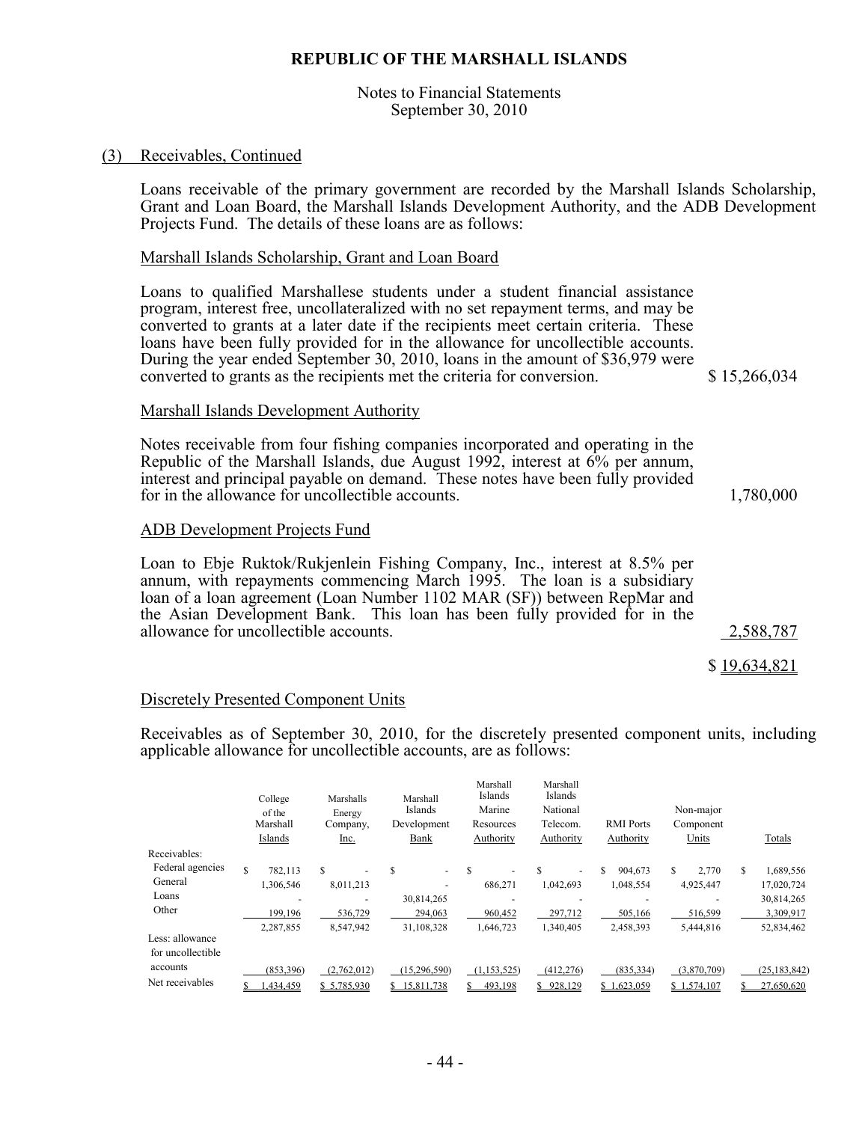Notes to Financial Statements September 30, 2010

#### (3) Receivables, Continued

Loans receivable of the primary government are recorded by the Marshall Islands Scholarship, Grant and Loan Board, the Marshall Islands Development Authority, and the ADB Development Projects Fund. The details of these loans are as follows:

#### Marshall Islands Scholarship, Grant and Loan Board

Loans to qualified Marshallese students under a student financial assistance program, interest free, uncollateralized with no set repayment terms, and may be converted to grants at a later date if the recipients meet certain criteria. These loans have been fully provided for in the allowance for uncollectible accounts. During the year ended September 30, 2010, loans in the amount of \$36,979 were converted to grants as the recipients met the criteria for conversion. \$ 15,266,034

#### Marshall Islands Development Authority

Notes receivable from four fishing companies incorporated and operating in the Republic of the Marshall Islands, due August 1992, interest at 6% per annum, interest and principal payable on demand. These notes have been fully provided for in the allowance for uncollectible accounts. 1,780,000

#### ADB Development Projects Fund

Loan to Ebje Ruktok/Rukjenlein Fishing Company, Inc., interest at 8.5% per annum, with repayments commencing March 1995. The loan is a subsidiary loan of a loan agreement (Loan Number 1102 MAR (SF)) between RepMar and the Asian Development Bank. This loan has been fully provided for in the allowance for uncollectible accounts. 2,588,787

\$ 19,634,821

#### Discretely Presented Component Units

Receivables as of September 30, 2010, for the discretely presented component units, including applicable allowance for uncollectible accounts, are as follows:

|                   |   | College<br>of the<br>Marshall<br>Islands | Marshalls<br>Energy<br>Company,<br>Inc. | Marshall<br>Islands<br>Development<br>Bank | Marshall<br>Islands<br>Marine<br>Resources<br>Authority | Marshall<br>Islands<br>National<br>Telecom.<br>Authority | <b>RMI</b> Ports<br>Authority | Non-major<br>Component<br>Units | Totals         |
|-------------------|---|------------------------------------------|-----------------------------------------|--------------------------------------------|---------------------------------------------------------|----------------------------------------------------------|-------------------------------|---------------------------------|----------------|
| Receivables:      |   |                                          |                                         |                                            |                                                         |                                                          |                               |                                 |                |
| Federal agencies  | S | 782.113                                  | S                                       | S<br>٠                                     | S                                                       | S                                                        | S<br>904.673                  | 2,770<br>\$                     | 1,689,556<br>S |
| General           |   | 1,306,546                                | 8,011,213                               |                                            | 686,271                                                 | 1,042,693                                                | 1,048,554                     | 4,925,447                       | 17,020,724     |
| Loans             |   | ۰                                        | ۰                                       | 30,814,265                                 |                                                         | $\overline{\phantom{a}}$                                 | $\overline{\phantom{a}}$      |                                 | 30,814,265     |
| Other             |   | 199,196                                  | 536,729                                 | 294,063                                    | 960,452                                                 | 297,712                                                  | 505,166                       | 516,599                         | 3,309,917      |
|                   |   | 2,287,855                                | 8,547,942                               | 31,108,328                                 | 1,646,723                                               | 1,340,405                                                | 2,458,393                     | 5,444,816                       | 52,834,462     |
| Less: allowance   |   |                                          |                                         |                                            |                                                         |                                                          |                               |                                 |                |
| for uncollectible |   |                                          |                                         |                                            |                                                         |                                                          |                               |                                 |                |
| accounts          |   | (853, 396)                               | (2,762,012)                             | (15, 296, 590)                             | (1,153,525)                                             | (412, 276)                                               | (835, 334)                    | (3,870,709)                     | (25, 183, 842) |
| Net receivables   |   | .434.459                                 | \$5.785.930                             | 15.811.738                                 | 493.198                                                 | 928.129<br>\$.                                           | .623.059<br>\$1               | .574.107<br>S <sub>1</sub>      | 27.650.620     |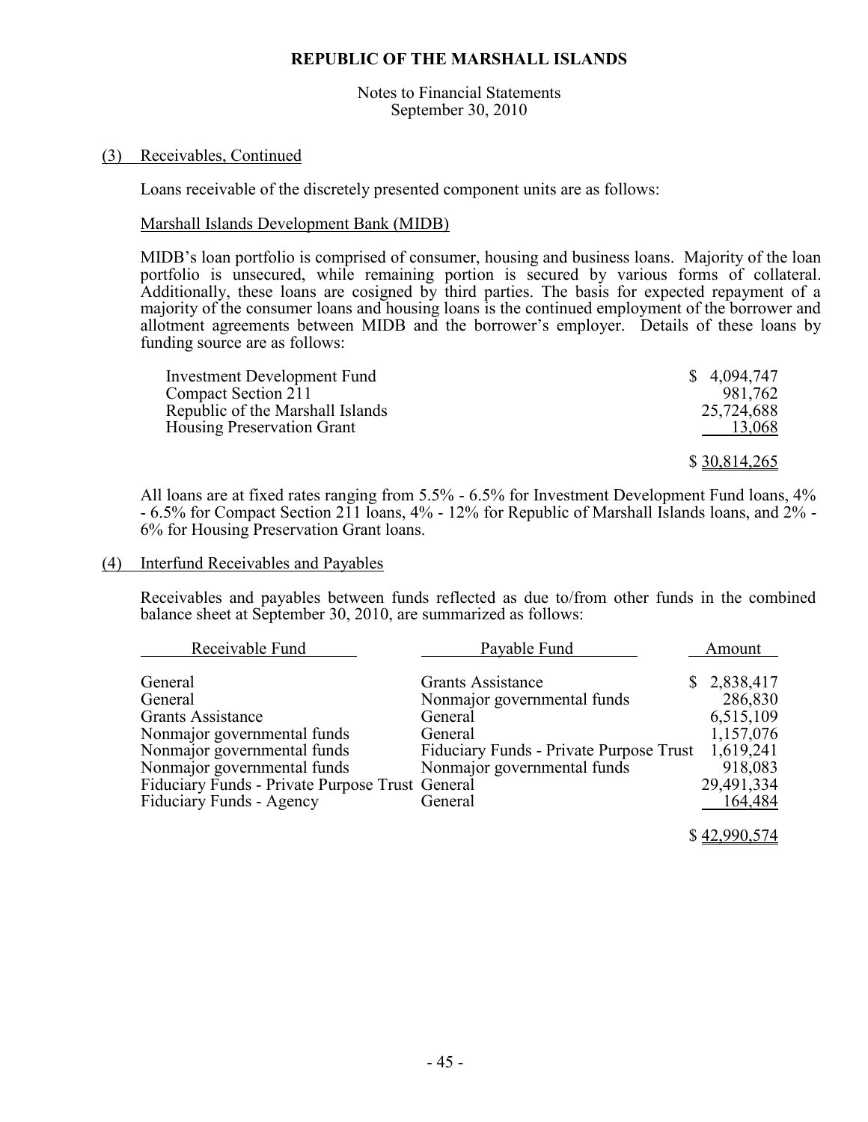Notes to Financial Statements September 30, 2010

#### (3) Receivables, Continued

Loans receivable of the discretely presented component units are as follows:

### Marshall Islands Development Bank (MIDB)

MIDB's loan portfolio is comprised of consumer, housing and business loans. Majority of the loan portfolio is unsecured, while remaining portion is secured by various forms of collateral. Additionally, these loans are cosigned by third parties. The basis for expected repayment of a majority of the consumer loans and housing loans is the continued employment of the borrower and allotment agreements between MIDB and the borrower's employer. Details of these loans by funding source are as follows:

| <b>Investment Development Fund</b> | \$4,094,747  |
|------------------------------------|--------------|
| Compact Section 211                | 981,762      |
| Republic of the Marshall Islands   | 25,724,688   |
| Housing Preservation Grant         | 13,068       |
|                                    |              |
|                                    | \$30,814,265 |

All loans are at fixed rates ranging from 5.5% - 6.5% for Investment Development Fund loans, 4% - 6.5% for Compact Section 211 loans, 4% - 12% for Republic of Marshall Islands loans, and 2% - 6% for Housing Preservation Grant loans.

#### (4) Interfund Receivables and Payables

Receivables and payables between funds reflected as due to/from other funds in the combined balance sheet at September 30, 2010, are summarized as follows:

| Receivable Fund                                 | Payable Fund                            | Amount      |
|-------------------------------------------------|-----------------------------------------|-------------|
| General                                         | <b>Grants Assistance</b>                | \$2,838,417 |
| General                                         | Nonmajor governmental funds             | 286,830     |
| <b>Grants Assistance</b>                        | General                                 | 6,515,109   |
| Nonmajor governmental funds                     | General                                 | 1,157,076   |
| Nonmajor governmental funds                     | Fiduciary Funds - Private Purpose Trust | 1,619,241   |
| Nonmajor governmental funds                     | Nonmajor governmental funds             | 918,083     |
| Fiduciary Funds - Private Purpose Trust General |                                         | 29,491,334  |
| Fiduciary Funds - Agency                        | General                                 | 164,484     |
|                                                 |                                         |             |

\$ 42,990,574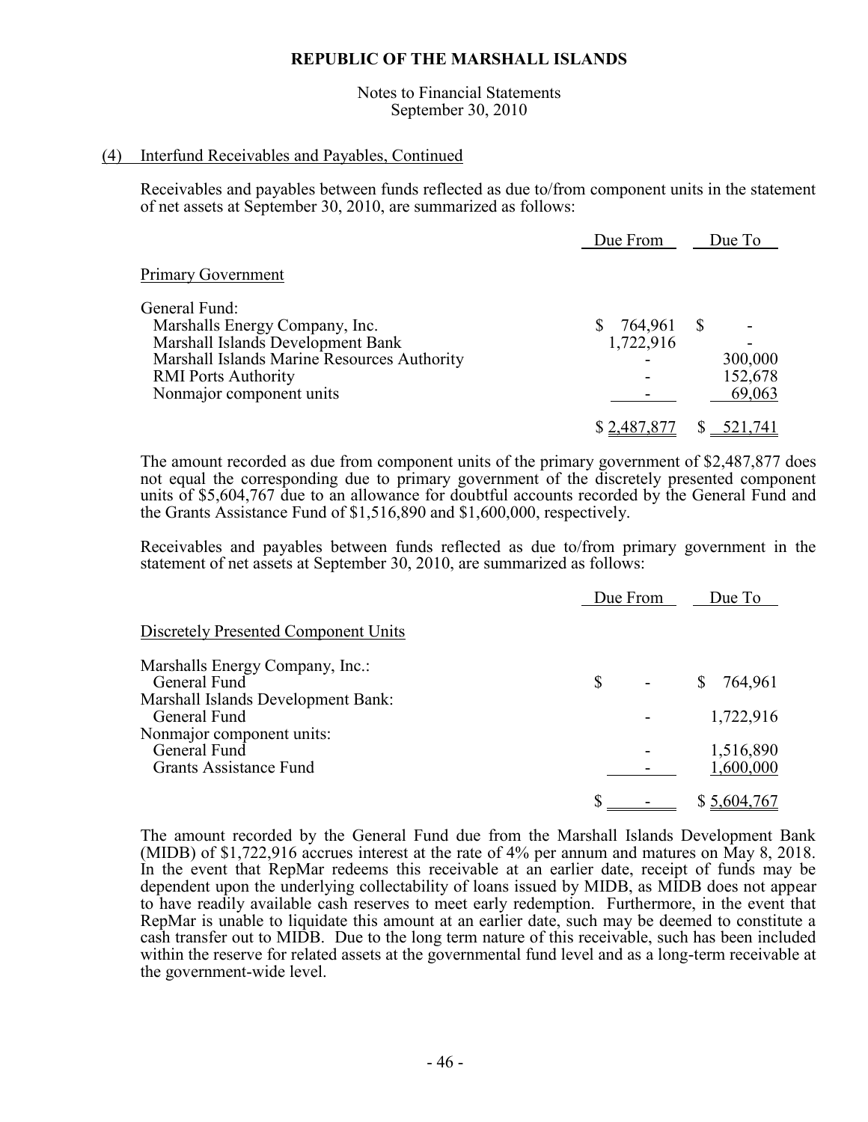#### Notes to Financial Statements September 30, 2010

### (4) Interfund Receivables and Payables, Continued

Receivables and payables between funds reflected as due to/from component units in the statement of net assets at September 30, 2010, are summarized as follows:

|                                             | Due From    | Due To  |
|---------------------------------------------|-------------|---------|
| <b>Primary Government</b>                   |             |         |
| General Fund:                               |             |         |
| Marshalls Energy Company, Inc.              | 764,961     | -S      |
| Marshall Islands Development Bank           | 1,722,916   |         |
| Marshall Islands Marine Resources Authority |             | 300,000 |
| <b>RMI</b> Ports Authority                  |             | 152,678 |
| Nonmajor component units                    |             | 69,063  |
|                                             | \$2,487,877 | 521,741 |

The amount recorded as due from component units of the primary government of \$2,487,877 does not equal the corresponding due to primary government of the discretely presented component units of \$5,604,767 due to an allowance for doubtful accounts recorded by the General Fund and the Grants Assistance Fund of \$1,516,890 and \$1,600,000, respectively.

Receivables and payables between funds reflected as due to/from primary government in the statement of net assets at September 30, 2010, are summarized as follows:

|   | Due To                   |
|---|--------------------------|
|   |                          |
| S | 764,961<br>S             |
|   | 1,722,916                |
|   | 1,516,890                |
|   | 1,600,000<br>\$5,604,767 |
|   | Due From                 |

The amount recorded by the General Fund due from the Marshall Islands Development Bank (MIDB) of \$1,722,916 accrues interest at the rate of 4% per annum and matures on May 8, 2018. In the event that RepMar redeems this receivable at an earlier date, receipt of funds may be dependent upon the underlying collectability of loans issued by MIDB, as MIDB does not appear to have readily available cash reserves to meet early redemption. Furthermore, in the event that RepMar is unable to liquidate this amount at an earlier date, such may be deemed to constitute a cash transfer out to MIDB. Due to the long term nature of this receivable, such has been included within the reserve for related assets at the governmental fund level and as a long-term receivable at the government-wide level.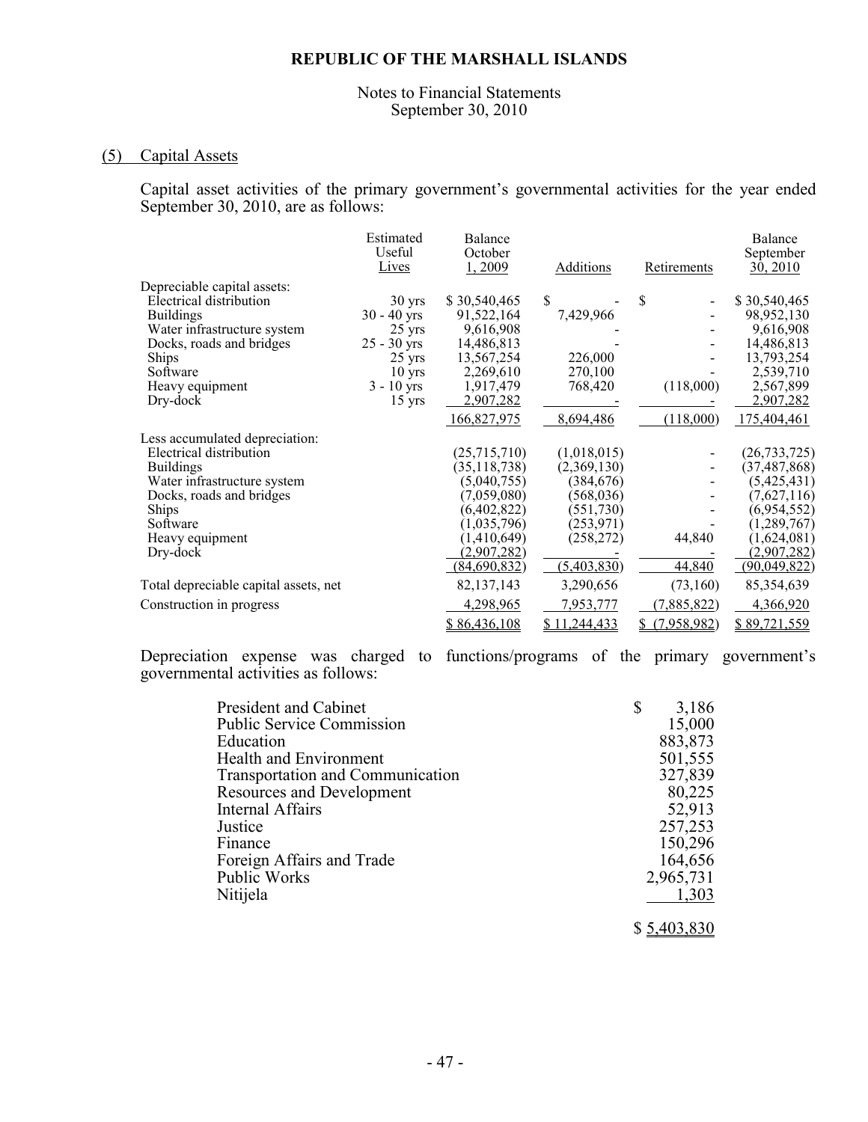#### Notes to Financial Statements September 30, 2010

# (5) Capital Assets

Capital asset activities of the primary government's governmental activities for the year ended September 30, 2010, are as follows:

| Estimated<br>Useful<br>Lives | <b>Balance</b><br>October<br>1,2009                                                                | <b>Additions</b>                                                                                                                            | Retirements                                                                                                       | <b>Balance</b><br>September<br>30, 2010 |
|------------------------------|----------------------------------------------------------------------------------------------------|---------------------------------------------------------------------------------------------------------------------------------------------|-------------------------------------------------------------------------------------------------------------------|-----------------------------------------|
|                              |                                                                                                    |                                                                                                                                             |                                                                                                                   |                                         |
| $30 \text{ yrs}$             | \$30,540,465                                                                                       | \$                                                                                                                                          | \$                                                                                                                | \$30,540,465                            |
|                              | 91,522,164                                                                                         |                                                                                                                                             |                                                                                                                   | 98,952,130                              |
| $25 \text{ yrs}$             |                                                                                                    |                                                                                                                                             |                                                                                                                   | 9,616,908                               |
|                              |                                                                                                    |                                                                                                                                             |                                                                                                                   | 14,486,813                              |
|                              |                                                                                                    |                                                                                                                                             |                                                                                                                   | 13,793,254                              |
|                              |                                                                                                    |                                                                                                                                             |                                                                                                                   | 2,539,710                               |
|                              |                                                                                                    |                                                                                                                                             |                                                                                                                   | 2,567,899                               |
|                              |                                                                                                    |                                                                                                                                             |                                                                                                                   | 2,907,282                               |
|                              | 166,827,975                                                                                        | 8,694,486                                                                                                                                   | (118,000)                                                                                                         | 175,404,461                             |
|                              |                                                                                                    |                                                                                                                                             |                                                                                                                   |                                         |
|                              | (25,715,710)                                                                                       | (1,018,015)                                                                                                                                 |                                                                                                                   | (26, 733, 725)                          |
|                              | (35, 118, 738)                                                                                     | (2,369,130)                                                                                                                                 |                                                                                                                   | (37, 487, 868)                          |
|                              |                                                                                                    |                                                                                                                                             |                                                                                                                   | (5,425,431)                             |
|                              | (7,059,080)                                                                                        |                                                                                                                                             |                                                                                                                   | (7,627,116)                             |
|                              | (6,402,822)                                                                                        | (551, 730)                                                                                                                                  |                                                                                                                   | (6,954,552)                             |
|                              | (1,035,796)                                                                                        |                                                                                                                                             |                                                                                                                   | (1,289,767)                             |
|                              |                                                                                                    |                                                                                                                                             |                                                                                                                   | (1,624,081)                             |
|                              |                                                                                                    |                                                                                                                                             |                                                                                                                   | (2,907,282)                             |
|                              |                                                                                                    |                                                                                                                                             |                                                                                                                   | (90,049,822)                            |
|                              | 82, 137, 143                                                                                       | 3,290,656                                                                                                                                   | (73,160)                                                                                                          | 85,354,639                              |
|                              | 4,298,965                                                                                          | 7,953,777                                                                                                                                   | (7,885,822)                                                                                                       | 4,366,920                               |
|                              | \$86,436,108                                                                                       | \$11,244,433                                                                                                                                | (7,958,982)                                                                                                       | \$89,721,559                            |
|                              | $30 - 40$ yrs<br>$25 - 30$ yrs<br>$25 \text{ yrs}$<br>$10$ yrs<br>$3 - 10$ yrs<br>$15 \text{ yrs}$ | 9,616,908<br>14,486,813<br>13,567,254<br>2,269,610<br>1,917,479<br>2,907,282<br>(5,040,755)<br>(1,410,649)<br>(2,907,282)<br>(84, 690, 832) | 7,429,966<br>226,000<br>270,100<br>768,420<br>(384, 676)<br>(568, 036)<br>(253, 971)<br>(258, 272)<br>(5,403,830) | (118,000)<br>44,840<br>44,840           |

Depreciation expense was charged to functions/programs of the primary government's governmental activities as follows:

| President and Cabinet            | \$<br>3,186     |
|----------------------------------|-----------------|
| <b>Public Service Commission</b> | 15,000          |
| Education                        | 883,873         |
| Health and Environment           | 501,555         |
| Transportation and Communication | 327,839         |
| <b>Resources and Development</b> | 80,225          |
| Internal Affairs                 | 52,913          |
| Justice                          | 257,253         |
| Finance                          | 150,296         |
| Foreign Affairs and Trade        | 164,656         |
| <b>Public Works</b>              | 2,965,731       |
| Nitijela                         | 1,303           |
|                                  | $\sim$ $     -$ |

\$ 5,403,830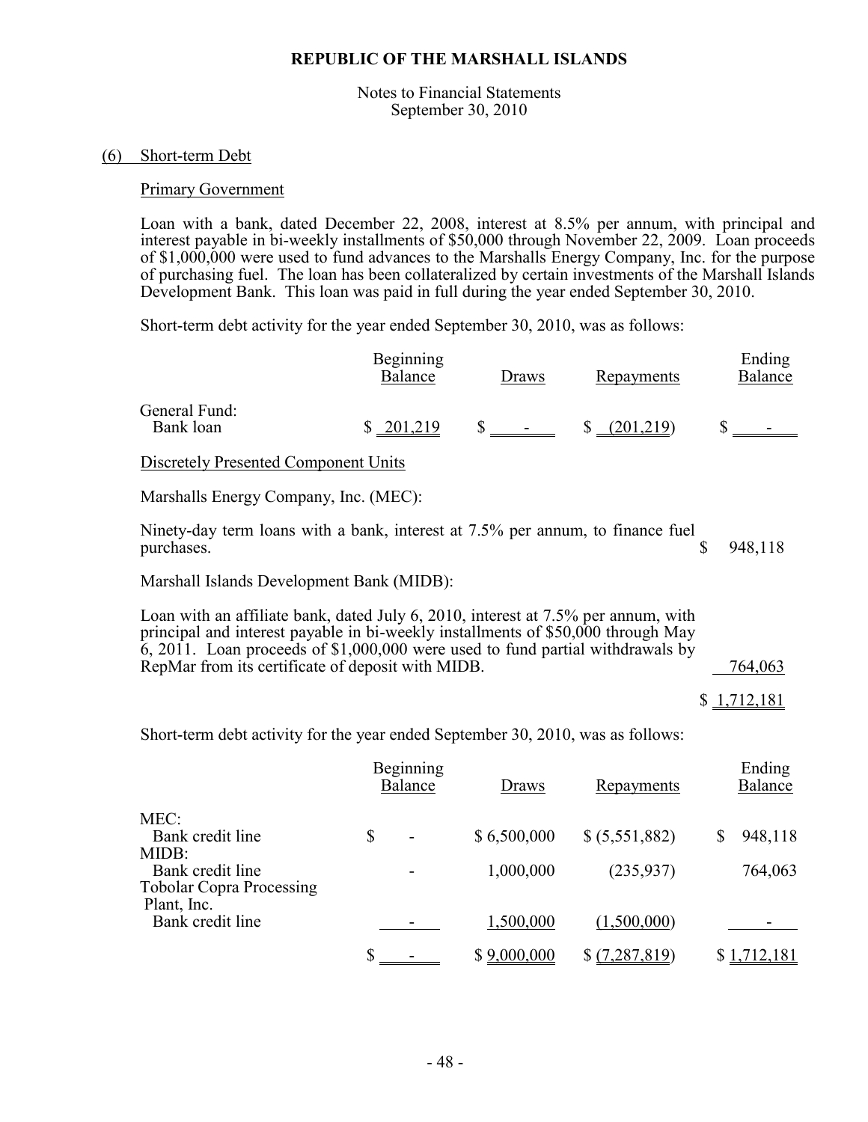Notes to Financial Statements September 30, 2010

### (6) Short-term Debt

#### Primary Government

Loan with a bank, dated December 22, 2008, interest at 8.5% per annum, with principal and interest payable in bi-weekly installments of \$50,000 through November 22, 2009. Loan proceeds of \$1,000,000 were used to fund advances to the Marshalls Energy Company, Inc. for the purpose of purchasing fuel. The loan has been collateralized by certain investments of the Marshall Islands Development Bank. This loan was paid in full during the year ended September 30, 2010.

Short-term debt activity for the year ended September 30, 2010, was as follows:

|                                                                                                                                                                                                                                                                       | Beginning<br>Balance        | Draws        | <u>Repayments</u> | Ending<br>Balance        |
|-----------------------------------------------------------------------------------------------------------------------------------------------------------------------------------------------------------------------------------------------------------------------|-----------------------------|--------------|-------------------|--------------------------|
| General Fund:<br>Bank loan                                                                                                                                                                                                                                            | \$201,219                   | $\mathbb{S}$ | $$-(201,219)$     |                          |
| <b>Discretely Presented Component Units</b>                                                                                                                                                                                                                           |                             |              |                   |                          |
| Marshalls Energy Company, Inc. (MEC):                                                                                                                                                                                                                                 |                             |              |                   |                          |
| Ninety-day term loans with a bank, interest at 7.5% per annum, to finance fuel<br>purchases.                                                                                                                                                                          |                             |              |                   | \$<br>948,118            |
| Marshall Islands Development Bank (MIDB):                                                                                                                                                                                                                             |                             |              |                   |                          |
| Loan with an affiliate bank, dated July 6, 2010, interest at 7.5% per annum, with<br>principal and interest payable in bi-weekly installments of \$50,000 through May<br>$\overline{6}$ , 2011. Loan proceeds of \$1,000,000 were used to fund partial withdrawals by |                             |              |                   |                          |
| RepMar from its certificate of deposit with MIDB.                                                                                                                                                                                                                     |                             |              |                   | 764,063                  |
|                                                                                                                                                                                                                                                                       |                             |              |                   | \$1,712,181              |
| Short-term debt activity for the year ended September 30, 2010, was as follows:                                                                                                                                                                                       |                             |              |                   |                          |
|                                                                                                                                                                                                                                                                       | Beginning<br><b>Balance</b> | Draws        | Repayments        | Ending<br><b>Balance</b> |

|                                                                                          | Dalance                        | Diaws                    | <b>IVOPA VILICITIS</b>       | Daidhce            |
|------------------------------------------------------------------------------------------|--------------------------------|--------------------------|------------------------------|--------------------|
| MEC:<br>Bank credit line<br>MIDB:<br>Bank credit line<br><b>Tobolar Copra Processing</b> | \$<br>$\overline{\phantom{a}}$ | \$6,500,000<br>1,000,000 | \$ (5,551,882)<br>(235, 937) | 948,118<br>764,063 |
| Plant, Inc.<br>Bank credit line                                                          |                                | 1,500,000                | (1,500,000)                  |                    |
|                                                                                          |                                | \$9,000,000              | \$ (7,287,819)               | \$1,712,181        |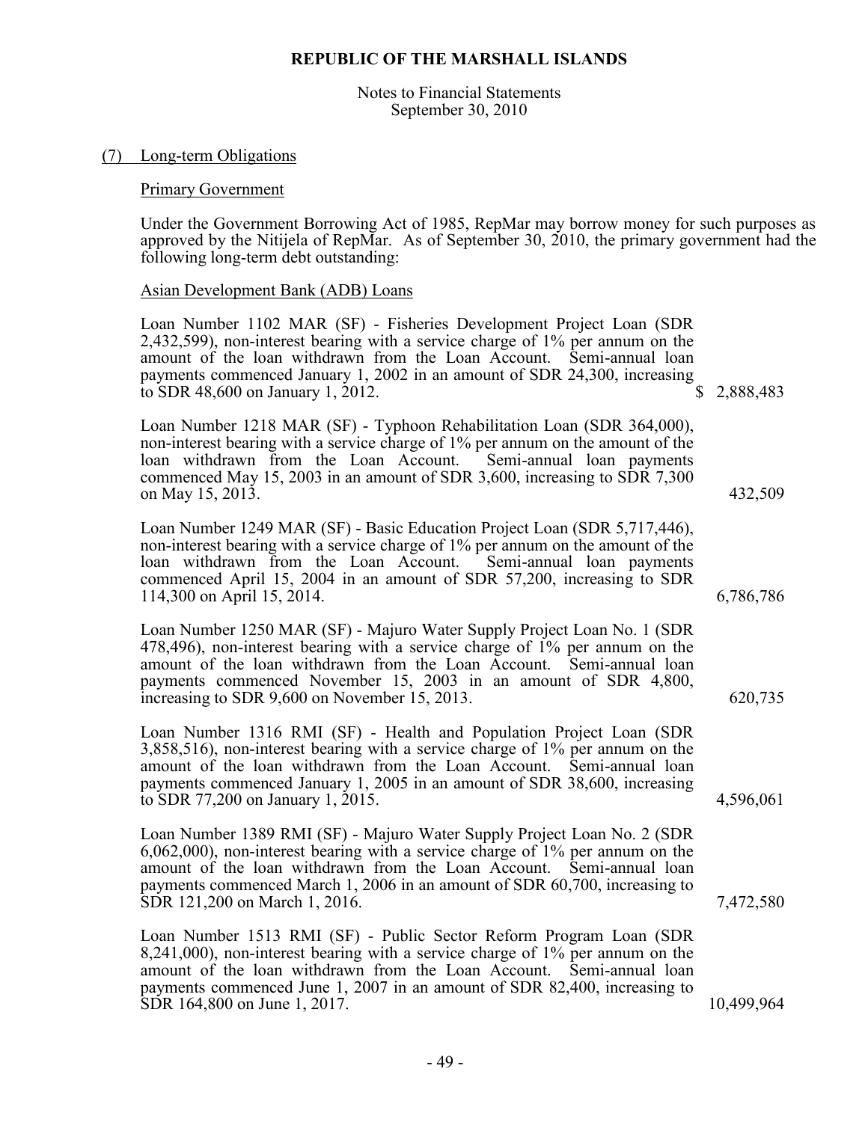Notes to Financial Statements September 30, 2010

#### (7) Long-term Obligations

# Primary Government

Under the Government Borrowing Act of 1985, RepMar may borrow money for such purposes as approved by the Nitijela of RepMar. As of September 30, 2010, the primary government had the following long-term debt outstanding:

# Asian Development Bank (ADB) Loans

| Loan Number 1102 MAR (SF) - Fisheries Development Project Loan (SDR<br>2,432,599), non-interest bearing with a service charge of 1% per annum on the<br>amount of the loan withdrawn from the Loan Account. Semi-annual loan<br>payments commenced January 1, 2002 in an amount of SDR 24,300, increasing<br>to SDR 48,600 on January 1, 2012.       | 2,888,483  |
|------------------------------------------------------------------------------------------------------------------------------------------------------------------------------------------------------------------------------------------------------------------------------------------------------------------------------------------------------|------------|
| Loan Number 1218 MAR (SF) - Typhoon Rehabilitation Loan (SDR 364,000),<br>non-interest bearing with a service charge of 1% per annum on the amount of the<br>loan withdrawn from the Loan Account. Semi-annual loan payments<br>commenced May 15, 2003 in an amount of SDR 3,600, increasing to SDR 7,300<br>on May 15, 2013.                        | 432,509    |
| Loan Number 1249 MAR (SF) - Basic Education Project Loan (SDR 5,717,446),<br>non-interest bearing with a service charge of 1% per annum on the amount of the<br>Semi-annual loan payments<br>loan withdrawn from the Loan Account.<br>commenced April 15, 2004 in an amount of SDR 57,200, increasing to SDR<br>114,300 on April 15, 2014.           | 6,786,786  |
| Loan Number 1250 MAR (SF) - Majuro Water Supply Project Loan No. 1 (SDR<br>478,496), non-interest bearing with a service charge of 1% per annum on the<br>amount of the loan withdrawn from the Loan Account. Semi-annual loan<br>payments commenced November 15, 2003 in an amount of SDR 4,800,<br>increasing to SDR 9,600 on November 15, 2013.   | 620,735    |
| Loan Number 1316 RMI (SF) - Health and Population Project Loan (SDR<br>3,858,516), non-interest bearing with a service charge of 1% per annum on the<br>amount of the loan withdrawn from the Loan Account. Semi-annual loan<br>payments commenced January 1, 2005 in an amount of SDR 38,600, increasing<br>to SDR 77,200 on January 1, 2015.       | 4,596,061  |
| Loan Number 1389 RMI (SF) - Majuro Water Supply Project Loan No. 2 (SDR<br>$6,062,000$ , non-interest bearing with a service charge of $1\%$ per annum on the<br>amount of the loan withdrawn from the Loan Account. Semi-annual loan<br>payments commenced March 1, 2006 in an amount of SDR 60,700, increasing to<br>SDR 121,200 on March 1, 2016. | 7,472,580  |
| Loan Number 1513 RMI (SF) - Public Sector Reform Program Loan (SDR<br>8,241,000), non-interest bearing with a service charge of 1% per annum on the<br>amount of the loan withdrawn from the Loan Account. Semi-annual loan<br>payments commenced June 1, 2007 in an amount of SDR 82,400, increasing to<br>SDR 164,800 on June 1, 2017.             | 10,499,964 |
|                                                                                                                                                                                                                                                                                                                                                      |            |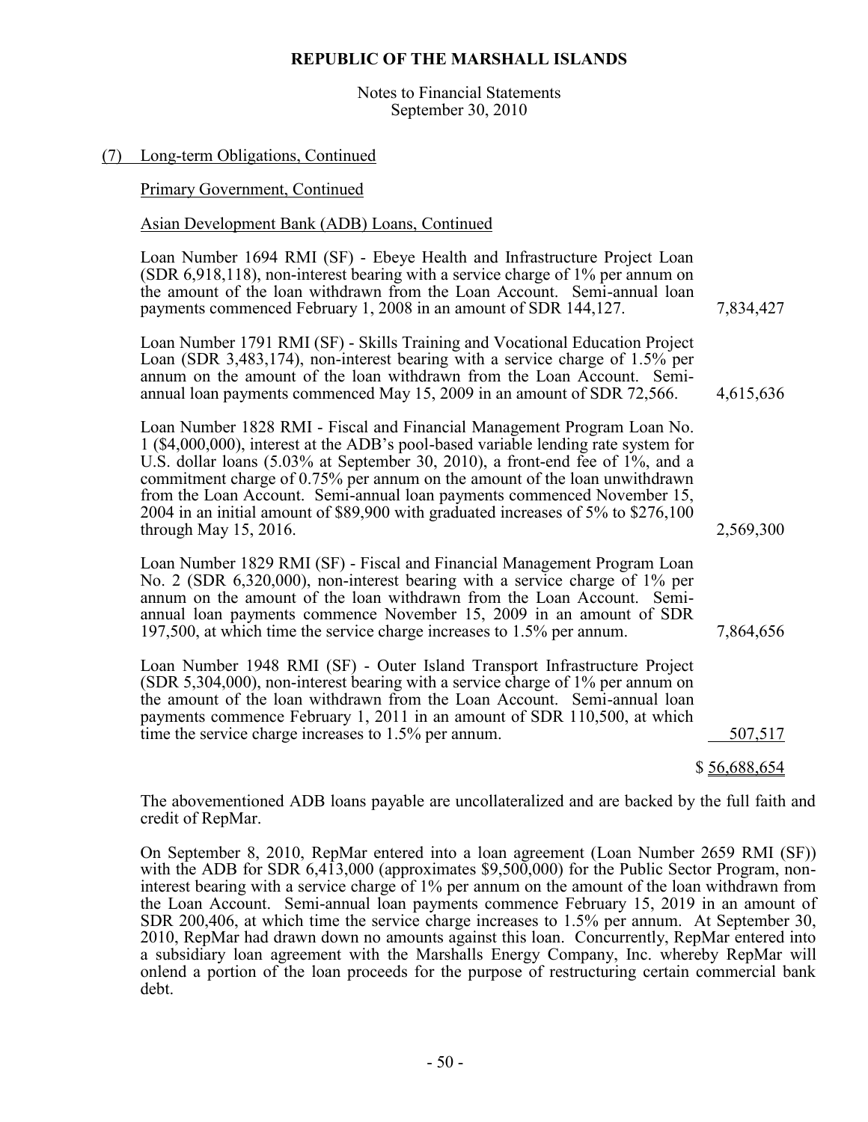Notes to Financial Statements September 30, 2010

#### (7) Long-term Obligations, Continued

#### Primary Government, Continued

#### Asian Development Bank (ADB) Loans, Continued

Loan Number 1694 RMI (SF) - Ebeye Health and Infrastructure Project Loan (SDR 6,918,118), non-interest bearing with a service charge of 1% per annum on the amount of the loan withdrawn from the Loan Account. Semi-annual loan payments commenced February 1, 2008 in an amount of SDR 144,127.  $7,834,427$ Loan Number 1791 RMI (SF) - Skills Training and Vocational Education Project Loan (SDR 3,483,174), non-interest bearing with a service charge of 1.5% per annum on the amount of the loan withdrawn from the Loan Account. Semiannual loan payments commenced May 15, 2009 in an amount of SDR 72,566. 4,615,636 Loan Number 1828 RMI - Fiscal and Financial Management Program Loan No. 1 (\$4,000,000), interest at the ADB's pool-based variable lending rate system for

U.S. dollar loans (5.03% at September 30, 2010), a front-end fee of 1%, and a commitment charge of 0.75% per annum on the amount of the loan unwithdrawn from the Loan Account. Semi-annual loan payments commenced November 15, 2004 in an initial amount of \$89,900 with graduated increases of 5% to \$276,100 through May 15, 2016. 2,569,300

Loan Number 1829 RMI (SF) - Fiscal and Financial Management Program Loan No. 2 (SDR 6,320,000), non-interest bearing with a service charge of 1% per annum on the amount of the loan withdrawn from the Loan Account. Semiannual loan payments commence November 15, 2009 in an amount of SDR 197,500, at which time the service charge increases to 1.5% per annum. 7,864,656

Loan Number 1948 RMI (SF) - Outer Island Transport Infrastructure Project (SDR 5,304,000), non-interest bearing with a service charge of 1% per annum on the amount of the loan withdrawn from the Loan Account. Semi-annual loan payments commence February 1, 2011 in an amount of SDR 110,500, at which time the service charge increases to 1.5% per annum. 507,517

\$ 56,688,654

The abovementioned ADB loans payable are uncollateralized and are backed by the full faith and credit of RepMar.

On September 8, 2010, RepMar entered into a loan agreement (Loan Number 2659 RMI (SF)) with the ADB for SDR 6,413,000 (approximates \$9,500,000) for the Public Sector Program, noninterest bearing with a service charge of 1% per annum on the amount of the loan withdrawn from the Loan Account. Semi-annual loan payments commence February 15, 2019 in an amount of SDR 200,406, at which time the service charge increases to 1.5% per annum. At September 30, 2010, RepMar had drawn down no amounts against this loan. Concurrently, RepMar entered into a subsidiary loan agreement with the Marshalls Energy Company, Inc. whereby RepMar will onlend a portion of the loan proceeds for the purpose of restructuring certain commercial bank debt.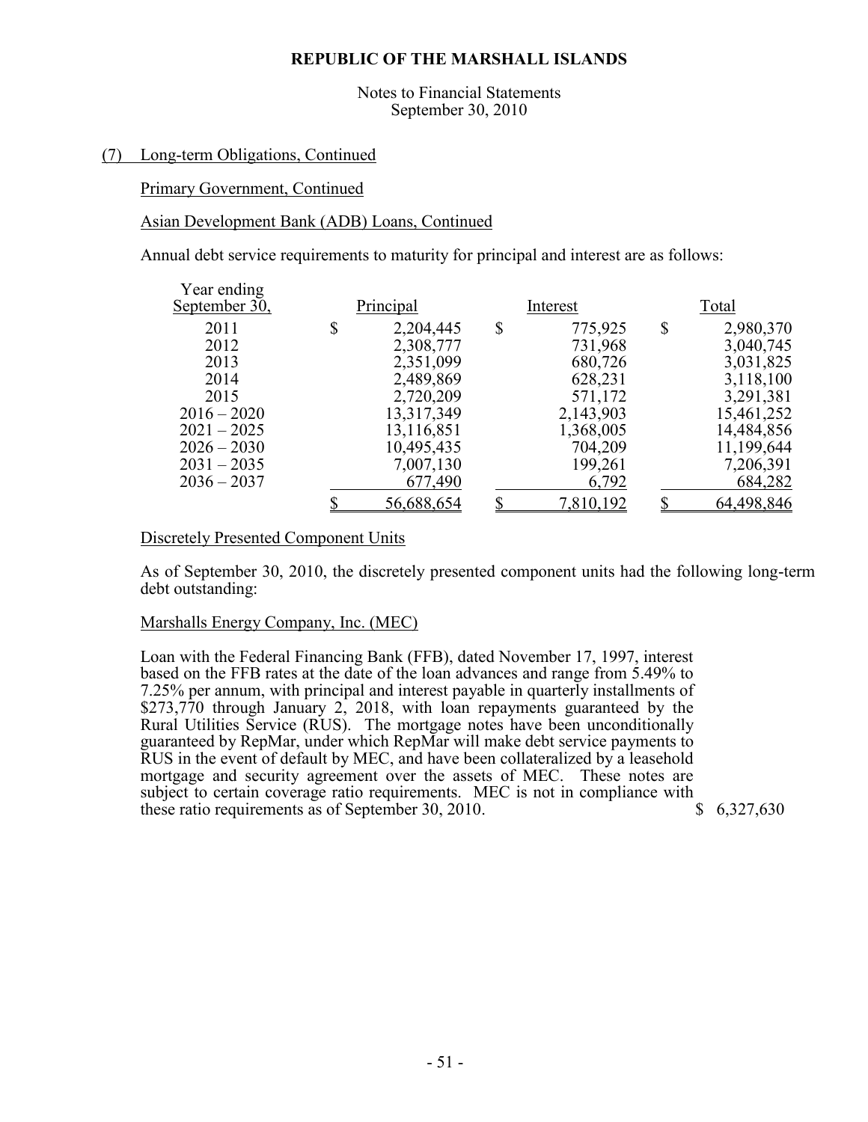Notes to Financial Statements September 30, 2010

# (7) Long-term Obligations, Continued

#### Primary Government, Continued

### Asian Development Bank (ADB) Loans, Continued

Annual debt service requirements to maturity for principal and interest are as follows:

| Year ending<br>September 30, | Principal |            | Interest |           |    | Total      |  |  |
|------------------------------|-----------|------------|----------|-----------|----|------------|--|--|
| 2011                         | \$        | 2,204,445  | \$       | 775,925   | \$ | 2,980,370  |  |  |
| 2012                         |           | 2,308,777  |          | 731,968   |    | 3,040,745  |  |  |
| 2013                         |           | 2,351,099  |          | 680,726   |    | 3,031,825  |  |  |
| 2014                         |           | 2,489,869  |          | 628,231   |    | 3,118,100  |  |  |
| 2015                         |           | 2,720,209  |          | 571,172   |    | 3,291,381  |  |  |
| $2016 - 2020$                |           | 13,317,349 |          | 2,143,903 |    | 15,461,252 |  |  |
| $2021 - 2025$                |           | 13,116,851 |          | 1,368,005 |    | 14,484,856 |  |  |
| $2026 - 2030$                |           | 10,495,435 |          | 704,209   |    | 11,199,644 |  |  |
| $2031 - 2035$                |           | 7,007,130  |          | 199,261   |    | 7,206,391  |  |  |
| $2036 - 2037$                |           | 677,490    |          | 6,792     |    | 684,282    |  |  |
|                              |           | 56,688,654 |          | 7,810,192 |    | 64,498,846 |  |  |

### Discretely Presented Component Units

As of September 30, 2010, the discretely presented component units had the following long-term debt outstanding:

#### Marshalls Energy Company, Inc. (MEC)

Loan with the Federal Financing Bank (FFB), dated November 17, 1997, interest based on the FFB rates at the date of the loan advances and range from 5.49% to 7.25% per annum, with principal and interest payable in quarterly installments of \$273,770 through January 2, 2018, with loan repayments guaranteed by the Rural Utilities Service (RUS). The mortgage notes have been unconditionally guaranteed by RepMar, under which RepMar will make debt service payments to RUS in the event of default by MEC, and have been collateralized by a leasehold mortgage and security agreement over the assets of MEC. These notes are subject to certain coverage ratio requirements. MEC is not in compliance with<br>these ratio requirements as of September 30, 2010. \$6,327,630 these ratio requirements as of September 30, 2010.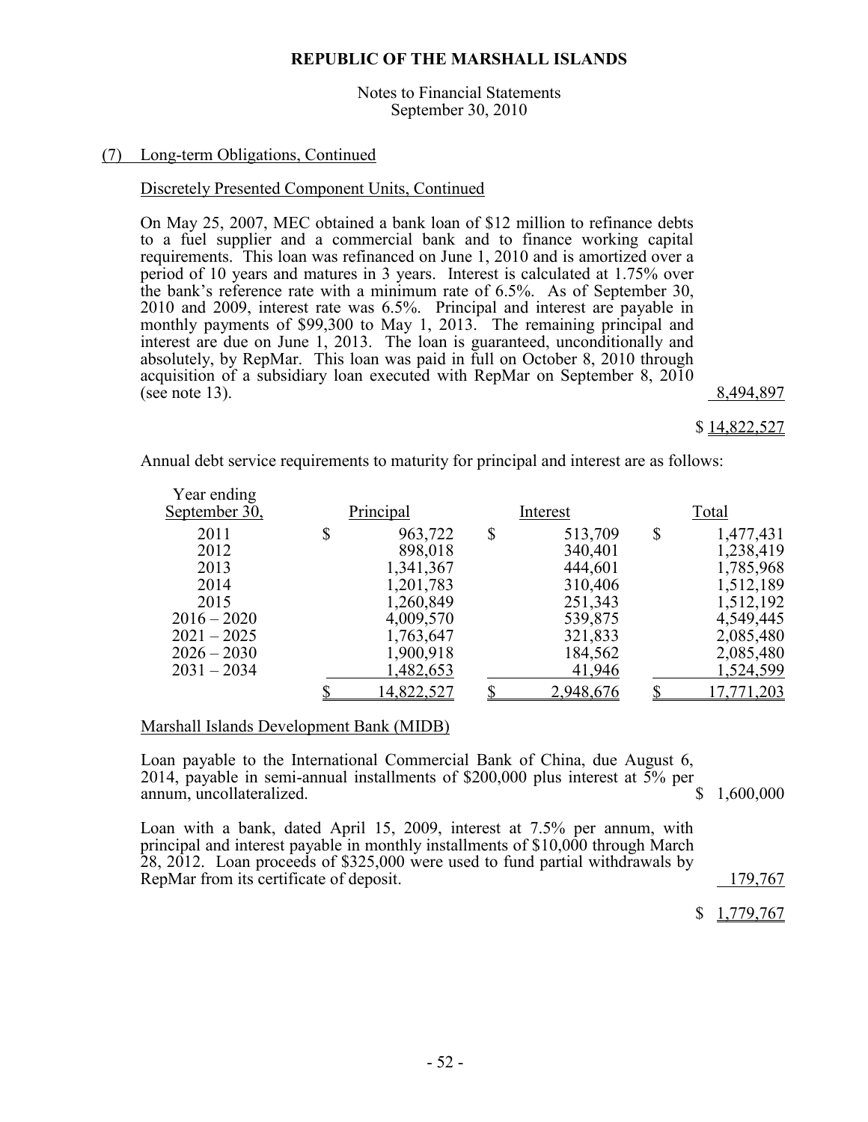Notes to Financial Statements September 30, 2010

#### (7) Long-term Obligations, Continued

#### Discretely Presented Component Units, Continued

On May 25, 2007, MEC obtained a bank loan of \$12 million to refinance debts to a fuel supplier and a commercial bank and to finance working capital requirements. This loan was refinanced on June 1, 2010 and is amortized over a period of 10 years and matures in 3 years. Interest is calculated at 1.75% over the bank's reference rate with a minimum rate of 6.5%. As of September 30, 2010 and 2009, interest rate was 6.5%. Principal and interest are payable in monthly payments of \$99,300 to May 1, 2013. The remaining principal and interest are due on June 1, 2013. The loan is guaranteed, unconditionally and absolutely, by RepMar. This loan was paid in full on October 8, 2010 through acquisition of a subsidiary loan executed with RepMar on September 8, 2010 (see note 13). 8,494,897

#### \$ 14,822,527

Annual debt service requirements to maturity for principal and interest are as follows:

| Year ending<br>September 30, | Principal     |    | Interest  | Total             |
|------------------------------|---------------|----|-----------|-------------------|
| 2011                         | \$<br>963,722 | \$ | 513,709   | \$<br>1,477,431   |
| 2012                         | 898,018       |    | 340,401   | 1,238,419         |
| 2013                         | 1,341,367     |    | 444,601   | 1,785,968         |
| 2014                         | 1,201,783     |    | 310,406   | 1,512,189         |
| 2015                         | 1,260,849     |    | 251,343   | 1,512,192         |
| $2016 - 2020$                | 4,009,570     |    | 539,875   | 4,549,445         |
| $2021 - 2025$                | 1,763,647     |    | 321,833   | 2,085,480         |
| $2026 - 2030$                | 1,900,918     |    | 184,562   | 2,085,480         |
| $2031 - 2034$                | 1,482,653     |    | 41,946    | 1,524,599         |
|                              | 14,822,527    | σ  | 2,948,676 | <u>17,771,203</u> |
|                              |               |    |           |                   |

#### Marshall Islands Development Bank (MIDB)

Loan payable to the International Commercial Bank of China, due August 6, 2014, payable in semi-annual installments of \$200,000 plus interest at 5% per annum, uncollateralized. \$1,600,000 annum, uncollateralized.

Loan with a bank, dated April 15, 2009, interest at 7.5% per annum, with principal and interest payable in monthly installments of \$10,000 through March 28, 2012. Loan proceeds of \$325,000 were used to fund partial withdrawals by RepMar from its certificate of deposit. 179,767

\$ 1,779,767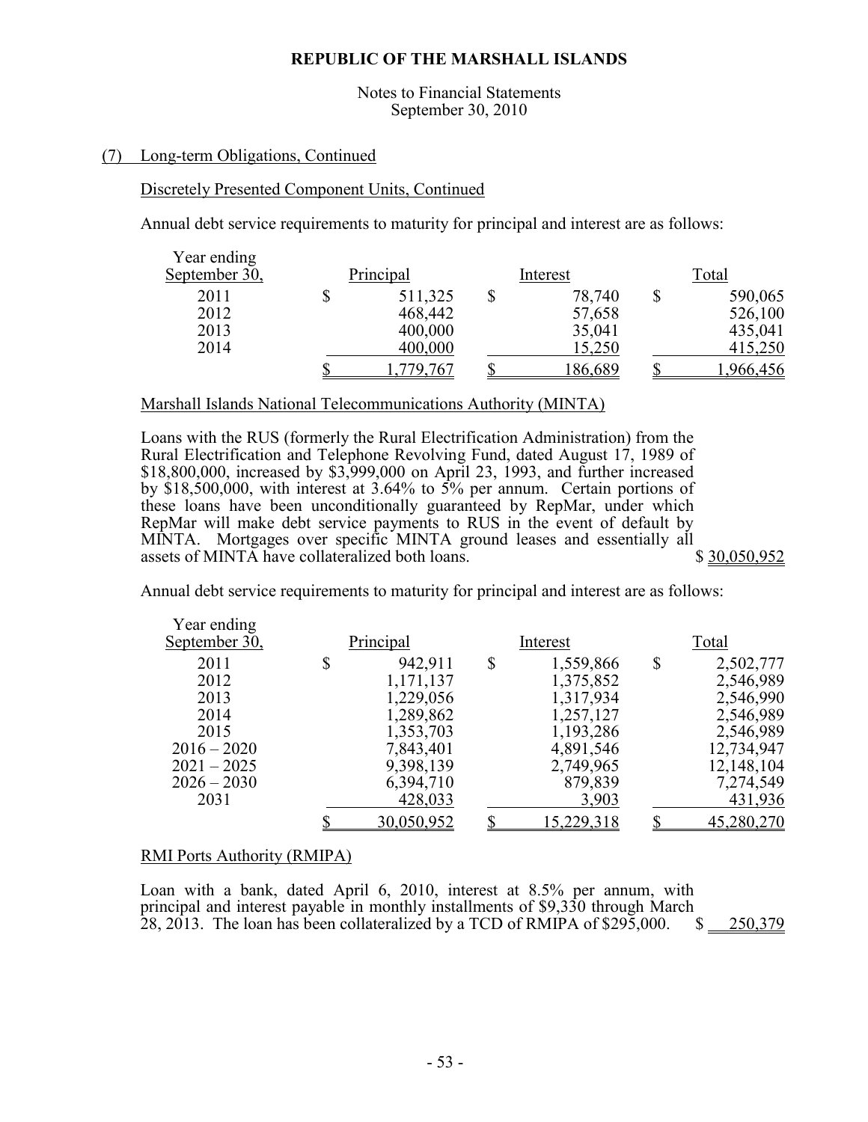Notes to Financial Statements September 30, 2010

### (7) Long-term Obligations, Continued

#### Discretely Presented Component Units, Continued

Annual debt service requirements to maturity for principal and interest are as follows:

| Year ending   |           |          |         |           |          |       |
|---------------|-----------|----------|---------|-----------|----------|-------|
| September 30, | Principal |          |         |           | Interest | Total |
| 2011          |           | 511,325  | 78,740  | 590,065   |          |       |
| 2012          |           | 468,442  | 57,658  | 526,100   |          |       |
| 2013          |           | 400,000  | 35,041  | 435,041   |          |       |
| 2014          |           | 400,000  | 15,250  | 415,250   |          |       |
|               |           | .779.767 | 186,689 | 1,966,456 |          |       |

#### Marshall Islands National Telecommunications Authority (MINTA)

Loans with the RUS (formerly the Rural Electrification Administration) from the Rural Electrification and Telephone Revolving Fund, dated August 17, 1989 of \$18,800,000, increased by \$3,999,000 on April 23, 1993, and further increased by  $$18,500,000$ , with interest at 3.64% to  $5\%$  per annum. Certain portions of these loans have been unconditionally guaranteed by RepMar, under which RepMar will make debt service payments to RUS in the event of default by MINTA. Mortgages over specific MINTA ground leases and essentially all<br>assets of MINTA have collateralized both loans assets of MINTA have collateralized both loans.

Annual debt service requirements to maturity for principal and interest are as follows:

| Year ending<br>September 30, | Principal |            | Interest        |    | Total      |  |  |
|------------------------------|-----------|------------|-----------------|----|------------|--|--|
| 2011                         | \$        | 942,911    | \$<br>1,559,866 | \$ | 2,502,777  |  |  |
| 2012                         |           | 1,171,137  | 1,375,852       |    | 2,546,989  |  |  |
| 2013                         |           | 1,229,056  | 1,317,934       |    | 2,546,990  |  |  |
| 2014                         |           | 1,289,862  | 1,257,127       |    | 2,546,989  |  |  |
| 2015                         |           | 1,353,703  | 1,193,286       |    | 2,546,989  |  |  |
| $2016 - 2020$                |           | 7,843,401  | 4,891,546       |    | 12,734,947 |  |  |
| $2021 - 2025$                |           | 9,398,139  | 2,749,965       |    | 12,148,104 |  |  |
| $2026 - 2030$                |           | 6,394,710  | 879,839         |    | 7,274,549  |  |  |
| 2031                         |           | 428,033    | 3,903           |    | 431,936    |  |  |
|                              |           | 30,050,952 | 15,229,318      |    | 45,280,270 |  |  |
|                              |           |            |                 |    |            |  |  |

#### RMI Ports Authority (RMIPA)

Loan with a bank, dated April 6, 2010, interest at 8.5% per annum, with principal and interest payable in monthly installments of \$9,330 through March 28, 2013. The loan has been collateralized by a TCD of RMIPA of \$295,000. \$ 250,379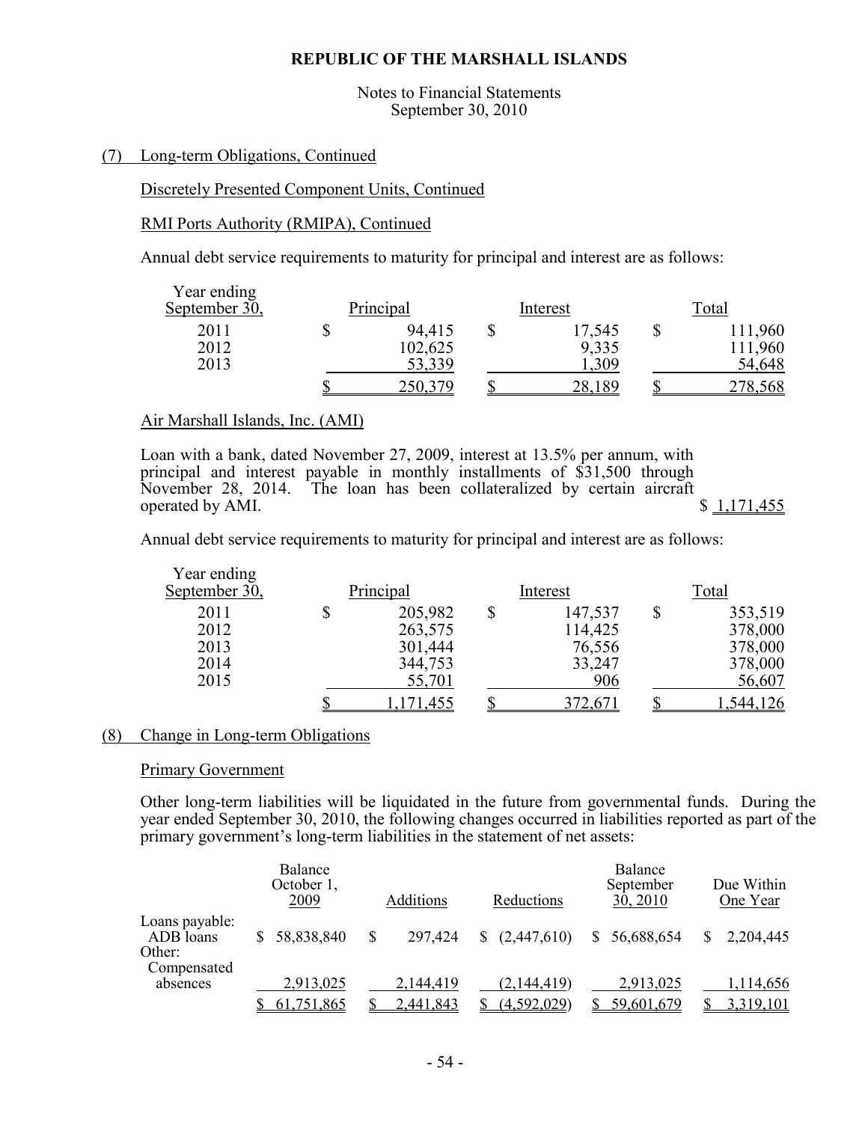Notes to Financial Statements September 30, 2010

#### (7) Long-term Obligations, Continued

#### Discretely Presented Component Units, Continued

#### RMI Ports Authority (RMIPA), Continued

Annual debt service requirements to maturity for principal and interest are as follows:

| Year ending<br>September 30, | Principal |                             | Interest |                         |  | Total                        |  |  |
|------------------------------|-----------|-----------------------------|----------|-------------------------|--|------------------------------|--|--|
| 2011<br>2012<br>2013         |           | 94,415<br>102,625<br>53,339 |          | 17,545<br>9,335<br>,309 |  | 111,960<br>111,960<br>54,648 |  |  |
|                              |           | 250,379                     |          | 28,189                  |  | 278,568                      |  |  |

### Air Marshall Islands, Inc. (AMI)

Loan with a bank, dated November 27, 2009, interest at 13.5% per annum, with principal and interest payable in monthly installments of \$31,500 through November 28, 2014. The loan has been collateralized by certain aircraft<br>operated by AMI. \$1.171.455 operated by AMI.

Annual debt service requirements to maturity for principal and interest are as follows:

| Year ending<br>September 30, | Principal |  | Interest | Total     |
|------------------------------|-----------|--|----------|-----------|
| 2011                         | 205,982   |  | 147,537  | 353,519   |
| 2012                         | 263,575   |  | 114,425  | 378,000   |
| 2013                         | 301,444   |  | 76,556   | 378,000   |
| 2014                         | 344,753   |  | 33,247   | 378,000   |
| 2015                         | 55,701    |  | 906      | 56,607    |
|                              | 71,455    |  | 372,67   | 1,544,126 |

# (8) Change in Long-term Obligations

#### Primary Government

Other long-term liabilities will be liquidated in the future from governmental funds. During the year ended September 30, 2010, the following changes occurred in liabilities reported as part of the primary government's long-term liabilities in the statement of net assets:

|                                       | <b>Balance</b><br>October 1,<br>2009 | Additions              | Reductions                 | <b>Balance</b><br>September<br>30, 2010 | Due Within<br>One Year |
|---------------------------------------|--------------------------------------|------------------------|----------------------------|-----------------------------------------|------------------------|
| Loans payable:<br>ADB loans<br>Other: | \$58,838,840                         | 297,424                | $\frac{(2,447,610)}{2}$    | \$56,688,654                            | 2,204,445              |
| Compensated<br>absences               | 2,913,025<br>61,751,865              | 2,144,419<br>2,441,843 | (2,144,419)<br>(4,592,029) | 2,913,025<br>59,601,679                 | 1,114,656<br>3.319.101 |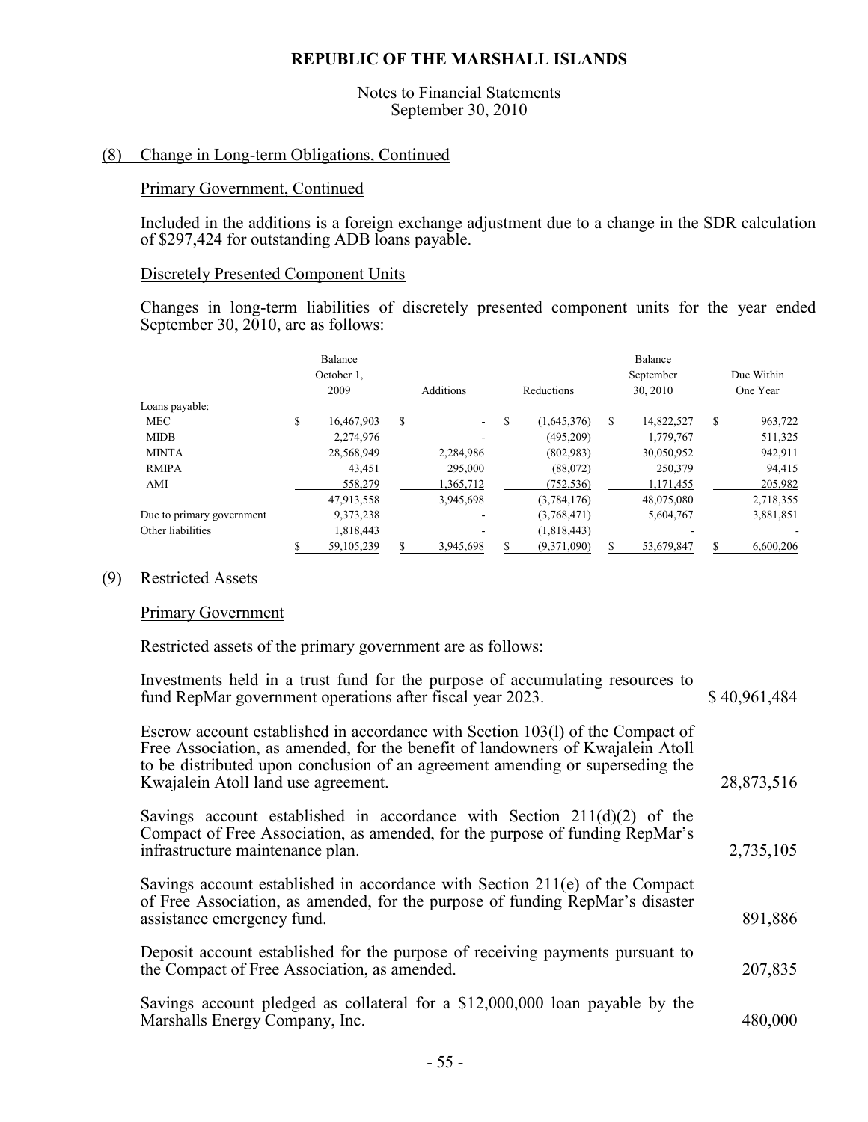#### Notes to Financial Statements September 30, 2010

### (8) Change in Long-term Obligations, Continued

### Primary Government, Continued

Included in the additions is a foreign exchange adjustment due to a change in the SDR calculation of \$297,424 for outstanding ADB loans payable.

#### Discretely Presented Component Units

Changes in long-term liabilities of discretely presented component units for the year ended September 30, 2010, are as follows:

|                           |   | <b>Balance</b><br>October 1,<br>2009 |   | <b>Additions</b> | Reductions        | Balance<br>September<br>30, 2010 | Due Within<br>One Year |           |
|---------------------------|---|--------------------------------------|---|------------------|-------------------|----------------------------------|------------------------|-----------|
| Loans payable:            |   |                                      |   |                  |                   |                                  |                        |           |
| <b>MEC</b>                | S | 16,467,903                           | S | $\sim$           | \$<br>(1,645,376) | \$<br>14,822,527                 | \$                     | 963,722   |
| <b>MIDB</b>               |   | 2,274,976                            |   |                  | (495, 209)        | 1,779,767                        |                        | 511,325   |
| <b>MINTA</b>              |   | 28,568,949                           |   | 2,284,986        | (802,983)         | 30,050,952                       |                        | 942,911   |
| <b>RMIPA</b>              |   | 43,451                               |   | 295,000          | (88,072)          | 250,379                          |                        | 94,415    |
| AMI                       |   | 558,279                              |   | 1,365,712        | (752, 536)        | 1,171,455                        |                        | 205,982   |
|                           |   | 47,913,558                           |   | 3,945,698        | (3,784,176)       | 48,075,080                       |                        | 2,718,355 |
| Due to primary government |   | 9,373,238                            |   |                  | (3,768,471)       | 5,604,767                        |                        | 3,881,851 |
| Other liabilities         |   | 1,818,443                            |   |                  | (1,818,443)       |                                  |                        |           |
|                           |   | 59.105.239                           |   | 3.945.698        | (9.371.090)       | 53.679.847                       |                        | 6.600.206 |

#### (9) Restricted Assets

#### Primary Government

Restricted assets of the primary government are as follows:

| Investments held in a trust fund for the purpose of accumulating resources to<br>fund RepMar government operations after fiscal year 2023.                                                                                                                                               | \$40,961,484 |
|------------------------------------------------------------------------------------------------------------------------------------------------------------------------------------------------------------------------------------------------------------------------------------------|--------------|
| Escrow account established in accordance with Section 103(1) of the Compact of<br>Free Association, as amended, for the benefit of landowners of Kwajalein Atoll<br>to be distributed upon conclusion of an agreement amending or superseding the<br>Kwajalein Atoll land use agreement. | 28,873,516   |
| Savings account established in accordance with Section $211(d)(2)$ of the<br>Compact of Free Association, as amended, for the purpose of funding RepMar's<br>infrastructure maintenance plan.                                                                                            | 2,735,105    |
| Savings account established in accordance with Section 211(e) of the Compact<br>of Free Association, as amended, for the purpose of funding RepMar's disaster<br>assistance emergency fund.                                                                                              | 891,886      |
| Deposit account established for the purpose of receiving payments pursuant to<br>the Compact of Free Association, as amended.                                                                                                                                                            | 207,835      |
| Savings account pledged as collateral for a \$12,000,000 loan payable by the<br>Marshalls Energy Company, Inc.                                                                                                                                                                           | 480,000      |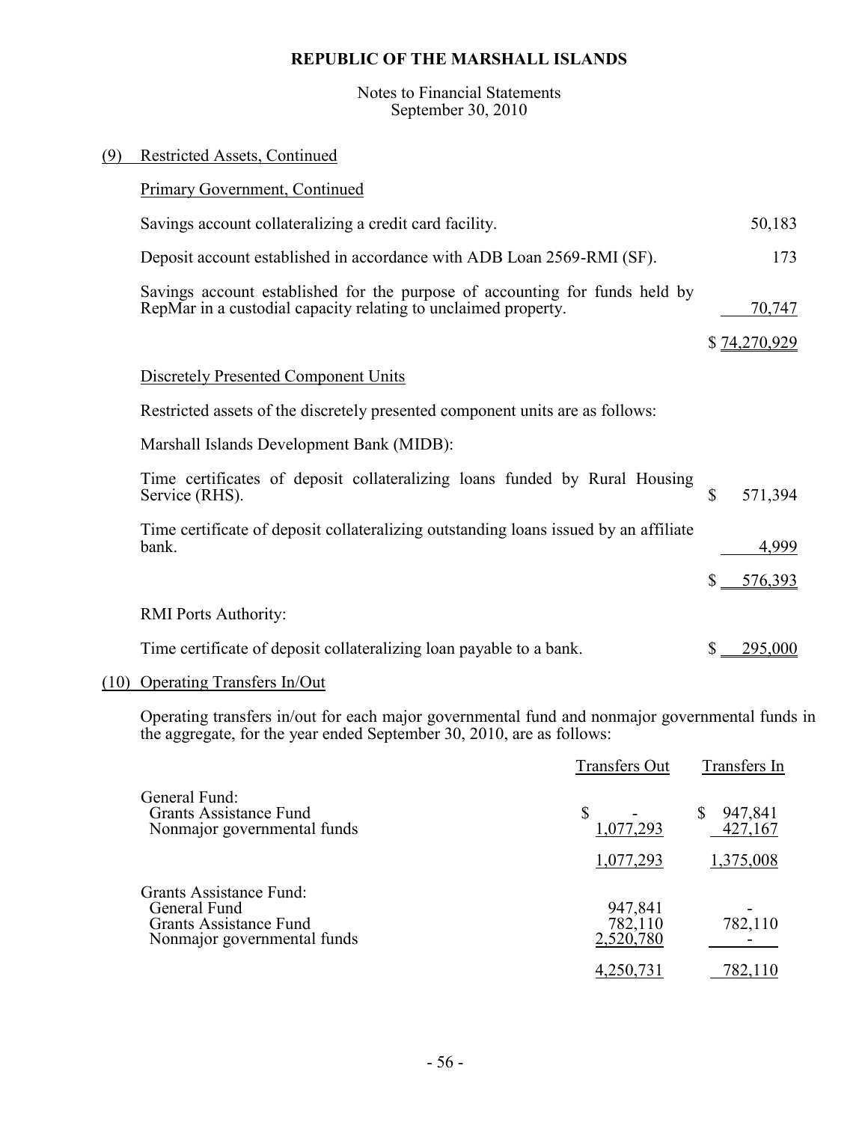### Notes to Financial Statements September 30, 2010

| (9) | <b>Restricted Assets, Continued</b>                                                                                                           |               |
|-----|-----------------------------------------------------------------------------------------------------------------------------------------------|---------------|
|     | <b>Primary Government, Continued</b>                                                                                                          |               |
|     | Savings account collateralizing a credit card facility.                                                                                       | 50,183        |
|     | Deposit account established in accordance with ADB Loan 2569-RMI (SF).                                                                        | 173           |
|     | Savings account established for the purpose of accounting for funds held by<br>RepMar in a custodial capacity relating to unclaimed property. | 70,747        |
|     |                                                                                                                                               | \$74,270,929  |
|     | <b>Discretely Presented Component Units</b>                                                                                                   |               |
|     | Restricted assets of the discretely presented component units are as follows:                                                                 |               |
|     | Marshall Islands Development Bank (MIDB):                                                                                                     |               |
|     | Time certificates of deposit collateralizing loans funded by Rural Housing<br>Service (RHS).                                                  | \$<br>571,394 |
|     | Time certificate of deposit collateralizing outstanding loans issued by an affiliate<br>bank.                                                 | 4,999         |
|     |                                                                                                                                               | $$ -576,393$  |
|     | <b>RMI</b> Ports Authority:                                                                                                                   |               |
|     | Time certificate of deposit collateralizing loan payable to a bank.                                                                           | 295,000       |

# (10) Operating Transfers In/Out

Operating transfers in/out for each major governmental fund and nonmajor governmental funds in the aggregate, for the year ended September 30, 2010, are as follows:

|                                                                                                         | <b>Transfers Out</b>            | Transfers In            |
|---------------------------------------------------------------------------------------------------------|---------------------------------|-------------------------|
| General Fund:<br><b>Grants Assistance Fund</b><br>Nonmajor governmental funds                           | \$<br>1,077,293                 | 947,841<br>S<br>427,167 |
|                                                                                                         | 1,077,293                       | 1,375,008               |
| Grants Assistance Fund:<br>General Fund<br><b>Grants Assistance Fund</b><br>Nonmajor governmental funds | 947,841<br>782,110<br>2,520,780 | 782,110                 |
|                                                                                                         | 4,250,731                       | /82,110                 |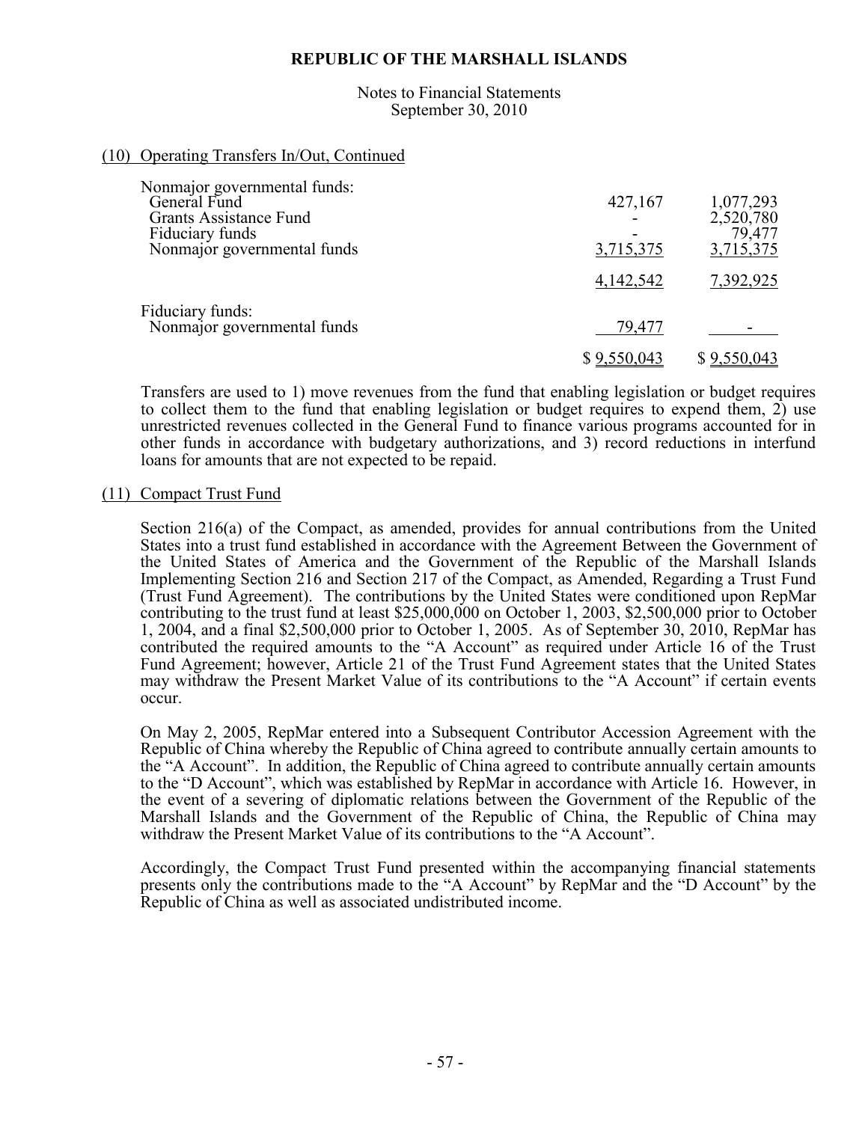Notes to Financial Statements September 30, 2010

#### (10) Operating Transfers In/Out, Continued

| Nonmajor governmental funds:                    |             |             |
|-------------------------------------------------|-------------|-------------|
| General Fund                                    | 427,167     | 1,077,293   |
| <b>Grants Assistance Fund</b>                   |             | 2,520,780   |
| Fiduciary funds                                 |             | 79,477      |
| Nonmajor governmental funds                     | 3,715,375   | 3,715,375   |
|                                                 | 4,142,542   | 7,392,925   |
|                                                 |             |             |
| Fiduciary funds:<br>Nonmajor governmental funds | 79,477      |             |
|                                                 | \$9,550,043 | \$9,550,043 |

Transfers are used to 1) move revenues from the fund that enabling legislation or budget requires to collect them to the fund that enabling legislation or budget requires to expend them, 2) use unrestricted revenues collected in the General Fund to finance various programs accounted for in other funds in accordance with budgetary authorizations, and 3) record reductions in interfund loans for amounts that are not expected to be repaid.

#### (11) Compact Trust Fund

Section 216(a) of the Compact, as amended, provides for annual contributions from the United States into a trust fund established in accordance with the Agreement Between the Government of the United States of America and the Government of the Republic of the Marshall Islands Implementing Section 216 and Section 217 of the Compact, as Amended, Regarding a Trust Fund (Trust Fund Agreement). The contributions by the United States were conditioned upon RepMar contributing to the trust fund at least \$25,000,000 on October 1, 2003, \$2,500,000 prior to October 1, 2004, and a final \$2,500,000 prior to October 1, 2005. As of September 30, 2010, RepMar has contributed the required amounts to the "A Account" as required under Article 16 of the Trust Fund Agreement; however, Article 21 of the Trust Fund Agreement states that the United States may withdraw the Present Market Value of its contributions to the "A Account" if certain events occur.

On May 2, 2005, RepMar entered into a Subsequent Contributor Accession Agreement with the Republic of China whereby the Republic of China agreed to contribute annually certain amounts to the "A Account". In addition, the Republic of China agreed to contribute annually certain amounts to the "D Account", which was established by RepMar in accordance with Article 16. However, in the event of a severing of diplomatic relations between the Government of the Republic of the Marshall Islands and the Government of the Republic of China, the Republic of China may withdraw the Present Market Value of its contributions to the "A Account".

Accordingly, the Compact Trust Fund presented within the accompanying financial statements presents only the contributions made to the "A Account" by RepMar and the "D Account" by the Republic of China as well as associated undistributed income.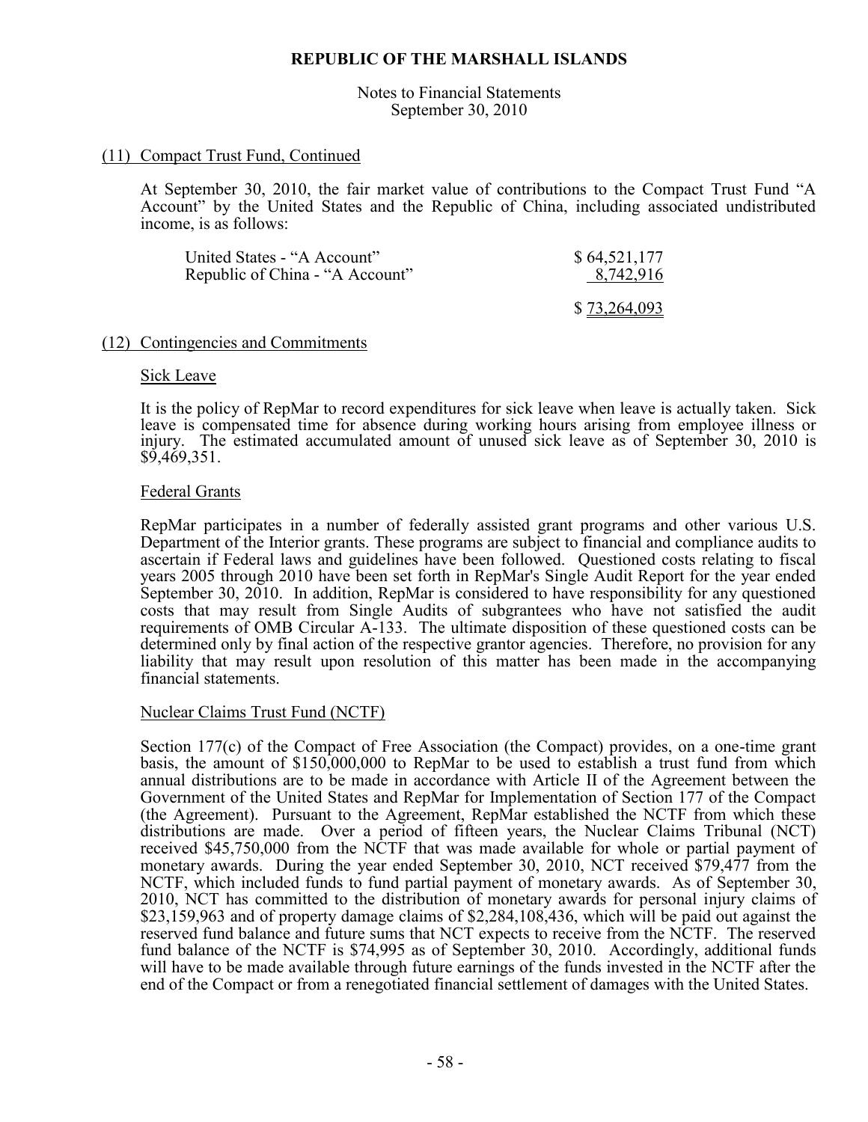Notes to Financial Statements September 30, 2010

### (11) Compact Trust Fund, Continued

At September 30, 2010, the fair market value of contributions to the Compact Trust Fund "A Account" by the United States and the Republic of China, including associated undistributed income, is as follows:

| United States - "A Account"     | \$64,521,177 |
|---------------------------------|--------------|
| Republic of China - "A Account" | 8,742,916    |
|                                 | \$73,264,093 |

#### (12) Contingencies and Commitments

#### Sick Leave

It is the policy of RepMar to record expenditures for sick leave when leave is actually taken. Sick leave is compensated time for absence during working hours arising from employee illness or injury. The estimated accumulated amount of unused sick leave as of September 30, 2010 is \$9,469,351.

#### Federal Grants

RepMar participates in a number of federally assisted grant programs and other various U.S. Department of the Interior grants. These programs are subject to financial and compliance audits to ascertain if Federal laws and guidelines have been followed. Questioned costs relating to fiscal years 2005 through 2010 have been set forth in RepMar's Single Audit Report for the year ended September 30, 2010. In addition, RepMar is considered to have responsibility for any questioned costs that may result from Single Audits of subgrantees who have not satisfied the audit requirements of OMB Circular A-133. The ultimate disposition of these questioned costs can be determined only by final action of the respective grantor agencies. Therefore, no provision for any liability that may result upon resolution of this matter has been made in the accompanying financial statements.

#### Nuclear Claims Trust Fund (NCTF)

 Section 177(c) of the Compact of Free Association (the Compact) provides, on a one-time grant basis, the amount of \$150,000,000 to RepMar to be used to establish a trust fund from which annual distributions are to be made in accordance with Article II of the Agreement between the Government of the United States and RepMar for Implementation of Section 177 of the Compact (the Agreement). Pursuant to the Agreement, RepMar established the NCTF from which these distributions are made. Over a period of fifteen years, the Nuclear Claims Tribunal (NCT) received \$45,750,000 from the NCTF that was made available for whole or partial payment of monetary awards. During the year ended September 30, 2010, NCT received \$79,477 from the NCTF, which included funds to fund partial payment of monetary awards. As of September 30, 2010, NCT has committed to the distribution of monetary awards for personal injury claims of \$23,159,963 and of property damage claims of \$2,284,108,436, which will be paid out against the reserved fund balance and future sums that NCT expects to receive from the NCTF. The reserved fund balance of the NCTF is \$74,995 as of September 30, 2010. Accordingly, additional funds will have to be made available through future earnings of the funds invested in the NCTF after the end of the Compact or from a renegotiated financial settlement of damages with the United States.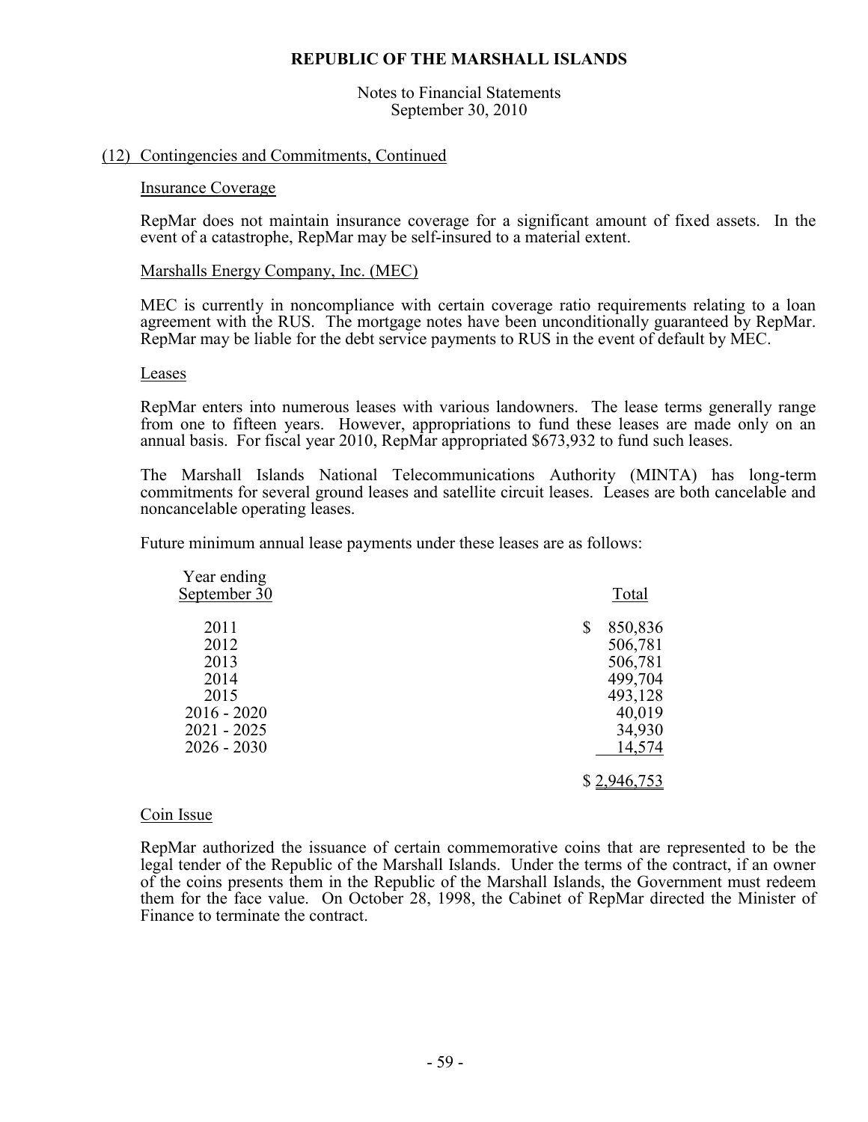Notes to Financial Statements September 30, 2010

### (12) Contingencies and Commitments, Continued

#### Insurance Coverage

RepMar does not maintain insurance coverage for a significant amount of fixed assets. In the event of a catastrophe, RepMar may be self-insured to a material extent.

#### Marshalls Energy Company, Inc. (MEC)

MEC is currently in noncompliance with certain coverage ratio requirements relating to a loan agreement with the RUS. The mortgage notes have been unconditionally guaranteed by RepMar. RepMar may be liable for the debt service payments to RUS in the event of default by MEC.

#### Leases

RepMar enters into numerous leases with various landowners. The lease terms generally range from one to fifteen years. However, appropriations to fund these leases are made only on an annual basis. For fiscal year 2010, RepMar appropriated \$673,932 to fund such leases.

The Marshall Islands National Telecommunications Authority (MINTA) has long-term commitments for several ground leases and satellite circuit leases. Leases are both cancelable and noncancelable operating leases.

Future minimum annual lease payments under these leases are as follows:

| Year ending<br>September 30 | Total         |
|-----------------------------|---------------|
| 2011                        | 850,836<br>\$ |
| 2012                        | 506,781       |
| 2013                        | 506,781       |
| 2014                        | 499,704       |
| 2015                        | 493,128       |
| $2016 - 2020$               | 40,019        |
| $2021 - 2025$               | 34,930        |
| $2026 - 2030$               | 14,574        |
|                             |               |

#### Coin Issue

RepMar authorized the issuance of certain commemorative coins that are represented to be the legal tender of the Republic of the Marshall Islands. Under the terms of the contract, if an owner of the coins presents them in the Republic of the Marshall Islands, the Government must redeem them for the face value. On October 28, 1998, the Cabinet of RepMar directed the Minister of Finance to terminate the contract.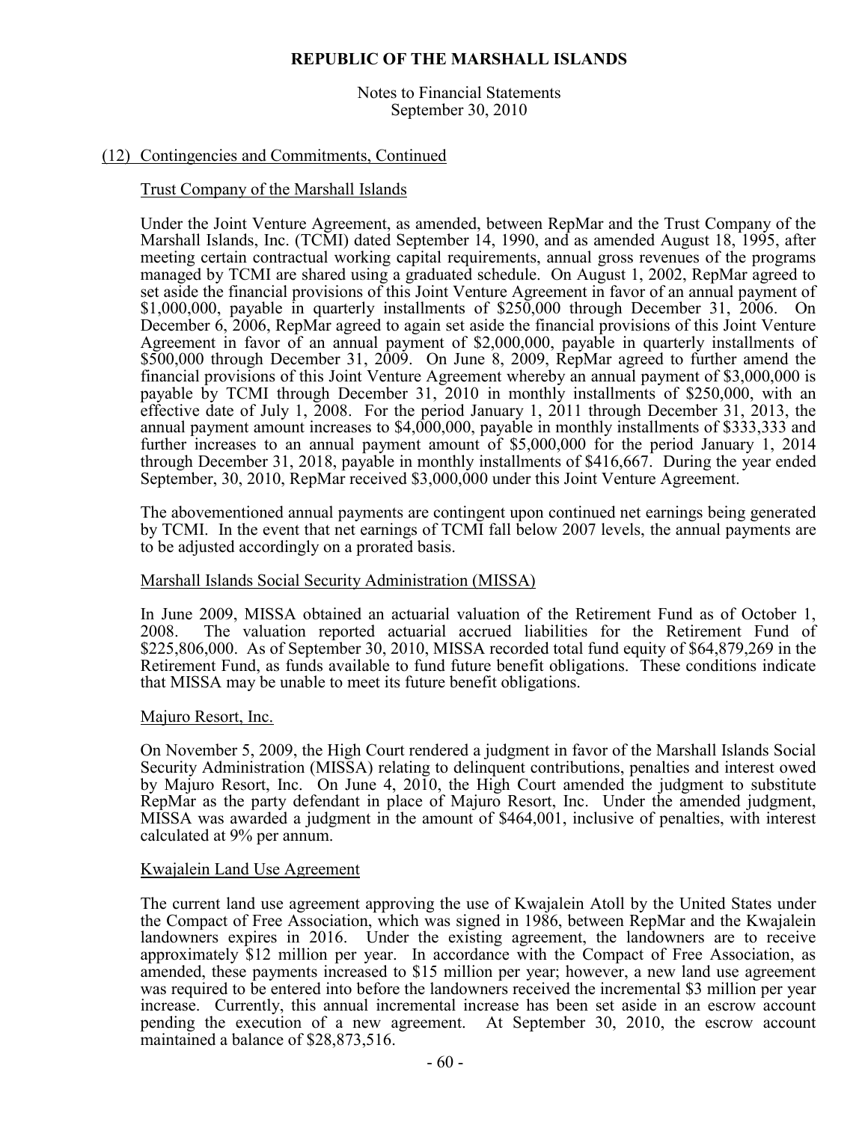Notes to Financial Statements September 30, 2010

### (12) Contingencies and Commitments, Continued

#### Trust Company of the Marshall Islands

Under the Joint Venture Agreement, as amended, between RepMar and the Trust Company of the Marshall Islands, Inc. (TCMI) dated September 14, 1990, and as amended August 18, 1995, after meeting certain contractual working capital requirements, annual gross revenues of the programs managed by TCMI are shared using a graduated schedule. On August 1, 2002, RepMar agreed to set aside the financial provisions of this Joint Venture Agreement in favor of an annual payment of  $$1,000,000$ , payable in quarterly installments of  $$250,000$  through December 31, 2006. On December 6, 2006, RepMar agreed to again set aside the financial provisions of this Joint Venture Agreement in favor of an annual payment of \$2,000,000, payable in quarterly installments of \$500,000 through December 31, 2009. On June 8, 2009, RepMar agreed to further amend the financial provisions of this Joint Venture Agreement whereby an annual payment of \$3,000,000 is payable by TCMI through December 31, 2010 in monthly installments of \$250,000, with an effective date of July 1, 2008. For the period January 1, 2011 through December 31, 2013, the annual payment amount increases to \$4,000,000, payable in monthly installments of \$333,333 and further increases to an annual payment amount of \$5,000,000 for the period January 1, 2014 through December 31, 2018, payable in monthly installments of \$416,667. During the year ended September, 30, 2010, RepMar received \$3,000,000 under this Joint Venture Agreement.

The abovementioned annual payments are contingent upon continued net earnings being generated by TCMI. In the event that net earnings of TCMI fall below 2007 levels, the annual payments are to be adjusted accordingly on a prorated basis.

#### Marshall Islands Social Security Administration (MISSA)

In June 2009, MISSA obtained an actuarial valuation of the Retirement Fund as of October 1, 2008. The valuation reported actuarial accrued liabilities for the Retirement Fund of \$225,806,000. As of September 30, 2010, MISSA recorded total fund equity of \$64,879,269 in the Retirement Fund, as funds available to fund future benefit obligations. These conditions indicate that MISSA may be unable to meet its future benefit obligations.

#### Majuro Resort, Inc.

On November 5, 2009, the High Court rendered a judgment in favor of the Marshall Islands Social Security Administration (MISSA) relating to delinquent contributions, penalties and interest owed by Majuro Resort, Inc. On June 4, 2010, the High Court amended the judgment to substitute RepMar as the party defendant in place of Majuro Resort, Inc. Under the amended judgment, MISSA was awarded a judgment in the amount of \$464,001, inclusive of penalties, with interest calculated at 9% per annum.

#### Kwajalein Land Use Agreement

The current land use agreement approving the use of Kwajalein Atoll by the United States under the Compact of Free Association, which was signed in 1986, between RepMar and the Kwajalein landowners expires in 2016. Under the existing agreement, the landowners are to receive approximately \$12 million per year. In accordance with the Compact of Free Association, as amended, these payments increased to \$15 million per year; however, a new land use agreement was required to be entered into before the landowners received the incremental \$3 million per year increase. Currently, this annual incremental increase has been set aside in an escrow account pending the execution of a new agreement. At September 30, 2010, the escrow account maintained a balance of \$28,873,516.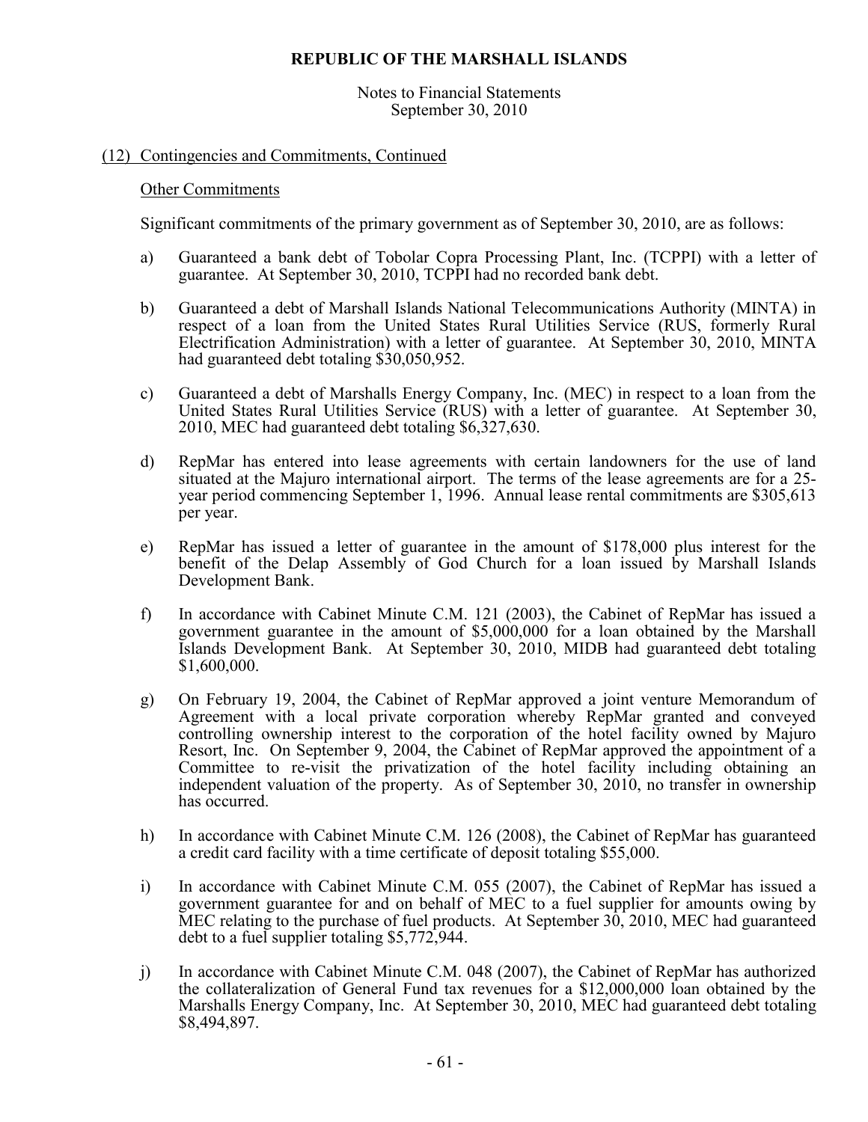Notes to Financial Statements September 30, 2010

### (12) Contingencies and Commitments, Continued

#### Other Commitments

Significant commitments of the primary government as of September 30, 2010, are as follows:

- a) Guaranteed a bank debt of Tobolar Copra Processing Plant, Inc. (TCPPI) with a letter of guarantee. At September 30, 2010, TCPPI had no recorded bank debt.
- b) Guaranteed a debt of Marshall Islands National Telecommunications Authority (MINTA) in respect of a loan from the United States Rural Utilities Service (RUS, formerly Rural Electrification Administration) with a letter of guarantee. At September 30, 2010, MINTA had guaranteed debt totaling \$30,050,952.
- c) Guaranteed a debt of Marshalls Energy Company, Inc. (MEC) in respect to a loan from the United States Rural Utilities Service (RUS) with a letter of guarantee. At September 30, 2010, MEC had guaranteed debt totaling \$6,327,630.
- d) RepMar has entered into lease agreements with certain landowners for the use of land situated at the Majuro international airport. The terms of the lease agreements are for a 25 year period commencing September 1, 1996. Annual lease rental commitments are \$305,613 per year.
- e) RepMar has issued a letter of guarantee in the amount of \$178,000 plus interest for the benefit of the Delap Assembly of God Church for a loan issued by Marshall Islands Development Bank.
- f) In accordance with Cabinet Minute C.M. 121 (2003), the Cabinet of RepMar has issued a government guarantee in the amount of \$5,000,000 for a loan obtained by the Marshall Islands Development Bank. At September 30, 2010, MIDB had guaranteed debt totaling \$1,600,000.
- g) On February 19, 2004, the Cabinet of RepMar approved a joint venture Memorandum of Agreement with a local private corporation whereby RepMar granted and conveyed controlling ownership interest to the corporation of the hotel facility owned by Majuro Resort, Inc. On September 9, 2004, the Cabinet of RepMar approved the appointment of a Committee to re-visit the privatization of the hotel facility including obtaining an independent valuation of the property. As of September 30, 2010, no transfer in ownership has occurred.
- h) In accordance with Cabinet Minute C.M. 126 (2008), the Cabinet of RepMar has guaranteed a credit card facility with a time certificate of deposit totaling \$55,000.
- i) In accordance with Cabinet Minute C.M. 055 (2007), the Cabinet of RepMar has issued a government guarantee for and on behalf of MEC to a fuel supplier for amounts owing by MEC relating to the purchase of fuel products. At September 30, 2010, MEC had guaranteed debt to a fuel supplier totaling \$5,772,944.
- j) In accordance with Cabinet Minute C.M. 048 (2007), the Cabinet of RepMar has authorized the collateralization of General Fund tax revenues for a \$12,000,000 loan obtained by the Marshalls Energy Company, Inc. At September 30, 2010, MEC had guaranteed debt totaling \$8,494,897.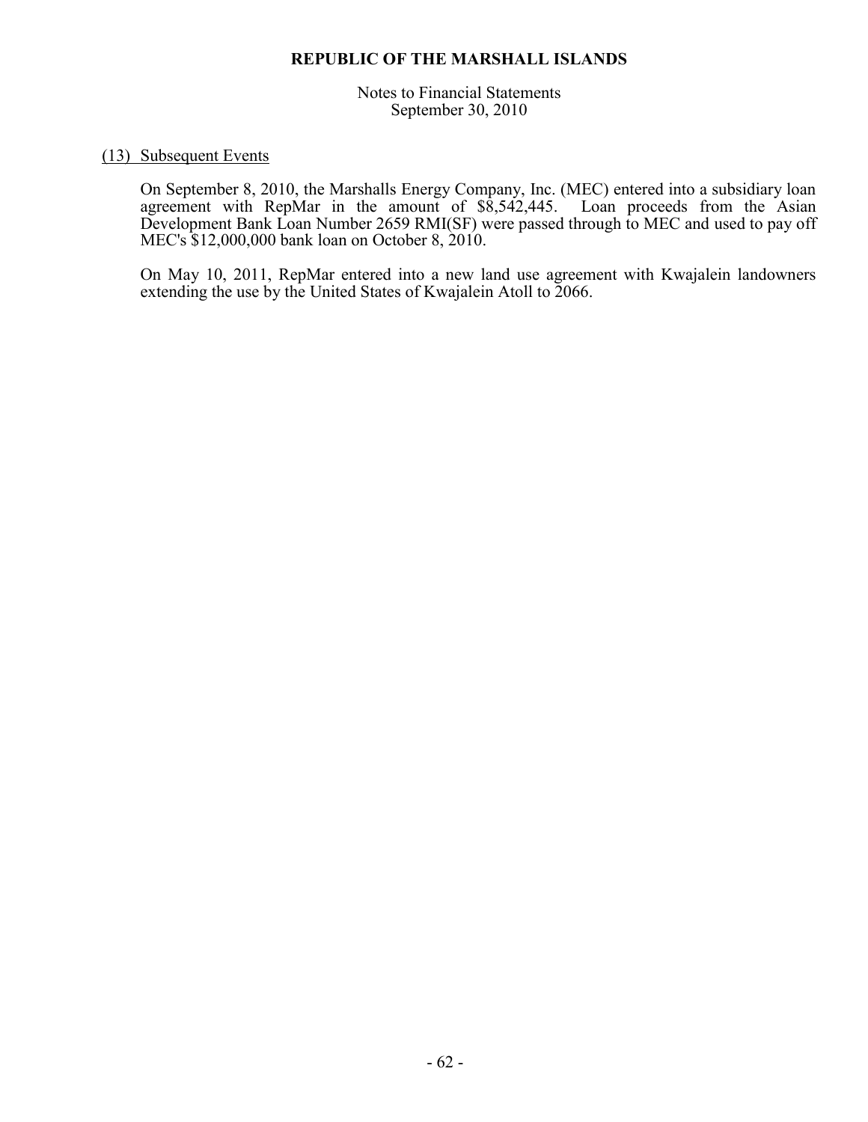Notes to Financial Statements September 30, 2010

#### (13) Subsequent Events

On September 8, 2010, the Marshalls Energy Company, Inc. (MEC) entered into a subsidiary loan agreement with RepMar in the amount of \$8,542,445. Loan proceeds from the Asian Development Bank Loan Number 2659 RMI(SF) were passed through to MEC and used to pay off MEC's \$12,000,000 bank loan on October 8, 2010.

On May 10, 2011, RepMar entered into a new land use agreement with Kwajalein landowners extending the use by the United States of Kwajalein Atoll to 2066.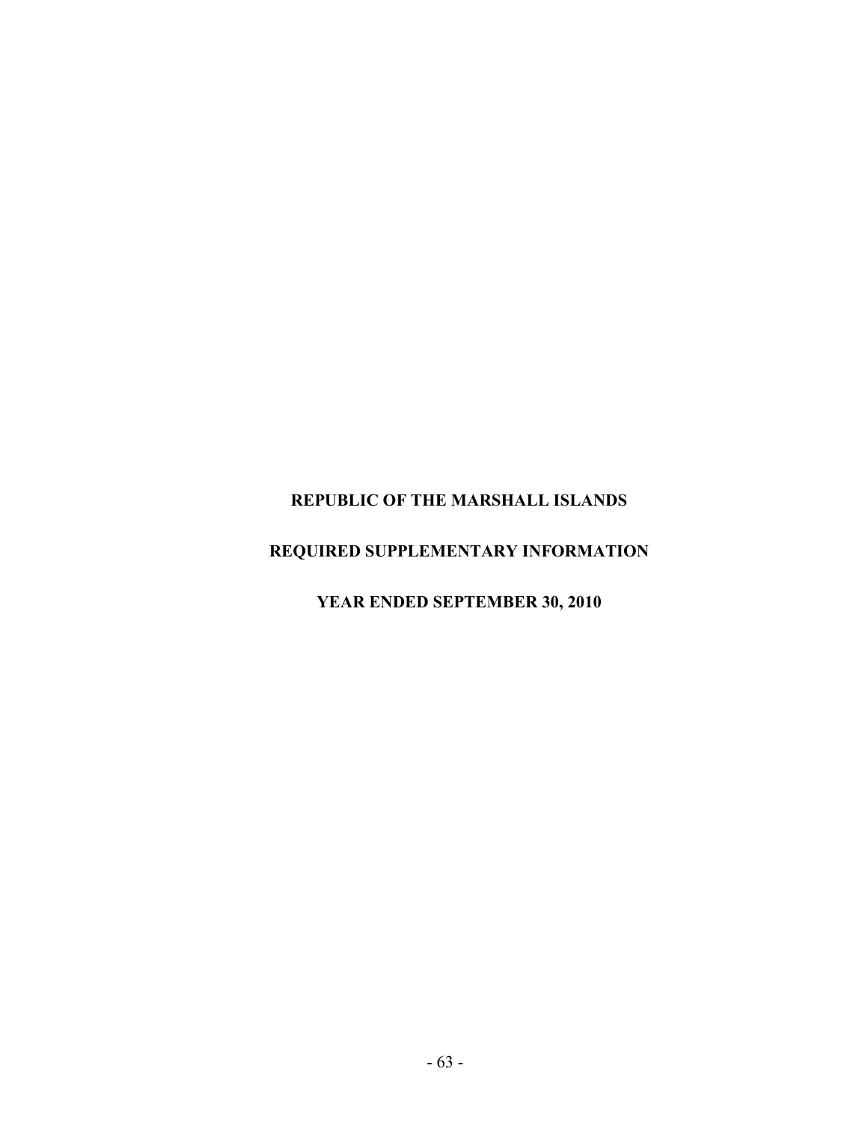# **REQUIRED SUPPLEMENTARY INFORMATION**

# **YEAR ENDED SEPTEMBER 30, 2010**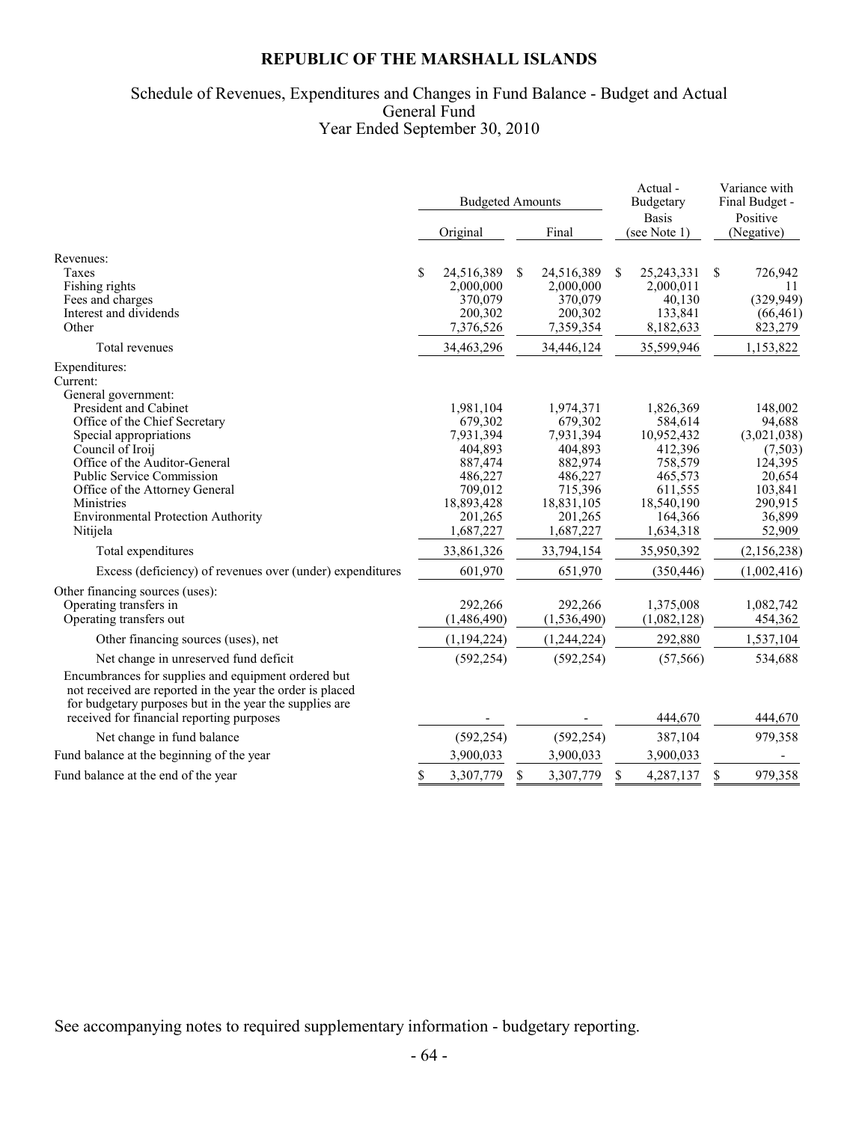# Schedule of Revenues, Expenditures and Changes in Fund Balance - Budget and Actual General Fund Year Ended September 30, 2010

|                                                                                                                                                                                                                                                                   | <b>Budgeted Amounts</b> |                                                            |   |                                                            |    | Actual-<br><b>Budgetary</b>                                 | Variance with<br>Final Budget - |                                                        |
|-------------------------------------------------------------------------------------------------------------------------------------------------------------------------------------------------------------------------------------------------------------------|-------------------------|------------------------------------------------------------|---|------------------------------------------------------------|----|-------------------------------------------------------------|---------------------------------|--------------------------------------------------------|
|                                                                                                                                                                                                                                                                   |                         | Original                                                   |   | Final                                                      |    | <b>Basis</b><br>(see Note 1)                                |                                 | Positive<br>(Negative)                                 |
| Revenues:<br><b>Taxes</b><br>Fishing rights<br>Fees and charges<br>Interest and dividends<br>Other                                                                                                                                                                | \$                      | 24,516,389<br>2,000,000<br>370.079<br>200,302<br>7,376,526 | S | 24,516,389<br>2,000,000<br>370.079<br>200,302<br>7,359,354 | S  | 25, 243, 331<br>2,000,011<br>40,130<br>133,841<br>8,182,633 | S                               | 726,942<br>11<br>(329, 949)<br>(66, 461)<br>823,279    |
| Total revenues                                                                                                                                                                                                                                                    |                         | 34,463,296                                                 |   | 34,446,124                                                 |    | 35,599,946                                                  |                                 | 1,153,822                                              |
| Expenditures:<br>Current:<br>General government:                                                                                                                                                                                                                  |                         |                                                            |   |                                                            |    |                                                             |                                 |                                                        |
| President and Cabinet<br>Office of the Chief Secretary<br>Special appropriations<br>Council of Iroij<br>Office of the Auditor-General                                                                                                                             |                         | 1,981,104<br>679,302<br>7,931,394<br>404,893<br>887,474    |   | 1,974,371<br>679,302<br>7,931,394<br>404,893<br>882,974    |    | 1,826,369<br>584,614<br>10,952,432<br>412,396<br>758,579    |                                 | 148,002<br>94,688<br>(3,021,038)<br>(7,503)<br>124,395 |
| <b>Public Service Commission</b><br>Office of the Attorney General<br>Ministries<br><b>Environmental Protection Authority</b><br>Nitijela                                                                                                                         |                         | 486,227<br>709,012<br>18,893,428<br>201,265<br>1,687,227   |   | 486,227<br>715,396<br>18,831,105<br>201,265<br>1,687,227   |    | 465,573<br>611,555<br>18,540,190<br>164,366<br>1,634,318    |                                 | 20,654<br>103,841<br>290,915<br>36,899<br>52,909       |
| Total expenditures                                                                                                                                                                                                                                                |                         | 33,861,326                                                 |   | 33,794,154                                                 |    | 35,950,392                                                  |                                 | (2,156,238)                                            |
| Excess (deficiency) of revenues over (under) expenditures                                                                                                                                                                                                         |                         | 601,970                                                    |   | 651,970                                                    |    | (350, 446)                                                  |                                 | (1,002,416)                                            |
| Other financing sources (uses):<br>Operating transfers in<br>Operating transfers out                                                                                                                                                                              |                         | 292,266<br>(1,486,490)                                     |   | 292,266<br>(1, 536, 490)                                   |    | 1,375,008<br>(1,082,128)                                    |                                 | 1,082,742<br>454,362                                   |
| Other financing sources (uses), net                                                                                                                                                                                                                               |                         | (1, 194, 224)                                              |   | (1,244,224)                                                |    | 292,880                                                     |                                 | 1,537,104                                              |
| Net change in unreserved fund deficit<br>Encumbrances for supplies and equipment ordered but<br>not received are reported in the year the order is placed<br>for budgetary purposes but in the year the supplies are<br>received for financial reporting purposes |                         | (592, 254)                                                 |   | (592, 254)                                                 |    | (57, 566)<br>444,670                                        |                                 | 534,688<br>444,670                                     |
| Net change in fund balance                                                                                                                                                                                                                                        |                         | (592, 254)                                                 |   | (592, 254)                                                 |    | 387,104                                                     |                                 | 979,358                                                |
| Fund balance at the beginning of the year                                                                                                                                                                                                                         |                         | 3,900,033                                                  |   | 3,900,033                                                  |    | 3,900,033                                                   |                                 |                                                        |
| Fund balance at the end of the year                                                                                                                                                                                                                               | \$                      | 3,307,779                                                  | S | 3,307,779                                                  | \$ | 4,287,137                                                   | S                               | 979,358                                                |

See accompanying notes to required supplementary information - budgetary reporting.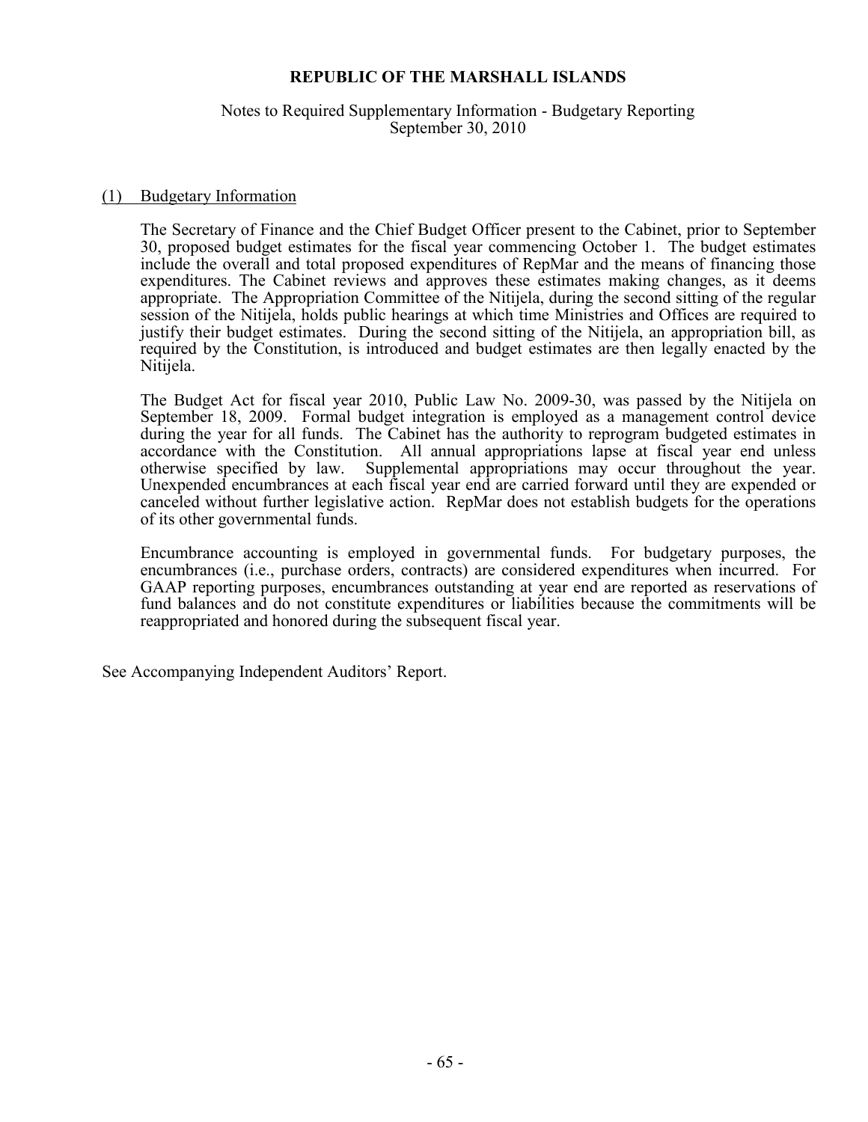### Notes to Required Supplementary Information - Budgetary Reporting September 30, 2010

#### (1) Budgetary Information

The Secretary of Finance and the Chief Budget Officer present to the Cabinet, prior to September 30, proposed budget estimates for the fiscal year commencing October 1. The budget estimates include the overall and total proposed expenditures of RepMar and the means of financing those expenditures. The Cabinet reviews and approves these estimates making changes, as it deems appropriate. The Appropriation Committee of the Nitijela, during the second sitting of the regular session of the Nitijela, holds public hearings at which time Ministries and Offices are required to justify their budget estimates. During the second sitting of the Nitijela, an appropriation bill, as required by the Constitution, is introduced and budget estimates are then legally enacted by the Nitijela.

The Budget Act for fiscal year 2010, Public Law No. 2009-30, was passed by the Nitijela on September 18, 2009. Formal budget integration is employed as a management control device during the year for all funds. The Cabinet has the authority to reprogram budgeted estimates in accordance with the Constitution. All annual appropriations lapse at fiscal year end unless otherwise specified by law. Supplemental appropriations may occur throughout the year. Supplemental appropriations may occur throughout the year. Unexpended encumbrances at each fiscal year end are carried forward until they are expended or canceled without further legislative action. RepMar does not establish budgets for the operations of its other governmental funds.

Encumbrance accounting is employed in governmental funds. For budgetary purposes, the encumbrances (i.e., purchase orders, contracts) are considered expenditures when incurred. For GAAP reporting purposes, encumbrances outstanding at year end are reported as reservations of fund balances and do not constitute expenditures or liabilities because the commitments will be reappropriated and honored during the subsequent fiscal year.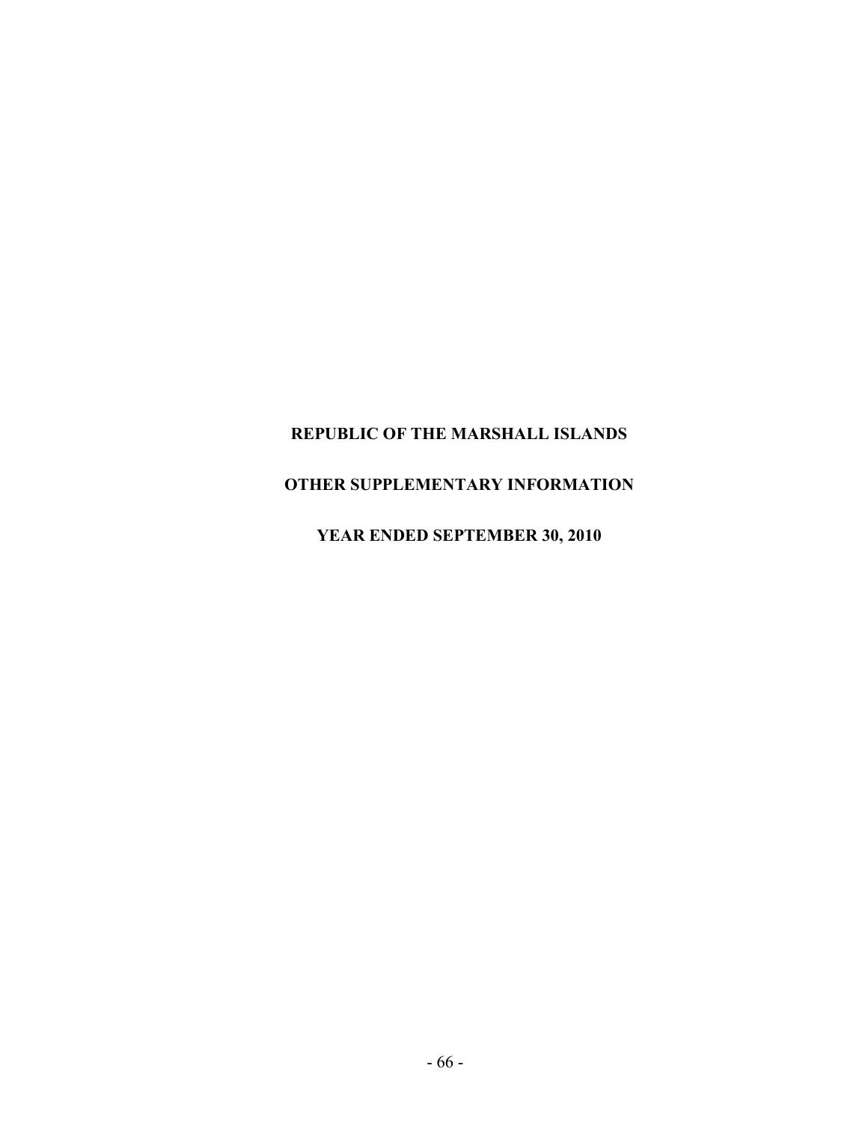# **OTHER SUPPLEMENTARY INFORMATION**

# **YEAR ENDED SEPTEMBER 30, 2010**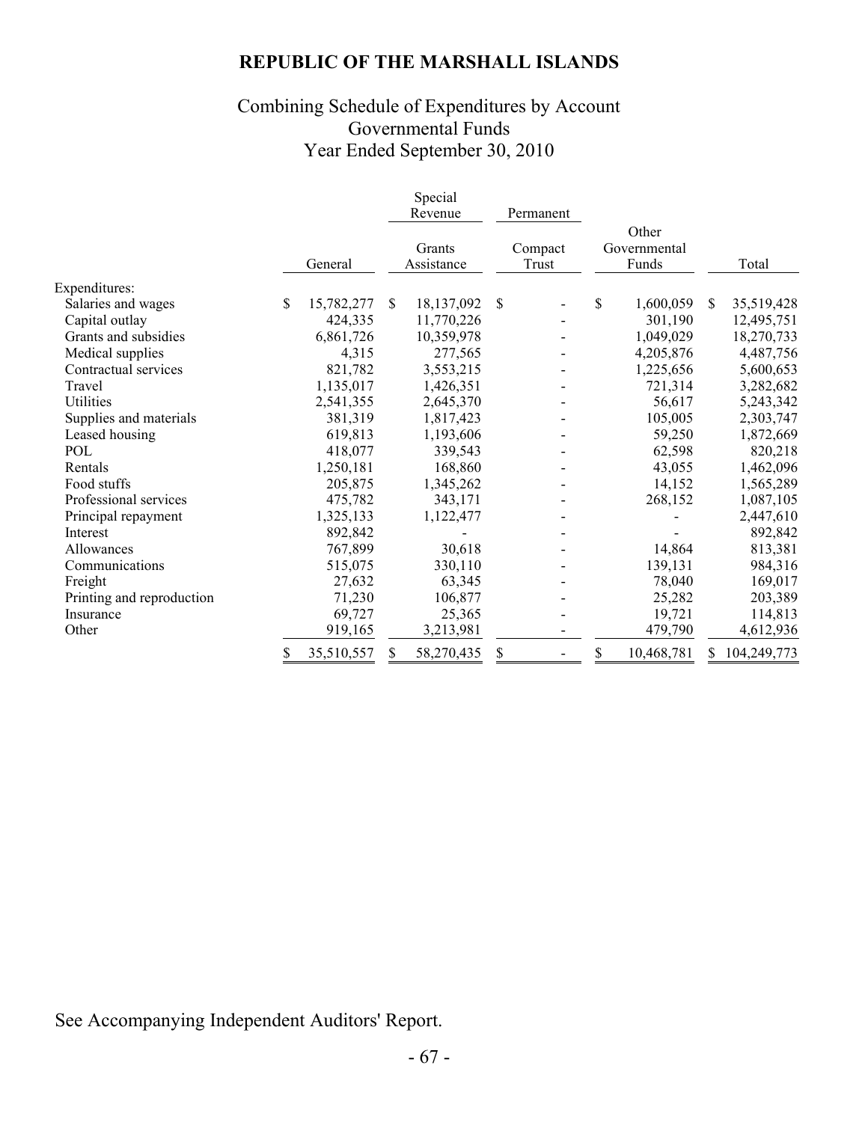# Combining Schedule of Expenditures by Account Governmental Funds Year Ended September 30, 2010

|                           |         |            |                      | Special<br>Revenue |                  | Permanent |                                |            |               |             |
|---------------------------|---------|------------|----------------------|--------------------|------------------|-----------|--------------------------------|------------|---------------|-------------|
|                           | General |            | Grants<br>Assistance |                    | Compact<br>Trust |           | Other<br>Governmental<br>Funds |            |               | Total       |
| Expenditures:             |         |            |                      |                    |                  |           |                                |            |               |             |
| Salaries and wages        | S.      | 15,782,277 | <sup>\$</sup>        | 18,137,092         | S                |           | \$                             | 1,600,059  | <sup>\$</sup> | 35,519,428  |
| Capital outlay            |         | 424,335    |                      | 11,770,226         |                  |           |                                | 301,190    |               | 12,495,751  |
| Grants and subsidies      |         | 6,861,726  |                      | 10,359,978         |                  |           |                                | 1,049,029  |               | 18,270,733  |
| Medical supplies          |         | 4,315      |                      | 277,565            |                  |           |                                | 4,205,876  |               | 4,487,756   |
| Contractual services      |         | 821,782    |                      | 3,553,215          |                  |           |                                | 1,225,656  |               | 5,600,653   |
| Travel                    |         | 1,135,017  |                      | 1,426,351          |                  |           |                                | 721,314    |               | 3,282,682   |
| Utilities                 |         | 2,541,355  |                      | 2,645,370          |                  |           |                                | 56,617     |               | 5,243,342   |
| Supplies and materials    |         | 381,319    |                      | 1,817,423          |                  |           |                                | 105,005    |               | 2,303,747   |
| Leased housing            |         | 619,813    |                      | 1,193,606          |                  |           |                                | 59,250     |               | 1,872,669   |
| POL                       |         | 418,077    |                      | 339,543            |                  |           |                                | 62,598     |               | 820,218     |
| Rentals                   |         | 1,250,181  |                      | 168,860            |                  |           |                                | 43,055     |               | 1,462,096   |
| Food stuffs               |         | 205,875    |                      | 1,345,262          |                  |           |                                | 14,152     |               | 1,565,289   |
| Professional services     |         | 475,782    |                      | 343,171            |                  |           |                                | 268,152    |               | 1,087,105   |
| Principal repayment       |         | 1,325,133  |                      | 1,122,477          |                  |           |                                |            |               | 2,447,610   |
| Interest                  |         | 892,842    |                      |                    |                  |           |                                |            |               | 892,842     |
| Allowances                |         | 767,899    |                      | 30,618             |                  |           |                                | 14,864     |               | 813,381     |
| Communications            |         | 515,075    |                      | 330,110            |                  |           |                                | 139,131    |               | 984,316     |
| Freight                   |         | 27,632     |                      | 63,345             |                  |           |                                | 78,040     |               | 169,017     |
| Printing and reproduction |         | 71,230     |                      | 106,877            |                  |           |                                | 25,282     |               | 203,389     |
| Insurance                 |         | 69,727     |                      | 25,365             |                  |           |                                | 19,721     |               | 114,813     |
| Other                     |         | 919,165    |                      | 3,213,981          |                  |           |                                | 479,790    |               | 4,612,936   |
|                           | \$      | 35,510,557 |                      | 58,270,435         | \$               |           | \$                             | 10,468,781 |               | 104,249,773 |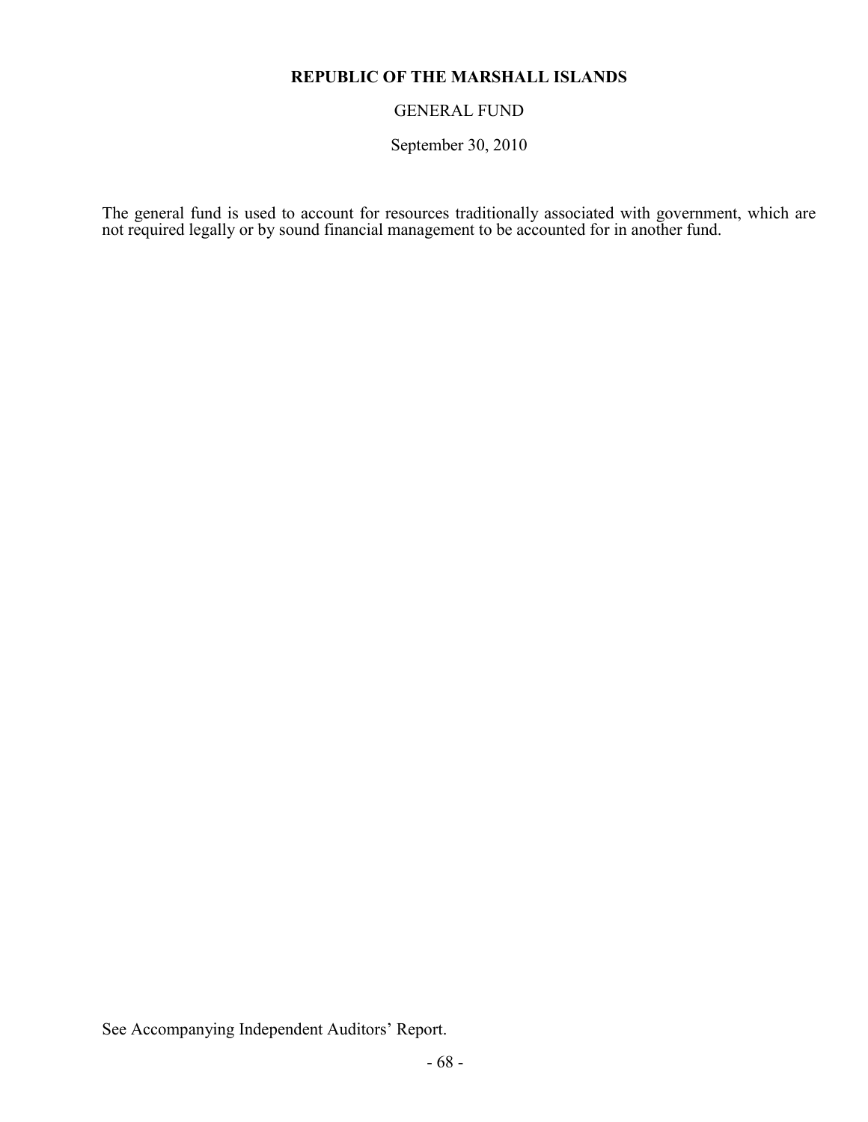# GENERAL FUND

September 30, 2010

The general fund is used to account for resources traditionally associated with government, which are not required legally or by sound financial management to be accounted for in another fund.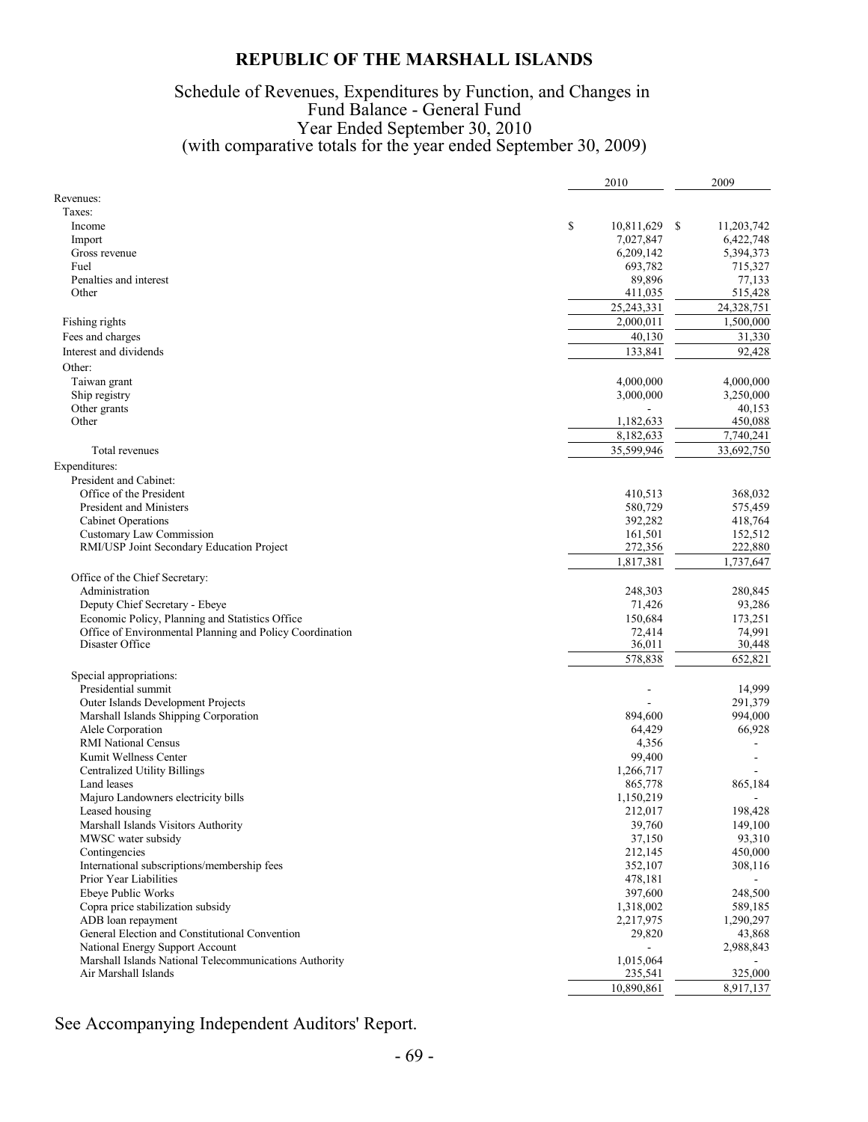### Schedule of Revenues, Expenditures by Function, and Changes in Fund Balance - General Fund Year Ended September 30, 2010 (with comparative totals for the year ended September 30, 2009)

|                                                                             | 2010              | 2009             |
|-----------------------------------------------------------------------------|-------------------|------------------|
| Revenues:                                                                   |                   |                  |
| Taxes:                                                                      |                   |                  |
| Income                                                                      | \$<br>10,811,629  | -S<br>11,203,742 |
| Import                                                                      | 7,027,847         | 6,422,748        |
| Gross revenue                                                               | 6,209,142         | 5,394,373        |
| Fuel                                                                        | 693,782           | 715,327          |
| Penalties and interest                                                      | 89,896            | 77,133           |
| Other                                                                       | 411,035           | 515,428          |
|                                                                             | 25, 243, 331      | 24,328,751       |
| Fishing rights                                                              | 2,000,011         | 1,500,000        |
| Fees and charges                                                            | 40,130            | 31,330           |
| Interest and dividends                                                      | 133,841           | 92,428           |
| Other:                                                                      |                   |                  |
| Taiwan grant                                                                | 4,000,000         | 4,000,000        |
| Ship registry                                                               | 3,000,000         | 3,250,000        |
| Other grants                                                                |                   | 40,153           |
| Other                                                                       | 1,182,633         | 450,088          |
|                                                                             | 8,182,633         | 7,740,241        |
| Total revenues                                                              | 35,599,946        | 33,692,750       |
| Expenditures:                                                               |                   |                  |
| President and Cabinet:                                                      |                   |                  |
| Office of the President                                                     | 410,513           | 368,032          |
| President and Ministers                                                     | 580,729           | 575,459          |
| Cabinet Operations                                                          | 392,282           | 418,764          |
| Customary Law Commission                                                    | 161,501           | 152,512          |
| RMI/USP Joint Secondary Education Project                                   | 272,356           | 222,880          |
|                                                                             | 1,817,381         | 1,737,647        |
|                                                                             |                   |                  |
| Office of the Chief Secretary:<br>Administration                            |                   |                  |
|                                                                             | 248,303           | 280,845          |
| Deputy Chief Secretary - Ebeye                                              | 71,426            | 93,286           |
| Economic Policy, Planning and Statistics Office                             | 150,684<br>72,414 | 173,251          |
| Office of Environmental Planning and Policy Coordination<br>Disaster Office | 36,011            | 74,991<br>30,448 |
|                                                                             | 578,838           | 652,821          |
|                                                                             |                   |                  |
| Special appropriations:                                                     |                   |                  |
| Presidential summit                                                         |                   | 14,999           |
| Outer Islands Development Projects                                          |                   | 291,379          |
| Marshall Islands Shipping Corporation                                       | 894,600           | 994,000          |
| Alele Corporation                                                           | 64,429            | 66,928           |
| <b>RMI National Census</b>                                                  | 4,356             |                  |
| Kumit Wellness Center                                                       | 99,400            |                  |
| <b>Centralized Utility Billings</b>                                         | 1,266,717         |                  |
| Land leases                                                                 | 865,778           | 865,184          |
| Majuro Landowners electricity bills                                         | 1,150,219         |                  |
| Leased housing                                                              | 212,017           | 198,428          |
| Marshall Islands Visitors Authority                                         | 39,760            | 149,100          |
| MWSC water subsidy                                                          | 37,150            | 93,310           |
| Contingencies                                                               | 212,145           | 450,000          |
| International subscriptions/membership fees                                 | 352,107           | 308,116          |
| Prior Year Liabilities                                                      | 478,181           |                  |
| Ebeye Public Works                                                          | 397,600           | 248,500          |
| Copra price stabilization subsidy                                           | 1,318,002         | 589,185          |
| ADB loan repayment                                                          | 2,217,975         | 1,290,297        |
| General Election and Constitutional Convention                              | 29,820            | 43,868           |
| National Energy Support Account                                             |                   | 2,988,843        |
| Marshall Islands National Telecommunications Authority                      | 1,015,064         |                  |
| Air Marshall Islands                                                        | 235,541           | 325,000          |
|                                                                             | 10,890,861        | 8,917,137        |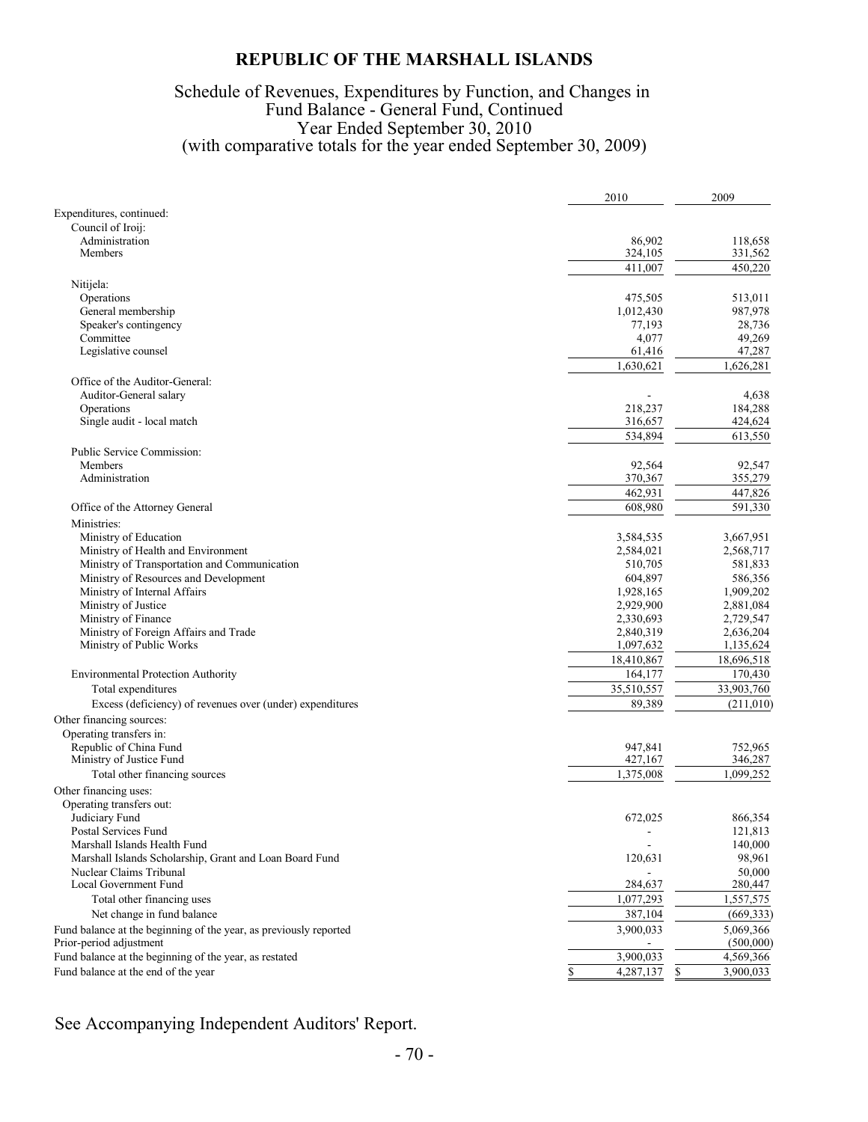### Schedule of Revenues, Expenditures by Function, and Changes in Fund Balance - General Fund, Continued Year Ended September 30, 2010 (with comparative totals for the year ended September 30, 2009)

|                                                                                              | 2010                   | 2009                   |
|----------------------------------------------------------------------------------------------|------------------------|------------------------|
| Expenditures, continued:                                                                     |                        |                        |
| Council of Iroij:                                                                            |                        |                        |
| Administration                                                                               | 86,902                 | 118.658                |
| Members                                                                                      | 324,105                | 331,562                |
|                                                                                              | 411,007                | 450,220                |
| Nitijela:                                                                                    |                        |                        |
| Operations                                                                                   | 475,505                | 513,011                |
| General membership                                                                           | 1,012,430              | 987,978<br>28,736      |
| Speaker's contingency<br>Committee                                                           | 77,193<br>4,077        | 49,269                 |
| Legislative counsel                                                                          | 61,416                 | 47,287                 |
|                                                                                              | 1,630,621              | 1,626,281              |
| Office of the Auditor-General:                                                               |                        |                        |
| Auditor-General salary                                                                       |                        | 4,638                  |
| Operations                                                                                   | 218,237                | 184,288                |
| Single audit - local match                                                                   | 316,657                | 424,624                |
|                                                                                              | 534,894                | 613,550                |
| Public Service Commission:                                                                   |                        |                        |
| Members                                                                                      | 92,564                 | 92,547                 |
| Administration                                                                               | 370,367                | 355,279                |
|                                                                                              | 462,931                | 447,826                |
| Office of the Attorney General                                                               | 608,980                | 591,330                |
| Ministries:                                                                                  |                        |                        |
| Ministry of Education                                                                        | 3,584,535              | 3,667,951              |
| Ministry of Health and Environment                                                           | 2,584,021              | 2,568,717              |
| Ministry of Transportation and Communication                                                 | 510,705                | 581,833                |
| Ministry of Resources and Development                                                        | 604,897                | 586,356                |
| Ministry of Internal Affairs                                                                 | 1,928,165              | 1,909,202              |
| Ministry of Justice                                                                          | 2,929,900              | 2,881,084              |
| Ministry of Finance                                                                          | 2,330,693<br>2,840,319 | 2,729,547<br>2,636,204 |
| Ministry of Foreign Affairs and Trade<br>Ministry of Public Works                            | 1,097,632              | 1,135,624              |
|                                                                                              | 18,410,867             | 18,696,518             |
| <b>Environmental Protection Authority</b>                                                    | 164,177                | 170,430                |
| Total expenditures                                                                           | 35,510,557             | 33,903,760             |
| Excess (deficiency) of revenues over (under) expenditures                                    | 89,389                 | (211, 010)             |
|                                                                                              |                        |                        |
| Other financing sources:<br>Operating transfers in:                                          |                        |                        |
| Republic of China Fund                                                                       | 947,841                | 752,965                |
| Ministry of Justice Fund                                                                     | 427,167                | 346,287                |
| Total other financing sources                                                                | 1,375,008              | 1.099.252              |
| Other financing uses:                                                                        |                        |                        |
| Operating transfers out:                                                                     |                        |                        |
| Judiciary Fund                                                                               | 672,025                | 866,354                |
| Postal Services Fund                                                                         |                        | 121,813                |
| Marshall Islands Health Fund                                                                 |                        | 140,000                |
| Marshall Islands Scholarship, Grant and Loan Board Fund                                      | 120,631                | 98,961                 |
| Nuclear Claims Tribunal                                                                      |                        | 50,000                 |
| Local Government Fund                                                                        | 284,637                | 280,447                |
| Total other financing uses                                                                   | 1,077,293              | 1,557,575              |
| Net change in fund balance                                                                   | 387,104                | (669, 333)             |
| Fund balance at the beginning of the year, as previously reported<br>Prior-period adjustment | 3,900,033              | 5,069,366<br>(500,000) |
| Fund balance at the beginning of the year, as restated                                       | 3,900,033              | 4,569,366              |
| Fund balance at the end of the year                                                          | 4,287,137<br>\$        | 3,900,033              |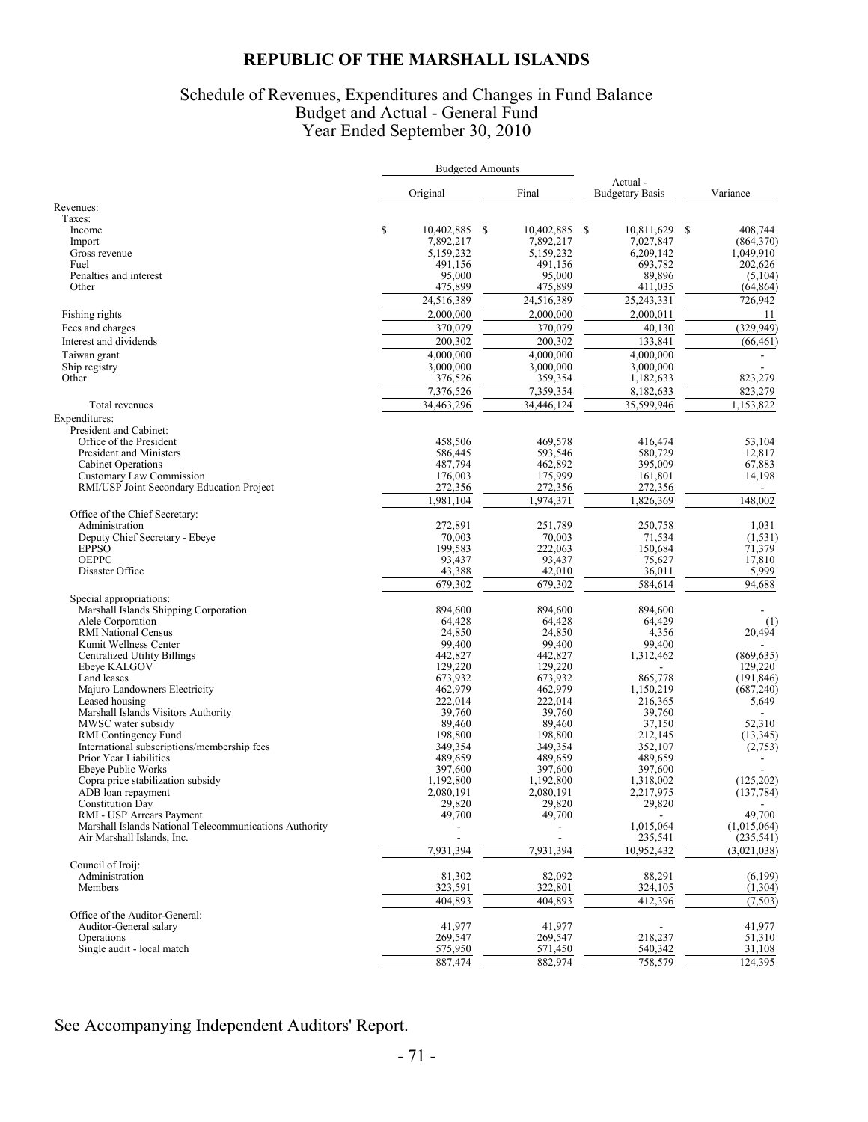### Schedule of Revenues, Expenditures and Changes in Fund Balance Budget and Actual - General Fund Year Ended September 30, 2010

|                                                        | <b>Budgeted Amounts</b> |    |                          |                                   |                          |
|--------------------------------------------------------|-------------------------|----|--------------------------|-----------------------------------|--------------------------|
|                                                        | Original                |    | Final                    | Actual-<br><b>Budgetary Basis</b> | Variance                 |
| Revenues:                                              |                         |    |                          |                                   |                          |
| Taxes:                                                 |                         |    |                          |                                   |                          |
| Income                                                 | \$<br>10,402,885        | -S | 10,402,885 \$            | 10,811,629 \$                     | 408,744                  |
| Import                                                 | 7,892,217               |    | 7,892,217                | 7,027,847                         | (864,370)                |
| Gross revenue                                          | 5,159,232               |    | 5,159,232                | 6,209,142                         | 1,049,910                |
| Fuel                                                   | 491,156                 |    | 491,156                  | 693,782                           | 202,626                  |
| Penalties and interest<br>Other                        | 95,000<br>475,899       |    | 95,000<br>475,899        | 89,896<br>411,035                 | (5,104)                  |
|                                                        |                         |    |                          |                                   | (64, 864)                |
|                                                        | 24,516,389              |    | 24,516,389               | 25,243,331                        | 726,942                  |
| Fishing rights                                         | 2,000,000               |    | 2,000,000                | 2,000,011                         | 11                       |
| Fees and charges                                       | 370,079                 |    | 370,079                  | 40,130                            | (329, 949)               |
| Interest and dividends                                 | 200,302                 |    | 200,302                  | 133,841                           | (66, 461)                |
| Taiwan grant                                           | 4,000,000               |    | 4,000,000                | 4,000,000                         |                          |
| Ship registry                                          | 3,000,000               |    | 3,000,000                | 3,000,000                         |                          |
| Other                                                  | 376,526                 |    | 359,354                  | 1,182,633                         | 823,279                  |
|                                                        | 7,376,526               |    | 7,359,354                | 8,182,633                         | 823,279                  |
| Total revenues                                         | 34,463,296              |    | 34,446,124               | 35,599,946                        | 1,153,822                |
| Expenditures:                                          |                         |    |                          |                                   |                          |
| President and Cabinet:                                 |                         |    |                          |                                   |                          |
| Office of the President                                | 458,506                 |    | 469,578                  | 416,474                           | 53,104                   |
| President and Ministers                                | 586,445                 |    | 593,546                  | 580,729                           | 12,817                   |
| <b>Cabinet Operations</b>                              | 487,794                 |    | 462,892                  | 395,009                           | 67,883                   |
| <b>Customary Law Commission</b>                        | 176,003                 |    | 175,999                  | 161,801                           | 14,198                   |
| RMI/USP Joint Secondary Education Project              | 272,356                 |    | 272,356                  | 272,356                           | $\sim$                   |
|                                                        | 1,981,104               |    | 1,974,371                | 1,826,369                         | 148,002                  |
| Office of the Chief Secretary:                         |                         |    |                          |                                   |                          |
| Administration                                         | 272.891                 |    | 251,789                  | 250,758                           | 1,031                    |
| Deputy Chief Secretary - Ebeye                         | 70,003                  |    | 70,003                   | 71,534                            | (1, 531)                 |
| <b>EPPSO</b>                                           | 199,583                 |    | 222,063                  | 150.684                           | 71,379                   |
| <b>OEPPC</b>                                           | 93,437                  |    | 93,437                   | 75,627                            | 17,810                   |
| Disaster Office                                        | 43,388                  |    | 42,010                   | 36,011                            | 5,999                    |
|                                                        | 679,302                 |    | 679,302                  | 584,614                           | 94,688                   |
| Special appropriations:                                |                         |    |                          |                                   |                          |
| Marshall Islands Shipping Corporation                  | 894,600                 |    | 894,600                  | 894,600                           |                          |
| Alele Corporation                                      | 64,428                  |    | 64,428                   | 64,429                            | (1)                      |
| <b>RMI National Census</b>                             | 24,850                  |    | 24,850                   | 4,356                             | 20,494                   |
| Kumit Wellness Center                                  | 99,400                  |    | 99,400                   | 99,400                            |                          |
| <b>Centralized Utility Billings</b>                    | 442,827                 |    | 442,827                  | 1,312,462                         | (869, 635)               |
| Ebeye KALGOV                                           | 129,220                 |    | 129,220                  |                                   | 129,220                  |
| Land leases<br>Majuro Landowners Electricity           | 673,932<br>462,979      |    | 673,932<br>462,979       | 865,778<br>1,150,219              | (191, 846)<br>(687, 240) |
| Leased housing                                         | 222,014                 |    | 222,014                  | 216,365                           | 5,649                    |
| Marshall Islands Visitors Authority                    | 39,760                  |    | 39,760                   | 39,760                            |                          |
| MWSC water subsidy                                     | 89,460                  |    | 89,460                   | 37,150                            | 52,310                   |
| RMI Contingency Fund                                   | 198,800                 |    | 198,800                  | 212,145                           | (13, 345)                |
| International subscriptions/membership fees            | 349,354                 |    | 349,354                  | 352,107                           | (2,753)                  |
| Prior Year Liabilities                                 | 489,659                 |    | 489,659                  | 489,659                           |                          |
| Ebeye Public Works                                     | 397,600                 |    | 397,600                  | 397,600                           |                          |
| Copra price stabilization subsidy                      | 1,192,800               |    | 1,192,800                | 1,318,002                         | (125, 202)               |
| ADB loan repayment                                     | 2,080,191               |    | 2,080,191                | 2,217,975                         | (137, 784)               |
| <b>Constitution Day</b>                                | 29,820                  |    | 29,820                   | 29,820                            |                          |
| RMI - USP Arrears Payment                              | 49,700                  |    | 49,700                   |                                   | 49,700                   |
| Marshall Islands National Telecommunications Authority |                         |    |                          | 1,015,064                         | (1,015,064)              |
| Air Marshall Islands, Inc.                             |                         |    | $\overline{\phantom{a}}$ | 235,541                           | (235, 541)               |
|                                                        | 7,931,394               |    | 7,931,394                | 10,952,432                        | (3,021,038)              |
| Council of Iroij:                                      |                         |    |                          |                                   |                          |
| Administration                                         | 81,302                  |    | 82,092                   | 88,291                            | (6,199)                  |
| Members                                                | 323,591                 |    | 322,801                  | 324,105                           | (1,304)                  |
|                                                        | 404,893                 |    | 404,893                  | 412,396                           | (7,503)                  |
| Office of the Auditor-General:                         |                         |    |                          |                                   |                          |
| Auditor-General salary                                 | 41,977                  |    | 41,977                   |                                   | 41,977                   |
| Operations                                             | 269,547                 |    | 269,547                  | 218,237                           | 51,310                   |
| Single audit - local match                             | 575,950                 |    | 571,450                  | 540,342                           | 31,108                   |
|                                                        | 887,474                 |    | 882,974                  | 758,579                           | 124,395                  |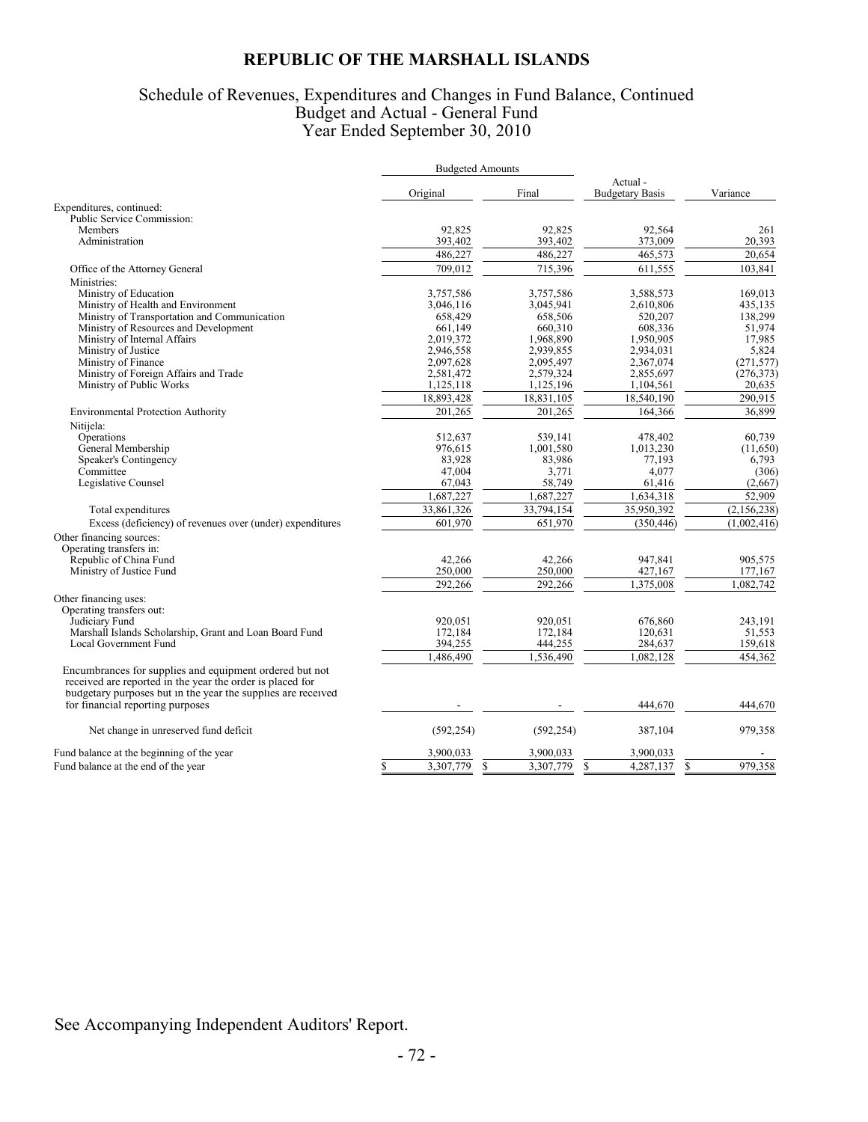### Schedule of Revenues, Expenditures and Changes in Fund Balance, Continued Budget and Actual - General Fund Year Ended September 30, 2010

|                                                                                                                      |                 | <b>Budgeted Amounts</b> |                                    |               |
|----------------------------------------------------------------------------------------------------------------------|-----------------|-------------------------|------------------------------------|---------------|
|                                                                                                                      | Original        | Final                   | Actual -<br><b>Budgetary Basis</b> | Variance      |
| Expenditures, continued:                                                                                             |                 |                         |                                    |               |
| Public Service Commission:                                                                                           |                 |                         |                                    |               |
| Members                                                                                                              | 92,825          | 92,825                  | 92,564                             | 261           |
| Administration                                                                                                       | 393,402         | 393,402                 | 373,009                            | 20,393        |
|                                                                                                                      | 486,227         | 486,227                 | 465,573                            | 20.654        |
| Office of the Attorney General                                                                                       | 709,012         | 715,396                 | 611,555                            | 103,841       |
| Ministries:                                                                                                          |                 |                         |                                    |               |
| Ministry of Education                                                                                                | 3,757,586       | 3,757,586               | 3,588,573                          | 169,013       |
| Ministry of Health and Environment                                                                                   | 3,046,116       | 3,045,941               | 2,610,806                          | 435,135       |
| Ministry of Transportation and Communication                                                                         | 658,429         | 658,506                 | 520,207                            | 138,299       |
| Ministry of Resources and Development                                                                                | 661,149         | 660,310                 | 608,336                            | 51,974        |
| Ministry of Internal Affairs                                                                                         | 2,019,372       | 1,968,890               | 1,950,905                          | 17,985        |
| Ministry of Justice                                                                                                  | 2,946,558       | 2,939,855               | 2,934,031                          | 5,824         |
| Ministry of Finance                                                                                                  | 2,097,628       | 2,095,497               | 2,367,074                          | (271, 577)    |
| Ministry of Foreign Affairs and Trade                                                                                | 2,581,472       | 2,579,324               | 2,855,697                          | (276, 373)    |
| Ministry of Public Works                                                                                             | 1,125,118       | 1,125,196               | 1,104,561                          | 20,635        |
|                                                                                                                      | 18,893,428      | 18,831,105              | 18,540,190                         | 290,915       |
| <b>Environmental Protection Authority</b>                                                                            | 201,265         | 201,265                 | 164,366                            | 36.899        |
| Nitijela:                                                                                                            |                 |                         |                                    |               |
| Operations                                                                                                           | 512,637         | 539,141                 | 478,402                            | 60,739        |
| General Membership                                                                                                   | 976,615         | 1,001,580               | 1,013,230                          | (11,650)      |
| Speaker's Contingency                                                                                                | 83,928          | 83,986                  | 77,193                             | 6,793         |
| Committee                                                                                                            | 47.004          | 3,771                   | 4.077                              | (306)         |
| Legislative Counsel                                                                                                  | 67,043          | 58,749                  | 61,416                             | (2,667)       |
|                                                                                                                      | 1,687,227       | 1,687,227               | 1,634,318                          | 52,909        |
| Total expenditures                                                                                                   | 33,861,326      | 33,794,154              | 35,950,392                         | (2, 156, 238) |
| Excess (deficiency) of revenues over (under) expenditures                                                            | 601,970         | 651,970                 | (350, 446)                         | (1,002,416)   |
| Other financing sources:<br>Operating transfers in:                                                                  |                 |                         |                                    |               |
| Republic of China Fund                                                                                               | 42,266          | 42,266                  | 947,841                            | 905,575       |
| Ministry of Justice Fund                                                                                             | 250,000         | 250,000                 | 427,167                            | 177,167       |
|                                                                                                                      | 292,266         | 292,266                 | 1,375,008                          | 1.082.742     |
| Other financing uses:<br>Operating transfers out:                                                                    |                 |                         |                                    |               |
| Judiciary Fund                                                                                                       | 920,051         | 920,051                 | 676,860                            | 243,191       |
| Marshall Islands Scholarship, Grant and Loan Board Fund                                                              | 172,184         | 172,184                 | 120,631                            | 51,553        |
| Local Government Fund                                                                                                | 394,255         | 444,255                 | 284,637                            | 159,618       |
| Encumbrances for supplies and equipment ordered but not<br>received are reported in the year the order is placed for | 1,486,490       | 1,536,490               | 1,082,128                          | 454,362       |
| budgetary purposes but in the year the supplies are received                                                         |                 |                         |                                    |               |
| for financial reporting purposes                                                                                     |                 |                         | 444,670                            | 444,670       |
| Net change in unreserved fund deficit                                                                                | (592, 254)      | (592, 254)              | 387,104                            | 979,358       |
| Fund balance at the beginning of the year                                                                            | 3,900,033       | 3,900,033               | 3,900,033                          |               |
| Fund balance at the end of the year                                                                                  | \$<br>3,307,779 | \$<br>3,307,779         | $\mathsf{\$}$<br>4,287,137         | \$<br>979,358 |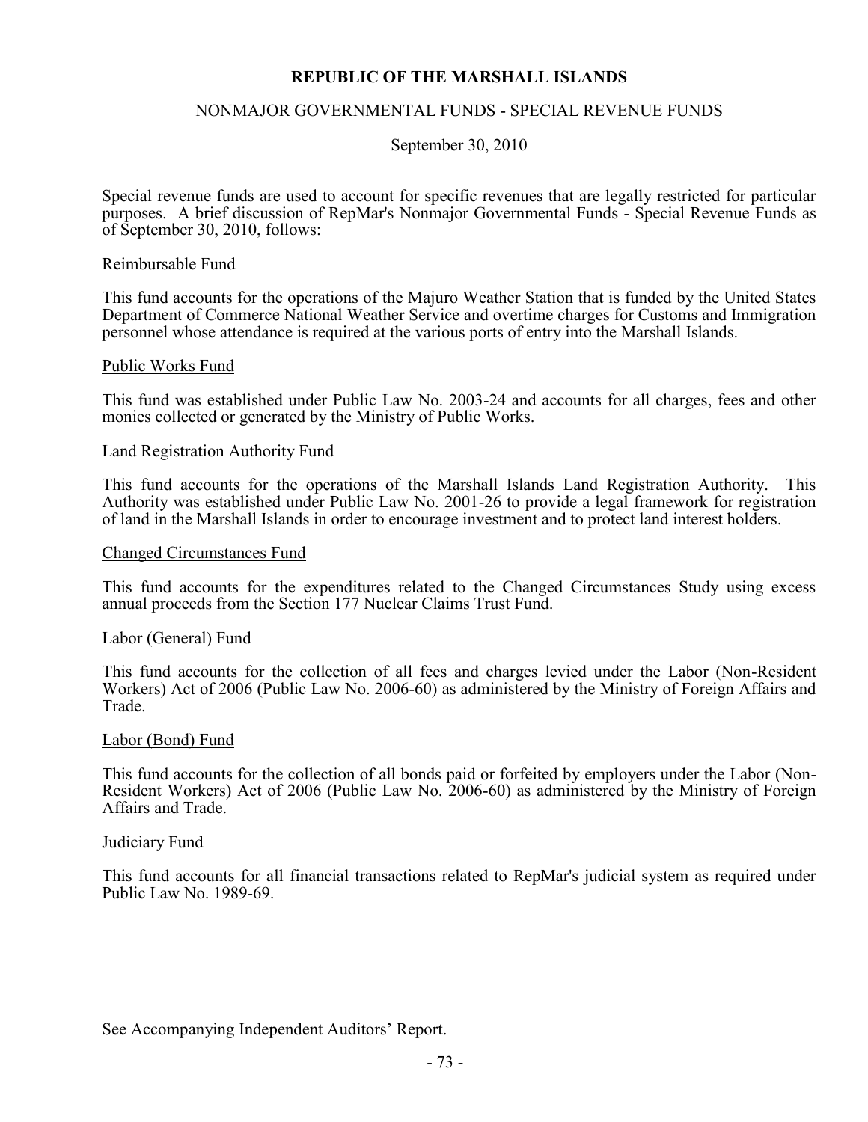### NONMAJOR GOVERNMENTAL FUNDS - SPECIAL REVENUE FUNDS

September 30, 2010

Special revenue funds are used to account for specific revenues that are legally restricted for particular purposes. A brief discussion of RepMar's Nonmajor Governmental Funds - Special Revenue Funds as of September 30, 2010, follows:

#### Reimbursable Fund

This fund accounts for the operations of the Majuro Weather Station that is funded by the United States Department of Commerce National Weather Service and overtime charges for Customs and Immigration personnel whose attendance is required at the various ports of entry into the Marshall Islands.

#### Public Works Fund

This fund was established under Public Law No. 2003-24 and accounts for all charges, fees and other monies collected or generated by the Ministry of Public Works.

#### Land Registration Authority Fund

This fund accounts for the operations of the Marshall Islands Land Registration Authority. This Authority was established under Public Law No. 2001-26 to provide a legal framework for registration of land in the Marshall Islands in order to encourage investment and to protect land interest holders.

#### Changed Circumstances Fund

This fund accounts for the expenditures related to the Changed Circumstances Study using excess annual proceeds from the Section 177 Nuclear Claims Trust Fund.

#### Labor (General) Fund

This fund accounts for the collection of all fees and charges levied under the Labor (Non-Resident Workers) Act of 2006 (Public Law No. 2006-60) as administered by the Ministry of Foreign Affairs and Trade.

#### Labor (Bond) Fund

This fund accounts for the collection of all bonds paid or forfeited by employers under the Labor (Non-Resident Workers) Act of 2006 (Public Law No. 2006-60) as administered by the Ministry of Foreign Affairs and Trade.

#### Judiciary Fund

This fund accounts for all financial transactions related to RepMar's judicial system as required under Public Law No. 1989-69.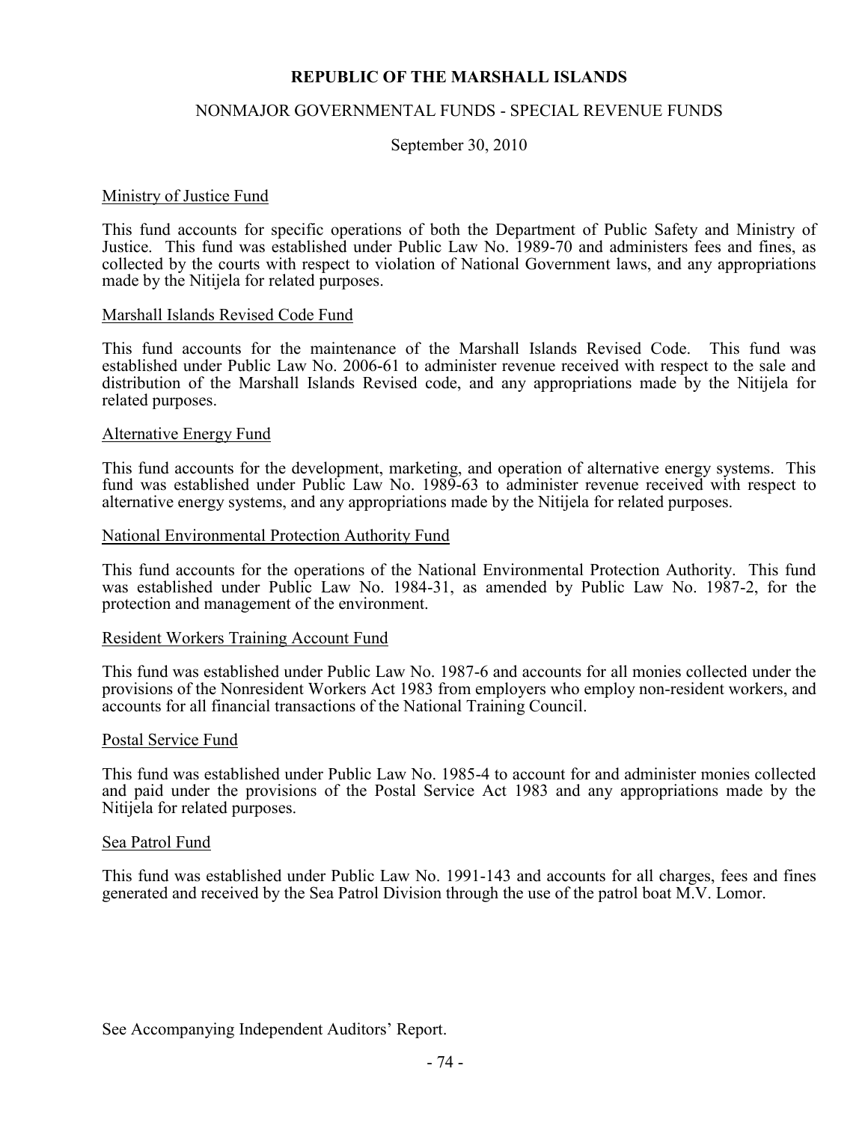### NONMAJOR GOVERNMENTAL FUNDS - SPECIAL REVENUE FUNDS

September 30, 2010

#### Ministry of Justice Fund

This fund accounts for specific operations of both the Department of Public Safety and Ministry of Justice. This fund was established under Public Law No. 1989-70 and administers fees and fines, as collected by the courts with respect to violation of National Government laws, and any appropriations made by the Nitijela for related purposes.

#### Marshall Islands Revised Code Fund

This fund accounts for the maintenance of the Marshall Islands Revised Code. This fund was established under Public Law No. 2006-61 to administer revenue received with respect to the sale and distribution of the Marshall Islands Revised code, and any appropriations made by the Nitijela for related purposes.

#### Alternative Energy Fund

This fund accounts for the development, marketing, and operation of alternative energy systems. This fund was established under Public Law No. 1989-63 to administer revenue received with respect to alternative energy systems, and any appropriations made by the Nitijela for related purposes.

#### National Environmental Protection Authority Fund

This fund accounts for the operations of the National Environmental Protection Authority. This fund was established under Public Law No. 1984-31, as amended by Public Law No. 1987-2, for the protection and management of the environment.

#### Resident Workers Training Account Fund

This fund was established under Public Law No. 1987-6 and accounts for all monies collected under the provisions of the Nonresident Workers Act 1983 from employers who employ non-resident workers, and accounts for all financial transactions of the National Training Council.

#### Postal Service Fund

This fund was established under Public Law No. 1985-4 to account for and administer monies collected and paid under the provisions of the Postal Service Act 1983 and any appropriations made by the Nitijela for related purposes.

#### Sea Patrol Fund

This fund was established under Public Law No. 1991-143 and accounts for all charges, fees and fines generated and received by the Sea Patrol Division through the use of the patrol boat M.V. Lomor.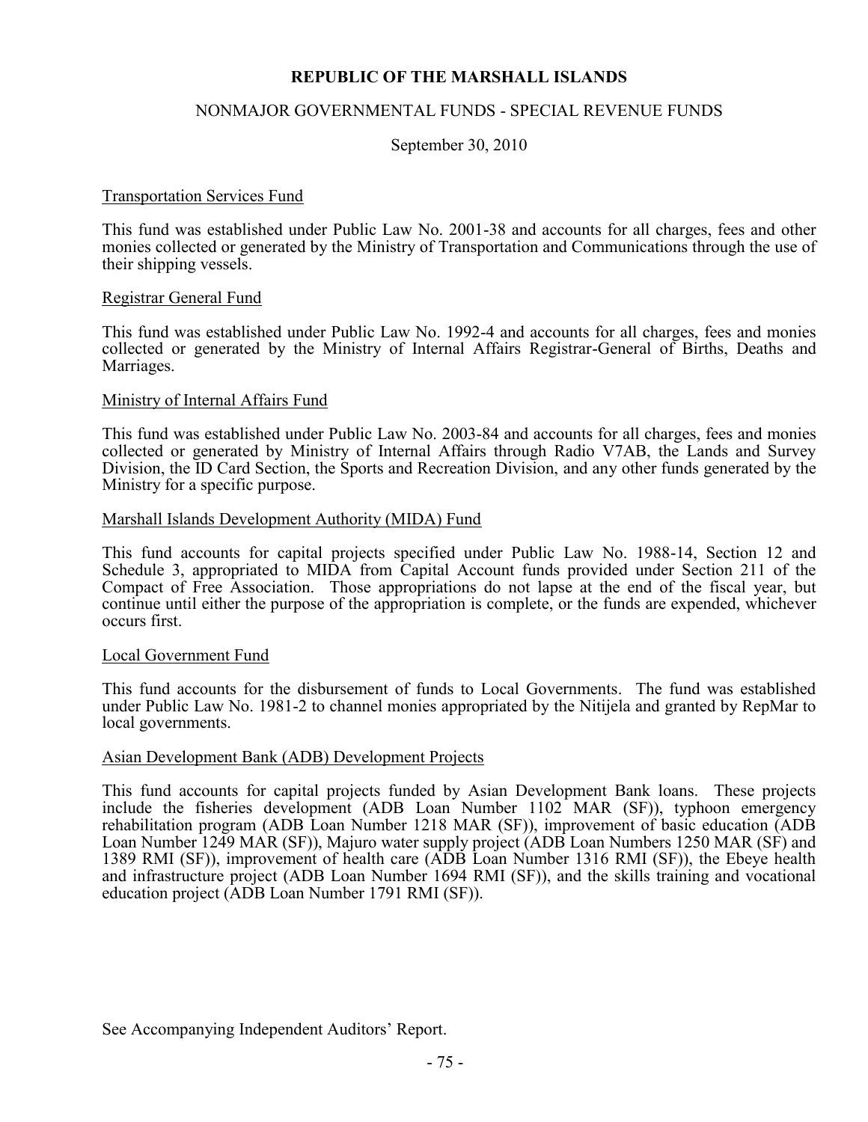### NONMAJOR GOVERNMENTAL FUNDS - SPECIAL REVENUE FUNDS

September 30, 2010

#### Transportation Services Fund

This fund was established under Public Law No. 2001-38 and accounts for all charges, fees and other monies collected or generated by the Ministry of Transportation and Communications through the use of their shipping vessels.

#### Registrar General Fund

This fund was established under Public Law No. 1992-4 and accounts for all charges, fees and monies collected or generated by the Ministry of Internal Affairs Registrar-General of Births, Deaths and Marriages.

#### Ministry of Internal Affairs Fund

This fund was established under Public Law No. 2003-84 and accounts for all charges, fees and monies collected or generated by Ministry of Internal Affairs through Radio V7AB, the Lands and Survey Division, the ID Card Section, the Sports and Recreation Division, and any other funds generated by the Ministry for a specific purpose.

#### Marshall Islands Development Authority (MIDA) Fund

This fund accounts for capital projects specified under Public Law No. 1988-14, Section 12 and Schedule 3, appropriated to MIDA from Capital Account funds provided under Section 211 of the Compact of Free Association. Those appropriations do not lapse at the end of the fiscal year, but continue until either the purpose of the appropriation is complete, or the funds are expended, whichever occurs first.

#### Local Government Fund

This fund accounts for the disbursement of funds to Local Governments. The fund was established under Public Law No. 1981-2 to channel monies appropriated by the Nitijela and granted by RepMar to local governments.

#### Asian Development Bank (ADB) Development Projects

This fund accounts for capital projects funded by Asian Development Bank loans. These projects include the fisheries development (ADB Loan Number 1102 MAR (SF)), typhoon emergency rehabilitation program (ADB Loan Number 1218 MAR (SF)), improvement of basic education (ADB Loan Number 1249 MAR (SF)), Majuro water supply project (ADB Loan Numbers 1250 MAR (SF) and 1389 RMI (SF)), improvement of health care (ADB Loan Number 1316 RMI (SF)), the Ebeye health and infrastructure project (ADB Loan Number 1694 RMI (SF)), and the skills training and vocational education project (ADB Loan Number 1791 RMI (SF)).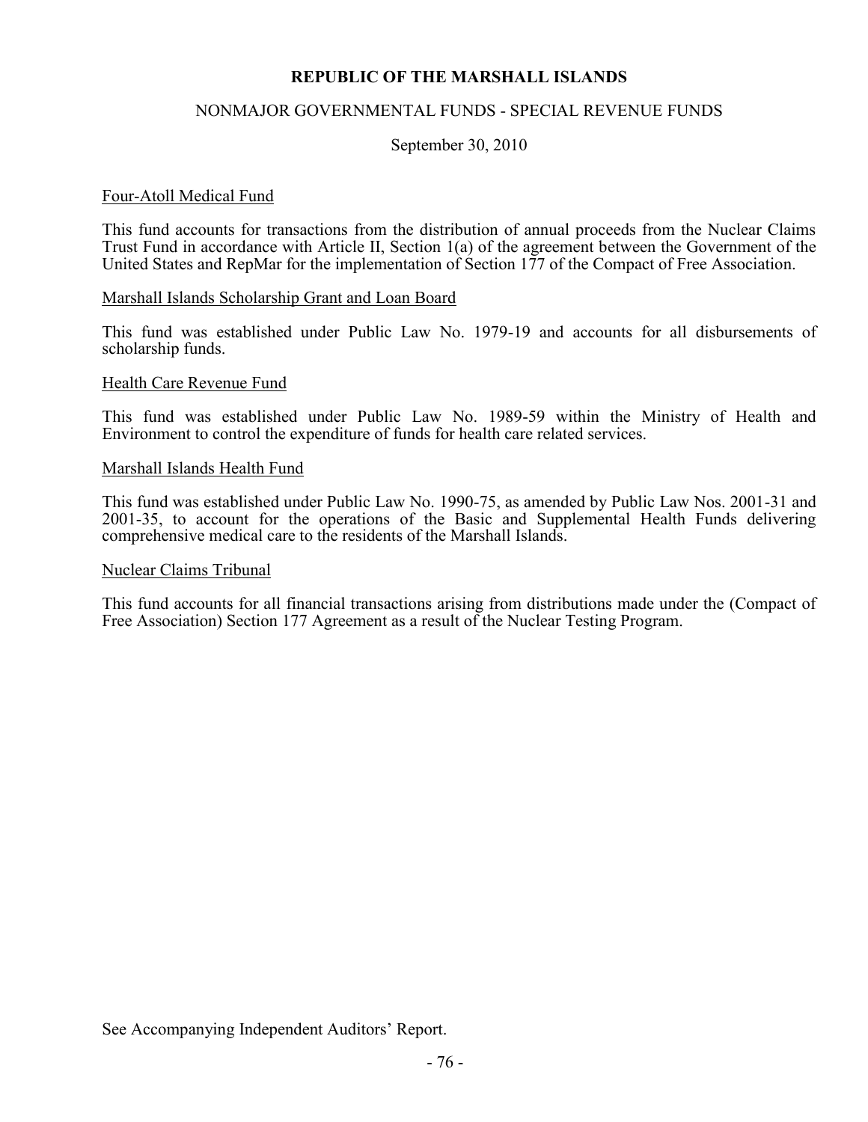### NONMAJOR GOVERNMENTAL FUNDS - SPECIAL REVENUE FUNDS

September 30, 2010

#### Four-Atoll Medical Fund

This fund accounts for transactions from the distribution of annual proceeds from the Nuclear Claims Trust Fund in accordance with Article II, Section 1(a) of the agreement between the Government of the United States and RepMar for the implementation of Section 177 of the Compact of Free Association.

#### Marshall Islands Scholarship Grant and Loan Board

This fund was established under Public Law No. 1979-19 and accounts for all disbursements of scholarship funds.

#### Health Care Revenue Fund

This fund was established under Public Law No. 1989-59 within the Ministry of Health and Environment to control the expenditure of funds for health care related services.

#### Marshall Islands Health Fund

This fund was established under Public Law No. 1990-75, as amended by Public Law Nos. 2001-31 and 2001-35, to account for the operations of the Basic and Supplemental Health Funds delivering comprehensive medical care to the residents of the Marshall Islands.

#### Nuclear Claims Tribunal

This fund accounts for all financial transactions arising from distributions made under the (Compact of Free Association) Section 177 Agreement as a result of the Nuclear Testing Program.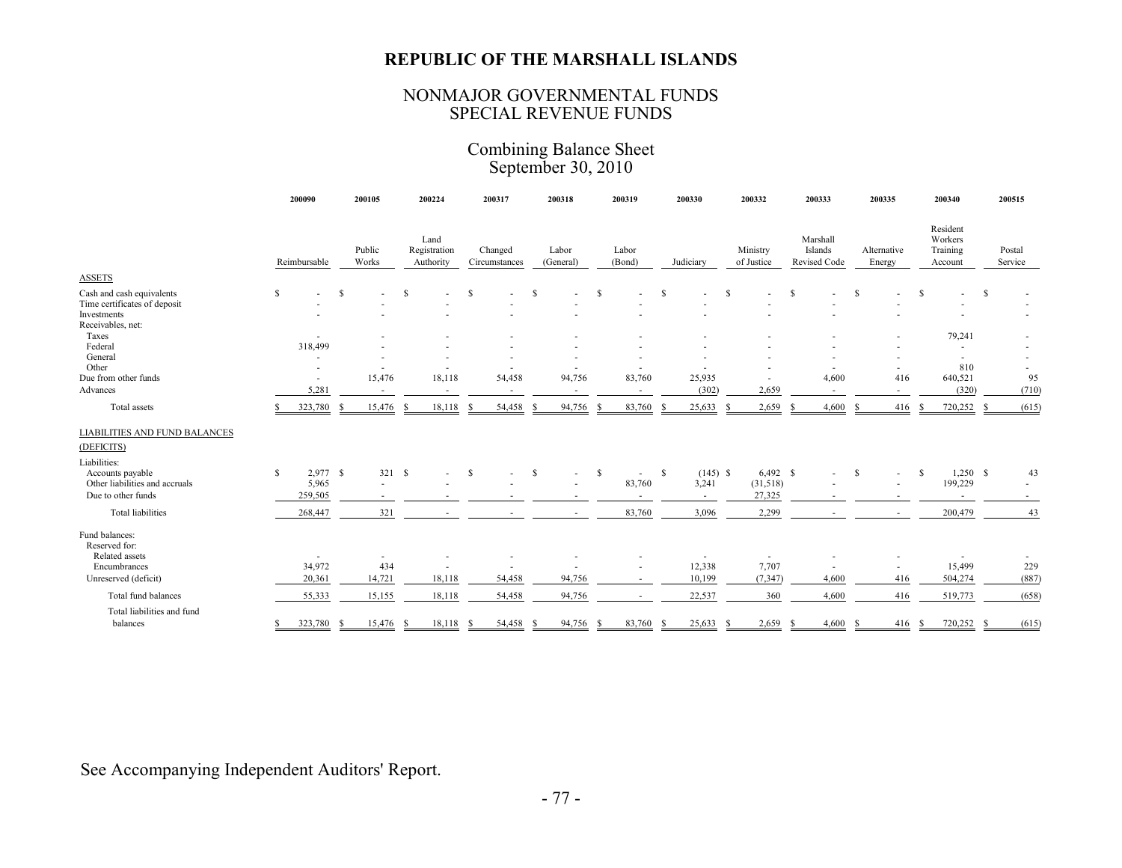### NONMAJOR GOVERNMENTAL FUNDS SPECIAL REVENUE FUNDS

### Combining Balance Sheet September 30, 2010

|                                                                                               |              | 200090       |               | 200105          |              | 200224                            |              | 200317                   |               | 200318                   |    | 200319                             |              | 200330      |      | 200332                                     |              | 200333                              |               | 200335                   |             | 200340                                     |    | 200515            |
|-----------------------------------------------------------------------------------------------|--------------|--------------|---------------|-----------------|--------------|-----------------------------------|--------------|--------------------------|---------------|--------------------------|----|------------------------------------|--------------|-------------|------|--------------------------------------------|--------------|-------------------------------------|---------------|--------------------------|-------------|--------------------------------------------|----|-------------------|
| <b>ASSETS</b>                                                                                 |              | Reimbursable |               | Public<br>Works |              | Land<br>Registration<br>Authority |              | Changed<br>Circumstances |               | Labor<br>(General)       |    | Labor<br>(Bond)                    |              | Judiciary   |      | Ministry<br>of Justice                     |              | Marshall<br>Islands<br>Revised Code |               | Alternative<br>Energy    |             | Resident<br>Workers<br>Training<br>Account |    | Postal<br>Service |
|                                                                                               |              |              |               |                 | <sup>S</sup> |                                   | <sup>S</sup> |                          | S             |                          | S  |                                    | S            |             | \$   |                                            |              |                                     | S             |                          |             |                                            |    |                   |
| Cash and cash equivalents<br>Time certificates of deposit<br>Investments<br>Receivables, net: | $\mathbb{S}$ |              | <sup>\$</sup> |                 |              | $\overline{\phantom{a}}$          |              |                          |               | $\overline{\phantom{a}}$ |    | ٠                                  |              | ٠           |      |                                            | s            | ×.<br>٠                             |               | ٠                        | \$          | ÷.<br>٠                                    | S  | ٠                 |
| Taxes                                                                                         |              |              |               |                 |              | $\overline{a}$                    |              |                          |               | ٠                        |    |                                    |              | ٠           |      |                                            |              | ٠                                   |               | $\overline{\phantom{a}}$ |             | 79,241                                     |    |                   |
| Federal                                                                                       |              | 318,499      |               |                 |              |                                   |              |                          |               |                          |    |                                    |              |             |      |                                            |              |                                     |               |                          |             | ٠                                          |    |                   |
| General                                                                                       |              |              |               |                 |              |                                   |              |                          |               |                          |    |                                    |              |             |      |                                            |              |                                     |               |                          |             | ٠                                          |    |                   |
| Other<br>Due from other funds                                                                 |              |              |               | 15,476          |              | $\overline{a}$<br>18,118          |              | ×<br>54,458              |               | ٠<br>94,756              |    | $\overline{\phantom{a}}$<br>83,760 |              | ٠<br>25,935 |      | $\overline{\phantom{a}}$<br>$\overline{a}$ |              | ×<br>4,600                          |               | $\sim$<br>416            |             | 810<br>640,521                             |    | $\sim$<br>95      |
| Advances                                                                                      |              | 5,281        |               |                 |              |                                   |              |                          |               |                          |    |                                    |              | (302)       |      | 2,659                                      |              | $\overline{\phantom{a}}$            |               |                          |             | (320)                                      |    | (710)             |
|                                                                                               |              |              |               |                 |              |                                   |              |                          |               |                          |    |                                    |              |             |      |                                            |              |                                     |               |                          |             |                                            |    |                   |
| Total assets                                                                                  | \$           | 323,780      |               | 15,476          | -S           | 18,118                            | -8           | 54,458                   | -8            | 94,756                   | -8 | 83,760                             | -S           | 25,633      | - \$ | 2,659                                      | -S           | 4,600                               | <sup>\$</sup> | 416                      | -S          | 720,252                                    | -S | (615)             |
| LIABILITIES AND FUND BALANCES                                                                 |              |              |               |                 |              |                                   |              |                          |               |                          |    |                                    |              |             |      |                                            |              |                                     |               |                          |             |                                            |    |                   |
| (DEFICITS)                                                                                    |              |              |               |                 |              |                                   |              |                          |               |                          |    |                                    |              |             |      |                                            |              |                                     |               |                          |             |                                            |    |                   |
| Liabilities:                                                                                  |              |              |               |                 |              |                                   |              |                          |               |                          |    |                                    |              |             |      |                                            |              |                                     |               |                          |             |                                            |    |                   |
| Accounts payable                                                                              | $\mathbf S$  | 2,977 \$     |               | 321             | <sup>S</sup> | $\sim$                            | <sup>S</sup> | ٠                        | <sup>\$</sup> | $\sim$                   | \$ | $\sim$                             | <sup>S</sup> | $(145)$ \$  |      | $6,492$ \$                                 |              | ٠                                   | \$            | $\overline{\phantom{a}}$ | $\mathbf S$ | $1,250$ \$                                 |    | 43                |
| Other liabilities and accruals                                                                |              | 5,965        |               | $\sim$          |              |                                   |              |                          |               | $\sim$                   |    | 83,760                             |              | 3,241       |      | (31, 518)                                  |              |                                     |               | $\sim$                   |             | 199,229                                    |    | $\sim$            |
| Due to other funds                                                                            |              | 259,505      |               |                 |              |                                   |              |                          |               |                          |    |                                    |              | ٠           |      | 27,325                                     |              |                                     |               |                          |             |                                            |    |                   |
| <b>Total liabilities</b>                                                                      |              | 268,447      |               | 321             |              |                                   |              |                          |               | $\sim$                   |    | 83,760                             |              | 3,096       |      | 2,299                                      |              |                                     |               | $\sim$                   |             | 200,479                                    |    | 43                |
| Fund balances:<br>Reserved for:                                                               |              |              |               |                 |              |                                   |              |                          |               |                          |    |                                    |              |             |      |                                            |              |                                     |               |                          |             |                                            |    |                   |
| Related assets                                                                                |              |              |               |                 |              |                                   |              |                          |               |                          |    |                                    |              |             |      |                                            |              |                                     |               |                          |             |                                            |    |                   |
| Encumbrances                                                                                  |              | 34,972       |               | 434             |              |                                   |              |                          |               |                          |    |                                    |              | 12,338      |      | 7,707                                      |              | ٠                                   |               | ٠                        |             | 15,499                                     |    | 229               |
| Unreserved (deficit)                                                                          |              | 20,361       |               | 14,721          |              | 18,118                            |              | 54,458                   |               | 94,756                   |    | $\overline{\phantom{a}}$           |              | 10,199      |      | (7, 347)                                   |              | 4,600                               |               | 416                      |             | 504,274                                    |    | (887)             |
| Total fund balances                                                                           |              | 55,333       |               | 15,155          |              | 18,118                            |              | 54,458                   |               | 94,756                   |    | ×                                  |              | 22,537      |      | 360                                        |              | 4,600                               |               | 416                      |             | 519,773                                    |    | (658)             |
| Total liabilities and fund<br>balances                                                        | S.           | 323,780      | -S            | 15,476 \$       |              | 18,118                            | - S          | 54,458                   | - S           | 94,756 \$                |    | 83,760 \$                          |              | 25,633      | - \$ | 2,659                                      | $\mathbf{s}$ | 4,600S                              |               | 416S                     |             | 720,252 \$                                 |    | (615)             |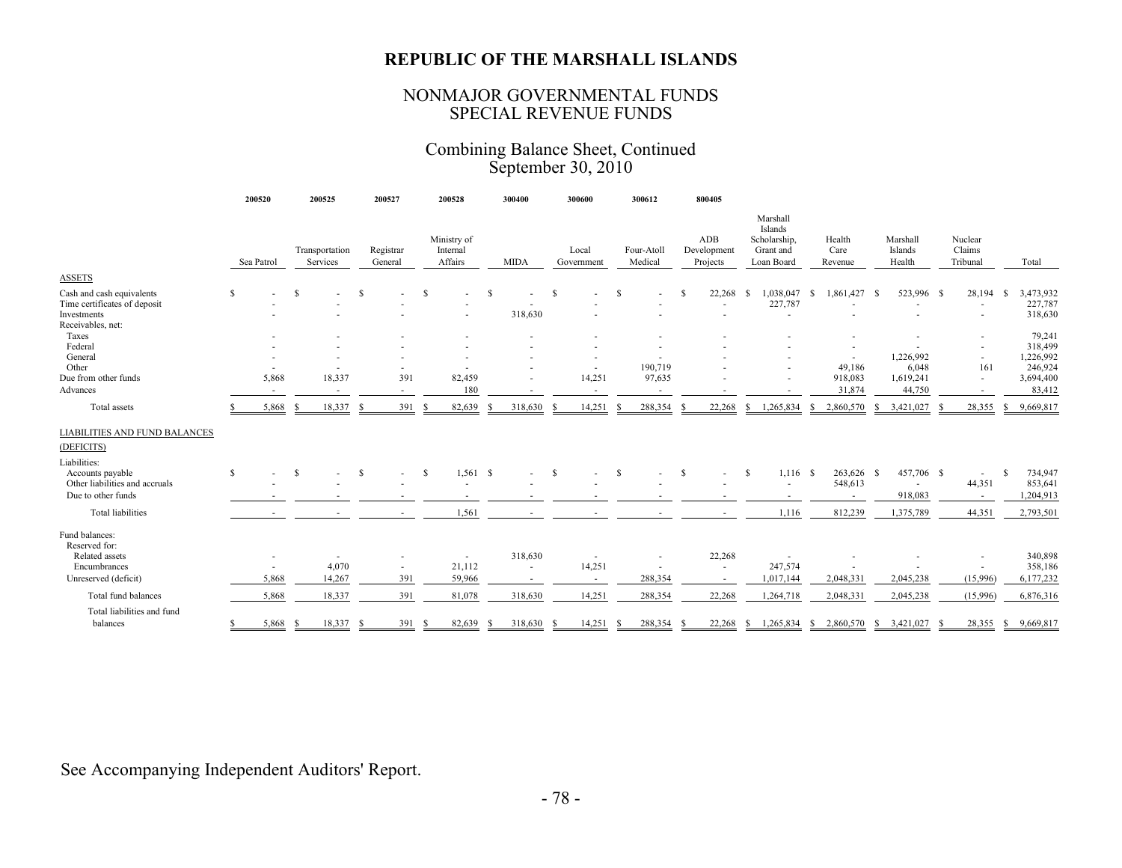### NONMAJOR GOVERNMENTAL FUNDS SPECIAL REVENUE FUNDS

### Combining Balance Sheet, Continued September 30, 2010

|                                                                                               |    | 200520     |    | 200525                     |    | 200527                   |               | 200528                             |      | 300400                   |    | 300600              |      | 300612                |               | 800405                         |    |                                                                |     |                           |     |                               |                               |    |                                 |
|-----------------------------------------------------------------------------------------------|----|------------|----|----------------------------|----|--------------------------|---------------|------------------------------------|------|--------------------------|----|---------------------|------|-----------------------|---------------|--------------------------------|----|----------------------------------------------------------------|-----|---------------------------|-----|-------------------------------|-------------------------------|----|---------------------------------|
|                                                                                               |    | Sea Patrol |    | Transportation<br>Services |    | Registrar<br>General     |               | Ministry of<br>Internal<br>Affairs |      | <b>MIDA</b>              |    | Local<br>Government |      | Four-Atoll<br>Medical |               | ADB<br>Development<br>Projects |    | Marshall<br>Islands<br>Scholarship,<br>Grant and<br>Loan Board |     | Health<br>Care<br>Revenue |     | Marshall<br>Islands<br>Health | Nuclear<br>Claims<br>Tribunal |    | Total                           |
| <b>ASSETS</b>                                                                                 |    |            |    |                            |    |                          |               |                                    |      |                          |    |                     |      |                       |               |                                |    |                                                                |     |                           |     |                               |                               |    |                                 |
| Cash and cash equivalents<br>Time certificates of deposit<br>Investments<br>Receivables, net: | S. |            | -S |                            | -S |                          | <sup>\$</sup> | ٠<br>٠                             | -S   | 318,630                  | S  |                     | - \$ |                       | -S            | 22,268<br>$\blacksquare$<br>×  | -S | 1,038,047<br>227,787<br>٠                                      | -S  | 1,861,427                 | - S | 523,996 \$                    | 28,194                        | -S | 3,473,932<br>227,787<br>318,630 |
| Taxes                                                                                         |    |            |    |                            |    | $\overline{a}$           |               | ٠                                  |      | $\sim$                   |    |                     |      |                       |               | ٠                              |    | ٠                                                              |     | $\overline{\phantom{a}}$  |     |                               |                               |    | 79,241                          |
| Federal                                                                                       |    |            |    |                            |    |                          |               |                                    |      |                          |    |                     |      |                       |               |                                |    |                                                                |     |                           |     |                               |                               |    | 318,499                         |
| General                                                                                       |    |            |    |                            |    |                          |               |                                    |      |                          |    |                     |      |                       |               |                                |    |                                                                |     | $\overline{\phantom{a}}$  |     | 1,226,992                     | $\sim$                        |    | 1,226,992                       |
| Other<br>Due from other funds                                                                 |    |            |    |                            |    | ٠<br>391                 |               |                                    |      |                          |    | $\sim$              |      | 190,719               |               |                                |    | ٠                                                              |     | 49,186                    |     | 6,048                         | 161                           |    | 246,924                         |
|                                                                                               |    | 5,868      |    | 18,337                     |    |                          |               | 82,459                             |      |                          |    | 14,251              |      | 97,635                |               |                                |    | ٠                                                              |     | 918,083                   |     | 1,619,241                     | $\sim$                        |    | 3,694,400                       |
| Advances                                                                                      |    |            |    |                            |    | $\overline{\phantom{a}}$ |               | 180                                |      |                          |    |                     |      |                       |               |                                |    |                                                                |     | 31,874                    |     | 44,750                        |                               |    | 83,412                          |
| Total assets                                                                                  | S. | 5,868      | -S | 18,337                     | -S | 391                      | -8            | 82,639                             |      | 318,630                  | -S | 14,251              | -8   | 288,354               | ×             | 22,268                         | -S | 1,265,834                                                      | - 8 | 2,860,570                 | S.  | 3,421,027                     | 28,355                        |    | 9,669,817                       |
| <b>LIABILITIES AND FUND BALANCES</b>                                                          |    |            |    |                            |    |                          |               |                                    |      |                          |    |                     |      |                       |               |                                |    |                                                                |     |                           |     |                               |                               |    |                                 |
| (DEFICITS)                                                                                    |    |            |    |                            |    |                          |               |                                    |      |                          |    |                     |      |                       |               |                                |    |                                                                |     |                           |     |                               |                               |    |                                 |
| Liabilities:                                                                                  |    |            |    |                            |    |                          |               |                                    |      |                          |    |                     |      |                       |               |                                |    |                                                                |     |                           |     |                               |                               |    |                                 |
| Accounts payable                                                                              | \$ |            | \$ |                            | S  | $\sim$                   | <sup>\$</sup> | $1,561$ \$                         |      | $\overline{\phantom{a}}$ | S  |                     | S.   |                       | <sup>\$</sup> | $\sim$                         | S  | $1,116$ \$                                                     |     | 263,626 \$                |     | 457,706 \$                    | $\sim$                        | S  | 734,947                         |
| Other liabilities and accruals                                                                |    |            |    |                            |    |                          |               | ٠                                  |      |                          |    |                     |      |                       |               |                                |    | $\sim$                                                         |     | 548,613                   |     |                               | 44,351                        |    | 853,641                         |
| Due to other funds                                                                            |    |            |    |                            |    |                          |               | $\overline{a}$                     |      |                          |    |                     |      |                       |               |                                |    | ×                                                              |     |                           |     | 918,083                       |                               |    | 1,204,913                       |
| <b>Total liabilities</b>                                                                      |    |            |    |                            |    |                          |               | 1,561                              |      |                          |    |                     |      |                       |               |                                |    | 1,116                                                          |     | 812,239                   |     | 1,375,789                     | 44,351                        |    | 2,793,501                       |
| Fund balances:<br>Reserved for:                                                               |    |            |    |                            |    |                          |               |                                    |      |                          |    |                     |      |                       |               |                                |    |                                                                |     |                           |     |                               |                               |    |                                 |
| Related assets                                                                                |    |            |    |                            |    |                          |               | $\overline{\phantom{a}}$           |      | 318,630                  |    |                     |      |                       |               | 22,268                         |    |                                                                |     |                           |     |                               |                               |    | 340,898                         |
| Encumbrances                                                                                  |    |            |    | 4,070                      |    |                          |               | 21,112                             |      |                          |    | 14,251              |      |                       |               | $\blacksquare$                 |    | 247,574                                                        |     |                           |     |                               |                               |    | 358,186                         |
| Unreserved (deficit)                                                                          |    | 5,868      |    | 14,267                     |    | 391                      |               | 59,966                             |      |                          |    | $\sim$              |      | 288,354               |               | $\overline{\phantom{a}}$       |    | 1,017,144                                                      |     | 2,048,331                 |     | 2,045,238                     | (15,996)                      |    | 6,177,232                       |
| Total fund balances                                                                           |    | 5,868      |    | 18,337                     |    | 391                      |               | 81,078                             |      | 318,630                  |    | 14,251              |      | 288,354               |               | 22,268                         |    | 1,264,718                                                      |     | 2,048,331                 |     | 2,045,238                     | (15,996)                      |    | 6,876,316                       |
| Total liabilities and fund<br>balances                                                        | \$ | 5,868 \$   |    | 18,337 \$                  |    | 391 \$                   |               | 82,639                             | - \$ | 318,630 \$               |    | $14,251$ \$         |      | 288,354 \$            |               | 22,268                         | -S | 1,265,834                                                      | -S  |                           |     | 2,860,570 \$ 3,421,027 \$     | 28,355                        | S. | 9,669,817                       |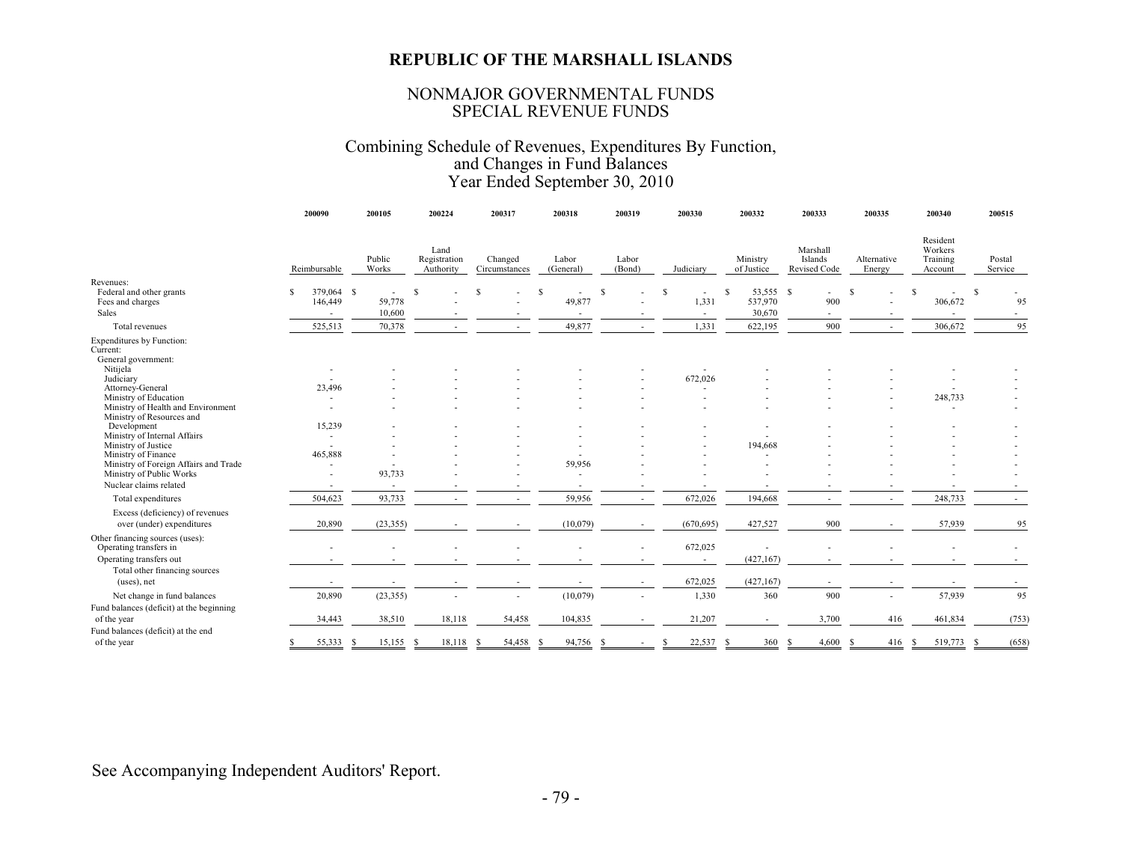### NONMAJOR GOVERNMENTAL FUNDS SPECIAL REVENUE FUNDS

#### Combining Schedule of Revenues, Expenditures By Function, and Changes in Fund Balances Year Ended September 30, 2010

|                                                                     |    | 200090                                               | 200105          | 200224                            | 200317                   | 200318                                         | 200319                   | 200330                                 | 200332                    | 200333                              | 200335                | 200340                                     | 200515            |
|---------------------------------------------------------------------|----|------------------------------------------------------|-----------------|-----------------------------------|--------------------------|------------------------------------------------|--------------------------|----------------------------------------|---------------------------|-------------------------------------|-----------------------|--------------------------------------------|-------------------|
|                                                                     |    | Reimbursable                                         | Public<br>Works | Land<br>Registration<br>Authority | Changed<br>Circumstances | Labor<br>(General)                             | Labor<br>(Bond)          | Judiciary                              | Ministry<br>of Justice    | Marshall<br>Islands<br>Revised Code | Alternative<br>Energy | Resident<br>Workers<br>Training<br>Account | Postal<br>Service |
| Revenues:                                                           |    |                                                      |                 |                                   |                          |                                                |                          |                                        |                           |                                     |                       |                                            |                   |
| Federal and other grants<br>Fees and charges                        | S  | 379,064 \$<br>146,449                                | ٠<br>59,778     | S                                 | S                        | <b>S</b><br>$\overline{\phantom{a}}$<br>49,877 | S                        | S<br>$\overline{\phantom{a}}$<br>1,331 | 53,555 \$<br>S<br>537,970 | $\sim$<br>900                       | <sup>\$</sup>         | S<br>$\sim$                                | S<br>95           |
| Sales                                                               |    |                                                      | 10,600          |                                   |                          |                                                |                          | ٠                                      | 30,670                    |                                     |                       | 306,672                                    |                   |
|                                                                     |    | $\overline{\phantom{a}}$                             |                 |                                   |                          |                                                |                          |                                        |                           | $\overline{\phantom{a}}$            |                       |                                            |                   |
| Total revenues                                                      |    | 525,513                                              | 70,378          |                                   | $\overline{\phantom{a}}$ | 49,877                                         | $\sim$                   | 1,331                                  | 622,195                   | 900                                 | $\sim$                | 306,672                                    | 95                |
| <b>Expenditures by Function:</b><br>Current:<br>General government: |    |                                                      |                 |                                   |                          |                                                |                          |                                        |                           |                                     |                       |                                            |                   |
| Nitijela                                                            |    | $\overline{\phantom{a}}$                             |                 |                                   |                          |                                                |                          | ٠                                      |                           |                                     |                       |                                            |                   |
| Judiciary                                                           |    |                                                      |                 |                                   |                          |                                                |                          | 672,026                                |                           |                                     |                       |                                            |                   |
| Attorney-General<br>Ministry of Education                           |    | 23,496                                               |                 |                                   |                          |                                                |                          |                                        |                           |                                     |                       | 248,733                                    |                   |
| Ministry of Health and Environment                                  |    | $\overline{\phantom{a}}$<br>$\overline{\phantom{a}}$ |                 |                                   |                          |                                                |                          |                                        |                           |                                     |                       |                                            |                   |
| Ministry of Resources and                                           |    |                                                      |                 |                                   |                          |                                                |                          |                                        |                           |                                     |                       |                                            |                   |
| Development                                                         |    | 15,239                                               |                 |                                   |                          |                                                |                          |                                        |                           |                                     |                       |                                            |                   |
| Ministry of Internal Affairs                                        |    | $\overline{\phantom{a}}$                             |                 |                                   |                          |                                                |                          |                                        |                           |                                     |                       |                                            |                   |
| Ministry of Justice                                                 |    | $\overline{\phantom{a}}$                             |                 |                                   |                          |                                                |                          |                                        | 194,668                   |                                     |                       |                                            |                   |
| Ministry of Finance                                                 |    | 465,888                                              |                 |                                   |                          |                                                |                          |                                        |                           |                                     |                       |                                            |                   |
| Ministry of Foreign Affairs and Trade<br>Ministry of Public Works   |    | ٠                                                    | 93,733          |                                   |                          | 59,956                                         |                          |                                        | ۰                         |                                     |                       |                                            |                   |
| Nuclear claims related                                              |    |                                                      |                 |                                   |                          |                                                |                          |                                        |                           |                                     |                       |                                            |                   |
|                                                                     |    | $\overline{\phantom{a}}$                             |                 |                                   |                          | $\overline{\phantom{a}}$                       |                          |                                        |                           |                                     |                       |                                            |                   |
| Total expenditures                                                  |    | 504,623                                              | 93,733          |                                   | $\overline{\phantom{a}}$ | 59,956                                         | $\sim$                   | 672,026                                | 194,668                   |                                     |                       | 248,733                                    | $\sim$            |
| Excess (deficiency) of revenues                                     |    |                                                      |                 |                                   |                          |                                                |                          |                                        |                           |                                     |                       |                                            |                   |
| over (under) expenditures                                           |    | 20,890                                               | (23, 355)       |                                   |                          | (10,079)                                       |                          | (670, 695)                             | 427,527                   | 900                                 |                       | 57,939                                     | 95                |
| Other financing sources (uses):<br>Operating transfers in           |    |                                                      |                 |                                   |                          |                                                |                          | 672,025                                |                           |                                     |                       |                                            |                   |
| Operating transfers out                                             |    |                                                      |                 |                                   |                          |                                                |                          |                                        | (427, 167)                |                                     |                       |                                            |                   |
| Total other financing sources                                       |    |                                                      |                 |                                   |                          |                                                |                          |                                        |                           |                                     |                       |                                            |                   |
| (uses), net                                                         |    |                                                      |                 |                                   |                          |                                                |                          | 672,025                                | (427, 167)                |                                     |                       |                                            |                   |
| Net change in fund balances                                         |    | 20,890                                               | (23, 355)       |                                   |                          | (10,079)                                       | $\overline{\phantom{a}}$ | 1,330                                  | 360                       | 900                                 |                       | 57,939                                     | 95                |
| Fund balances (deficit) at the beginning                            |    |                                                      |                 |                                   |                          |                                                |                          |                                        |                           |                                     |                       |                                            |                   |
|                                                                     |    |                                                      |                 |                                   |                          |                                                |                          |                                        |                           |                                     |                       |                                            |                   |
| of the year                                                         |    | 34,443                                               | 38,510          | 18,118                            | 54,458                   | 104,835                                        | ۰                        | 21,207                                 | $\overline{\phantom{a}}$  | 3,700                               | 416                   | 461,834                                    | (753)             |
| Fund balances (deficit) at the end                                  |    |                                                      |                 |                                   |                          |                                                |                          |                                        |                           |                                     |                       |                                            |                   |
| of the year                                                         | S. | 55,333                                               | 15,155<br>- S   | 18,118<br>-S                      | 54,458<br>-S             | 94,756 \$<br>-8                                |                          | 22,537<br>S.                           | 360<br>- S                | 4,600<br>- \$                       | -S<br>416             | 519,773<br>-S                              | (658)<br>-S       |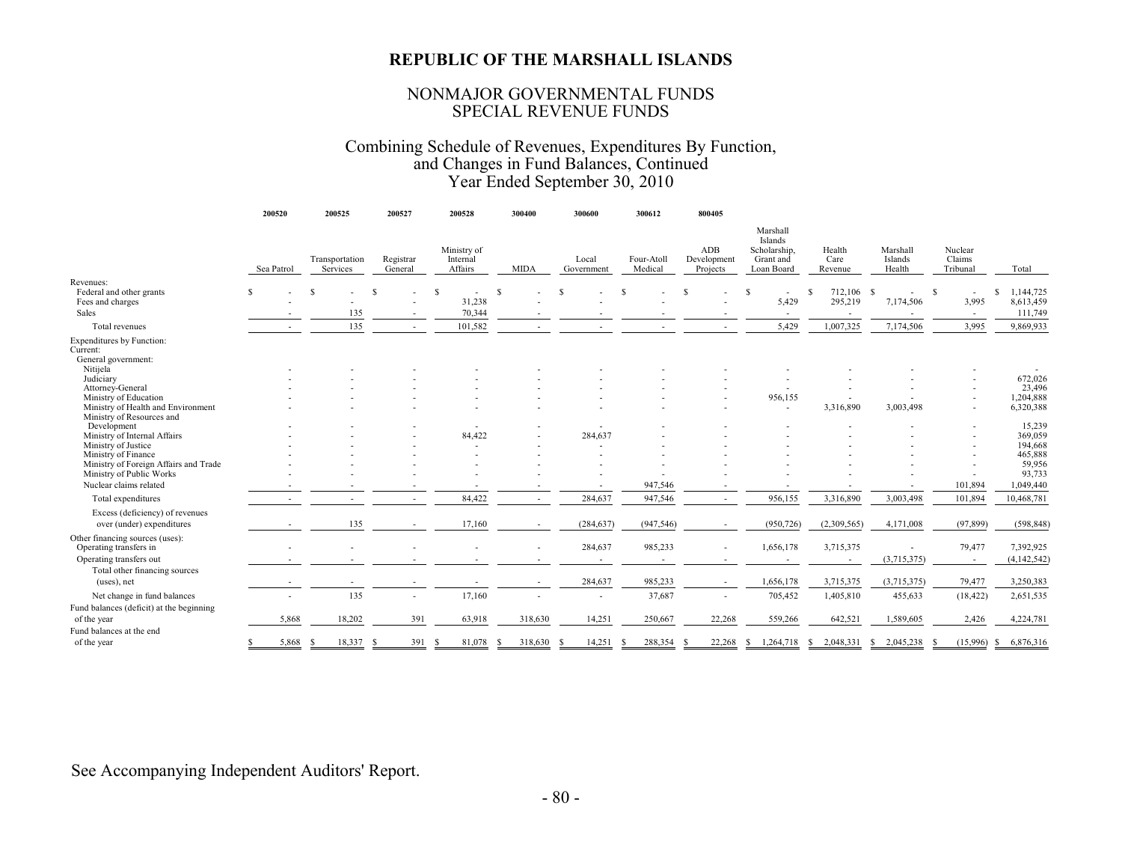### NONMAJOR GOVERNMENTAL FUNDS SPECIAL REVENUE FUNDS

#### Combining Schedule of Revenues, Expenditures By Function, and Changes in Fund Balances, Continued Year Ended September 30, 2010

|                                                                     |    | 200520     | 200525                     |        | 200527                   |    | 200528                             |    | 300400      | 300600                   | 300612                |     | 800405                         |                                                                |                           |                       |                               |    |                               |                             |
|---------------------------------------------------------------------|----|------------|----------------------------|--------|--------------------------|----|------------------------------------|----|-------------|--------------------------|-----------------------|-----|--------------------------------|----------------------------------------------------------------|---------------------------|-----------------------|-------------------------------|----|-------------------------------|-----------------------------|
|                                                                     |    | Sea Patrol | Transportation<br>Services |        | Registrar<br>General     |    | Ministry of<br>Internal<br>Affairs |    | <b>MIDA</b> | Local<br>Government      | Four-Atoll<br>Medical |     | ADB<br>Development<br>Projects | Marshall<br>Islands<br>Scholarship,<br>Grant and<br>Loan Board | Health<br>Care<br>Revenue |                       | Marshall<br>Islands<br>Health |    | Nuclear<br>Claims<br>Tribunal | Total                       |
| Revenues:<br>Federal and other grants<br>Fees and charges           | S  |            | <sup>\$</sup>              |        | -S                       | -S | ÷.<br>31,238                       | -S |             | S                        | -S                    | -S  |                                | -S<br>5,429                                                    | S                         | 712,106 \$<br>295,219 | 7,174,506                     | S  | 3,995                         | 1,144,725<br>S<br>8,613,459 |
| Sales                                                               |    |            |                            | 135    |                          |    | 70,344                             |    |             |                          |                       |     |                                |                                                                |                           |                       |                               |    | $\overline{\phantom{a}}$      | 111,749                     |
| Total revenues                                                      |    |            |                            | 135    | $\overline{\phantom{a}}$ |    | 101,582                            |    |             |                          |                       |     |                                | 5,429                                                          |                           | 1,007,325             | 7,174,506                     |    | 3,995                         | 9,869,933                   |
| <b>Expenditures by Function:</b><br>Current:<br>General government: |    |            |                            |        |                          |    |                                    |    |             |                          |                       |     |                                |                                                                |                           |                       |                               |    |                               |                             |
| Nitijela                                                            |    |            |                            |        |                          |    |                                    |    |             |                          |                       |     |                                |                                                                |                           |                       |                               |    |                               |                             |
| Judiciary                                                           |    |            |                            |        |                          |    |                                    |    |             |                          |                       |     |                                |                                                                |                           |                       |                               |    |                               | 672,026                     |
| Attorney-General<br>Ministry of Education                           |    |            |                            |        |                          |    |                                    |    |             |                          |                       |     |                                | 956,155                                                        |                           |                       |                               |    |                               | 23,496<br>1,204,888         |
| Ministry of Health and Environment                                  |    |            |                            |        |                          |    |                                    |    |             |                          |                       |     |                                |                                                                |                           | 3,316,890             | 3,003,498                     |    |                               | 6,320,388                   |
| Ministry of Resources and                                           |    |            |                            |        |                          |    |                                    |    |             |                          |                       |     |                                |                                                                |                           |                       |                               |    |                               |                             |
| Development                                                         |    |            |                            |        |                          |    |                                    |    |             |                          |                       |     |                                |                                                                |                           |                       |                               |    |                               | 15,239                      |
| Ministry of Internal Affairs                                        |    |            |                            |        |                          |    | 84.422                             |    |             | 284,637                  |                       |     |                                |                                                                |                           |                       |                               |    |                               | 369,059                     |
| Ministry of Justice                                                 |    |            |                            |        |                          |    | ۰                                  |    |             | ۰                        |                       |     |                                |                                                                |                           |                       |                               |    |                               | 194,668                     |
| Ministry of Finance                                                 |    |            |                            |        |                          |    |                                    |    |             |                          |                       |     |                                |                                                                |                           |                       |                               |    |                               | 465,888                     |
| Ministry of Foreign Affairs and Trade                               |    |            |                            |        |                          |    |                                    |    |             |                          |                       |     |                                |                                                                |                           |                       |                               |    |                               | 59,956                      |
| Ministry of Public Works                                            |    |            |                            |        |                          |    |                                    |    |             |                          |                       |     |                                |                                                                |                           |                       |                               |    |                               | 93,733                      |
| Nuclear claims related                                              |    |            |                            |        |                          |    |                                    |    |             |                          | 947,546               |     |                                |                                                                |                           |                       |                               |    | 101,894                       | 1,049,440                   |
| Total expenditures                                                  |    |            |                            |        | $\overline{\phantom{a}}$ |    | 84,422                             |    |             | 284,637                  | 947,546               |     | $\overline{\phantom{a}}$       | 956,155                                                        |                           | 3,316,890             | 3,003,498                     |    | 101,894                       | 10,468,781                  |
| Excess (deficiency) of revenues                                     |    |            |                            |        |                          |    |                                    |    |             |                          |                       |     |                                |                                                                |                           |                       |                               |    |                               |                             |
| over (under) expenditures                                           |    |            |                            | 135    |                          |    | 17,160                             |    |             | (284, 637)               | (947, 546)            |     |                                | (950, 726)                                                     |                           | (2,309,565)           | 4,171,008                     |    | (97, 899)                     | (598, 848)                  |
| Other financing sources (uses):<br>Operating transfers in           |    |            |                            |        |                          |    |                                    |    |             | 284,637                  | 985,233               |     |                                | 1,656,178                                                      |                           | 3,715,375             |                               |    | 79,477                        | 7,392,925                   |
| Operating transfers out                                             |    |            |                            |        |                          |    |                                    |    |             |                          |                       |     |                                |                                                                |                           |                       | (3,715,375)                   |    | $\sim$                        |                             |
|                                                                     |    |            |                            |        |                          |    |                                    |    |             | $\overline{\phantom{a}}$ |                       |     |                                |                                                                |                           |                       |                               |    |                               | (4, 142, 542)               |
| Total other financing sources                                       |    |            |                            |        |                          |    |                                    |    |             |                          |                       |     |                                |                                                                |                           |                       |                               |    |                               |                             |
| (uses), net                                                         |    |            |                            |        |                          |    |                                    |    |             | 284,637                  | 985,233               |     | $\overline{\phantom{a}}$       | 1,656,178                                                      |                           | 3,715,375             | (3,715,375)                   |    | 79,477                        | 3,250,383                   |
| Net change in fund balances                                         |    |            |                            | 135    | $\sim$                   |    | 17,160                             |    |             | $\overline{\phantom{a}}$ | 37,687                |     | $\overline{\phantom{a}}$       | 705,452                                                        |                           | 1,405,810             | 455,633                       |    | (18, 422)                     | 2,651,535                   |
| Fund balances (deficit) at the beginning                            |    |            |                            |        |                          |    |                                    |    |             |                          |                       |     |                                |                                                                |                           |                       |                               |    |                               |                             |
| of the year                                                         |    | 5,868      |                            | 18,202 | 391                      |    | 63,918                             |    | 318,630     | 14,251                   | 250,667               |     | 22,268                         | 559,266                                                        |                           | 642,521               | 1,589,605                     |    | 2,426                         | 4,224,781                   |
| Fund balances at the end                                            |    |            |                            |        |                          |    |                                    |    |             |                          |                       |     |                                |                                                                |                           |                       |                               |    |                               |                             |
| of the year                                                         | -S | 5,868      | -S                         | 18,337 | 391<br>-8                | -S | 81,078                             | -8 | 318,630     | 14,251<br>-8             | 288,354<br>-8         | - S | 22,268                         | 1,264,718<br>-S                                                | -S                        | 2,048,331             | 2,045,238<br>S.               | -S | (15,996)                      | 6,876,316<br>-S             |
|                                                                     |    |            |                            |        |                          |    |                                    |    |             |                          |                       |     |                                |                                                                |                           |                       |                               |    |                               |                             |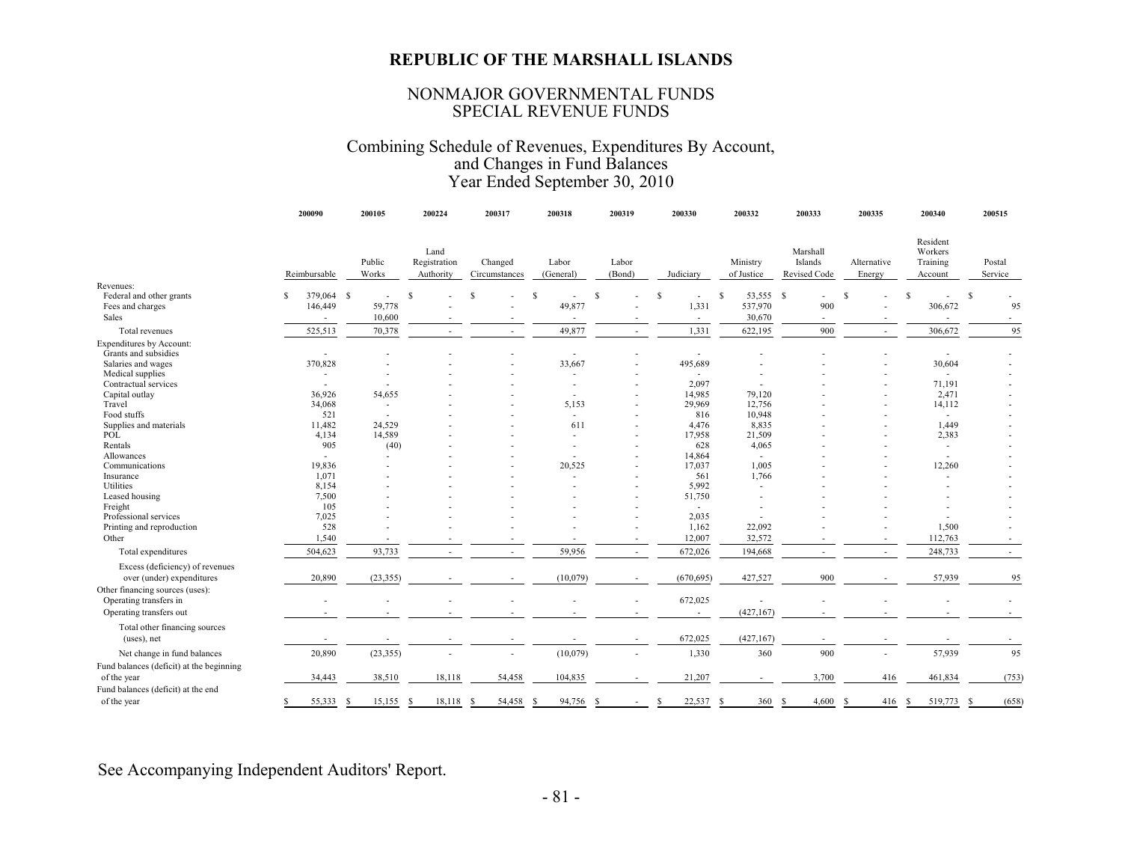### SPECIAL REVENUE FUNDS NONMAJOR GOVERNMENTAL FUNDS

#### Combining Schedule of Revenues, Expenditures By Account, Year Ended September 30, 2010 and Changes in Fund Balances

|                                              | 200090                      | 200105          | 200224                            | 200317                   | 200318                   | 200319                   | 200330           | 200332                                | 200333                              | 200335                   | 200340                                     | 200515             |
|----------------------------------------------|-----------------------------|-----------------|-----------------------------------|--------------------------|--------------------------|--------------------------|------------------|---------------------------------------|-------------------------------------|--------------------------|--------------------------------------------|--------------------|
|                                              | Reimbursable                | Public<br>Works | Land<br>Registration<br>Authority | Changed<br>Circumstances | Labor<br>(General)       | Labor<br>(Bond)          | Judiciary        | Ministry<br>of Justice                | Marshall<br>Islands<br>Revised Code | Alternative<br>Energy    | Resident<br>Workers<br>Training<br>Account | Postal<br>Service  |
| Revenues:                                    |                             |                 | $\mathcal{S}$                     | S                        |                          |                          |                  |                                       |                                     |                          |                                            |                    |
| Federal and other grants<br>Fees and charges | 379,064 \$<br>£.<br>146,449 | 59,778          |                                   |                          | s<br>49,877              | -S                       | 1,331            | 53,555 \$<br><sup>\$</sup><br>537,970 | 900                                 |                          | 306,672                                    | <sup>S</sup><br>95 |
| Sales                                        |                             |                 |                                   |                          |                          |                          |                  |                                       |                                     |                          |                                            |                    |
|                                              | $\sim$                      | 10,600          |                                   |                          | $\overline{\phantom{a}}$ |                          | $\sim$           | 30,670                                | $\sim$                              |                          |                                            |                    |
| Total revenues                               | 525,513                     | 70,378          | $\overline{\phantom{a}}$          | ٠                        | 49,877                   | $\overline{\phantom{a}}$ | 1,331            | 622,195                               | 900                                 | $\overline{\phantom{a}}$ | 306,672                                    | 95                 |
| Expenditures by Account:                     |                             |                 |                                   |                          |                          |                          |                  |                                       |                                     |                          |                                            |                    |
| Grants and subsidies                         |                             |                 |                                   |                          | $\sim$                   |                          |                  |                                       |                                     |                          |                                            |                    |
| Salaries and wages                           | 370,828                     |                 |                                   |                          | 33,667                   |                          | 495,689          |                                       |                                     |                          | 30,604                                     |                    |
| Medical supplies                             |                             |                 |                                   |                          | ٠                        |                          |                  |                                       |                                     |                          |                                            |                    |
| Contractual services                         |                             |                 |                                   |                          | ٠                        |                          | 2,097            |                                       |                                     |                          | 71,191                                     |                    |
| Capital outlay                               | 36,926                      | 54,655          |                                   |                          | $\overline{\phantom{a}}$ |                          | 14,985           | 79,120                                |                                     |                          | 2,471                                      |                    |
| Travel                                       | 34,068                      |                 |                                   |                          | 5,153                    |                          | 29,969           | 12,756                                |                                     |                          | 14,112                                     |                    |
| Food stuffs                                  | 521                         |                 |                                   |                          | $\overline{\phantom{a}}$ |                          | 816              | 10,948                                |                                     |                          | $\sim$                                     |                    |
| Supplies and materials                       | 11,482                      | 24,529          |                                   |                          | 611                      |                          | 4,476            | 8,835                                 |                                     |                          | 1,449                                      |                    |
| POL                                          | 4,134                       | 14,589          |                                   |                          |                          |                          | 17,958           | 21,509                                |                                     |                          | 2,383                                      |                    |
| Rentals                                      | 905                         | (40)            |                                   |                          | ۰                        |                          | 628              | 4,065                                 |                                     |                          | $\sim$                                     |                    |
| Allowances<br>Communications                 | 19,836                      |                 |                                   |                          | 20,525                   |                          | 14,864<br>17,037 | 1,005                                 |                                     |                          | 12,260                                     |                    |
|                                              | 1,071                       |                 |                                   |                          |                          |                          | 561              |                                       |                                     |                          |                                            |                    |
| Insurance<br>Utilities                       | 8,154                       |                 |                                   |                          |                          |                          | 5,992            | 1,766                                 |                                     |                          |                                            |                    |
| Leased housing                               | 7,500                       |                 |                                   |                          |                          |                          | 51,750           |                                       |                                     |                          |                                            |                    |
| Freight                                      | 105                         |                 |                                   |                          |                          |                          | $\sim$           |                                       |                                     |                          |                                            |                    |
| Professional services                        | 7,025                       |                 |                                   |                          |                          |                          | 2,035            |                                       |                                     |                          |                                            |                    |
| Printing and reproduction                    | 528                         |                 |                                   |                          |                          |                          | 1,162            | 22,092                                |                                     |                          | 1,500                                      |                    |
| Other                                        | 1,540                       |                 |                                   |                          |                          | $\overline{\phantom{m}}$ | 12,007           | 32,572                                |                                     |                          | 112,763                                    |                    |
|                                              |                             |                 |                                   |                          |                          |                          |                  |                                       |                                     |                          |                                            |                    |
| Total expenditures                           | 504,623                     | 93,733          |                                   | $\sim$                   | 59,956                   |                          | 672,026          | 194,668                               | $\overline{\phantom{a}}$            | $\overline{\phantom{a}}$ | 248,733                                    | $\sim$             |
| Excess (deficiency) of revenues              |                             |                 |                                   |                          |                          |                          |                  |                                       |                                     |                          |                                            |                    |
| over (under) expenditures                    | 20,890                      | (23, 355)       |                                   |                          | (10,079)                 |                          | (670, 695)       | 427,527                               | 900                                 |                          | 57,939                                     | 95                 |
| Other financing sources (uses):              |                             |                 |                                   |                          |                          |                          |                  |                                       |                                     |                          |                                            |                    |
| Operating transfers in                       |                             |                 |                                   |                          | ٠                        |                          | 672,025          | $\overline{a}$                        |                                     |                          |                                            |                    |
| Operating transfers out                      |                             |                 |                                   |                          | ٠                        |                          | $\sim$           | (427, 167)                            | $\overline{\phantom{a}}$            |                          |                                            |                    |
|                                              |                             |                 |                                   |                          |                          |                          |                  |                                       |                                     |                          |                                            |                    |
| Total other financing sources                |                             |                 |                                   |                          |                          |                          |                  |                                       |                                     |                          |                                            |                    |
| (uses), net                                  |                             |                 | $\overline{\phantom{a}}$          |                          |                          |                          | 672,025          | (427, 167)                            |                                     |                          |                                            |                    |
| Net change in fund balances                  | 20,890                      | (23, 355)       |                                   |                          | (10,079)                 |                          | 1,330            | 360                                   | 900                                 |                          | 57,939                                     | 95                 |
| Fund balances (deficit) at the beginning     |                             |                 |                                   |                          |                          |                          |                  |                                       |                                     |                          |                                            |                    |
| of the year                                  | 34,443                      | 38,510          | 18,118                            | 54,458                   | 104,835                  |                          | 21,207           |                                       | 3,700                               | 416                      | 461,834                                    | (753)              |
|                                              |                             |                 |                                   |                          |                          |                          |                  |                                       |                                     |                          |                                            |                    |
| Fund balances (deficit) at the end           |                             |                 |                                   |                          |                          |                          |                  |                                       |                                     |                          |                                            |                    |
| of the year                                  | 55,333<br>S.                | 15,155<br>-8    | 18,118<br>-S                      | 54,458<br>-8             | 94,756<br>S              | -S                       | 22,537<br>-S     | 360<br>-S                             | 4,600<br>-S                         | 416                      | 519,773<br>-S                              | (658)<br>-S        |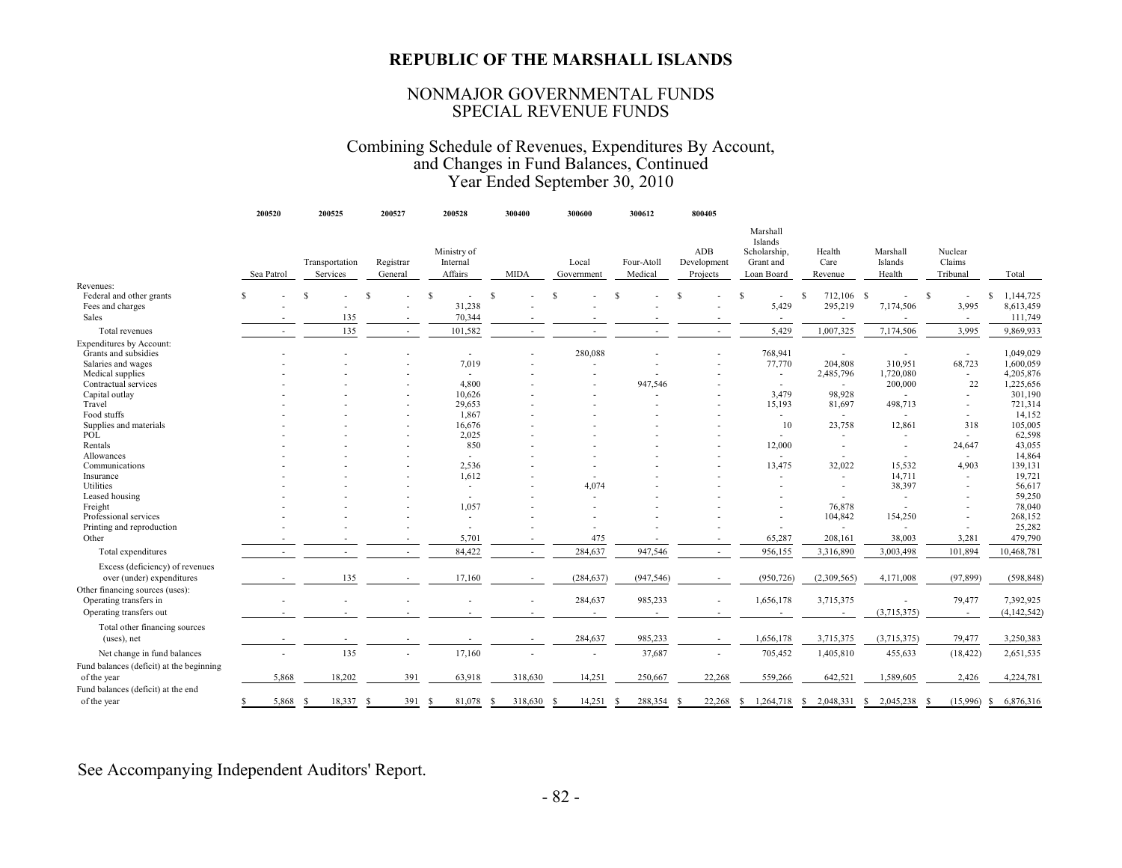### NONMAJOR GOVERNMENTAL FUNDS SPECIAL REVENUE FUNDS

#### Year Ended September 30, 2010 and Changes in Fund Balances, Continued Combining Schedule of Revenues, Expenditures By Account,

|                                              | 200520      | 200525                     | 200527                   | 200528                             | 300400                   | 300600                   | 300612                | 800405                         |                                                                |                                     |                               |                               |                           |
|----------------------------------------------|-------------|----------------------------|--------------------------|------------------------------------|--------------------------|--------------------------|-----------------------|--------------------------------|----------------------------------------------------------------|-------------------------------------|-------------------------------|-------------------------------|---------------------------|
|                                              | Sea Patrol  | Transportation<br>Services | Registrar<br>General     | Ministry of<br>Internal<br>Affairs | <b>MIDA</b>              | Local<br>Government      | Four-Atoll<br>Medical | ADB<br>Development<br>Projects | Marshall<br>Islands<br>Scholarship,<br>Grant and<br>Loan Board | Health<br>Care<br>Revenue           | Marshall<br>Islands<br>Health | Nuclear<br>Claims<br>Tribunal | Total                     |
| Revenues:                                    |             | S                          |                          |                                    |                          |                          |                       |                                |                                                                |                                     |                               |                               |                           |
| Federal and other grants<br>Fees and charges | -S          |                            |                          | S<br>31,238                        | <sup>\$</sup>            |                          | <b>S</b>              | \$.                            |                                                                | <sup>\$</sup><br>712,106<br>295,219 | -S                            | <sup>\$</sup><br>3,995        | 1,144,725<br>-S           |
|                                              |             |                            |                          |                                    |                          |                          |                       |                                | 5,429                                                          |                                     | 7,174,506                     |                               | 8,613,459                 |
| Sales                                        |             | 135                        |                          | 70,344                             |                          |                          |                       |                                | $\sim$                                                         |                                     |                               |                               | 111,749                   |
| Total revenues                               |             | 135                        |                          | 101,582                            |                          |                          |                       |                                | 5,429                                                          | 1,007,325                           | 7,174,506                     | 3,995                         | 9,869,933                 |
| Expenditures by Account:                     |             |                            |                          |                                    |                          |                          |                       |                                |                                                                |                                     |                               |                               |                           |
| Grants and subsidies                         |             |                            |                          | $\overline{\phantom{a}}$           |                          | 280,088                  |                       |                                | 768,941                                                        | $\overline{\phantom{a}}$            | $\overline{\phantom{a}}$      | $\sim$                        | 1,049,029                 |
| Salaries and wages                           |             |                            |                          | 7,019                              |                          |                          |                       |                                | 77,770                                                         | 204,808                             | 310,951                       | 68,723                        | 1,600,059                 |
| Medical supplies                             |             |                            |                          |                                    |                          |                          |                       |                                | $\overline{\phantom{a}}$                                       | 2,485,796                           | 1,720,080                     | $\sim$                        | 4,205,876                 |
| Contractual services                         |             |                            |                          | 4,800                              |                          |                          | 947,546               |                                | $\overline{\phantom{a}}$                                       | $\sim$                              | 200,000                       | 22                            | 1,225,656                 |
| Capital outlay                               |             |                            |                          | 10,626                             |                          |                          |                       |                                | 3,479                                                          | 98,928                              |                               |                               | 301,190                   |
| Travel                                       |             |                            |                          | 29,653                             |                          |                          |                       |                                | 15,193                                                         | 81,697                              | 498,713                       |                               | 721,314                   |
| Food stuffs                                  |             |                            |                          | 1,867                              |                          |                          |                       |                                | $\sim$                                                         | $\sim$                              |                               |                               | 14,152                    |
| Supplies and materials                       |             |                            |                          | 16,676                             |                          |                          |                       |                                | 10                                                             | 23,758                              | 12,861                        | 318                           | 105,005                   |
| POL                                          |             |                            |                          | 2,025                              |                          |                          |                       |                                | $\mathbf{r}$                                                   |                                     |                               | $\sim$                        | 62,598                    |
| Rentals                                      |             |                            |                          | 850                                |                          |                          |                       |                                | 12,000                                                         | $\overline{\phantom{a}}$            | $\sim$                        | 24,647                        | 43,055                    |
| Allowances                                   |             |                            |                          | $\sim$                             |                          |                          |                       |                                | $\sim$                                                         | $\overline{\phantom{a}}$            | $\sim$                        |                               | 14,864                    |
| Communications                               |             |                            |                          | 2,536                              |                          |                          |                       |                                | 13,475                                                         | 32,022                              | 15,532                        | 4.903                         | 139,131                   |
| Insurance                                    |             |                            |                          | 1,612                              |                          |                          |                       |                                | ٠                                                              | ٠                                   | 14,711                        |                               | 19,721                    |
| Utilities                                    |             |                            |                          | $\sim$                             |                          | 4.074                    |                       |                                |                                                                | $\overline{\phantom{a}}$            | 38,397                        |                               | 56,617                    |
| Leased housing                               |             |                            |                          | $\overline{\phantom{a}}$           |                          |                          |                       |                                |                                                                |                                     | $\overline{\phantom{a}}$      |                               | 59,250                    |
| Freight                                      |             |                            |                          | 1,057                              |                          |                          |                       |                                |                                                                | 76,878                              | $\sim$                        |                               | 78,040                    |
| Professional services                        |             |                            |                          | $\sim$                             |                          |                          |                       |                                |                                                                | 104,842                             | 154,250                       |                               | 268,152                   |
| Printing and reproduction                    |             |                            |                          | $\overline{\phantom{a}}$           |                          |                          |                       |                                | ٠                                                              | $\overline{\phantom{a}}$            |                               |                               | 25,282                    |
| Other                                        |             |                            |                          | 5,701                              |                          | 475                      |                       |                                | 65,287                                                         | 208,161                             | 38,003                        | 3,281                         | 479,790                   |
| Total expenditures                           |             | $\overline{\phantom{m}}$   | $\overline{\phantom{a}}$ | 84,422                             | $\overline{\phantom{a}}$ | 284,637                  | 947,546               |                                | 956,155                                                        | 3,316,890                           | 3,003,498                     | 101,894                       | 10,468,781                |
| Excess (deficiency) of revenues              |             |                            |                          |                                    |                          |                          |                       |                                |                                                                |                                     |                               |                               |                           |
| over (under) expenditures                    |             | 135                        |                          | 17,160                             |                          | (284, 637)               | (947, 546)            |                                | (950, 726)                                                     | (2,309,565)                         | 4,171,008                     | (97, 899)                     | (598, 848)                |
| Other financing sources (uses):              |             |                            |                          |                                    |                          |                          |                       |                                |                                                                |                                     |                               |                               |                           |
| Operating transfers in                       |             |                            |                          |                                    |                          | 284,637                  | 985,233               |                                | 1,656,178                                                      | 3,715,375                           |                               | 79,477                        | 7,392,925                 |
|                                              |             |                            |                          |                                    |                          |                          |                       |                                |                                                                |                                     | $\overline{\phantom{a}}$      |                               |                           |
| Operating transfers out                      |             |                            |                          |                                    |                          | $\overline{\phantom{a}}$ |                       |                                | $\sim$                                                         | $\overline{\phantom{a}}$            | (3,715,375)                   | $\sim$                        | (4,142,542)               |
| Total other financing sources                |             |                            |                          |                                    |                          |                          |                       |                                |                                                                |                                     |                               |                               |                           |
| (uses), net                                  |             |                            |                          |                                    |                          | 284,637                  | 985,233               |                                | 1,656,178                                                      | 3,715,375                           | (3,715,375)                   | 79,477                        | 3,250,383                 |
|                                              |             | 135                        |                          |                                    |                          |                          |                       |                                |                                                                |                                     |                               |                               |                           |
| Net change in fund balances                  |             |                            |                          | 17,160                             |                          | ٠                        | 37,687                |                                | 705,452                                                        | 1,405,810                           | 455,633                       | (18, 422)                     | 2,651,535                 |
| Fund balances (deficit) at the beginning     |             |                            |                          |                                    |                          |                          |                       |                                |                                                                |                                     |                               |                               |                           |
| of the year                                  | 5,868       | 18,202                     | 391                      | 63,918                             | 318,630                  | 14,251                   | 250,667               | 22,268                         | 559,266                                                        | 642,521                             | 1,589,605                     | 2,426                         | 4,224,781                 |
| Fund balances (deficit) at the end           |             |                            |                          |                                    |                          |                          |                       |                                |                                                                |                                     |                               |                               |                           |
| of the year                                  | 5,868<br>S. | 18,337<br>-S               | 391<br>-8                | 81,078<br>-S                       | 318,630<br>-S            | 14,251<br>-S             | 288,354<br>-8         | 22,268<br>S                    | 1,264,718<br>S                                                 | 2,048,331<br><sup>S</sup>           | 2,045,238<br>S.               | (15,996)<br>-8                | 6,876,316<br><sup>S</sup> |
|                                              |             |                            |                          |                                    |                          |                          |                       |                                |                                                                |                                     |                               |                               |                           |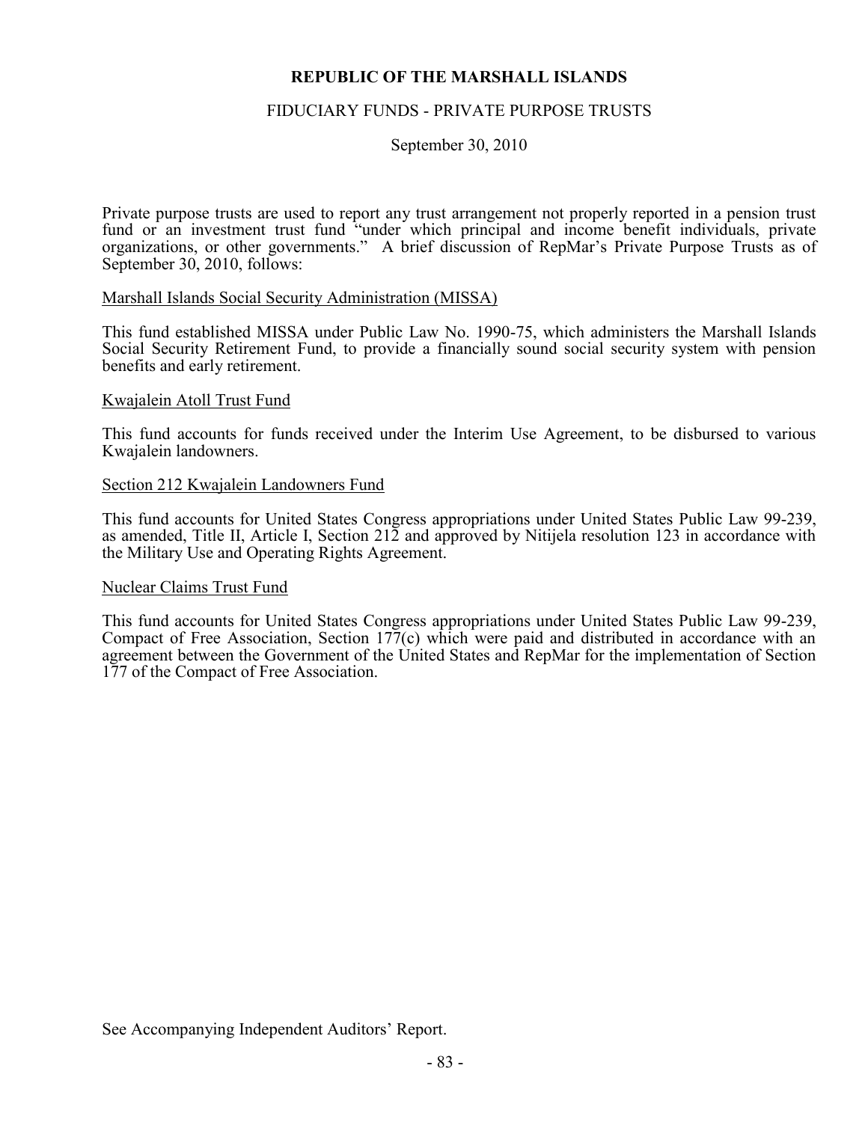### FIDUCIARY FUNDS - PRIVATE PURPOSE TRUSTS

September 30, 2010

Private purpose trusts are used to report any trust arrangement not properly reported in a pension trust fund or an investment trust fund "under which principal and income benefit individuals, private organizations, or other governments." A brief discussion of RepMar's Private Purpose Trusts as of September 30, 2010, follows:

#### Marshall Islands Social Security Administration (MISSA)

This fund established MISSA under Public Law No. 1990-75, which administers the Marshall Islands Social Security Retirement Fund, to provide a financially sound social security system with pension benefits and early retirement.

#### Kwajalein Atoll Trust Fund

This fund accounts for funds received under the Interim Use Agreement, to be disbursed to various Kwajalein landowners.

#### Section 212 Kwajalein Landowners Fund

This fund accounts for United States Congress appropriations under United States Public Law 99-239, as amended, Title II, Article I, Section 212 and approved by Nitijela resolution 123 in accordance with the Military Use and Operating Rights Agreement.

#### Nuclear Claims Trust Fund

This fund accounts for United States Congress appropriations under United States Public Law 99-239, Compact of Free Association, Section 177(c) which were paid and distributed in accordance with an agreement between the Government of the United States and RepMar for the implementation of Section 177 of the Compact of Free Association.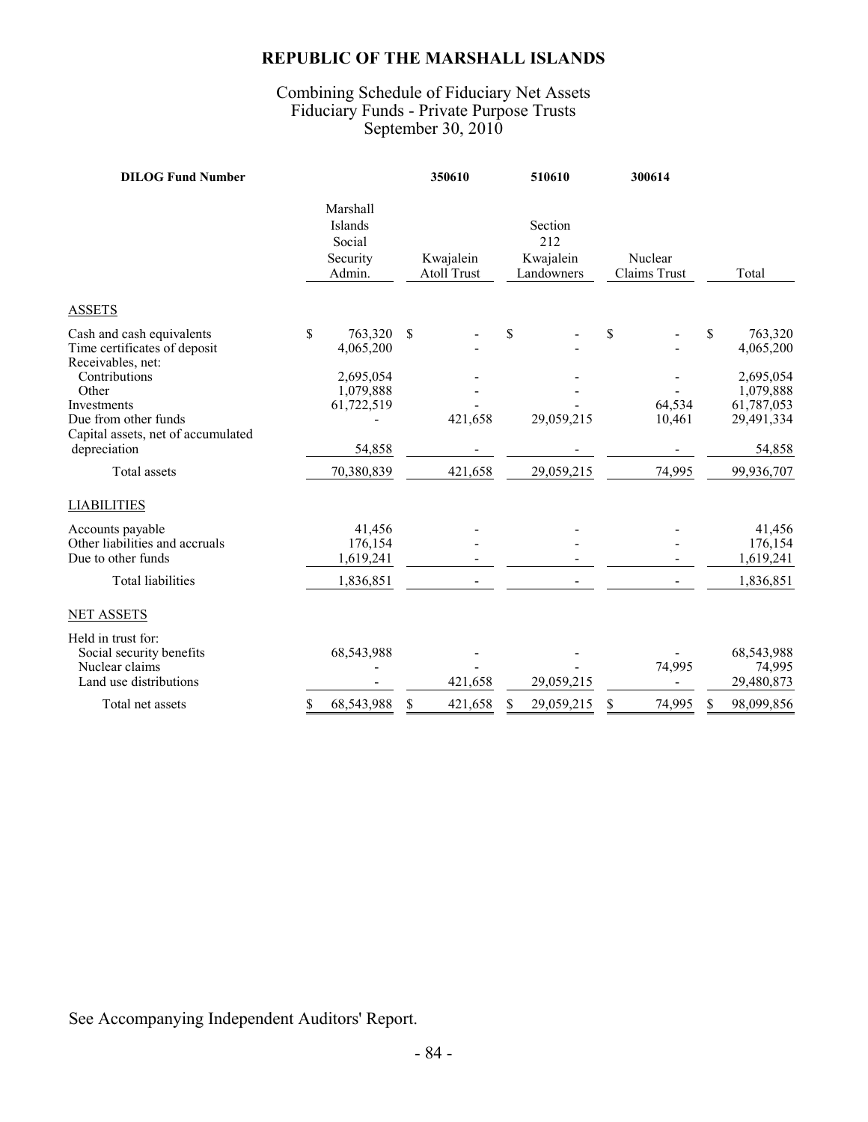### Combining Schedule of Fiduciary Net Assets September 30, 2010 Fiduciary Funds - Private Purpose Trusts

| <b>DILOG Fund Number</b>                                                                   |    |                                                     |    | 350610                          |    | 510610                                    | 300614                  |    |                                    |
|--------------------------------------------------------------------------------------------|----|-----------------------------------------------------|----|---------------------------------|----|-------------------------------------------|-------------------------|----|------------------------------------|
|                                                                                            |    | Marshall<br>Islands<br>Social<br>Security<br>Admin. |    | Kwajalein<br><b>Atoll Trust</b> |    | Section<br>212<br>Kwajalein<br>Landowners | Nuclear<br>Claims Trust |    | Total                              |
| <b>ASSETS</b>                                                                              |    |                                                     |    |                                 |    |                                           |                         |    |                                    |
| Cash and cash equivalents<br>Time certificates of deposit<br>Receivables, net:             | S  | 763,320<br>4,065,200                                | \$ |                                 | S  |                                           | \$                      | \$ | 763,320<br>4,065,200               |
| Contributions                                                                              |    | 2,695,054                                           |    |                                 |    |                                           |                         |    | 2,695,054                          |
| Other                                                                                      |    | 1,079,888                                           |    |                                 |    |                                           |                         |    | 1,079,888                          |
| <b>Investments</b><br>Due from other funds                                                 |    | 61,722,519                                          |    | 421,658                         |    | 29,059,215                                | 64,534<br>10,461        |    | 61,787,053<br>29,491,334           |
| Capital assets, net of accumulated                                                         |    |                                                     |    |                                 |    |                                           |                         |    |                                    |
| depreciation                                                                               |    | 54,858                                              |    |                                 |    |                                           |                         |    | 54,858                             |
| Total assets                                                                               |    | 70,380,839                                          |    | 421,658                         |    | 29,059,215                                | 74,995                  |    | 99,936,707                         |
| <b>LIABILITIES</b>                                                                         |    |                                                     |    |                                 |    |                                           |                         |    |                                    |
| Accounts payable                                                                           |    | 41,456                                              |    |                                 |    |                                           |                         |    | 41,456                             |
| Other liabilities and accruals                                                             |    | 176,154                                             |    |                                 |    |                                           |                         |    | 176,154                            |
| Due to other funds                                                                         |    | 1,619,241                                           |    |                                 |    |                                           |                         |    | 1,619,241                          |
| <b>Total liabilities</b>                                                                   |    | 1,836,851                                           |    |                                 |    |                                           |                         |    | 1,836,851                          |
| <b>NET ASSETS</b>                                                                          |    |                                                     |    |                                 |    |                                           |                         |    |                                    |
| Held in trust for:<br>Social security benefits<br>Nuclear claims<br>Land use distributions |    | 68,543,988                                          |    | 421,658                         |    | 29,059,215                                | 74,995                  |    | 68,543,988<br>74,995<br>29,480,873 |
| Total net assets                                                                           | \$ | 68,543,988                                          | S  | 421.658                         | \$ | 29.059.215                                | \$<br>74,995            | S  | 98.099.856                         |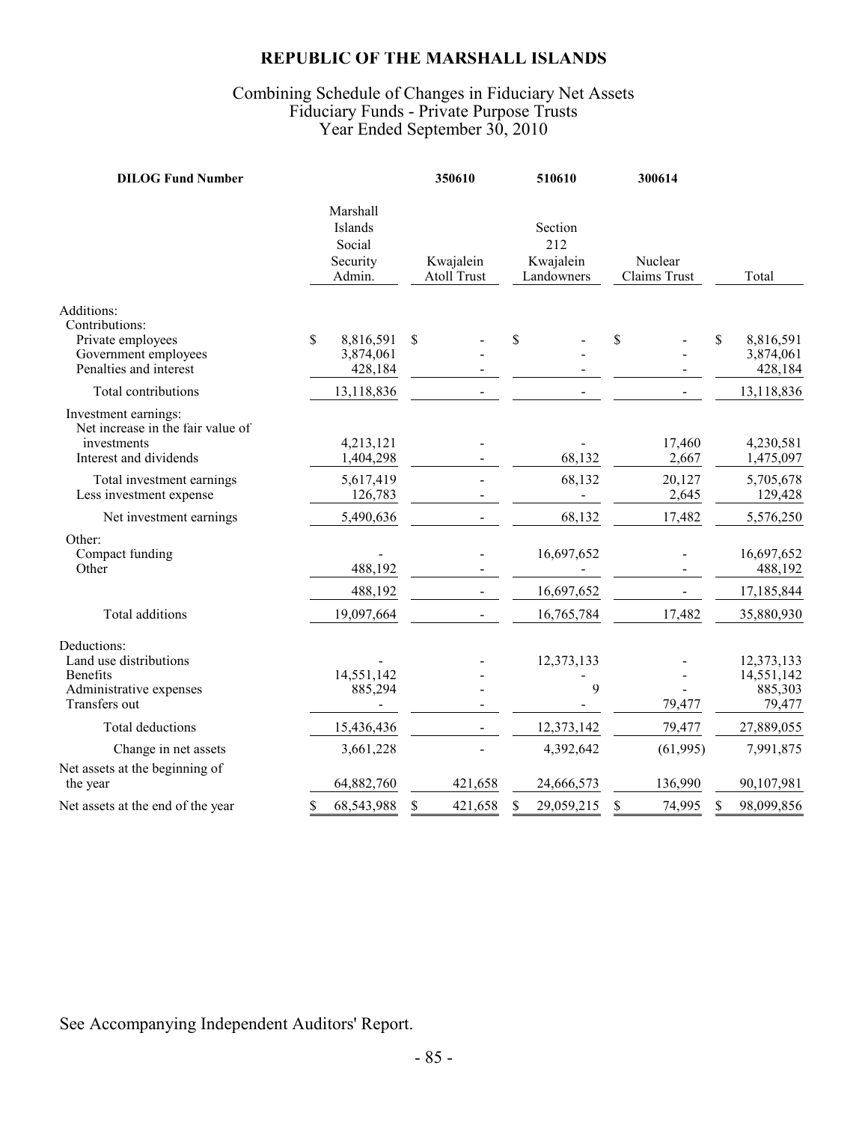### Combining Schedule of Changes in Fiduciary Net Assets Fiduciary Funds - Private Purpose Trusts Year Ended September 30, 2010

| <b>DILOG Fund Number</b>                                                                                                        |                                                     | 350610                          |               | 510610                                    | 300614                    |                                               |
|---------------------------------------------------------------------------------------------------------------------------------|-----------------------------------------------------|---------------------------------|---------------|-------------------------------------------|---------------------------|-----------------------------------------------|
|                                                                                                                                 | Marshall<br>Islands<br>Social<br>Security<br>Admin. | Kwajalein<br><b>Atoll Trust</b> |               | Section<br>212<br>Kwajalein<br>Landowners | Nuclear<br>Claims Trust   | Total                                         |
| Additions:<br>Contributions:<br>Private employees<br>Government employees<br>Penalties and interest                             | \$<br>8,816,591<br>3,874,061<br>428,184             | \$                              | \$            |                                           | \$                        | \$<br>8,816,591<br>3,874,061<br>428,184       |
| Total contributions                                                                                                             | 13,118,836                                          |                                 |               |                                           |                           | 13,118,836                                    |
| Investment earnings:<br>Net increase in the fair value of<br>investments<br>Interest and dividends<br>Total investment earnings | 4,213,121<br>1,404,298<br>5,617,419                 |                                 |               | 68,132<br>68,132                          | 17,460<br>2,667<br>20,127 | 4,230,581<br>1,475,097<br>5,705,678           |
| Less investment expense                                                                                                         | 126,783                                             |                                 |               |                                           | 2,645                     | 129,428                                       |
| Net investment earnings                                                                                                         | 5,490,636                                           |                                 |               | 68,132                                    | 17,482                    | 5,576,250                                     |
| Other:<br>Compact funding<br>Other                                                                                              | 488,192                                             |                                 |               | 16,697,652                                |                           | 16,697,652<br>488,192                         |
|                                                                                                                                 | 488,192                                             |                                 |               | 16,697,652                                |                           | 17,185,844                                    |
| Total additions                                                                                                                 | 19,097,664                                          |                                 |               | 16,765,784                                | 17,482                    | 35,880,930                                    |
| Deductions:<br>Land use distributions<br>Benefits<br>Administrative expenses<br>Transfers out                                   | 14,551,142<br>885,294                               |                                 |               | 12,373,133<br>9                           | 79,477                    | 12,373,133<br>14,551,142<br>885,303<br>79,477 |
| Total deductions                                                                                                                | 15,436,436                                          |                                 |               | 12,373,142                                | 79,477                    | 27,889,055                                    |
| Change in net assets                                                                                                            | 3,661,228                                           |                                 |               | 4,392,642                                 | (61,995)                  | 7,991,875                                     |
| Net assets at the beginning of<br>the year                                                                                      | 64,882,760                                          | 421,658                         |               | 24,666,573                                | 136,990                   | 90,107,981                                    |
| Net assets at the end of the year                                                                                               | \$<br>68,543,988                                    | \$<br>421,658                   | <sup>\$</sup> | 29,059,215                                | \$<br>74,995              | \$<br>98,099,856                              |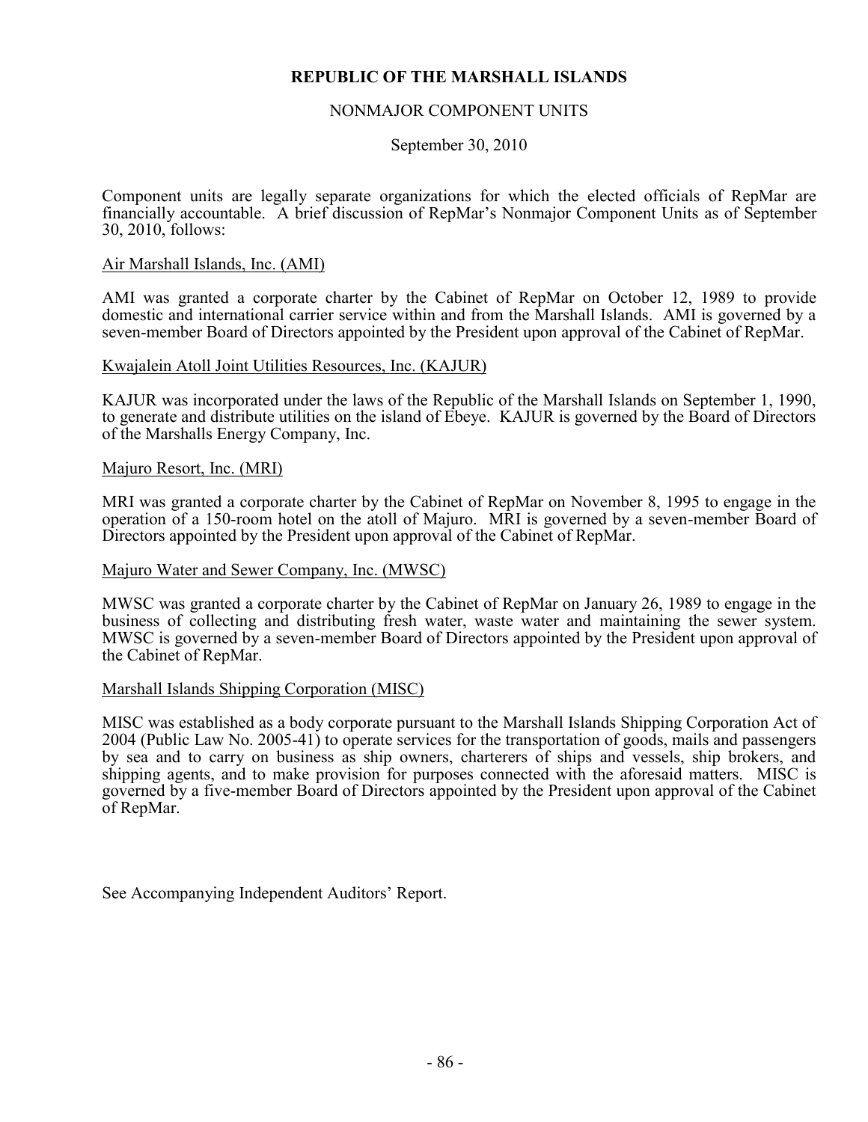### NONMAJOR COMPONENT UNITS

September 30, 2010

Component units are legally separate organizations for which the elected officials of RepMar are financially accountable. A brief discussion of RepMar's Nonmajor Component Units as of September 30, 2010, follows:

#### Air Marshall Islands, Inc. (AMI)

AMI was granted a corporate charter by the Cabinet of RepMar on October 12, 1989 to provide domestic and international carrier service within and from the Marshall Islands. AMI is governed by a seven-member Board of Directors appointed by the President upon approval of the Cabinet of RepMar.

#### Kwajalein Atoll Joint Utilities Resources, Inc. (KAJUR)

KAJUR was incorporated under the laws of the Republic of the Marshall Islands on September 1, 1990, to generate and distribute utilities on the island of Ebeye. KAJUR is governed by the Board of Directors of the Marshalls Energy Company, Inc.

#### Majuro Resort, Inc. (MRI)

MRI was granted a corporate charter by the Cabinet of RepMar on November 8, 1995 to engage in the operation of a 150-room hotel on the atoll of Majuro. MRI is governed by a seven-member Board of Directors appointed by the President upon approval of the Cabinet of RepMar.

#### Majuro Water and Sewer Company, Inc. (MWSC)

MWSC was granted a corporate charter by the Cabinet of RepMar on January 26, 1989 to engage in the business of collecting and distributing fresh water, waste water and maintaining the sewer system. MWSC is governed by a seven-member Board of Directors appointed by the President upon approval of the Cabinet of RepMar.

#### Marshall Islands Shipping Corporation (MISC)

MISC was established as a body corporate pursuant to the Marshall Islands Shipping Corporation Act of 2004 (Public Law No. 2005-41) to operate services for the transportation of goods, mails and passengers by sea and to carry on business as ship owners, charterers of ships and vessels, ship brokers, and shipping agents, and to make provision for purposes connected with the aforesaid matters. MISC is governed by a five-member Board of Directors appointed by the President upon approval of the Cabinet of RepMar.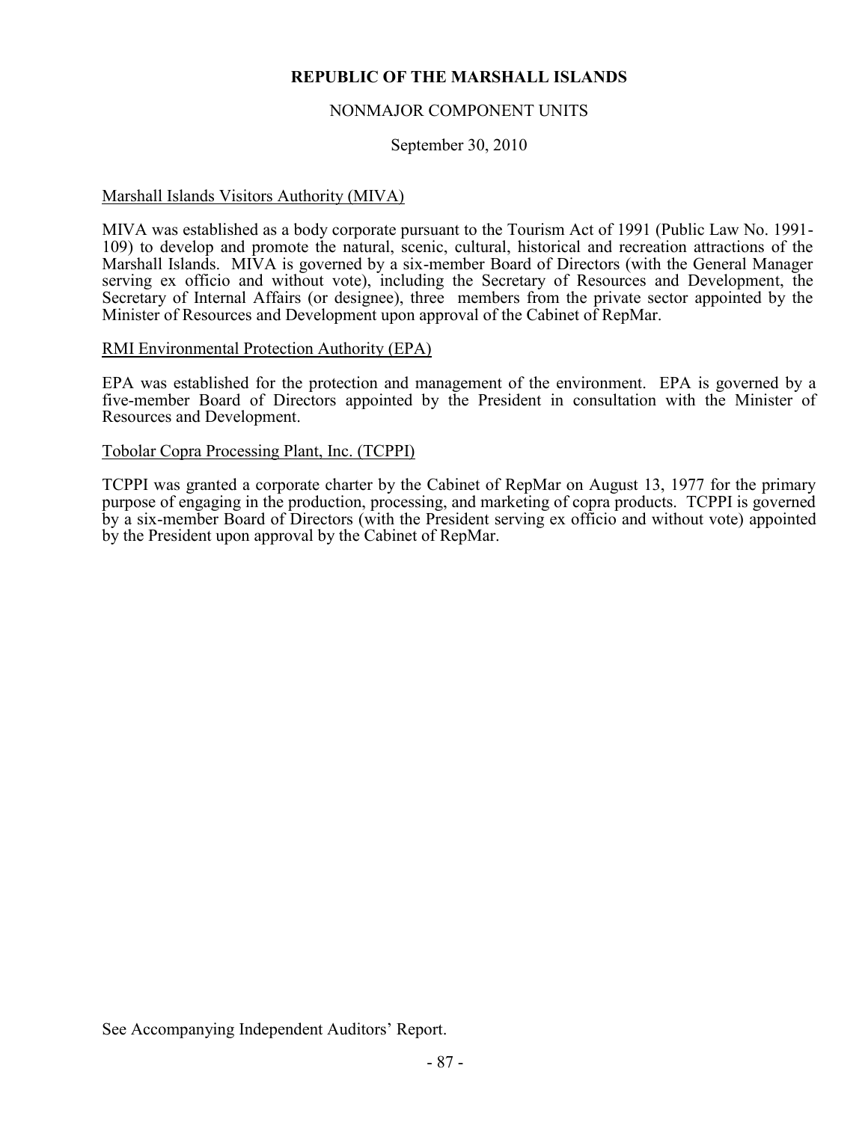### NONMAJOR COMPONENT UNITS

September 30, 2010

#### Marshall Islands Visitors Authority (MIVA)

MIVA was established as a body corporate pursuant to the Tourism Act of 1991 (Public Law No. 1991- 109) to develop and promote the natural, scenic, cultural, historical and recreation attractions of the Marshall Islands. MIVA is governed by a six-member Board of Directors (with the General Manager serving ex officio and without vote), including the Secretary of Resources and Development, the Secretary of Internal Affairs (or designee), three members from the private sector appointed by the Minister of Resources and Development upon approval of the Cabinet of RepMar.

#### RMI Environmental Protection Authority (EPA)

EPA was established for the protection and management of the environment. EPA is governed by a five-member Board of Directors appointed by the President in consultation with the Minister of Resources and Development.

#### Tobolar Copra Processing Plant, Inc. (TCPPI)

TCPPI was granted a corporate charter by the Cabinet of RepMar on August 13, 1977 for the primary purpose of engaging in the production, processing, and marketing of copra products. TCPPI is governed by a six-member Board of Directors (with the President serving ex officio and without vote) appointed by the President upon approval by the Cabinet of RepMar.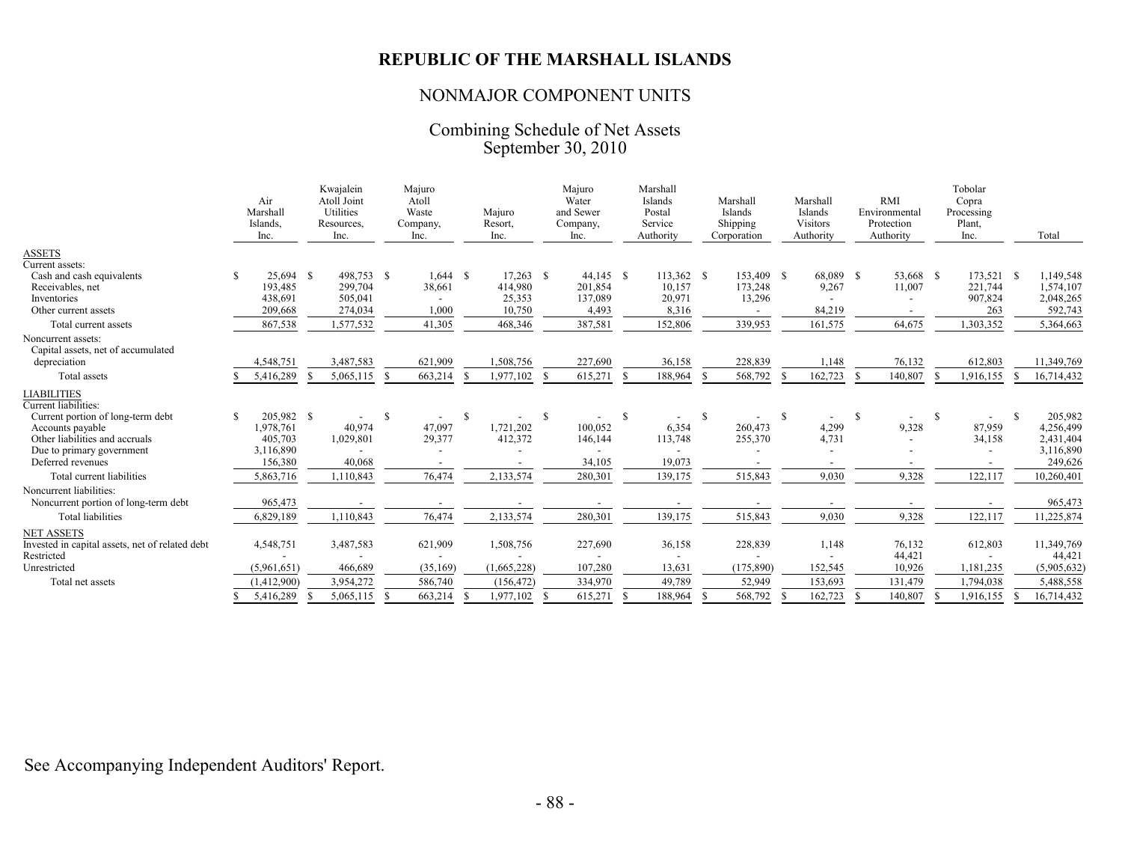# NONMAJOR COMPONENT UNITS

## Combining Schedule of Net Assets September 30, 2010

|                                                                      |    | Air<br>Marshall<br>Islands.<br>Inc. | Kwajalein<br>Atoll Joint<br>Utilities<br>Resources,<br>Inc. |               | Majuro<br>Atoll<br>Waste<br>Company,<br>Inc. |    | Majuro<br>Resort,<br>Inc. |               | Majuro<br>Water<br>and Sewer<br>Company,<br>Inc. |    | Marshall<br>Islands<br>Postal<br>Service<br>Authority |    | Marshall<br>Islands<br>Shipping<br>Corporation |    | Marshall<br>Islands<br><b>Visitors</b><br>Authority |               | <b>RMI</b><br>Environmental<br>Protection<br>Authority |               | Tobolar<br>Copra<br>Processing<br>Plant,<br>Inc. |               | Total       |
|----------------------------------------------------------------------|----|-------------------------------------|-------------------------------------------------------------|---------------|----------------------------------------------|----|---------------------------|---------------|--------------------------------------------------|----|-------------------------------------------------------|----|------------------------------------------------|----|-----------------------------------------------------|---------------|--------------------------------------------------------|---------------|--------------------------------------------------|---------------|-------------|
| <b>ASSETS</b>                                                        |    |                                     |                                                             |               |                                              |    |                           |               |                                                  |    |                                                       |    |                                                |    |                                                     |               |                                                        |               |                                                  |               |             |
| Current assets:<br>Cash and cash equivalents                         | S. | 25,694 \$                           | 498,753 \$                                                  |               | $1,644$ \$                                   |    | $17,263$ \$               |               | 44,145 \$                                        |    | 113,362 \$                                            |    | 153,409 \$                                     |    | 68,089 \$                                           |               | 53,668 \$                                              |               | 173,521 \$                                       |               | 1,149,548   |
| Receivables, net                                                     |    | 193,485                             | 299,704                                                     |               | 38,661                                       |    | 414,980                   |               | 201,854                                          |    | 10,157                                                |    | 173,248                                        |    | 9,267                                               |               | 11,007                                                 |               | 221,744                                          |               | 1,574,107   |
| Inventories                                                          |    | 438,691                             | 505,041                                                     |               |                                              |    | 25,353                    |               | 137,089                                          |    | 20,971                                                |    | 13,296                                         |    |                                                     |               |                                                        |               | 907,824                                          |               | 2,048,265   |
| Other current assets                                                 |    | 209,668                             | 274,034                                                     |               | 1,000                                        |    | 10,750                    |               | 4,493                                            |    | 8,316                                                 |    |                                                |    | 84,219                                              |               |                                                        |               | 263                                              |               | 592,743     |
| Total current assets                                                 |    | 867,538                             | 1,577,532                                                   |               | 41,305                                       |    | 468,346                   |               | 387,581                                          |    | 152,806                                               |    | 339,953                                        |    | 161,575                                             |               | 64,675                                                 |               | 1,303,352                                        |               | 5,364,663   |
| Noncurrent assets:<br>Capital assets, net of accumulated             |    |                                     |                                                             |               |                                              |    |                           |               |                                                  |    |                                                       |    |                                                |    |                                                     |               |                                                        |               |                                                  |               |             |
| depreciation                                                         |    | 4,548,751                           | 3,487,583                                                   |               | 621,909                                      |    | 1,508,756                 |               | 227,690                                          |    | 36,158                                                |    | 228,839                                        |    | 1,148                                               |               | 76,132                                                 |               | 612,803                                          |               | 11,349,769  |
| Total assets                                                         |    | 5,416,289                           | 5,065,115                                                   |               | 663,214                                      | -S | 1,977,102                 | <sup>\$</sup> | 615,271                                          | -S | 188,964                                               |    | 568,792                                        |    | 162,723                                             |               | 140,807                                                |               | 1,916,155                                        |               | 16,714,432  |
| <b>LIABILITIES</b><br>Current liabilities:                           |    |                                     |                                                             |               |                                              |    |                           |               |                                                  |    |                                                       |    |                                                |    |                                                     |               |                                                        |               |                                                  |               |             |
| Current portion of long-term debt                                    | S. | 205,982 \$                          | $\overline{\phantom{a}}$                                    | <sup>\$</sup> |                                              | -S | $\overline{\phantom{a}}$  | -S            | $\overline{\phantom{a}}$                         | S  | $\overline{\phantom{a}}$                              | -S |                                                | -S | $\sim$                                              | <sup>\$</sup> |                                                        | <sup>\$</sup> | $\overline{\phantom{a}}$                         | <sup>\$</sup> | 205,982     |
| Accounts payable                                                     |    | 1,978,761                           | 40,974                                                      |               | 47,097                                       |    | 1,721,202                 |               | 100,052                                          |    | 6,354                                                 |    | 260,473                                        |    | 4,299                                               |               | 9,328                                                  |               | 87,959                                           |               | 4,256,499   |
| Other liabilities and accruals                                       |    | 405,703                             | 1,029,801                                                   |               | 29,377                                       |    | 412,372                   |               | 146,144                                          |    | 113,748                                               |    | 255,370                                        |    | 4,731                                               |               | $\overline{\phantom{a}}$                               |               | 34,158                                           |               | 2,431,404   |
| Due to primary government                                            |    | 3,116,890                           |                                                             |               |                                              |    |                           |               |                                                  |    |                                                       |    |                                                |    | $\overline{\phantom{a}}$                            |               |                                                        |               | $\overline{\phantom{a}}$                         |               | 3,116,890   |
| Deferred revenues                                                    |    | 156,380                             | 40,068                                                      |               |                                              |    |                           |               | 34,105                                           |    | 19,073                                                |    |                                                |    |                                                     |               |                                                        |               |                                                  |               | 249,626     |
| Total current liabilities                                            |    | 5,863,716                           | 1,110,843                                                   |               | 76,474                                       |    | 2,133,574                 |               | 280,301                                          |    | 139,175                                               |    | 515,843                                        |    | 9,030                                               |               | 9,328                                                  |               | 122,117                                          |               | 10,260,401  |
| Noncurrent liabilities:                                              |    |                                     |                                                             |               |                                              |    |                           |               |                                                  |    |                                                       |    |                                                |    |                                                     |               |                                                        |               |                                                  |               |             |
| Noncurrent portion of long-term debt                                 |    | 965,473                             |                                                             |               |                                              |    |                           |               |                                                  |    |                                                       |    |                                                |    |                                                     |               |                                                        |               | $\overline{\phantom{a}}$                         |               | 965,473     |
| <b>Total liabilities</b>                                             |    | 6,829,189                           | 1,110,843                                                   |               | 76,474                                       |    | 2,133,574                 |               | 280,301                                          |    | 139,175                                               |    | 515,843                                        |    | 9,030                                               |               | 9,328                                                  |               | 122,117                                          |               | 11,225,874  |
| <b>NET ASSETS</b><br>Invested in capital assets, net of related debt |    | 4,548,751                           | 3,487,583                                                   |               | 621,909                                      |    | 1,508,756                 |               | 227,690                                          |    | 36,158                                                |    | 228,839                                        |    | 1,148                                               |               | 76,132                                                 |               | 612,803                                          |               | 11,349,769  |
| Restricted<br>Unrestricted                                           |    |                                     |                                                             |               |                                              |    |                           |               |                                                  |    |                                                       |    |                                                |    |                                                     |               | 44,421                                                 |               |                                                  |               | 44,421      |
|                                                                      |    | (5,961,651)                         | 466,689                                                     |               | (35,169)                                     |    | (1,665,228)               |               | 107,280                                          |    | 13,631                                                |    | (175, 890)                                     |    | 152,545                                             |               | 10,926                                                 |               | 1,181,235                                        |               | (5,905,632) |
| Total net assets                                                     |    | (1,412,900)                         | 3,954,272                                                   |               | 586,740                                      |    | (156, 472)                |               | 334,970                                          |    | 49,789                                                |    | 52,949                                         |    | 153,693                                             |               | 131,479                                                |               | 1,794,038                                        |               | 5,488,558   |
|                                                                      |    | 5,416,289                           | 5,065,115                                                   |               | 663,214                                      | -8 | 1,977,102                 | -S            | 615,271                                          | -8 | 188,964                                               |    | 568,792                                        |    | 162,723                                             |               | 140,807                                                |               | 1,916,155                                        |               | 16,714,432  |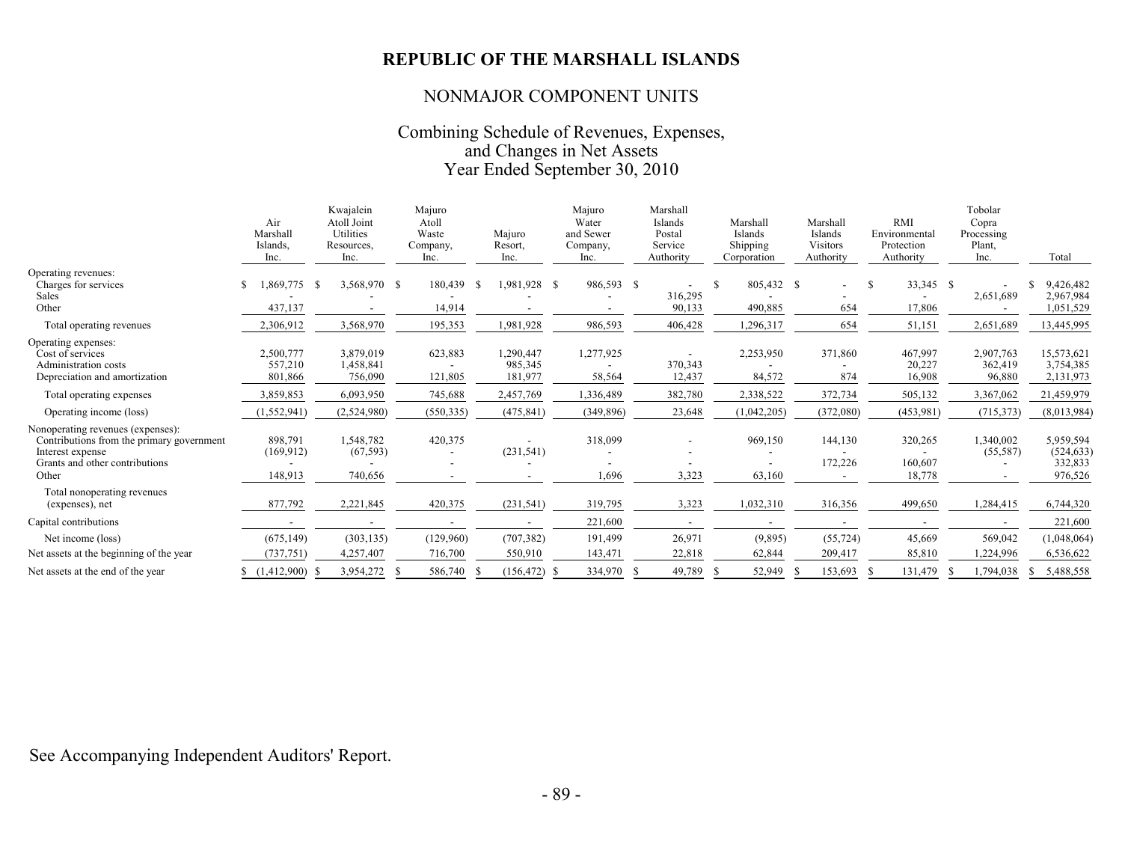# NONMAJOR COMPONENT UNITS

### Combining Schedule of Revenues, Expenses, and Changes in Net Assets Year Ended September 30, 2010

|                                                                                                                                               | Air<br>Marshall<br>Islands,<br>Inc. | Kwajalein<br>Atoll Joint<br>Utilities<br>Resources,<br>Inc. | Majuro<br>Atoll<br>Waste<br>Company,<br>Inc. | Maiuro<br>Resort,<br>Inc.              | Majuro<br>Water<br>and Sewer<br>Company,<br>Inc. | Marshall<br>Islands<br>Postal<br>Service<br>Authority | Marshall<br>Islands<br>Shipping<br>Corporation | Marshall<br>Islands<br><b>Visitors</b><br>Authority | <b>RMI</b><br>Environmental<br>Protection<br>Authority | Tobolar<br>Copra<br>Processing<br>Plant,<br>Inc. | Total                                         |
|-----------------------------------------------------------------------------------------------------------------------------------------------|-------------------------------------|-------------------------------------------------------------|----------------------------------------------|----------------------------------------|--------------------------------------------------|-------------------------------------------------------|------------------------------------------------|-----------------------------------------------------|--------------------------------------------------------|--------------------------------------------------|-----------------------------------------------|
| Operating revenues:<br>Charges for services<br>Sales<br>Other                                                                                 | $.869,775$ \$<br>S<br>437,137       | 3,568,970 \$                                                | 180,439<br>14,914                            | 1,981,928 \$<br>-S                     | 986,593 \$                                       | 316,295<br>90,133                                     | 805,432 \$<br>490,885                          | $\overline{a}$<br>654                               | 33,345 \$<br>-S<br>17,806                              | 2,651,689                                        | 9,426,482<br>2,967,984<br>1,051,529           |
| Total operating revenues                                                                                                                      | 2,306,912                           | 3,568,970                                                   | 195,353                                      | 1,981,928                              | 986,593                                          | 406,428                                               | 1,296,317                                      | 654                                                 | 51,151                                                 | 2,651,689                                        | 13,445,995                                    |
| Operating expenses:<br>Cost of services<br>Administration costs<br>Depreciation and amortization                                              | 2,500,777<br>557,210<br>801,866     | 3,879,019<br>1,458,841<br>756,090                           | 623,883<br>121,805                           | 1,290,447<br>985,345<br>181,977        | 1,277,925<br>58,564                              | $\overline{\phantom{a}}$<br>370,343<br>12,437         | 2,253,950<br>84,572                            | 371,860<br>874                                      | 467,997<br>20,227<br>16,908                            | 2,907,763<br>362,419<br>96,880                   | 15,573,621<br>3,754,385<br>2,131,973          |
| Total operating expenses                                                                                                                      | 3,859,853                           | 6,093,950                                                   | 745,688                                      | 2,457,769                              | 1,336,489                                        | 382,780                                               | 2,338,522                                      | 372,734                                             | 505,132                                                | 3,367,062                                        | 21,459,979                                    |
| Operating income (loss)                                                                                                                       | (1,552,941)                         | (2,524,980)                                                 | (550, 335)                                   | (475, 841)                             | (349, 896)                                       | 23,648                                                | (1,042,205)                                    | (372,080)                                           | (453,981)                                              | (715, 373)                                       | (8,013,984)                                   |
| Nonoperating revenues (expenses):<br>Contributions from the primary government<br>Interest expense<br>Grants and other contributions<br>Other | 898,791<br>(169, 912)<br>148,913    | 1,548,782<br>(67, 593)<br>740,656                           | 420,375                                      | (231, 541)<br>$\overline{\phantom{a}}$ | 318,099<br>1,696                                 | 3,323                                                 | 969,150<br>63,160                              | 144,130<br>172,226<br>$\overline{\phantom{a}}$      | 320,265<br>160,607<br>18,778                           | 1,340,002<br>(55, 587)                           | 5,959,594<br>(524, 633)<br>332,833<br>976,526 |
| Total nonoperating revenues<br>(expenses), net                                                                                                | 877,792                             | 2,221,845                                                   | 420,375                                      | (231, 541)                             | 319,795                                          | 3,323                                                 | 1,032,310                                      | 316,356                                             | 499,650                                                | 1,284,415                                        | 6,744,320                                     |
| Capital contributions                                                                                                                         |                                     |                                                             |                                              |                                        | 221,600                                          |                                                       |                                                |                                                     |                                                        |                                                  | 221,600                                       |
| Net income (loss)                                                                                                                             | (675, 149)                          | (303, 135)                                                  | (129,960)                                    | (707, 382)                             | 191,499                                          | 26,971                                                | (9,895)                                        | (55, 724)                                           | 45,669                                                 | 569,042                                          | (1,048,064)                                   |
| Net assets at the beginning of the year                                                                                                       | (737, 751)                          | 4,257,407                                                   | 716,700                                      | 550,910                                | 143,471                                          | 22,818                                                | 62,844                                         | 209,417                                             | 85,810                                                 | 1,224,996                                        | 6,536,622                                     |
| Net assets at the end of the year                                                                                                             | $\{1,412,900\}$ \,                  | 3,954,272                                                   | 586,740<br>- S                               | $(156, 472)$ \$                        | 334,970                                          | 49,789<br>- \$                                        | 52,949<br>-8                                   | 153,693<br>- S                                      | 131,479<br>- \$                                        | 1,794,038                                        | 5,488,558<br>S.                               |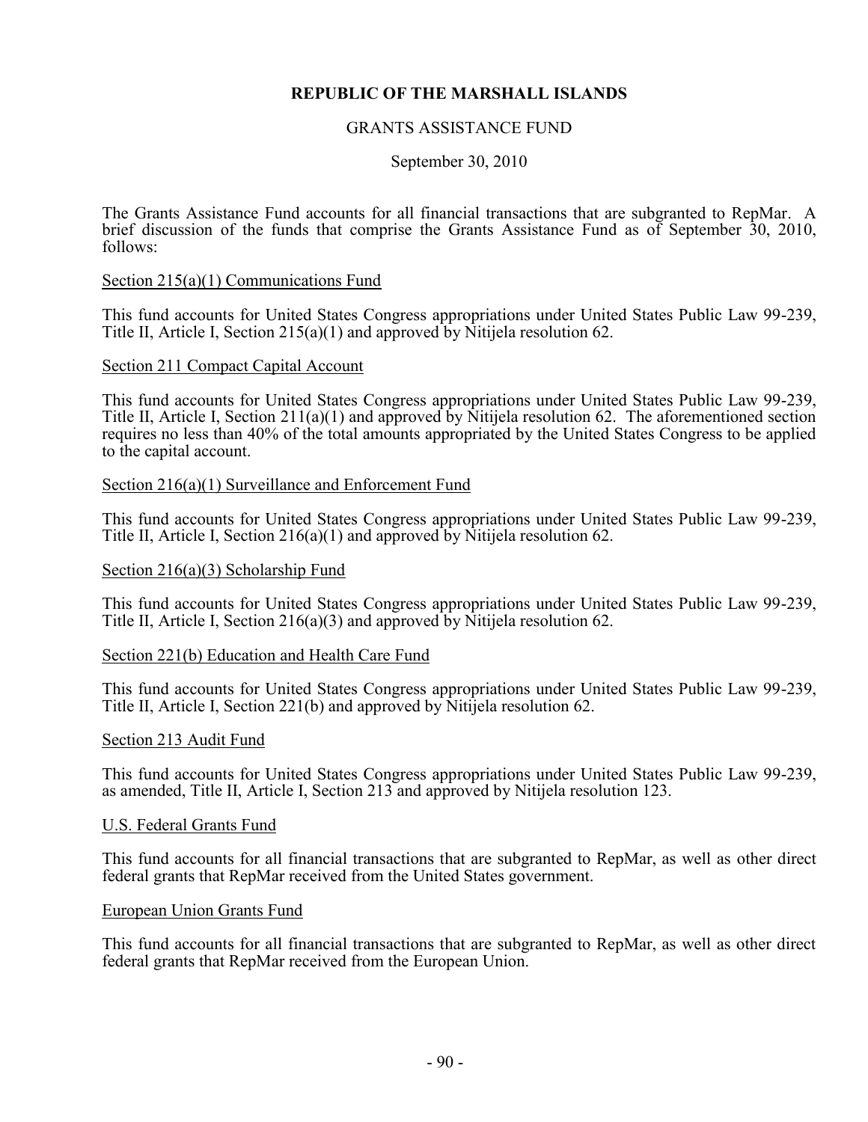### GRANTS ASSISTANCE FUND

### September 30, 2010

The Grants Assistance Fund accounts for all financial transactions that are subgranted to RepMar. A brief discussion of the funds that comprise the Grants Assistance Fund as of September 30, 2010, follows:

#### Section 215(a)(1) Communications Fund

This fund accounts for United States Congress appropriations under United States Public Law 99-239, Title II, Article I, Section 215(a)(1) and approved by Nitijela resolution 62.

#### Section 211 Compact Capital Account

This fund accounts for United States Congress appropriations under United States Public Law 99-239, Title II, Article I, Section 211(a)(1) and approved by Nitijela resolution 62. The aforementioned section requires no less than 40% of the total amounts appropriated by the United States Congress to be applied to the capital account.

#### Section 216(a)(1) Surveillance and Enforcement Fund

This fund accounts for United States Congress appropriations under United States Public Law 99-239, Title II, Article I, Section 216(a)(1) and approved by Nitijela resolution 62.

#### Section 216(a)(3) Scholarship Fund

This fund accounts for United States Congress appropriations under United States Public Law 99-239, Title II, Article I, Section 216(a)(3) and approved by Nitijela resolution 62.

#### Section 221(b) Education and Health Care Fund

This fund accounts for United States Congress appropriations under United States Public Law 99-239, Title II, Article I, Section 221(b) and approved by Nitijela resolution 62.

#### Section 213 Audit Fund

This fund accounts for United States Congress appropriations under United States Public Law 99-239, as amended, Title II, Article I, Section 213 and approved by Nitijela resolution 123.

#### U.S. Federal Grants Fund

This fund accounts for all financial transactions that are subgranted to RepMar, as well as other direct federal grants that RepMar received from the United States government.

#### European Union Grants Fund

This fund accounts for all financial transactions that are subgranted to RepMar, as well as other direct federal grants that RepMar received from the European Union.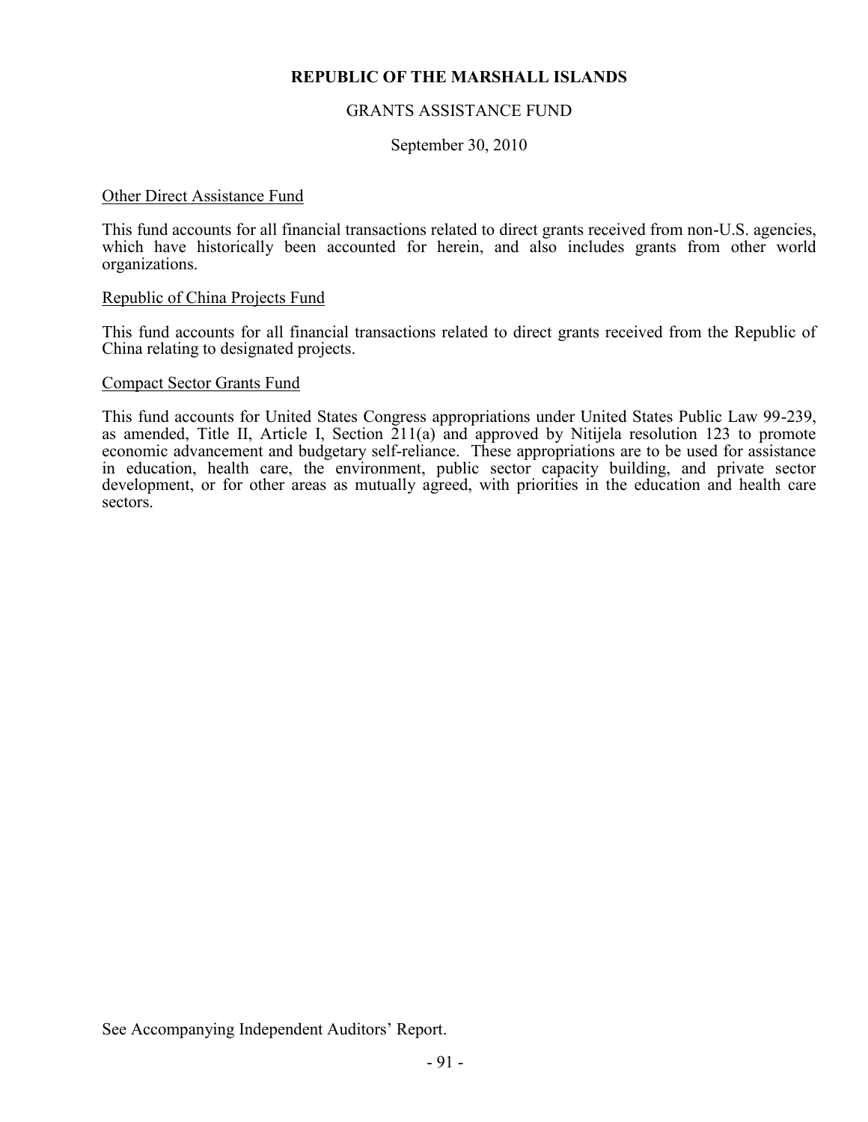## GRANTS ASSISTANCE FUND

#### September 30, 2010

#### Other Direct Assistance Fund

This fund accounts for all financial transactions related to direct grants received from non-U.S. agencies, which have historically been accounted for herein, and also includes grants from other world organizations.

#### Republic of China Projects Fund

This fund accounts for all financial transactions related to direct grants received from the Republic of China relating to designated projects.

#### Compact Sector Grants Fund

This fund accounts for United States Congress appropriations under United States Public Law 99-239, as amended, Title II, Article I, Section  $\tilde{2}11(a)$  and approved by Nitijela resolution 123 to promote economic advancement and budgetary self-reliance. These appropriations are to be used for assistance in education, health care, the environment, public sector capacity building, and private sector development, or for other areas as mutually agreed, with priorities in the education and health care sectors.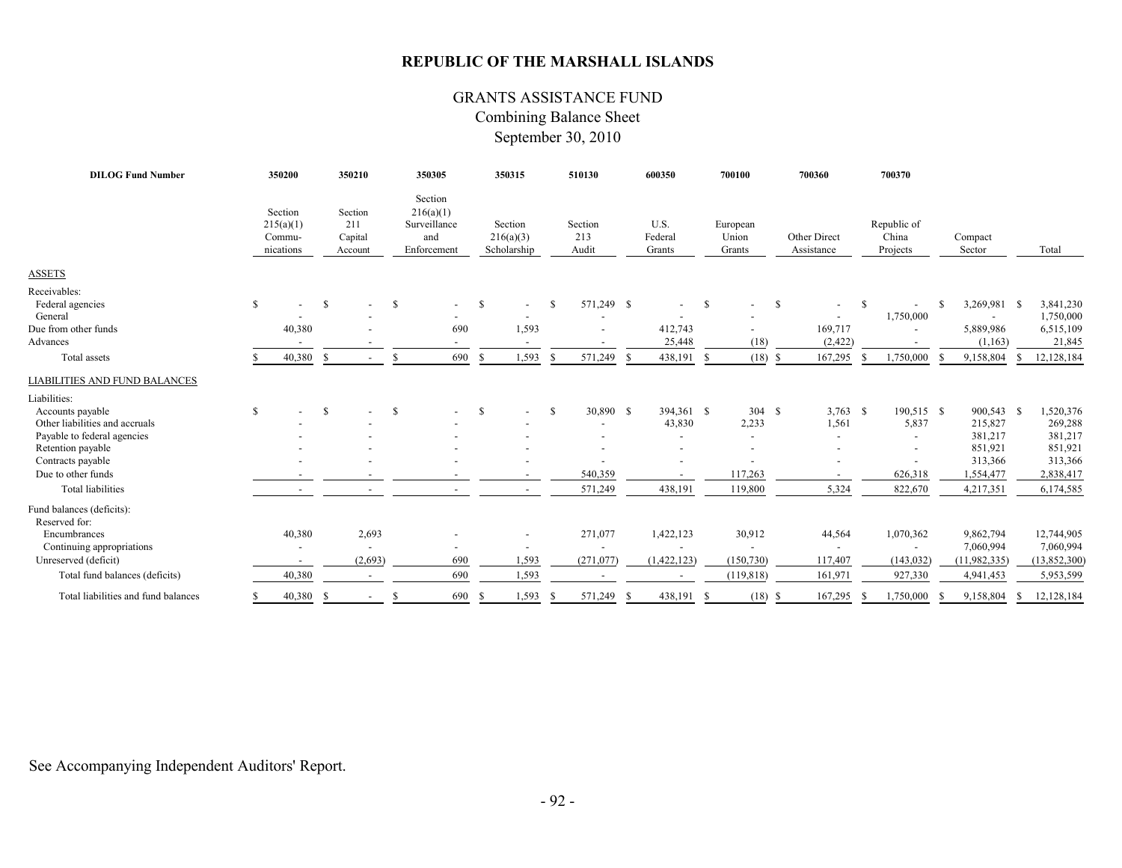# GRANTS ASSISTANCE FUND Combining Balance Sheet September 30, 2010

| <b>DILOG Fund Number</b>                                                                                                                                                                      | 350200                                      |               | 350210                               |               | 350305                                                      |               | 350315                              |              | 510130                          |               | 600350                                                      |      | 700100                                                                                       |               | 700360                                         |    | 700370                                    |    |                                                                                  |                                                                                 |
|-----------------------------------------------------------------------------------------------------------------------------------------------------------------------------------------------|---------------------------------------------|---------------|--------------------------------------|---------------|-------------------------------------------------------------|---------------|-------------------------------------|--------------|---------------------------------|---------------|-------------------------------------------------------------|------|----------------------------------------------------------------------------------------------|---------------|------------------------------------------------|----|-------------------------------------------|----|----------------------------------------------------------------------------------|---------------------------------------------------------------------------------|
|                                                                                                                                                                                               | Section<br>215(a)(1)<br>Commu-<br>nications |               | Section<br>211<br>Capital<br>Account |               | Section<br>216(a)(1)<br>Surveillance<br>and<br>Enforcement  |               | Section<br>216(a)(3)<br>Scholarship |              | Section<br>213<br>Audit         |               | U.S.<br>Federal<br>Grants                                   |      | European<br>Union<br>Grants                                                                  |               | Other Direct<br>Assistance                     |    | Republic of<br>China<br>Projects          |    | Compact<br>Sector                                                                | Total                                                                           |
| <b>ASSETS</b>                                                                                                                                                                                 |                                             |               |                                      |               |                                                             |               |                                     |              |                                 |               |                                                             |      |                                                                                              |               |                                                |    |                                           |    |                                                                                  |                                                                                 |
| Receivables:<br>Federal agencies<br>General<br>Due from other funds<br>Advances                                                                                                               | \$<br>40,380                                | <sup>\$</sup> |                                      | <sup>\$</sup> | $\overline{\phantom{a}}$<br>690<br>$\overline{\phantom{a}}$ | <sup>\$</sup> | $\overline{\phantom{a}}$<br>1,593   | \$           | 571,249 \$                      |               | $\overline{\phantom{0}}$<br>412,743<br>25,448               | - \$ | $\overline{\phantom{a}}$<br>(18)                                                             | <sup>\$</sup> | 169,717<br>(2, 422)                            | -S | 1,750,000                                 | -S | 3,269,981 \$<br>5,889,986<br>(1, 163)                                            | 3,841,230<br>1,750,000<br>6,515,109<br>21,845                                   |
| Total assets                                                                                                                                                                                  | 40,380                                      | -S            | $\sim$                               | -S            | 690                                                         | -S            | 1,593                               | \$           | 571,249                         | $\mathcal{S}$ | 438,191                                                     | -S   | $(18)$ \$                                                                                    |               | 167,295                                        |    | 1,750,000                                 |    | 9,158,804                                                                        | 12,128,184                                                                      |
| <b>LIABILITIES AND FUND BALANCES</b>                                                                                                                                                          |                                             |               |                                      |               |                                                             |               |                                     |              |                                 |               |                                                             |      |                                                                                              |               |                                                |    |                                           |    |                                                                                  |                                                                                 |
| Liabilities:<br>Accounts payable<br>Other liabilities and accruals<br>Payable to federal agencies<br>Retention payable<br>Contracts payable<br>Due to other funds<br><b>Total liabilities</b> | \$                                          | $\mathcal{S}$ |                                      | $\mathcal{S}$ | $\overline{\phantom{a}}$                                    | <sup>\$</sup> | $\overline{\phantom{0}}$            | \$           | 30,890 \$<br>540,359<br>571,249 |               | 394,361 \$<br>43,830<br>$\overline{\phantom{a}}$<br>438,191 |      | 304 S<br>2,233<br>$\overline{\phantom{a}}$<br>$\overline{\phantom{a}}$<br>117,263<br>119,800 |               | $3,763$ \$<br>1,561<br>$\overline{a}$<br>5,324 |    | 190,515 \$<br>5,837<br>626,318<br>822,670 |    | 900,543 \$<br>215,827<br>381,217<br>851,921<br>313,366<br>1,554,477<br>4,217,351 | 1,520,376<br>269,288<br>381,217<br>851,921<br>313,366<br>2,838,417<br>6,174,585 |
| Fund balances (deficits):<br>Reserved for:<br>Encumbrances<br>Continuing appropriations<br>Unreserved (deficit)<br>Total fund balances (deficits)                                             | 40,380<br>40,380                            |               | 2,693<br>(2,693)                     |               | 690<br>690                                                  |               | 1,593<br>1,593                      |              | 271,077<br>(271, 077)           |               | 1,422,123<br>(1, 422, 123)<br>$\overline{\phantom{a}}$      |      | 30,912<br>(150, 730)<br>(119, 818)                                                           |               | 44,564<br>117,407<br>161,971                   |    | 1,070,362<br>(143, 032)<br>927,330        |    | 9,862,794<br>7,060,994<br>(11, 982, 335)<br>4,941,453                            | 12,744,905<br>7,060,994<br>(13,852,300)<br>5,953,599                            |
| Total liabilities and fund balances                                                                                                                                                           | 40,380                                      | -S            | $\sim$                               | -S            | 690                                                         | -S            | 1,593                               | <sup>S</sup> | 571,249                         | -S            | 438,191 \$                                                  |      | $(18)$ \$                                                                                    |               | 167,295                                        | -8 | 1,750,000                                 |    | 9,158,804                                                                        | 12,128,184                                                                      |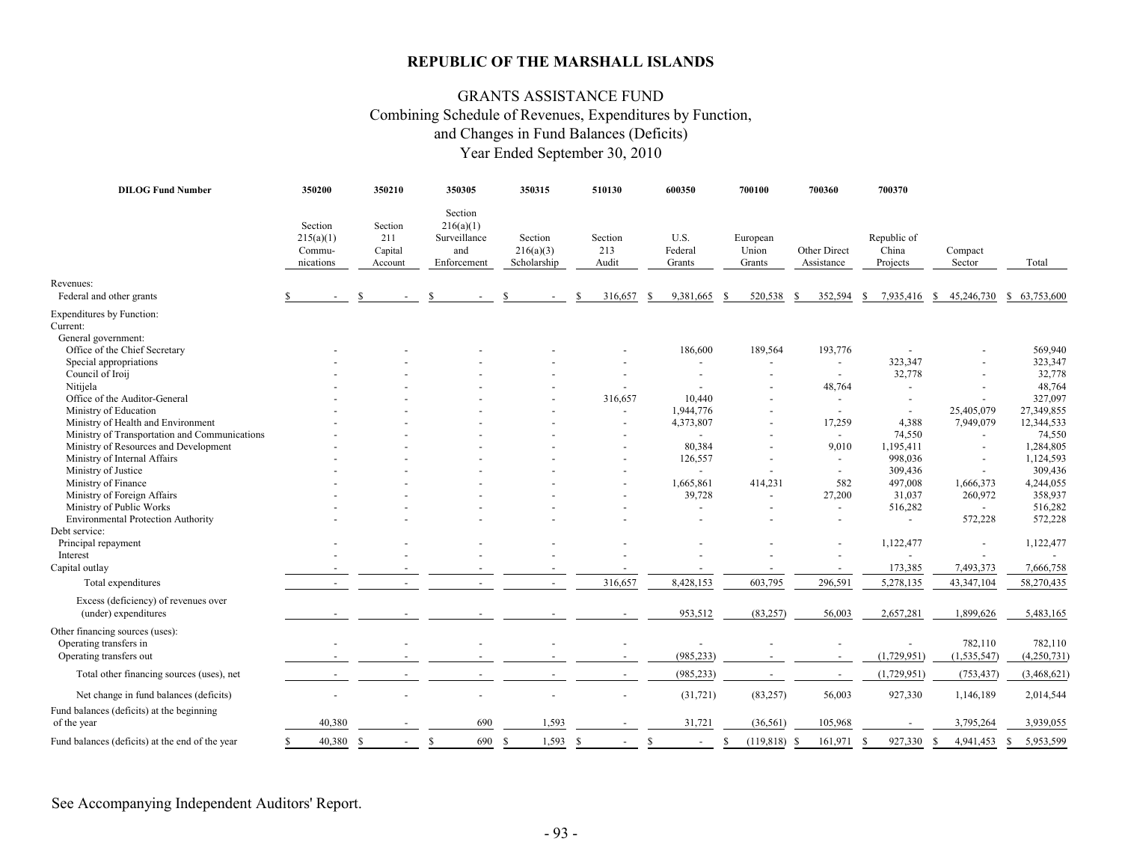# GRANTS ASSISTANCE FUND Combining Schedule of Revenues, Expenditures by Function, and Changes in Fund Balances (Deficits) Year Ended September 30, 2010

| <b>DILOG Fund Number</b>                        | 350200                                      |           | 350210                               | 350305                                                     | 350315                              | 510130                  | 600350                    | 700100                          | 700360                     | 700370                           |                           |                            |
|-------------------------------------------------|---------------------------------------------|-----------|--------------------------------------|------------------------------------------------------------|-------------------------------------|-------------------------|---------------------------|---------------------------------|----------------------------|----------------------------------|---------------------------|----------------------------|
|                                                 | Section<br>215(a)(1)<br>Commu-<br>nications |           | Section<br>211<br>Capital<br>Account | Section<br>216(a)(1)<br>Surveillance<br>and<br>Enforcement | Section<br>216(a)(3)<br>Scholarship | Section<br>213<br>Audit | U.S.<br>Federal<br>Grants | European<br>Union<br>Grants     | Other Direct<br>Assistance | Republic of<br>China<br>Projects | Compact<br>Sector         | Total                      |
| Revenues:<br>Federal and other grants           |                                             |           |                                      |                                                            |                                     | 316,657                 | 9,381,665<br>-S           | 520,538<br>-S                   | 352,594<br>-S              | 7,935,416<br>-S                  | 45,246,730<br>S.          | 63,753,600<br>S.           |
| Expenditures by Function:                       |                                             |           |                                      |                                                            |                                     |                         |                           |                                 |                            |                                  |                           |                            |
| Current:                                        |                                             |           |                                      |                                                            |                                     |                         |                           |                                 |                            |                                  |                           |                            |
| General government:                             |                                             |           |                                      |                                                            |                                     |                         |                           |                                 |                            |                                  |                           |                            |
| Office of the Chief Secretary                   |                                             |           |                                      |                                                            |                                     |                         | 186,600                   | 189,564                         | 193,776                    |                                  |                           | 569,940                    |
| Special appropriations                          |                                             |           |                                      |                                                            |                                     |                         |                           |                                 | $\sim$                     | 323,347                          |                           | 323,347                    |
| Council of Iroii                                |                                             |           |                                      |                                                            |                                     |                         |                           |                                 | $\sim$                     | 32,778                           |                           | 32,778                     |
| Nitijela                                        |                                             |           |                                      |                                                            |                                     |                         |                           |                                 | 48,764                     | $\overline{a}$                   |                           | 48,764                     |
| Office of the Auditor-General                   |                                             |           |                                      |                                                            |                                     | 316,657                 | 10,440                    |                                 | $\sim$                     |                                  | $\overline{\phantom{a}}$  | 327,097                    |
| Ministry of Education                           |                                             |           |                                      |                                                            |                                     |                         | 1,944,776                 |                                 |                            |                                  | 25,405,079                | 27,349,855                 |
| Ministry of Health and Environment              |                                             |           |                                      |                                                            |                                     |                         | 4,373,807                 |                                 | 17,259                     | 4,388                            | 7,949,079                 | 12,344,533                 |
| Ministry of Transportation and Communications   |                                             |           |                                      |                                                            |                                     |                         |                           |                                 | $\sim$                     | 74.550                           | $\blacksquare$            | 74,550                     |
| Ministry of Resources and Development           |                                             |           |                                      |                                                            |                                     |                         | 80,384                    |                                 | 9,010                      | 1,195,411                        |                           | 1,284,805                  |
| Ministry of Internal Affairs                    |                                             |           |                                      |                                                            |                                     |                         | 126,557                   | $\sim$                          | $\overline{\phantom{a}}$   | 998,036                          | $\overline{\phantom{a}}$  | 1,124,593                  |
| Ministry of Justice                             |                                             |           |                                      |                                                            |                                     |                         |                           |                                 | $\sim$                     | 309,436                          |                           | 309,436                    |
| Ministry of Finance                             |                                             |           |                                      |                                                            |                                     |                         | 1,665,861                 | 414,231                         | 582                        | 497,008                          | 1,666,373                 | 4,244,055                  |
| Ministry of Foreign Affairs                     |                                             |           |                                      |                                                            |                                     |                         | 39,728                    | $\blacksquare$                  | 27,200                     | 31,037                           | 260,972                   | 358,937                    |
| Ministry of Public Works                        |                                             |           |                                      |                                                            |                                     |                         |                           |                                 | $\overline{\phantom{a}}$   | 516,282                          | $\sim$                    | 516,282                    |
| <b>Environmental Protection Authority</b>       |                                             |           |                                      |                                                            |                                     |                         |                           |                                 | ٠                          | $\blacksquare$                   | 572,228                   | 572,228                    |
| Debt service:                                   |                                             |           |                                      |                                                            |                                     |                         |                           |                                 |                            |                                  |                           |                            |
| Principal repayment                             |                                             |           |                                      |                                                            |                                     |                         |                           |                                 |                            | 1,122,477                        | $\overline{\phantom{a}}$  | 1,122,477                  |
| Interest                                        |                                             |           |                                      |                                                            |                                     |                         |                           |                                 |                            | ÷.                               |                           |                            |
| Capital outlay                                  |                                             |           |                                      |                                                            |                                     |                         |                           |                                 |                            | 173,385                          | 7,493,373                 | 7,666,758                  |
| Total expenditures                              |                                             |           |                                      |                                                            |                                     | 316,657                 | 8,428,153                 | 603,795                         | 296,591                    | 5,278,135                        | 43,347,104                | 58,270,435                 |
| Excess (deficiency) of revenues over            |                                             |           |                                      |                                                            |                                     |                         |                           |                                 |                            |                                  |                           |                            |
| (under) expenditures                            |                                             |           |                                      |                                                            |                                     |                         | 953,512                   | (83, 257)                       | 56,003                     | 2,657,281                        | 1,899,626                 | 5,483,165                  |
|                                                 |                                             |           |                                      |                                                            |                                     |                         |                           |                                 |                            |                                  |                           |                            |
| Other financing sources (uses):                 |                                             |           |                                      |                                                            |                                     |                         |                           |                                 |                            |                                  |                           |                            |
| Operating transfers in                          |                                             |           |                                      |                                                            |                                     |                         |                           |                                 |                            |                                  | 782,110                   | 782,110                    |
| Operating transfers out                         |                                             |           |                                      |                                                            |                                     | $\blacksquare$          | (985, 233)                |                                 | $\sim$                     | (1,729,951)                      | (1, 535, 547)             | (4,250,731)                |
| Total other financing sources (uses), net       |                                             |           |                                      |                                                            |                                     | $\blacksquare$          | (985, 233)                |                                 | $\sim$                     | (1,729,951)                      | (753, 437)                | (3,468,621)                |
| Net change in fund balances (deficits)          |                                             |           |                                      |                                                            |                                     | $\blacksquare$          | (31, 721)                 | (83, 257)                       | 56,003                     | 927,330                          | 1,146,189                 | 2,014,544                  |
| Fund balances (deficits) at the beginning       |                                             |           |                                      |                                                            |                                     |                         |                           |                                 |                            |                                  |                           |                            |
| of the year                                     |                                             | 40,380    |                                      | 690                                                        | 1,593                               |                         | 31,721                    | (36, 561)                       | 105,968                    |                                  | 3,795,264                 | 3,939,055                  |
| Fund balances (deficits) at the end of the year | \$                                          | 40,380 \$ |                                      | 690<br><sup>\$</sup>                                       | $1,593$ \$<br>-S                    |                         | <sup>\$</sup>             | $(119,818)$ \$<br><sup>\$</sup> | 161,971                    | 927,330<br>-S                    | <sup>S</sup><br>4,941,453 | 5,953,599<br><sup>\$</sup> |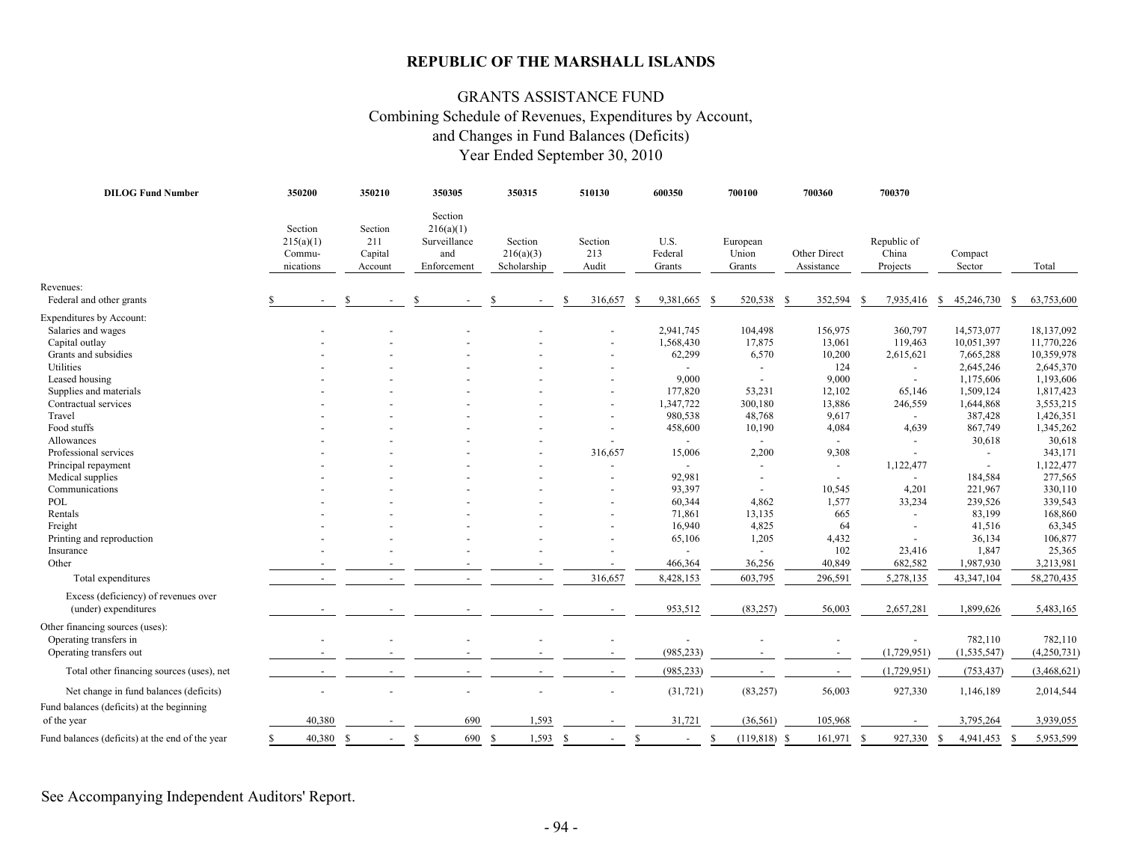# GRANTS ASSISTANCE FUND Combining Schedule of Revenues, Expenditures by Account, and Changes in Fund Balances (Deficits) Year Ended September 30, 2010

| Section<br>Section<br>216(a)(1)<br>Section<br>211<br>Surveillance<br>Section<br>U.S.<br>215(a)(1)<br>Section<br>Republic of<br>European<br>216(a)(3)<br>213<br>Federal<br>China<br>Commu-<br>Capital<br>and<br>Union<br>Other Direct<br>Compact<br>Audit<br>Grants<br>Assistance<br>Projects<br>Sector<br>Total<br>nications<br>Enforcement<br>Scholarship<br>Grants<br>Account<br>Revenues:<br>Federal and other grants<br>316,657<br>9,381,665 \$<br>520,538<br>352,594<br>-S<br>7,935,416<br>45,246,730<br>63,753,600<br><sup>\$</sup><br>- \$<br>-S<br><sup>\$</sup><br><sup>\$</sup><br><b>Expenditures by Account:</b><br>156,975<br>360,797<br>14,573,077<br>18,137,092<br>Salaries and wages<br>2,941,745<br>104,498<br>Capital outlay<br>1,568,430<br>17,875<br>13,061<br>10,051,397<br>11,770,226<br>119,463<br>Grants and subsidies<br>62,299<br>6,570<br>10,200<br>7,665,288<br>10,359,978<br>2,615,621<br>Utilities<br>124<br>2,645,246<br>2,645,370<br>$\sim$<br>Leased housing<br>9,000<br>9,000<br>1,175,606<br>1,193,606<br>$\sim$<br>$\sim$<br>177,820<br>53,231<br>12,102<br>65,146<br>1,509,124<br>1,817,423<br>Supplies and materials<br>Contractual services<br>1,347,722<br>300,180<br>13,886<br>1,644,868<br>246,559<br>3,553,215<br>Travel<br>980,538<br>48,768<br>9,617<br>387,428<br>1,426,351<br>$\sim$<br>Food stuffs<br>458,600<br>10,190<br>4,084<br>4,639<br>867,749<br>1,345,262<br>30,618<br>30,618<br>Allowances<br>$\sim$<br>$\sim$<br>Professional services<br>316,657<br>15,006<br>2,200<br>9,308<br>343,171<br>$\overline{\phantom{a}}$<br>1,122,477<br>1,122,477<br>Principal repayment<br>$\overline{\phantom{a}}$<br>$\sim$<br>Medical supplies<br>92,981<br>184,584<br>277,565<br>$\sim$<br>$\sim$<br>$\overline{\phantom{a}}$<br>330,110<br>Communications<br>93,397<br>10,545<br>4,201<br>221,967<br>$\sim$<br>1,577<br>33,234<br>339,543<br>POL<br>60,344<br>4,862<br>239,526<br>168,860<br>Rentals<br>13,135<br>665<br>83,199<br>71,861<br>$\sim$<br>63,345<br>4,825<br>64<br>41,516<br>Freight<br>16,940<br>$\overline{\phantom{a}}$<br>1,205<br>36,134<br>106,877<br>Printing and reproduction<br>65,106<br>4,432<br>102<br>1,847<br>25,365<br>Insurance<br>23,416<br>36,256<br>40,849<br>682,582<br>1,987,930<br>3,213,981<br>466,364<br>Other<br>316,657<br>8,428,153<br>603,795<br>296,591<br>5,278,135<br>43,347,104<br>58,270,435<br>Total expenditures<br>Excess (deficiency) of revenues over<br>953,512<br>(83, 257)<br>56,003<br>1,899,626<br>(under) expenditures<br>2,657,281<br>5,483,165<br>Operating transfers in<br>782,110<br>782,110<br>(985, 233)<br>(1,729,951)<br>(1, 535, 547)<br>Operating transfers out<br>(4,250,731)<br>(985, 233)<br>(1,729,951)<br>Total other financing sources (uses), net<br>(753, 437)<br>(3,468,621)<br>$\sim$<br>56,003<br>927,330<br>Net change in fund balances (deficits)<br>(31, 721)<br>(83, 257)<br>1,146,189<br>2,014,544<br>Fund balances (deficits) at the beginning<br>40,380<br>690<br>1,593<br>31,721<br>(36, 561)<br>105,968<br>3,795,264<br>3,939,055<br>1,593<br>40,380<br>S<br>690<br>$(119,818)$ \$<br>161,971<br>927,330<br>4,941,453<br>5,953,599<br>£.<br><sup>\$</sup><br>- S<br><sup>\$</sup><br>-S<br>-S<br>-S<br>-8<br>$\sim$<br>$\sim$ | <b>DILOG Fund Number</b>                        | 350200 | 350210 | 350305 | 350315 | 510130 | 600350 | 700100 | 700360 | 700370 |  |
|-------------------------------------------------------------------------------------------------------------------------------------------------------------------------------------------------------------------------------------------------------------------------------------------------------------------------------------------------------------------------------------------------------------------------------------------------------------------------------------------------------------------------------------------------------------------------------------------------------------------------------------------------------------------------------------------------------------------------------------------------------------------------------------------------------------------------------------------------------------------------------------------------------------------------------------------------------------------------------------------------------------------------------------------------------------------------------------------------------------------------------------------------------------------------------------------------------------------------------------------------------------------------------------------------------------------------------------------------------------------------------------------------------------------------------------------------------------------------------------------------------------------------------------------------------------------------------------------------------------------------------------------------------------------------------------------------------------------------------------------------------------------------------------------------------------------------------------------------------------------------------------------------------------------------------------------------------------------------------------------------------------------------------------------------------------------------------------------------------------------------------------------------------------------------------------------------------------------------------------------------------------------------------------------------------------------------------------------------------------------------------------------------------------------------------------------------------------------------------------------------------------------------------------------------------------------------------------------------------------------------------------------------------------------------------------------------------------------------------------------------------------------------------------------------------------------------------------------------------------------------------------------------------------------------------------------------------------------------------------------------------------------------------------------------------------------------------------------------------------------------------------------------------------------------------------------------------------------------------------------------------------------|-------------------------------------------------|--------|--------|--------|--------|--------|--------|--------|--------|--------|--|
|                                                                                                                                                                                                                                                                                                                                                                                                                                                                                                                                                                                                                                                                                                                                                                                                                                                                                                                                                                                                                                                                                                                                                                                                                                                                                                                                                                                                                                                                                                                                                                                                                                                                                                                                                                                                                                                                                                                                                                                                                                                                                                                                                                                                                                                                                                                                                                                                                                                                                                                                                                                                                                                                                                                                                                                                                                                                                                                                                                                                                                                                                                                                                                                                                                                                   |                                                 |        |        |        |        |        |        |        |        |        |  |
|                                                                                                                                                                                                                                                                                                                                                                                                                                                                                                                                                                                                                                                                                                                                                                                                                                                                                                                                                                                                                                                                                                                                                                                                                                                                                                                                                                                                                                                                                                                                                                                                                                                                                                                                                                                                                                                                                                                                                                                                                                                                                                                                                                                                                                                                                                                                                                                                                                                                                                                                                                                                                                                                                                                                                                                                                                                                                                                                                                                                                                                                                                                                                                                                                                                                   |                                                 |        |        |        |        |        |        |        |        |        |  |
|                                                                                                                                                                                                                                                                                                                                                                                                                                                                                                                                                                                                                                                                                                                                                                                                                                                                                                                                                                                                                                                                                                                                                                                                                                                                                                                                                                                                                                                                                                                                                                                                                                                                                                                                                                                                                                                                                                                                                                                                                                                                                                                                                                                                                                                                                                                                                                                                                                                                                                                                                                                                                                                                                                                                                                                                                                                                                                                                                                                                                                                                                                                                                                                                                                                                   |                                                 |        |        |        |        |        |        |        |        |        |  |
|                                                                                                                                                                                                                                                                                                                                                                                                                                                                                                                                                                                                                                                                                                                                                                                                                                                                                                                                                                                                                                                                                                                                                                                                                                                                                                                                                                                                                                                                                                                                                                                                                                                                                                                                                                                                                                                                                                                                                                                                                                                                                                                                                                                                                                                                                                                                                                                                                                                                                                                                                                                                                                                                                                                                                                                                                                                                                                                                                                                                                                                                                                                                                                                                                                                                   |                                                 |        |        |        |        |        |        |        |        |        |  |
|                                                                                                                                                                                                                                                                                                                                                                                                                                                                                                                                                                                                                                                                                                                                                                                                                                                                                                                                                                                                                                                                                                                                                                                                                                                                                                                                                                                                                                                                                                                                                                                                                                                                                                                                                                                                                                                                                                                                                                                                                                                                                                                                                                                                                                                                                                                                                                                                                                                                                                                                                                                                                                                                                                                                                                                                                                                                                                                                                                                                                                                                                                                                                                                                                                                                   |                                                 |        |        |        |        |        |        |        |        |        |  |
|                                                                                                                                                                                                                                                                                                                                                                                                                                                                                                                                                                                                                                                                                                                                                                                                                                                                                                                                                                                                                                                                                                                                                                                                                                                                                                                                                                                                                                                                                                                                                                                                                                                                                                                                                                                                                                                                                                                                                                                                                                                                                                                                                                                                                                                                                                                                                                                                                                                                                                                                                                                                                                                                                                                                                                                                                                                                                                                                                                                                                                                                                                                                                                                                                                                                   |                                                 |        |        |        |        |        |        |        |        |        |  |
|                                                                                                                                                                                                                                                                                                                                                                                                                                                                                                                                                                                                                                                                                                                                                                                                                                                                                                                                                                                                                                                                                                                                                                                                                                                                                                                                                                                                                                                                                                                                                                                                                                                                                                                                                                                                                                                                                                                                                                                                                                                                                                                                                                                                                                                                                                                                                                                                                                                                                                                                                                                                                                                                                                                                                                                                                                                                                                                                                                                                                                                                                                                                                                                                                                                                   |                                                 |        |        |        |        |        |        |        |        |        |  |
|                                                                                                                                                                                                                                                                                                                                                                                                                                                                                                                                                                                                                                                                                                                                                                                                                                                                                                                                                                                                                                                                                                                                                                                                                                                                                                                                                                                                                                                                                                                                                                                                                                                                                                                                                                                                                                                                                                                                                                                                                                                                                                                                                                                                                                                                                                                                                                                                                                                                                                                                                                                                                                                                                                                                                                                                                                                                                                                                                                                                                                                                                                                                                                                                                                                                   |                                                 |        |        |        |        |        |        |        |        |        |  |
|                                                                                                                                                                                                                                                                                                                                                                                                                                                                                                                                                                                                                                                                                                                                                                                                                                                                                                                                                                                                                                                                                                                                                                                                                                                                                                                                                                                                                                                                                                                                                                                                                                                                                                                                                                                                                                                                                                                                                                                                                                                                                                                                                                                                                                                                                                                                                                                                                                                                                                                                                                                                                                                                                                                                                                                                                                                                                                                                                                                                                                                                                                                                                                                                                                                                   |                                                 |        |        |        |        |        |        |        |        |        |  |
|                                                                                                                                                                                                                                                                                                                                                                                                                                                                                                                                                                                                                                                                                                                                                                                                                                                                                                                                                                                                                                                                                                                                                                                                                                                                                                                                                                                                                                                                                                                                                                                                                                                                                                                                                                                                                                                                                                                                                                                                                                                                                                                                                                                                                                                                                                                                                                                                                                                                                                                                                                                                                                                                                                                                                                                                                                                                                                                                                                                                                                                                                                                                                                                                                                                                   |                                                 |        |        |        |        |        |        |        |        |        |  |
|                                                                                                                                                                                                                                                                                                                                                                                                                                                                                                                                                                                                                                                                                                                                                                                                                                                                                                                                                                                                                                                                                                                                                                                                                                                                                                                                                                                                                                                                                                                                                                                                                                                                                                                                                                                                                                                                                                                                                                                                                                                                                                                                                                                                                                                                                                                                                                                                                                                                                                                                                                                                                                                                                                                                                                                                                                                                                                                                                                                                                                                                                                                                                                                                                                                                   |                                                 |        |        |        |        |        |        |        |        |        |  |
|                                                                                                                                                                                                                                                                                                                                                                                                                                                                                                                                                                                                                                                                                                                                                                                                                                                                                                                                                                                                                                                                                                                                                                                                                                                                                                                                                                                                                                                                                                                                                                                                                                                                                                                                                                                                                                                                                                                                                                                                                                                                                                                                                                                                                                                                                                                                                                                                                                                                                                                                                                                                                                                                                                                                                                                                                                                                                                                                                                                                                                                                                                                                                                                                                                                                   |                                                 |        |        |        |        |        |        |        |        |        |  |
|                                                                                                                                                                                                                                                                                                                                                                                                                                                                                                                                                                                                                                                                                                                                                                                                                                                                                                                                                                                                                                                                                                                                                                                                                                                                                                                                                                                                                                                                                                                                                                                                                                                                                                                                                                                                                                                                                                                                                                                                                                                                                                                                                                                                                                                                                                                                                                                                                                                                                                                                                                                                                                                                                                                                                                                                                                                                                                                                                                                                                                                                                                                                                                                                                                                                   |                                                 |        |        |        |        |        |        |        |        |        |  |
|                                                                                                                                                                                                                                                                                                                                                                                                                                                                                                                                                                                                                                                                                                                                                                                                                                                                                                                                                                                                                                                                                                                                                                                                                                                                                                                                                                                                                                                                                                                                                                                                                                                                                                                                                                                                                                                                                                                                                                                                                                                                                                                                                                                                                                                                                                                                                                                                                                                                                                                                                                                                                                                                                                                                                                                                                                                                                                                                                                                                                                                                                                                                                                                                                                                                   |                                                 |        |        |        |        |        |        |        |        |        |  |
|                                                                                                                                                                                                                                                                                                                                                                                                                                                                                                                                                                                                                                                                                                                                                                                                                                                                                                                                                                                                                                                                                                                                                                                                                                                                                                                                                                                                                                                                                                                                                                                                                                                                                                                                                                                                                                                                                                                                                                                                                                                                                                                                                                                                                                                                                                                                                                                                                                                                                                                                                                                                                                                                                                                                                                                                                                                                                                                                                                                                                                                                                                                                                                                                                                                                   |                                                 |        |        |        |        |        |        |        |        |        |  |
|                                                                                                                                                                                                                                                                                                                                                                                                                                                                                                                                                                                                                                                                                                                                                                                                                                                                                                                                                                                                                                                                                                                                                                                                                                                                                                                                                                                                                                                                                                                                                                                                                                                                                                                                                                                                                                                                                                                                                                                                                                                                                                                                                                                                                                                                                                                                                                                                                                                                                                                                                                                                                                                                                                                                                                                                                                                                                                                                                                                                                                                                                                                                                                                                                                                                   |                                                 |        |        |        |        |        |        |        |        |        |  |
|                                                                                                                                                                                                                                                                                                                                                                                                                                                                                                                                                                                                                                                                                                                                                                                                                                                                                                                                                                                                                                                                                                                                                                                                                                                                                                                                                                                                                                                                                                                                                                                                                                                                                                                                                                                                                                                                                                                                                                                                                                                                                                                                                                                                                                                                                                                                                                                                                                                                                                                                                                                                                                                                                                                                                                                                                                                                                                                                                                                                                                                                                                                                                                                                                                                                   |                                                 |        |        |        |        |        |        |        |        |        |  |
|                                                                                                                                                                                                                                                                                                                                                                                                                                                                                                                                                                                                                                                                                                                                                                                                                                                                                                                                                                                                                                                                                                                                                                                                                                                                                                                                                                                                                                                                                                                                                                                                                                                                                                                                                                                                                                                                                                                                                                                                                                                                                                                                                                                                                                                                                                                                                                                                                                                                                                                                                                                                                                                                                                                                                                                                                                                                                                                                                                                                                                                                                                                                                                                                                                                                   |                                                 |        |        |        |        |        |        |        |        |        |  |
|                                                                                                                                                                                                                                                                                                                                                                                                                                                                                                                                                                                                                                                                                                                                                                                                                                                                                                                                                                                                                                                                                                                                                                                                                                                                                                                                                                                                                                                                                                                                                                                                                                                                                                                                                                                                                                                                                                                                                                                                                                                                                                                                                                                                                                                                                                                                                                                                                                                                                                                                                                                                                                                                                                                                                                                                                                                                                                                                                                                                                                                                                                                                                                                                                                                                   |                                                 |        |        |        |        |        |        |        |        |        |  |
|                                                                                                                                                                                                                                                                                                                                                                                                                                                                                                                                                                                                                                                                                                                                                                                                                                                                                                                                                                                                                                                                                                                                                                                                                                                                                                                                                                                                                                                                                                                                                                                                                                                                                                                                                                                                                                                                                                                                                                                                                                                                                                                                                                                                                                                                                                                                                                                                                                                                                                                                                                                                                                                                                                                                                                                                                                                                                                                                                                                                                                                                                                                                                                                                                                                                   |                                                 |        |        |        |        |        |        |        |        |        |  |
|                                                                                                                                                                                                                                                                                                                                                                                                                                                                                                                                                                                                                                                                                                                                                                                                                                                                                                                                                                                                                                                                                                                                                                                                                                                                                                                                                                                                                                                                                                                                                                                                                                                                                                                                                                                                                                                                                                                                                                                                                                                                                                                                                                                                                                                                                                                                                                                                                                                                                                                                                                                                                                                                                                                                                                                                                                                                                                                                                                                                                                                                                                                                                                                                                                                                   |                                                 |        |        |        |        |        |        |        |        |        |  |
|                                                                                                                                                                                                                                                                                                                                                                                                                                                                                                                                                                                                                                                                                                                                                                                                                                                                                                                                                                                                                                                                                                                                                                                                                                                                                                                                                                                                                                                                                                                                                                                                                                                                                                                                                                                                                                                                                                                                                                                                                                                                                                                                                                                                                                                                                                                                                                                                                                                                                                                                                                                                                                                                                                                                                                                                                                                                                                                                                                                                                                                                                                                                                                                                                                                                   |                                                 |        |        |        |        |        |        |        |        |        |  |
|                                                                                                                                                                                                                                                                                                                                                                                                                                                                                                                                                                                                                                                                                                                                                                                                                                                                                                                                                                                                                                                                                                                                                                                                                                                                                                                                                                                                                                                                                                                                                                                                                                                                                                                                                                                                                                                                                                                                                                                                                                                                                                                                                                                                                                                                                                                                                                                                                                                                                                                                                                                                                                                                                                                                                                                                                                                                                                                                                                                                                                                                                                                                                                                                                                                                   |                                                 |        |        |        |        |        |        |        |        |        |  |
|                                                                                                                                                                                                                                                                                                                                                                                                                                                                                                                                                                                                                                                                                                                                                                                                                                                                                                                                                                                                                                                                                                                                                                                                                                                                                                                                                                                                                                                                                                                                                                                                                                                                                                                                                                                                                                                                                                                                                                                                                                                                                                                                                                                                                                                                                                                                                                                                                                                                                                                                                                                                                                                                                                                                                                                                                                                                                                                                                                                                                                                                                                                                                                                                                                                                   |                                                 |        |        |        |        |        |        |        |        |        |  |
|                                                                                                                                                                                                                                                                                                                                                                                                                                                                                                                                                                                                                                                                                                                                                                                                                                                                                                                                                                                                                                                                                                                                                                                                                                                                                                                                                                                                                                                                                                                                                                                                                                                                                                                                                                                                                                                                                                                                                                                                                                                                                                                                                                                                                                                                                                                                                                                                                                                                                                                                                                                                                                                                                                                                                                                                                                                                                                                                                                                                                                                                                                                                                                                                                                                                   |                                                 |        |        |        |        |        |        |        |        |        |  |
|                                                                                                                                                                                                                                                                                                                                                                                                                                                                                                                                                                                                                                                                                                                                                                                                                                                                                                                                                                                                                                                                                                                                                                                                                                                                                                                                                                                                                                                                                                                                                                                                                                                                                                                                                                                                                                                                                                                                                                                                                                                                                                                                                                                                                                                                                                                                                                                                                                                                                                                                                                                                                                                                                                                                                                                                                                                                                                                                                                                                                                                                                                                                                                                                                                                                   |                                                 |        |        |        |        |        |        |        |        |        |  |
|                                                                                                                                                                                                                                                                                                                                                                                                                                                                                                                                                                                                                                                                                                                                                                                                                                                                                                                                                                                                                                                                                                                                                                                                                                                                                                                                                                                                                                                                                                                                                                                                                                                                                                                                                                                                                                                                                                                                                                                                                                                                                                                                                                                                                                                                                                                                                                                                                                                                                                                                                                                                                                                                                                                                                                                                                                                                                                                                                                                                                                                                                                                                                                                                                                                                   | Other financing sources (uses):                 |        |        |        |        |        |        |        |        |        |  |
|                                                                                                                                                                                                                                                                                                                                                                                                                                                                                                                                                                                                                                                                                                                                                                                                                                                                                                                                                                                                                                                                                                                                                                                                                                                                                                                                                                                                                                                                                                                                                                                                                                                                                                                                                                                                                                                                                                                                                                                                                                                                                                                                                                                                                                                                                                                                                                                                                                                                                                                                                                                                                                                                                                                                                                                                                                                                                                                                                                                                                                                                                                                                                                                                                                                                   |                                                 |        |        |        |        |        |        |        |        |        |  |
|                                                                                                                                                                                                                                                                                                                                                                                                                                                                                                                                                                                                                                                                                                                                                                                                                                                                                                                                                                                                                                                                                                                                                                                                                                                                                                                                                                                                                                                                                                                                                                                                                                                                                                                                                                                                                                                                                                                                                                                                                                                                                                                                                                                                                                                                                                                                                                                                                                                                                                                                                                                                                                                                                                                                                                                                                                                                                                                                                                                                                                                                                                                                                                                                                                                                   |                                                 |        |        |        |        |        |        |        |        |        |  |
|                                                                                                                                                                                                                                                                                                                                                                                                                                                                                                                                                                                                                                                                                                                                                                                                                                                                                                                                                                                                                                                                                                                                                                                                                                                                                                                                                                                                                                                                                                                                                                                                                                                                                                                                                                                                                                                                                                                                                                                                                                                                                                                                                                                                                                                                                                                                                                                                                                                                                                                                                                                                                                                                                                                                                                                                                                                                                                                                                                                                                                                                                                                                                                                                                                                                   |                                                 |        |        |        |        |        |        |        |        |        |  |
|                                                                                                                                                                                                                                                                                                                                                                                                                                                                                                                                                                                                                                                                                                                                                                                                                                                                                                                                                                                                                                                                                                                                                                                                                                                                                                                                                                                                                                                                                                                                                                                                                                                                                                                                                                                                                                                                                                                                                                                                                                                                                                                                                                                                                                                                                                                                                                                                                                                                                                                                                                                                                                                                                                                                                                                                                                                                                                                                                                                                                                                                                                                                                                                                                                                                   |                                                 |        |        |        |        |        |        |        |        |        |  |
|                                                                                                                                                                                                                                                                                                                                                                                                                                                                                                                                                                                                                                                                                                                                                                                                                                                                                                                                                                                                                                                                                                                                                                                                                                                                                                                                                                                                                                                                                                                                                                                                                                                                                                                                                                                                                                                                                                                                                                                                                                                                                                                                                                                                                                                                                                                                                                                                                                                                                                                                                                                                                                                                                                                                                                                                                                                                                                                                                                                                                                                                                                                                                                                                                                                                   |                                                 |        |        |        |        |        |        |        |        |        |  |
|                                                                                                                                                                                                                                                                                                                                                                                                                                                                                                                                                                                                                                                                                                                                                                                                                                                                                                                                                                                                                                                                                                                                                                                                                                                                                                                                                                                                                                                                                                                                                                                                                                                                                                                                                                                                                                                                                                                                                                                                                                                                                                                                                                                                                                                                                                                                                                                                                                                                                                                                                                                                                                                                                                                                                                                                                                                                                                                                                                                                                                                                                                                                                                                                                                                                   | of the year                                     |        |        |        |        |        |        |        |        |        |  |
|                                                                                                                                                                                                                                                                                                                                                                                                                                                                                                                                                                                                                                                                                                                                                                                                                                                                                                                                                                                                                                                                                                                                                                                                                                                                                                                                                                                                                                                                                                                                                                                                                                                                                                                                                                                                                                                                                                                                                                                                                                                                                                                                                                                                                                                                                                                                                                                                                                                                                                                                                                                                                                                                                                                                                                                                                                                                                                                                                                                                                                                                                                                                                                                                                                                                   | Fund balances (deficits) at the end of the year |        |        |        |        |        |        |        |        |        |  |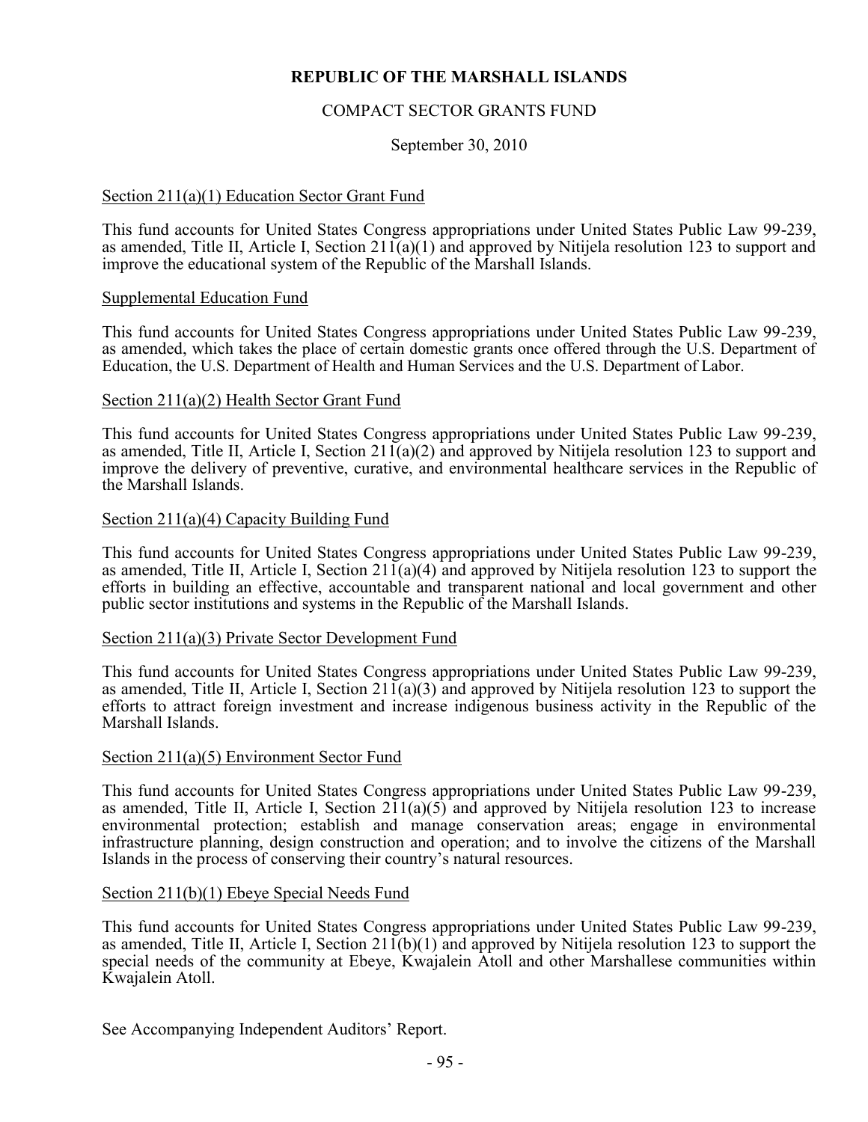## COMPACT SECTOR GRANTS FUND

September 30, 2010

### Section 211(a)(1) Education Sector Grant Fund

This fund accounts for United States Congress appropriations under United States Public Law 99-239, as amended, Title II, Article I, Section 211(a)(1) and approved by Nitijela resolution 123 to support and improve the educational system of the Republic of the Marshall Islands.

#### Supplemental Education Fund

This fund accounts for United States Congress appropriations under United States Public Law 99-239, as amended, which takes the place of certain domestic grants once offered through the U.S. Department of Education, the U.S. Department of Health and Human Services and the U.S. Department of Labor.

#### Section 211(a)(2) Health Sector Grant Fund

This fund accounts for United States Congress appropriations under United States Public Law 99-239, as amended, Title II, Article I, Section 211(a)(2) and approved by Nitijela resolution 123 to support and improve the delivery of preventive, curative, and environmental healthcare services in the Republic of the Marshall Islands.

#### Section 211(a)(4) Capacity Building Fund

This fund accounts for United States Congress appropriations under United States Public Law 99-239, as amended, Title II, Article I, Section  $21\bar{1}(a)(4)$  and approved by Nitijela resolution 123 to support the efforts in building an effective, accountable and transparent national and local government and other public sector institutions and systems in the Republic of the Marshall Islands.

### Section 211(a)(3) Private Sector Development Fund

This fund accounts for United States Congress appropriations under United States Public Law 99-239, as amended, Title II, Article I, Section  $21\bar{1}(a)(3)$  and approved by Nitijela resolution 123 to support the efforts to attract foreign investment and increase indigenous business activity in the Republic of the Marshall Islands.

#### Section 211(a)(5) Environment Sector Fund

This fund accounts for United States Congress appropriations under United States Public Law 99-239, as amended, Title II, Article I, Section 211(a)(5) and approved by Nitijela resolution 123 to increase environmental protection; establish and manage conservation areas; engage in environmental infrastructure planning, design construction and operation; and to involve the citizens of the Marshall Islands in the process of conserving their country's natural resources.

#### Section 211(b)(1) Ebeye Special Needs Fund

This fund accounts for United States Congress appropriations under United States Public Law 99-239, as amended, Title II, Article I, Section  $211(b)(1)$  and approved by Nitijela resolution 123 to support the special needs of the community at Ebeye, Kwajalein Atoll and other Marshallese communities within Kwajalein Atoll.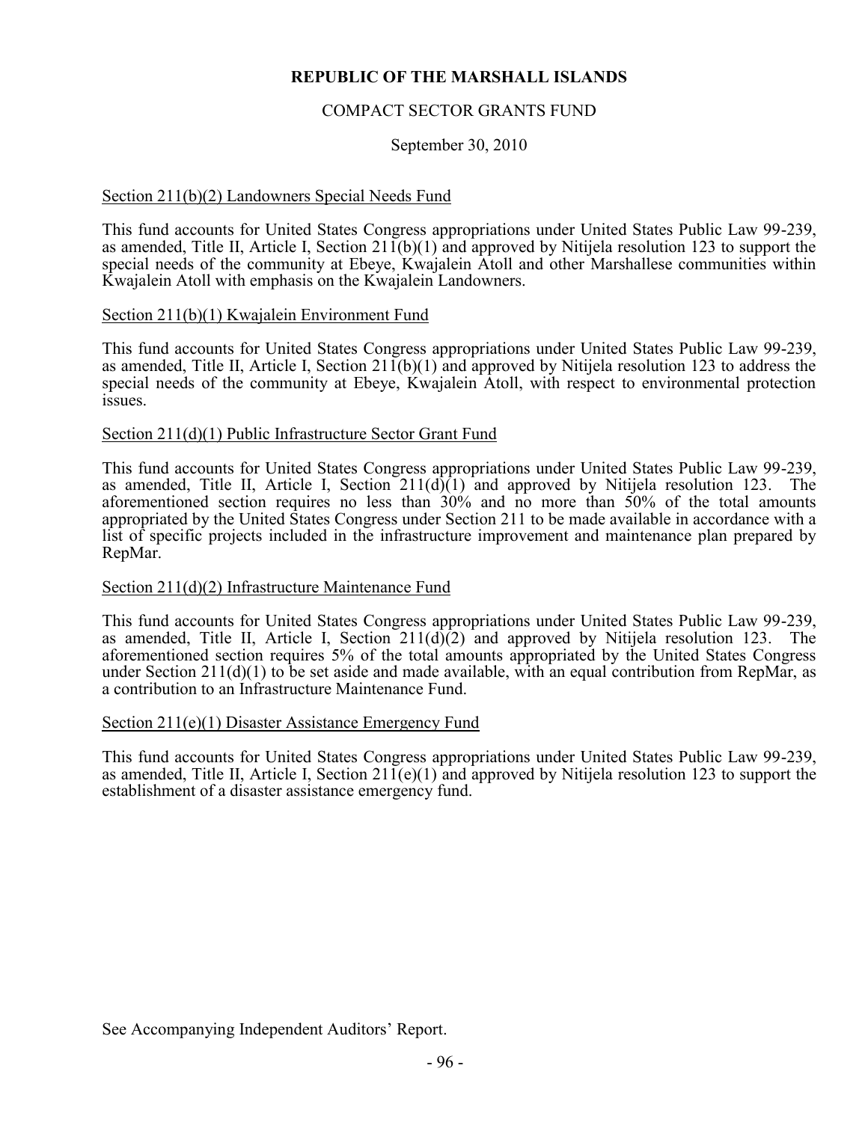## COMPACT SECTOR GRANTS FUND

September 30, 2010

### Section 211(b)(2) Landowners Special Needs Fund

This fund accounts for United States Congress appropriations under United States Public Law 99-239, as amended, Title II, Article I, Section 211(b)(1) and approved by Nitijela resolution 123 to support the special needs of the community at Ebeye, Kwajalein Atoll and other Marshallese communities within Kwajalein Atoll with emphasis on the Kwajalein Landowners.

#### Section 211(b)(1) Kwajalein Environment Fund

This fund accounts for United States Congress appropriations under United States Public Law 99-239, as amended, Title II, Article I, Section  $211(b)(1)$  and approved by Nitijela resolution 123 to address the special needs of the community at Ebeye, Kwajalein Atoll, with respect to environmental protection issues.

#### Section 211(d)(1) Public Infrastructure Sector Grant Fund

This fund accounts for United States Congress appropriations under United States Public Law 99-239, as amended, Title II, Article I, Section  $211(d)(1)$  and approved by Nitijela resolution 123. The aforementioned section requires no less than 30% and no more than 50% of the total amounts appropriated by the United States Congress under Section 211 to be made available in accordance with a list of specific projects included in the infrastructure improvement and maintenance plan prepared by RepMar.

#### Section 211(d)(2) Infrastructure Maintenance Fund

This fund accounts for United States Congress appropriations under United States Public Law 99-239, as amended, Title II, Article I, Section  $211(d)(2)$  and approved by Nitijela resolution 123. The aforementioned section requires 5% of the total amounts appropriated by the United States Congress under Section 211(d)(1) to be set aside and made available, with an equal contribution from RepMar, as a contribution to an Infrastructure Maintenance Fund.

#### Section 211(e)(1) Disaster Assistance Emergency Fund

This fund accounts for United States Congress appropriations under United States Public Law 99-239, as amended, Title II, Article I, Section  $21\bar{1}(e)(1)$  and approved by Nitijela resolution 123 to support the establishment of a disaster assistance emergency fund.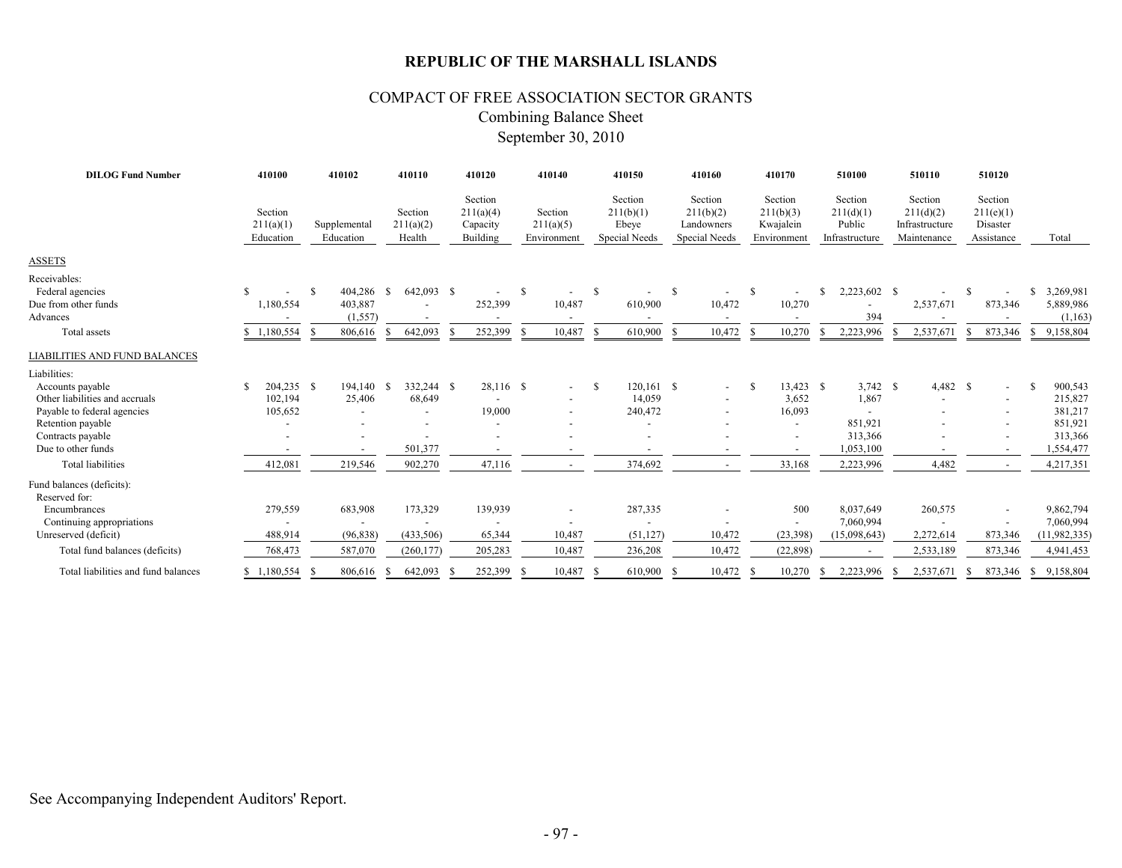# COMPACT OF FREE ASSOCIATION SECTOR GRANTS Combining Balance Sheet September 30, 2010

| <b>DILOG Fund Number</b>                                                                                                    | 410100                                 | 410102                                          | 410110                              | 410120                                          | 410140                                                                           | 410150                                              | 410160                                                                           | 410170                                                           | 510100                                           | 510110                                                | 510120                                               |                                                            |
|-----------------------------------------------------------------------------------------------------------------------------|----------------------------------------|-------------------------------------------------|-------------------------------------|-------------------------------------------------|----------------------------------------------------------------------------------|-----------------------------------------------------|----------------------------------------------------------------------------------|------------------------------------------------------------------|--------------------------------------------------|-------------------------------------------------------|------------------------------------------------------|------------------------------------------------------------|
|                                                                                                                             | Section<br>211(a)(1)<br>Education      | Supplemental<br>Education                       | Section<br>211(a)(2)<br>Health      | Section<br>211(a)(4)<br>Capacity<br>Building    | Section<br>211(a)(5)<br>Environment                                              | Section<br>211(b)(1)<br>Ebeye<br>Special Needs      | Section<br>211(b)(2)<br>Landowners<br>Special Needs                              | Section<br>211(b)(3)<br>Kwajalein<br>Environment                 | Section<br>211(d)(1)<br>Public<br>Infrastructure | Section<br>211(d)(2)<br>Infrastructure<br>Maintenance | Section<br>211(e)(1)<br>Disaster<br>Assistance       | Total                                                      |
| <b>ASSETS</b>                                                                                                               |                                        |                                                 |                                     |                                                 |                                                                                  |                                                     |                                                                                  |                                                                  |                                                  |                                                       |                                                      |                                                            |
| Receivables:<br>Federal agencies<br>Due from other funds<br>Advances                                                        | 1,180,554                              | 404,286<br><sup>\$</sup><br>403,887<br>(1, 557) | 642.093 \$<br>- S                   | 252,399                                         | -S<br>10,487<br>$\overline{\phantom{a}}$                                         | <sup>S</sup><br>$\overline{\phantom{a}}$<br>610,900 | <sup>\$</sup><br>$\overline{\phantom{a}}$<br>10,472<br>$\overline{\phantom{a}}$  | <sup>S</sup><br>$\blacksquare$<br>10,270                         | 2,223,602 \$<br>394                              | 2,537,671<br>$\overline{\phantom{a}}$                 | -S<br>873,346                                        | 3,269,981<br>-S<br>5,889,986<br>(1,163)                    |
| Total assets                                                                                                                | $$1,180,554$ \$                        | 806,616                                         | 642,093<br>-S.                      | 252,399<br>-S                                   | 10,487<br>-S                                                                     | 610,900 \$<br>-S                                    | 10,472                                                                           | 10,270<br>S                                                      | 2,223,996<br>-8                                  | 2,537,671<br>-S                                       | 873,346<br>-S                                        | 9,158,804<br><sup>S</sup>                                  |
| <b>LIABILITIES AND FUND BALANCES</b>                                                                                        |                                        |                                                 |                                     |                                                 |                                                                                  |                                                     |                                                                                  |                                                                  |                                                  |                                                       |                                                      |                                                            |
| Liabilities:                                                                                                                |                                        |                                                 |                                     |                                                 |                                                                                  |                                                     |                                                                                  |                                                                  |                                                  |                                                       |                                                      |                                                            |
| Accounts payable<br>Other liabilities and accruals<br>Payable to federal agencies<br>Retention payable<br>Contracts payable | 204,235 \$<br>-S<br>102,194<br>105,652 | 194,140<br>25,406                               | 332,244 \$<br>-S<br>68,649          | 28,116 \$<br>$\overline{\phantom{a}}$<br>19,000 | $\overline{\phantom{0}}$<br>$\overline{\phantom{a}}$<br>$\overline{\phantom{a}}$ | <sup>\$</sup><br>$120,161$ \$<br>14,059<br>240,472  | $\overline{\phantom{a}}$<br>$\overline{\phantom{a}}$<br>$\overline{\phantom{a}}$ | $13,423$ \$<br>-S<br>3,652<br>16,093<br>$\overline{\phantom{a}}$ | $3,742$ \$<br>1,867<br>851,921<br>313,366        | 4,482 \$<br>$\overline{\phantom{a}}$                  | $\overline{a}$<br>$\overline{\phantom{a}}$           | 900,543<br>- S<br>215,827<br>381,217<br>851,921<br>313,366 |
| Due to other funds                                                                                                          | $\overline{\phantom{a}}$               | $\overline{\phantom{a}}$                        | 501,377                             | $\overline{\phantom{a}}$                        | $\overline{\phantom{a}}$                                                         | $\overline{\phantom{a}}$                            | $\overline{\phantom{a}}$                                                         | $\overline{\phantom{a}}$                                         | 1,053,100                                        | $\overline{\phantom{a}}$                              | $\overline{\phantom{a}}$                             | 1,554,477                                                  |
| <b>Total liabilities</b>                                                                                                    | 412,081                                | 219,546                                         | 902,270                             | 47,116                                          | $\sim$                                                                           | 374,692                                             | $\overline{\phantom{a}}$                                                         | 33,168                                                           | 2,223,996                                        | 4,482                                                 | $\overline{\phantom{a}}$                             | 4,217,351                                                  |
| Fund balances (deficits):<br>Reserved for:                                                                                  |                                        |                                                 |                                     |                                                 |                                                                                  |                                                     |                                                                                  |                                                                  |                                                  |                                                       |                                                      |                                                            |
| Encumbrances<br>Continuing appropriations                                                                                   | 279,559                                | 683,908<br>$\overline{\phantom{a}}$             | 173,329<br>$\overline{\phantom{0}}$ | 139,939<br>$\overline{\phantom{a}}$             | $\overline{\phantom{a}}$<br>$\overline{\phantom{a}}$                             | 287,335                                             | $\overline{\phantom{a}}$                                                         | 500<br>$\sim$                                                    | 8,037,649<br>7,060,994                           | 260,575<br>$\overline{\phantom{a}}$                   | $\overline{\phantom{a}}$<br>$\overline{\phantom{a}}$ | 9,862,794<br>7,060,994                                     |
| Unreserved (deficit)                                                                                                        | 488,914                                | (96, 838)                                       | (433,506)                           | 65,344                                          | 10,487                                                                           | (51, 127)                                           | 10,472                                                                           | (23, 398)                                                        | (15,098,643)                                     | 2,272,614                                             | 873,346                                              | (11, 982, 335)                                             |
| Total fund balances (deficits)                                                                                              | 768,473                                | 587,070                                         | (260, 177)                          | 205,283                                         | 10,487                                                                           | 236,208                                             | 10,472                                                                           | (22, 898)                                                        |                                                  | 2,533,189                                             | 873,346                                              | 4,941,453                                                  |
| Total liabilities and fund balances                                                                                         | \$1,180,554                            | 806,616<br>-S                                   | 642,093<br><sup>S</sup>             | 252,399                                         | 10,487<br>- S                                                                    | 610,900<br>- S                                      | 10,472<br>- S                                                                    | 10,270<br>-S                                                     | 2,223,996                                        | 2,537,671<br>-S                                       | 873,346<br>-8                                        | 9,158,804<br>S.                                            |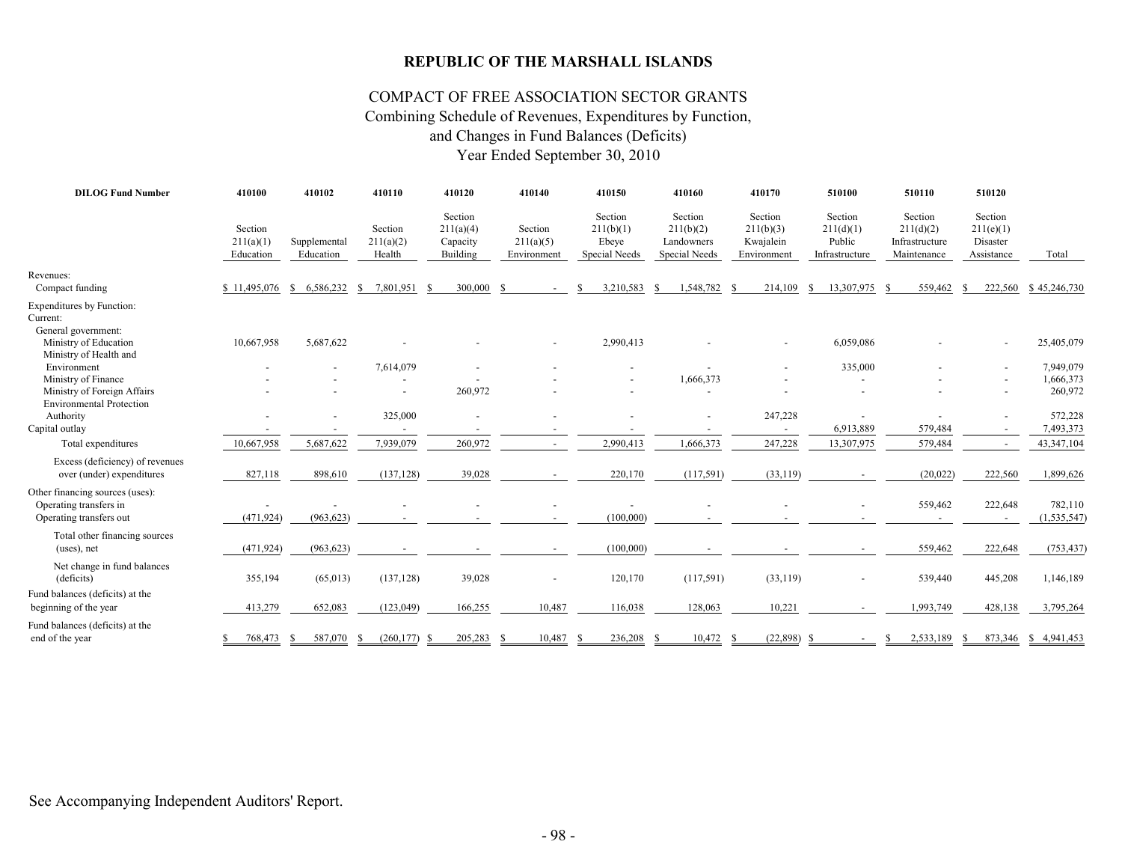# COMPACT OF FREE ASSOCIATION SECTOR GRANTS Combining Schedule of Revenues, Expenditures by Function, Year Ended September 30, 2010 and Changes in Fund Balances (Deficits)

| <b>DILOG Fund Number</b>                                                                     | 410100                            | 410102                    | 410110                         | 410120                                       | 410140                              | 410150                                         | 410160                                              | 410170                                           | 510100                                           | 510110                                                | 510120                                         |                                   |
|----------------------------------------------------------------------------------------------|-----------------------------------|---------------------------|--------------------------------|----------------------------------------------|-------------------------------------|------------------------------------------------|-----------------------------------------------------|--------------------------------------------------|--------------------------------------------------|-------------------------------------------------------|------------------------------------------------|-----------------------------------|
|                                                                                              | Section<br>211(a)(1)<br>Education | Supplemental<br>Education | Section<br>211(a)(2)<br>Health | Section<br>211(a)(4)<br>Capacity<br>Building | Section<br>211(a)(5)<br>Environment | Section<br>211(b)(1)<br>Ebeye<br>Special Needs | Section<br>211(b)(2)<br>Landowners<br>Special Needs | Section<br>211(b)(3)<br>Kwajalein<br>Environment | Section<br>211(d)(1)<br>Public<br>Infrastructure | Section<br>211(d)(2)<br>Infrastructure<br>Maintenance | Section<br>211(e)(1)<br>Disaster<br>Assistance | Total                             |
| Revenues:<br>Compact funding                                                                 | \$11,495,076                      | 6,586,232                 | 7,801,951<br>-S                | 300,000                                      | -S                                  | 3,210,583                                      | 1,548,782<br>- \$                                   | 214,109<br>-8                                    | 13,307,975<br><sup>\$</sup>                      | 559,462<br>-S                                         | 222,560<br>-8                                  | \$45,246,730                      |
| <b>Expenditures by Function:</b><br>Current:<br>General government:<br>Ministry of Education | 10,667,958                        | 5,687,622                 |                                |                                              |                                     | 2,990,413                                      |                                                     |                                                  | 6,059,086                                        |                                                       |                                                | 25,405,079                        |
| Ministry of Health and<br>Environment<br>Ministry of Finance<br>Ministry of Foreign Affairs  |                                   |                           | 7,614,079                      | 260,972                                      |                                     |                                                | 1,666,373                                           |                                                  | 335,000                                          |                                                       |                                                | 7,949,079<br>1,666,373<br>260,972 |
| <b>Environmental Protection</b><br>Authority<br>Capital outlay                               |                                   |                           | 325,000                        |                                              |                                     |                                                |                                                     | 247,228                                          | 6,913,889                                        | 579,484                                               |                                                | 572,228<br>7,493,373              |
| Total expenditures<br>Excess (deficiency) of revenues<br>over (under) expenditures           | 10,667,958<br>827,118             | 5,687,622<br>898,610      | 7,939,079<br>(137, 128)        | 260,972<br>39,028                            | $\sim$                              | 2,990,413<br>220,170                           | 1,666,373<br>(117, 591)                             | 247,228<br>(33, 119)                             | 13,307,975                                       | 579,484<br>(20, 022)                                  | 222,560                                        | 43,347,104<br>1,899,626           |
| Other financing sources (uses):<br>Operating transfers in<br>Operating transfers out         | (471, 924)                        | (963, 623)                | $\overline{a}$                 |                                              | $\overline{a}$                      | (100,000)                                      |                                                     |                                                  |                                                  | 559,462                                               | 222,648<br>$\overline{\phantom{a}}$            | 782,110<br>(1, 535, 547)          |
| Total other financing sources<br>(uses), net                                                 | (471, 924)                        | (963, 623)                |                                |                                              | $\blacksquare$                      | (100,000)                                      |                                                     |                                                  |                                                  | 559,462                                               | 222,648                                        | (753, 437)                        |
| Net change in fund balances<br>(deficits)                                                    | 355,194                           | (65, 013)                 | (137, 128)                     | 39,028                                       |                                     | 120,170                                        | (117,591)                                           | (33, 119)                                        |                                                  | 539,440                                               | 445,208                                        | 1,146,189                         |
| Fund balances (deficits) at the<br>beginning of the year                                     | 413,279                           | 652,083                   | (123, 049)                     | 166,255                                      | 10,487                              | 116,038                                        | 128,063                                             | 10,221                                           |                                                  | 1,993,749                                             | 428,138                                        | 3,795,264                         |
| Fund balances (deficits) at the<br>end of the year                                           | 768,473                           | 587,070<br>-8             | (260, 177)<br>-S               | 205,283<br>-S                                | 10,487<br>- S                       | 236,208<br>-S                                  | $10,472$ \$<br>- \$                                 | $(22,898)$ \$                                    |                                                  | 2,533,189<br>S                                        | 873,346<br>-S                                  | \$4,941,453                       |